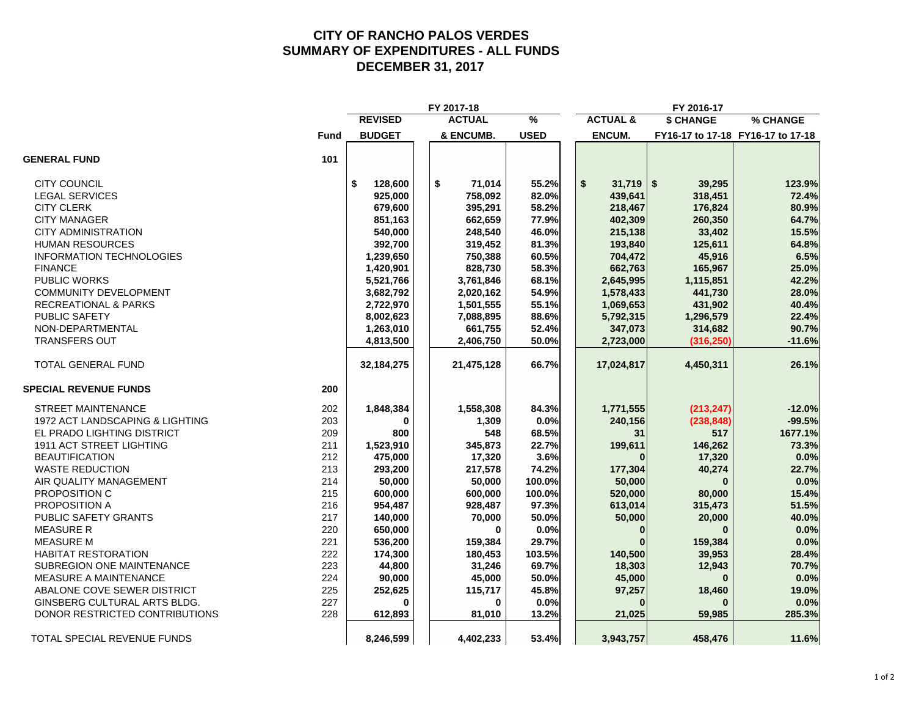#### **CITY OF RANCHO PALOS VERDES SUMMARY OF EXPENDITURES - ALL FUNDS DECEMBER 31, 2017**

|                                 |             |                | FY 2017-18    |               |                     | FY 2016-17 |                                   |
|---------------------------------|-------------|----------------|---------------|---------------|---------------------|------------|-----------------------------------|
|                                 |             | <b>REVISED</b> | <b>ACTUAL</b> | $\frac{9}{6}$ | <b>ACTUAL &amp;</b> | \$ CHANGE  | % CHANGE                          |
|                                 | <b>Fund</b> | <b>BUDGET</b>  | & ENCUMB.     | <b>USED</b>   | ENCUM.              |            | FY16-17 to 17-18 FY16-17 to 17-18 |
| <b>GENERAL FUND</b>             | 101         |                |               |               |                     |            |                                   |
| <b>CITY COUNCIL</b>             |             | 128,600<br>\$  | \$<br>71,014  | 55.2%         | \$<br>$31,719$ \$   | 39,295     | 123.9%                            |
| <b>LEGAL SERVICES</b>           |             | 925,000        | 758,092       | 82.0%         | 439,641             | 318,451    | 72.4%                             |
| <b>CITY CLERK</b>               |             | 679,600        | 395,291       | 58.2%         | 218,467             | 176,824    | 80.9%                             |
| <b>CITY MANAGER</b>             |             | 851,163        | 662,659       | 77.9%         | 402,309             | 260,350    | 64.7%                             |
| <b>CITY ADMINISTRATION</b>      |             | 540,000        | 248,540       | 46.0%         | 215,138             | 33,402     | 15.5%                             |
| <b>HUMAN RESOURCES</b>          |             | 392,700        | 319,452       | 81.3%         | 193,840             | 125,611    | 64.8%                             |
| <b>INFORMATION TECHNOLOGIES</b> |             | 1,239,650      | 750,388       | 60.5%         | 704,472             | 45,916     | 6.5%                              |
| <b>FINANCE</b>                  |             | 1,420,901      | 828,730       | 58.3%         | 662,763             | 165,967    | 25.0%                             |
| PUBLIC WORKS                    |             | 5,521,766      | 3,761,846     | 68.1%         | 2,645,995           | 1,115,851  | 42.2%                             |
| <b>COMMUNITY DEVELOPMENT</b>    |             | 3,682,792      | 2,020,162     | 54.9%         | 1,578,433           | 441,730    | 28.0%                             |
| <b>RECREATIONAL &amp; PARKS</b> |             | 2,722,970      | 1,501,555     | 55.1%         | 1,069,653           | 431,902    | 40.4%                             |
| PUBLIC SAFETY                   |             | 8,002,623      | 7,088,895     | 88.6%         | 5,792,315           | 1,296,579  | 22.4%                             |
| NON-DEPARTMENTAL                |             | 1,263,010      | 661,755       | 52.4%         | 347,073             | 314,682    | 90.7%                             |
| <b>TRANSFERS OUT</b>            |             | 4,813,500      | 2,406,750     | 50.0%         | 2,723,000           | (316, 250) | $-11.6%$                          |
| <b>TOTAL GENERAL FUND</b>       |             | 32, 184, 275   | 21,475,128    | 66.7%         | 17,024,817          | 4,450,311  | 26.1%                             |
| <b>SPECIAL REVENUE FUNDS</b>    | 200         |                |               |               |                     |            |                                   |
| <b>STREET MAINTENANCE</b>       | 202         | 1,848,384      | 1,558,308     | 84.3%         | 1,771,555           | (213, 247) | $-12.0%$                          |
| 1972 ACT LANDSCAPING & LIGHTING | 203         | 0              | 1,309         | 0.0%          | 240,156             | (238, 848) | $-99.5%$                          |
| EL PRADO LIGHTING DISTRICT      | 209         | 800            | 548           | 68.5%         | 31                  | 517        | 1677.1%                           |
| 1911 ACT STREET LIGHTING        | 211         | 1,523,910      | 345,873       | 22.7%         | 199,611             | 146,262    | 73.3%                             |
| <b>BEAUTIFICATION</b>           | 212         | 475,000        | 17,320        | 3.6%          |                     | 17,320     | 0.0%                              |
| <b>WASTE REDUCTION</b>          | 213         | 293,200        | 217,578       | 74.2%         | 177,304             | 40,274     | 22.7%                             |
| AIR QUALITY MANAGEMENT          | 214         | 50,000         | 50,000        | 100.0%        | 50,000              | $\bf{0}$   | 0.0%                              |
| PROPOSITION C                   | 215         | 600,000        | 600,000       | 100.0%        | 520,000             | 80,000     | 15.4%                             |
| PROPOSITION A                   | 216         | 954,487        | 928,487       | 97.3%         | 613,014             | 315,473    | 51.5%                             |
| PUBLIC SAFETY GRANTS            | 217         | 140,000        | 70,000        | 50.0%         | 50,000              | 20,000     | 40.0%                             |
| <b>MEASURE R</b>                | 220         | 650,000        | $\bf{0}$      | 0.0%          | $\Omega$            | $\bf{0}$   | 0.0%                              |
| <b>MEASURE M</b>                | 221         | 536,200        | 159,384       | 29.7%         |                     | 159,384    | 0.0%                              |
| <b>HABITAT RESTORATION</b>      | 222         | 174,300        | 180,453       | 103.5%        | 140,500             | 39,953     | 28.4%                             |
| SUBREGION ONE MAINTENANCE       | 223         | 44,800         | 31,246        | 69.7%         | 18,303              | 12,943     | 70.7%                             |
| MEASURE A MAINTENANCE           | 224         | 90,000         | 45,000        | 50.0%         | 45,000              |            | 0.0%                              |
| ABALONE COVE SEWER DISTRICT     | 225         | 252,625        | 115,717       | 45.8%         | 97,257              | 18,460     | 19.0%                             |
| GINSBERG CULTURAL ARTS BLDG.    | 227         | $\Omega$       | $\Omega$      | 0.0%          |                     |            | 0.0%                              |
| DONOR RESTRICTED CONTRIBUTIONS  | 228         | 612,893        | 81,010        | 13.2%         | 21,025              | 59,985     | 285.3%                            |
| TOTAL SPECIAL REVENUE FUNDS     |             | 8,246,599      | 4,402,233     | 53.4%         | 3,943,757           | 458,476    | 11.6%                             |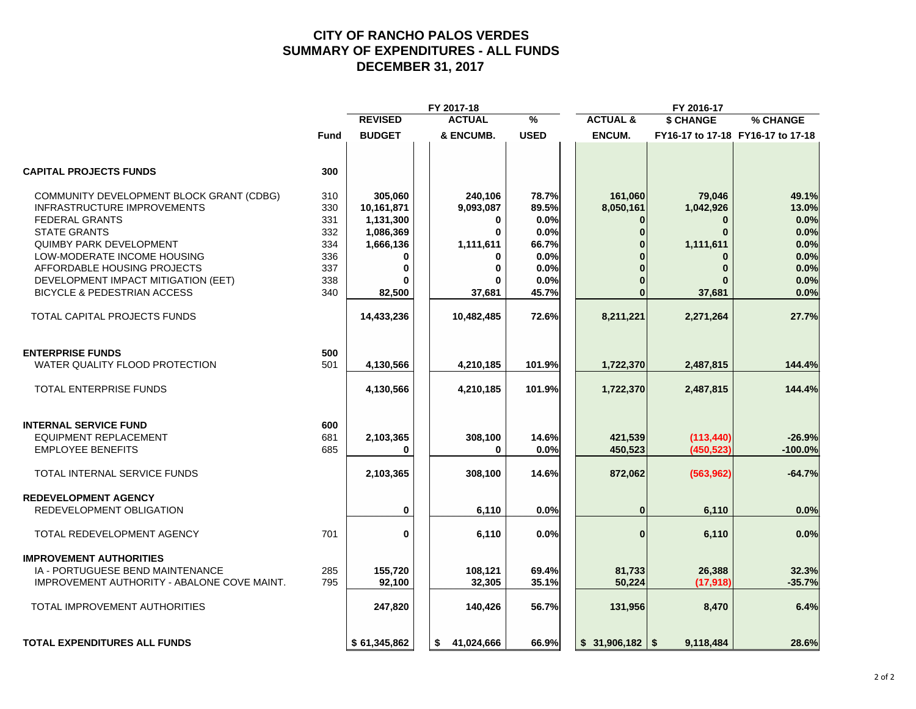#### **CITY OF RANCHO PALOS VERDES SUMMARY OF EXPENDITURES - ALL FUNDS DECEMBER 31, 2017**

|                                             |             |                | FY 2017-18       |               |                     | FY 2016-17   |                                   |
|---------------------------------------------|-------------|----------------|------------------|---------------|---------------------|--------------|-----------------------------------|
|                                             |             | <b>REVISED</b> | <b>ACTUAL</b>    | $\frac{9}{6}$ | <b>ACTUAL &amp;</b> | \$ CHANGE    | % CHANGE                          |
|                                             | <b>Fund</b> | <b>BUDGET</b>  | & ENCUMB.        | <b>USED</b>   | ENCUM.              |              | FY16-17 to 17-18 FY16-17 to 17-18 |
| <b>CAPITAL PROJECTS FUNDS</b>               | 300         |                |                  |               |                     |              |                                   |
| COMMUNITY DEVELOPMENT BLOCK GRANT (CDBG)    | 310         | 305,060        | 240,106          | 78.7%         | 161,060             | 79,046       | 49.1%                             |
| <b>INFRASTRUCTURE IMPROVEMENTS</b>          | 330         | 10,161,871     | 9,093,087        | 89.5%         | 8,050,161           | 1,042,926    | 13.0%                             |
| <b>FEDERAL GRANTS</b>                       | 331         | 1,131,300      | 0                | 0.0%          | $\bf{0}$            | $\mathbf{0}$ | 0.0%                              |
| <b>STATE GRANTS</b>                         | 332         | 1,086,369      | $\bf{0}$         | 0.0%          | $\Omega$            | $\bf{0}$     | 0.0%                              |
| <b>QUIMBY PARK DEVELOPMENT</b>              | 334         | 1,666,136      | 1,111,611        | 66.7%         |                     | 1,111,611    | 0.0%                              |
| LOW-MODERATE INCOME HOUSING                 | 336         | 0              | 0                | 0.0%          |                     | $\bf{0}$     | 0.0%                              |
| AFFORDABLE HOUSING PROJECTS                 | 337         | $\bf{0}$       | 0                | 0.0%          |                     | $\bf{0}$     | 0.0%                              |
| DEVELOPMENT IMPACT MITIGATION (EET)         | 338         | ŋ              |                  | 0.0%          |                     |              | 0.0%                              |
|                                             |             |                |                  |               |                     |              |                                   |
| <b>BICYCLE &amp; PEDESTRIAN ACCESS</b>      | 340         | 82,500         | 37,681           | 45.7%         | $\bf{0}$            | 37,681       | 0.0%                              |
| TOTAL CAPITAL PROJECTS FUNDS                |             | 14,433,236     | 10,482,485       | 72.6%         | 8,211,221           | 2,271,264    | 27.7%                             |
| <b>ENTERPRISE FUNDS</b>                     | 500         |                |                  |               |                     |              |                                   |
| WATER QUALITY FLOOD PROTECTION              | 501         | 4,130,566      | 4,210,185        | 101.9%        | 1,722,370           | 2,487,815    | 144.4%                            |
| <b>TOTAL ENTERPRISE FUNDS</b>               |             | 4,130,566      | 4,210,185        | 101.9%        | 1,722,370           | 2,487,815    | 144.4%                            |
| <b>INTERNAL SERVICE FUND</b>                | 600         |                |                  |               |                     |              |                                   |
| <b>EQUIPMENT REPLACEMENT</b>                | 681         | 2,103,365      | 308,100          | 14.6%         | 421,539             | (113, 440)   | $-26.9%$                          |
| <b>EMPLOYEE BENEFITS</b>                    | 685         | 0              | 0                | 0.0%          | 450,523             | (450, 523)   | $-100.0%$                         |
| TOTAL INTERNAL SERVICE FUNDS                |             | 2,103,365      | 308,100          | 14.6%         | 872,062             | (563, 962)   | $-64.7%$                          |
| <b>REDEVELOPMENT AGENCY</b>                 |             |                |                  |               |                     |              |                                   |
| REDEVELOPMENT OBLIGATION                    |             | 0              | 6,110            | 0.0%          | $\bf{0}$            | 6,110        | 0.0%                              |
| TOTAL REDEVELOPMENT AGENCY                  | 701         | $\mathbf 0$    | 6,110            | 0.0%          | $\bf{0}$            | 6,110        | 0.0%                              |
| <b>IMPROVEMENT AUTHORITIES</b>              |             |                |                  |               |                     |              |                                   |
| IA - PORTUGUESE BEND MAINTENANCE            | 285         | 155,720        | 108,121          | 69.4%         | 81,733              | 26,388       | 32.3%                             |
| IMPROVEMENT AUTHORITY - ABALONE COVE MAINT. | 795         | 92,100         | 32,305           | 35.1%         | 50,224              | (17, 918)    | $-35.7%$                          |
| TOTAL IMPROVEMENT AUTHORITIES               |             | 247,820        | 140,426          | 56.7%         | 131,956             | 8,470        | 6.4%                              |
| <b>TOTAL EXPENDITURES ALL FUNDS</b>         |             | \$61,345,862   | 41,024,666<br>s. | 66.9%         |                     | 9,118,484    | 28.6%                             |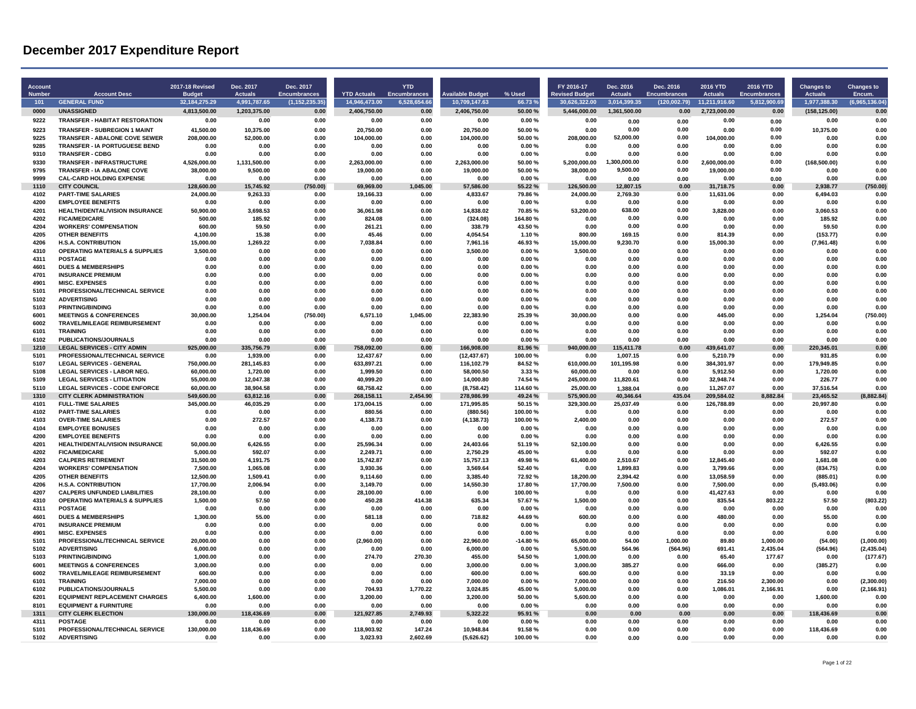| <b>Account</b><br><b>Number</b> | <b>Account Desc</b>                                                      | <b>2017-18 Revised</b><br><b>Budget</b> | Dec. 2017<br><b>Actuals</b> | Dec. 2017<br>Encumbrances | <b>YTD Actuals</b>      | <b>YTD</b><br><b>Encumbrances</b> | vailable Budget          | % Used             | FY 2016-17<br>evised Budge | Dec. 2016<br><b>Actuals</b> | Dec. 2016<br><b>Encumbrances</b> | 2016 YTD<br><b>Actuals</b> | 2016 YTD<br><b>Encumbrances</b> | <b>Changes to</b><br><b>Actuals</b> | <b>Changes to</b><br>Encum. |
|---------------------------------|--------------------------------------------------------------------------|-----------------------------------------|-----------------------------|---------------------------|-------------------------|-----------------------------------|--------------------------|--------------------|----------------------------|-----------------------------|----------------------------------|----------------------------|---------------------------------|-------------------------------------|-----------------------------|
| 101                             | <b>GENERAL FUND</b>                                                      | 32.184.275.29                           | 4,991,787.65                | (1, 152, 235.35)          | 14.946.473.00           | 6.528.654.66                      | 10.709.147.63            | 66.73%             | 30.626.322.00              | 3.014.399.35                | (120,002.79)                     | 11,211,916.60              | 5,812,900.69                    | 1,977,388.30                        | (6.965.136.04)              |
| 0000                            | <b>UNASSIGNED</b>                                                        | 4.813.500.00                            | 1,203,375.00                | 0.00                      | 2,406,750.00            | 0.00                              | 2.406.750.00             | 50.00%             | 5.446.000.00               | 1.361.500.00                | 0.00                             | 2.723.000.00               | 0.00                            | (158, 125.00)                       | 0.00                        |
| 9222                            | <b>TRANSFER - HABITAT RESTORATION</b>                                    | 0.00                                    | 0.00                        | 0.00                      | 0.00                    | 0.00                              | 0.00                     | 0.00%              | 0.00                       | 0.00                        | 0.00                             | 0.00                       | 0.00                            | 0.00                                | 0.00                        |
| 9223                            | <b>TRANSFER - SUBREGION 1 MAINT</b>                                      | 41,500.00                               | 10.375.00                   | 0.00                      | 20.750.00               | 0.00                              | 20.750.00                | 50.00%             | 0.00                       | 0.00                        | 0.00                             | 0.00                       | 0.00                            | 10.375.00                           | 0.00                        |
| 9225                            | <b>TRANSFER - ABALONE COVE SEWER</b>                                     | 208,000.00                              | 52.000.00                   | 0.00                      | 104.000.00              | 0.00                              | 104.000.00               | 50.00%             | 208.000.00                 | 52,000.00                   | 0.00                             | 104.000.00                 | 0.00                            | 0.00                                | 0.00                        |
| 9285                            | <b>TRANSFER - IA PORTUGUESE BEND</b>                                     | 0.00                                    | 0.00                        | 0.00                      | 0.00                    | 0.00                              | 0.00                     | 0.00%              | 0.00                       | 0.00                        | 0.00                             | 0.00                       | 0.00                            | 0.00                                | 0.00                        |
| 9310                            | <b>TRANSFER - CDBG</b>                                                   | 0.00                                    | 0.00                        | 0.00                      | 0.00                    | 0.00                              | 0.00                     | 0.00%              | 0.00                       | 0.00                        | 0.00                             | 0.00                       | 0.00                            | 0.00                                | 0.00                        |
| 9330                            | <b>TRANSFER - INFRASTRUCTURE</b>                                         | 4.526.000.00                            | 1,131,500.00                | 0.00                      | 2,263,000.00            | 0.00                              | 2.263.000.00             | 50.00%             | 5.200.000.00               | 1.300.000.00                | 0.00                             | 2.600.000.00               | 0.00<br>0.00                    | (168, 500.00)                       | 0.00                        |
| 9795<br>9999                    | TRANSFER - IA ABALONE COVE<br><b>CAL-CARD HOLDING EXPENSE</b>            | 38,000.00<br>0.00                       | 9.500.00<br>0.00            | 0.00<br>0.00              | 19.000.00<br>0.00       | 0.00<br>0.00                      | 19,000.00<br>0.00        | 50.00%<br>0.00%    | 38,000.00<br>0.00          | 9,500.00                    | 0.00                             | 19,000.00<br>0.00          |                                 | 0.00<br>0.00                        | 0.00<br>0.00                |
| 1110                            | <b>CITY COUNCIL</b>                                                      | 128.600.00                              | 15.745.92                   | (750.00)                  | 69.969.00               | 1.045.00                          | 57.586.00                | 55.22 %            | 126.500.00                 | 0.00<br>12.807.15           | 0.00<br>0.00                     | 31.718.75                  | 0.00<br>0.00                    | 2.938.77                            | (750.00)                    |
| 4102                            | <b>PART-TIME SALARIES</b>                                                | 24,000.00                               | 9,263.33                    | 0.00                      | 19,166.33               | 0.00                              | 4,833.67                 | 79.86%             | 24,000.00                  | 2,769.30                    | 0.00                             | 11,631.06                  | 0.00                            | 6,494.03                            | 0.00                        |
| 4200                            | <b>EMPLOYEE BENEFITS</b>                                                 | 0.00                                    | 0.00                        | 0.00                      | 0.00                    | 0.00                              | 0.00                     | 0.00%              | 0.00                       | 0.00                        | 0.00                             | 0.00                       | 0.00                            | 0.00                                | 0.00                        |
| 4201                            | HEALTH/DENTAL/VISION INSURANCE                                           | 50,900.00                               | 3,698.53                    | 0.00                      | 36,061.98               | 0.00                              | 14,838.02                | 70.85%             | 53,200.00                  | 638.00                      | 0.00                             | 3,828.00                   | 0.00                            | 3,060.53                            | 0.00                        |
| 4202                            | <b>FICA/MEDICARE</b>                                                     | 500.00                                  | 185.92                      | 0.00                      | 824.08                  | 0.00                              | (324.08)                 | 164.80%            | 0.00                       | 0.00                        | 0.00                             | 0.00                       | 0.00                            | 185.92                              | 0.00                        |
| 4204                            | <b>WORKERS' COMPENSATION</b>                                             | 600.00                                  | 59.50                       | 0.00                      | 261.21                  | 0.00                              | 338.79                   | 43.50%             | 0.00                       | 0.00                        | 0.00                             | 0.00                       | 0.00                            | 59.50                               | 0.00                        |
| 4205                            | <b>OTHER BENEFITS</b>                                                    | 4,100.00                                | 15.38                       | 0.00                      | 45.46                   | 0.00                              | 4,054.54                 | 1.10%              | 800.00                     | 169.15                      | 0.00                             | 814.39                     | 0.00                            | (153.77)                            | 0.00<br>0.00                |
| 4206<br>4310                    | <b>H.S.A. CONTRIBUTION</b><br><b>OPERATING MATERIALS &amp; SUPPLIES</b>  | 15,000.00<br>3,500.00                   | 1,269.22<br>0.00            | 0.00<br>0.00              | 7,038.84<br>0.00        | 0.00<br>0.00                      | 7,961.16<br>3,500.00     | 46.93%<br>0.00%    | 15,000.00<br>3.500.00      | 9,230.70<br>0.00            | 0.00<br>0.00                     | 15,000.30<br>0.00          | 0.00<br>0.00                    | (7,961.48)<br>0.00                  | 0.00                        |
| 4311                            | <b>POSTAGE</b>                                                           | 0.00                                    | 0.00                        | 0.00                      | 0.00                    | 0.00                              | 0.00                     | 0.00%              | 0.00                       | 0.00                        | 0.00                             | 0.00                       | 0.00                            | 0.00                                | 0.00                        |
| 4601                            | <b>DUES &amp; MEMBERSHIPS</b>                                            | 0.00                                    | 0.00                        | 0.00                      | 0.00                    | 0.00                              | 0.00                     | 0.00%              | 0.00                       | 0.00                        | 0.00                             | 0.00                       | 0.00                            | 0.00                                | 0.00                        |
| 4701                            | <b>INSURANCE PREMIUM</b>                                                 | 0.00                                    | 0.00                        | 0.00                      | 0.00                    | 0.00                              | 0.00                     | 0.00%              | 0.00                       | 0.00                        | 0.00                             | 0.00                       | 0.00                            | 0.00                                | 0.00                        |
| 4901                            | <b>MISC. EXPENSES</b>                                                    | 0.00                                    | 0.00                        | 0.00                      | 0.00                    | 0.00                              | 0.00                     | 0.00%              | 0.00                       | 0.00                        | 0.00                             | 0.00                       | 0.00                            | 0.00                                | 0.00                        |
| 5101                            | PROFESSIONAL/TECHNICAL SERVICE                                           | 0.00                                    | 0.00                        | 0.00                      | 0.00                    | 0.00                              | 0.00                     | 0.00%              | 0.00                       | 0.00                        | 0.00                             | 0.00                       | 0.00                            | 0.00                                | 0.00                        |
| 5102                            | <b>ADVERTISING</b>                                                       | 0.00                                    | 0 <sub>0</sub> c            | 0.00                      | 0.00                    | 0.00                              | 0.00                     | 0.00%              | 0.00                       | 0.00                        | 0.00                             | 0.00                       | 0.00                            | 0.00                                | 0.00                        |
| 5103                            | <b>PRINTING/BINDING</b>                                                  | 0.00                                    | 0.00                        | 0.00                      | 0.00                    | 0.00                              | 0.00                     | 0.00%              | 0.00                       | 0.00                        | 0.00                             | 0.00                       | 0.00                            | 0.00                                | 0.00                        |
| 6001<br>6002                    | <b>MEETINGS &amp; CONFERENCES</b><br><b>TRAVEL/MILEAGE REIMBURSEMENT</b> | 30,000.00<br>0.00                       | 1,254.04<br>0.00            | (750.00)<br>0.00          | 6,571.10<br>0.00        | 1,045.00<br>0.00                  | 22,383.90<br>0.00        | 25.39%<br>0.00%    | 30,000.00<br>0.00          | 0.00<br>0.00                | 0.00<br>0.00                     | 445.00<br>0.00             | 0.00<br>0.00                    | 1,254.04<br>0.00                    | (750.00)<br>0.00            |
| 6101                            | <b>TRAINING</b>                                                          | 0.00                                    | 0.00                        | 0.00                      | 0.00                    | 0.00                              | 0.00                     | 0.00%              | 0.00                       | 0.00                        | 0.00                             | 0.00                       | 0.00                            | 0.00                                | 0.00                        |
| 6102                            | PUBLICATIONS/JOURNALS                                                    | 0.00                                    | 0.00                        | 0.00                      | 0.00                    | 0.00                              | 0.00                     | 0.00%              | 0.00                       | 0.00                        | 0.00                             | 0.00                       | 0.00                            | 0.00                                | 0.00                        |
| 1210                            | <b>LEGAL SERVICES - CITY ADMIN</b>                                       | 925.000.00                              | 335.756.79                  | 0.00                      | 758.092.00              | 0.00                              | 166,908.00               | 81.96%             | 940.000.00                 | 115.411.78                  | 0.00                             | 439.641.07                 | 0.00                            | 220.345.01                          | 0.00                        |
| 5101                            | PROFESSIONAL/TECHNICAL SERVICE                                           | 0.00                                    | 1,939.00                    | 0.00                      | 12,437.67               | 0.00                              | (12, 437.67)             | 100.00%            | 0.00                       | 1,007.15                    | 0.00                             | 5,210.79                   | 0.00                            | 931.85                              | 0.00                        |
| 5107                            | <b>I FGAI SERVICES - GENERAL</b>                                         | 750.000.00                              | 281.145.83                  | 0.00                      | 633,897.21              | 0.00                              | 116,102.79               | 84.52%             | 610.000.00                 | 101,195.98                  | 0.00                             | 384,301.97                 | 0.00                            | 179.949.85                          | 0.00                        |
| 5108                            | <b>LEGAL SERVICES - LABOR NEG.</b>                                       | 60,000.00                               | 1.720.00                    | 0.00                      | 1,999.50                | 0.00                              | 58,000.50                | 3.33%              | 60.000.00                  | 0.00                        | 0.00                             | 5,912.50                   | 0.00                            | 1,720.00                            | 0.00                        |
| 5109                            | <b>LEGAL SERVICES - LITIGATION</b>                                       | 55,000.00                               | 12.047.38                   | 0.00                      | 40,999.20               | 0.00                              | 14,000.80                | 74.54 %            | 245,000.00                 | 11,820.61                   | 0.00                             | 32.948.74                  | 0.00                            | 226.77                              | 0.00                        |
| 5110<br>1310                    | <b>LEGAL SERVICES - CODE ENFORCE</b><br><b>CITY CLERK ADMINISTRATION</b> | 60.000.00<br>549,600.00                 | 38.904.58<br>63.812.16      | 0.00<br>0.00              | 68.758.42<br>268.158.11 | 0.00<br>2.454.90                  | (8.758.42)<br>278,986.99 | 114.60%<br>49.24 % | 25.000.00<br>575.900.00    | 1.388.04<br>40.346.64       | 0.00<br>435.04                   | 11.267.07<br>209,584.02    | 0.00<br>.882.84                 | 37.516.54<br>23.465.52              | 0.00<br>(8.882.84)          |
| 4101                            | <b>FULL-TIME SALARIES</b>                                                | 345,000.00                              | 46,035.29                   | 0.00                      | 173,004.15              | 0.00                              | 171,995.85               | 50.15%             | 329,300.00                 | 25,037.49                   | 0.00                             | 126,788.89                 | 0.00                            | 20,997.80                           | 0.00                        |
| 4102                            | <b>PART-TIME SALARIES</b>                                                | 0.00                                    | 0.00                        | 0.00                      | 880.56                  | 0.00                              | (880.56)                 | 100.00%            | 0.00                       | 0.00                        | 0.00                             | 0.00                       | 0.00                            | 0.00                                | 0.00                        |
| 4103                            | <b>OVER-TIME SALARIES</b>                                                | 0.00                                    | 272.57                      | 0.00                      | 4,138.73                | 0.00                              | (4, 138.73)              | 100.00%            | 2,400.00                   | 0.00                        | 0.00                             | 0.00                       | 0.00                            | 272.57                              | 0.00                        |
| 4104                            | <b>EMPLOYEE BONUSES</b>                                                  | 0.00                                    | 0.00                        | 0.00                      | 0.00                    | 0.00                              | 0.00                     | 0.00%              | 0.00                       | 0.00                        | 0.00                             | 0.00                       | 0.00                            | 0.00                                | 0.00                        |
| 4200                            | <b>EMPLOYEE BENEFITS</b>                                                 | 0.00                                    | 0.00                        | 0.00                      | 0.00                    | 0.00                              | 0.00                     | 0.00%              | 0.00                       | 0.00                        | 0.00                             | 0.00                       | 0.00                            | 0.00                                | 0.00                        |
| 4201                            | HEALTH/DENTAL/VISION INSURANCE                                           | 50,000.00                               | 6,426.55                    | 0.00                      | 25,596.34               | 0.00                              | 24,403.66                | 51.19%             | 52,100.00                  | 0.00                        | 0.00                             | 0.00                       | 0.00                            | 6,426.55                            | 0.00                        |
| 4202                            | <b>FICA/MEDICARE</b>                                                     | 5,000.00                                | 592.07                      | 0.00                      | 2,249.71                | 0.00                              | 2,750.29                 | 45.00%             | 0.00                       | 0.00                        | 0.00                             | 0.00                       | 0.00                            | 592.07                              | 0.00                        |
| 4203<br>4204                    | CALPERS RETIREMENT<br><b>WORKERS' COMPENSATION</b>                       | 31,500.00<br>7.500.00                   | 4,191.75<br>1,065.08        | 0.00<br>0.00              | 15,742.87<br>3,930.36   | 0.00<br>0.00                      | 15,757.13<br>3.569.64    | 49.98%<br>52.40%   | 61,400.00<br>0.00          | 2,510.67<br>1.899.83        | 0.00<br>0.00                     | 12,845.40<br>3,799.66      | 0.00<br>0.00                    | 1,681.08<br>(834.75)                | 0.00<br>0.00                |
| 4205                            | <b>OTHER BENEFITS</b>                                                    | 12,500.00                               | 1.509.41                    | 0.00                      | 9,114.60                | 0.00                              | 3,385.40                 | 72.92%             | 18,200.00                  | 2,394.42                    | 0.00                             | 13,058.59                  | 0.00                            | (885.01)                            | 0.00                        |
| 4206                            | <b>H.S.A. CONTRIBUTION</b>                                               | 17,700.00                               | 2.006.94                    | 0.00                      | 3,149.70                | 0.00                              | 14,550.30                | 17.80%             | 17.700.00                  | 7.500.00                    | 0.00                             | 7.500.00                   | 0.00                            | (5, 493.06)                         | 0.00                        |
| 4207                            | <b>CALPERS UNFUNDED LIABILITIES</b>                                      | 28.100.00                               | 0.00                        | 0.00                      | 28,100.00               | 0.00                              | 0.00                     | 100.00%            | 0.00                       | 0.00                        | 0.00                             | 41.427.63                  | 0.00                            | 0.00                                | 0.00                        |
| 4310                            | <b>OPERATING MATERIALS &amp; SUPPLIES</b>                                | 1.500.00                                | 57.50                       | 0.00                      | 450.28                  | 414.38                            | 635.34                   | 57.67%             | 1.500.00                   | 0.00                        | 0.00                             | 835.54                     | 803.22                          | 57.50                               | (803.22)                    |
| 4311                            | <b>POSTAGE</b>                                                           | 0.00                                    | 0.00                        | 0.00                      | 0.00                    | 0.00                              | 0.00                     | 0.00%              | 0.00                       | 0.00                        | 0.00                             | 0.00                       | 0.00                            | 0.00                                | 0.00                        |
| 4601                            | <b>DUES &amp; MEMBERSHIPS</b>                                            | 1,300.00                                | 55.00                       | 0.00                      | 581.18                  | 0.00                              | 718.82                   | 44.69%             | 600.00                     | 0.00                        | 0.00                             | 480.00                     | 0.00                            | 55.00                               | 0.00                        |
| 4701                            | <b>INSURANCE PREMIUM</b>                                                 | 0.00                                    | 0.00                        | 0.00                      | 0.00                    | 0.00                              | 0.00                     | 0.00%              | 0.00                       | 0.00                        | 0.00                             | 0.00                       | 0.00                            | 0.00                                | 0.00                        |
| 4901<br>5101                    | <b>MISC. EXPENSES</b><br>PROFESSIONAL/TECHNICAL SERVICE                  | 0.00                                    | 0.00                        | 0.00                      | 0.00                    | 0.00                              | 0.00                     | 0.00%              | 0.00                       | 0.00                        | 0.00                             | 0.00                       | 0.00                            | 0.00                                | 0.00                        |
| 5102                            | <b>ADVERTISING</b>                                                       | 20,000.00<br>6,000.00                   | 0.00<br>0.00                | 0.00<br>0.00              | (2,960.00)<br>0.00      | 0.00<br>0.00                      | 22,960.00<br>6,000.00    | -14.80 %<br>0.00%  | 65,000.00<br>5.500.00      | 54.00<br>564.96             | 1,000.00<br>(564.96)             | 89.80<br>691.41            | 1,000.00<br>2.435.04            | (54.00)<br>(564.96)                 | (1,000.00)<br>(2, 435.04)   |
| 5103                            | <b>PRINTING/BINDING</b>                                                  | 1,000.00                                | 0.00                        | 0.00                      | 274.70                  | 270.30                            | 455.00                   | 54.50 %            | 1,000.00                   | 0.00                        | 0.00                             | 65.40                      | 177.67                          | 0.00                                | (177.67)                    |
| 6001                            | <b>MEETINGS &amp; CONFERENCES</b>                                        | 3.000.00                                | 0.00                        | 0.00                      | 0.00                    | 0.00                              | 3,000.00                 | 0.00%              | 3,000.00                   | 385.27                      | 0.00                             | 666.00                     | 0.00                            | (385.27)                            | 0.00                        |
| 6002                            | TRAVEL/MILEAGE REIMBURSEMENT                                             | 600.00                                  | 0.00                        | 0.00                      | 0.00                    | 0.00                              | 600.00                   | 0.00%              | 600.00                     | 0.00                        | 0.00                             | 33.19                      | 0.00                            | 0.00                                | 0.00                        |
| 6101                            | <b>TRAINING</b>                                                          | 7.000.00                                | 0.00                        | 0.00                      | 0.00                    | 0.00                              | 7.000.00                 | 0.00%              | 7.000.00                   | 0.00                        | 0.00                             | 216.50                     | 2.300.00                        | 0.00                                | (2,300.00)                  |
| 6102                            | <b>PUBLICATIONS/JOURNALS</b>                                             | 5.500.00                                | 0.00                        | 0.00                      | 704.93                  | 1,770.22                          | 3.024.85                 | 45.00%             | 5.000.00                   | 0.00                        | 0.00                             | 1.086.01                   | 2.166.91                        | 0.00                                | (2, 166.91)                 |
| 6201                            | <b>EQUIPMENT REPLACEMENT CHARGES</b>                                     | 6,400.00                                | 1,600.00                    | 0.00                      | 3,200.00                | 0.00                              | 3,200.00                 | 50.00%             | 5,600.00                   | 0.00                        | 0.00                             | 0.00                       | 0.00                            | 1,600.00                            | 0.00                        |
| 8101<br>1311                    | <b>EQUIPMENT &amp; FURNITURE</b><br><b>CITY CLERK ELECTION</b>           | 0.00<br>130,000.00                      | 0.00<br>118<br>136.69       | 0.00<br>0.00              | 0.00<br>121,927.85      | 0.00<br>2,749.93                  | 0.00<br>5,322.22         | 0.00%<br>95.91 %   | 0.00<br>0.00               | 0.00<br>0.00                | 0.00<br>0.00                     | 0.00<br>0.00               | 0.00<br>0.00                    | 0.00<br>118<br>436.69               | 0.00<br>0.00                |
| 4311                            | POSTAGE                                                                  | 0.00                                    | 0.00                        | 0.00                      | 0.00                    | 0.00                              | 0.00                     | 0.00%              | 0.00                       | 0.00                        | 0.00                             | 0.00                       | 0.00                            | 0.00                                | 0.00                        |
| 5101                            | PROFESSIONAL/TECHNICAL SERVICE                                           | 130.000.00                              | 118,436.69                  | 0.00                      | 118.903.92              | 147.24                            | 10.948.84                | 91.58%             | 0.00                       | 0.00                        | 0.00                             | 0.00                       | 0.00                            | 118.436.69                          | 0.00                        |
| 5102                            | <b>ADVERTISING</b>                                                       | 0.00                                    | 0.00                        | 0.00                      | 3.023.93                | 2,602.69                          | (5,626.62)               | 100.00%            | 0.00                       | 0.00                        | 0.00                             | 0.00                       | 0.00                            | 0.00                                | 0.00                        |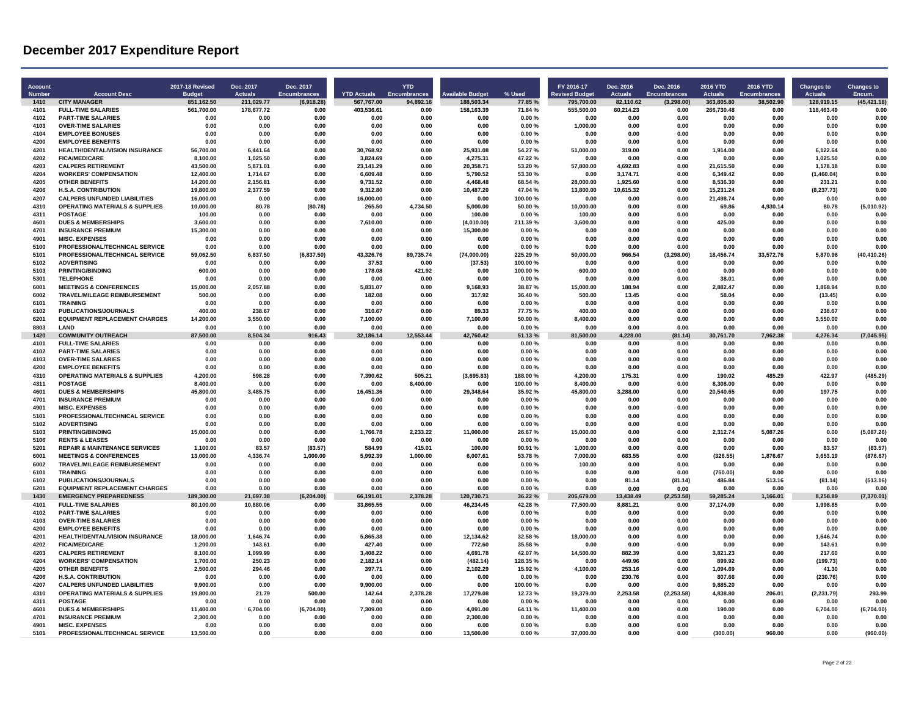| <b>Account</b><br><b>Number</b> | <b>Account Desc</b>                                           | <b>2017-18 Revised</b>      | Dec. 2017<br><b>Actuals</b> | Dec. 2017<br><b>Encumbrances</b> | <b>YTD Actuals</b>    | <b>YTD</b><br><b>Encumbrances</b> | <b>Available Budget</b> | % Used           | FY 2016-17<br><b>Revised Budget</b> | Dec. 2016<br><b>Actuals</b> | Dec. 2016<br><b>Encumbrances</b> | <b>2016 YTD</b><br><b>Actuals</b> | <b>2016 YTD</b><br><b>Encumbrances</b> | <b>Changes to</b><br><b>Actuals</b> | <b>Changes to</b><br>Encum. |
|---------------------------------|---------------------------------------------------------------|-----------------------------|-----------------------------|----------------------------------|-----------------------|-----------------------------------|-------------------------|------------------|-------------------------------------|-----------------------------|----------------------------------|-----------------------------------|----------------------------------------|-------------------------------------|-----------------------------|
| 1410                            | <b>CITY MANAGER</b>                                           | <b>Budget</b><br>851,162.50 | 211,029.77                  | (6,918.28)                       | 567,767.00            | 94,892.16                         | 188.503.34              | 77.85%           | 795.700.00                          | 82.110.62                   | (3, 298.00)                      | 363.805.80                        | 38,502.90                              | 128,919.15                          | (45, 421.18)                |
| 4101                            | <b>FULL-TIME SALARIES</b>                                     | 561,700.00                  | 178,677.72                  | 0.00                             | 403,536.61            | 0.00                              | 158,163.39              | 71.84%           | 555,500.00                          | 60,214.23                   | 0.00                             | 266,730.48                        | 0.00                                   | 118,463.49                          | 0.00                        |
| 4102                            | <b>PART-TIME SALARIES</b>                                     | 0.00                        | 0.00                        | 0.00                             | 0.00                  | 0.00                              | 0.00                    | 0.00%            | 0.00                                | 0.00                        | 0.00                             | 0.00                              | 0.00                                   | 0.00                                | 0.00                        |
| 4103                            | <b>OVER-TIME SALARIES</b>                                     | 0.00                        | 0.00                        | 0.00                             | 0.00                  | 0.00                              | 0.00                    | 0.00%            | 1.000.00                            | 0.00                        | 0.00                             | 0.00                              | 0.00                                   | 0.00                                | 0.00                        |
| 4104                            | <b>EMPLOYEE BONUSES</b>                                       | 0.00                        | 0.00                        | 0.00                             | 0.00                  | 0.00                              | 0.00                    | 0.00%            | 0.00                                | 0.00                        | 0.00                             | 0.00                              | 0.00                                   | 0.00                                | 0.00                        |
| 4200                            | <b>EMPLOYEE BENEFITS</b>                                      | 0.00                        | 0.00                        | 0.00                             | 0.00                  | 0.00                              | 0.00                    | 0.00%            | 0.00                                | 0.00                        | 0.00                             | 0.00                              | 0.00                                   | 0.00                                | 0.00                        |
| 4201<br>4202                    | <b>HEALTH/DENTAL/VISION INSURANCE</b><br><b>FICA/MEDICARE</b> | 56,700.00<br>8.100.00       | 6,441.64<br>1.025.50        | 0.00<br>0.00                     | 30,768.92<br>3.824.69 | 0.00<br>0.00                      | 25,931.08<br>4.275.31   | 54.27%<br>47.22% | 51,000.00<br>0.00                   | 319.00<br>0.00              | 0.00<br>0.00                     | 1,914.00<br>0.00                  | 0.00<br>0.00                           | 6,122.64<br>1.025.50                | 0.00<br>0.00                |
| 4203                            | <b>CALPERS RETIREMENT</b>                                     | 43,500.00                   | 5,871.01                    | 0.00                             | 23.141.29             | 0.00                              | 20,358.71               | 53.20%           | 57,800.00                           | 4,692.83                    | 0.00                             | 21,615.50                         | 0.00                                   | 1,178.18                            | 0.00                        |
| 4204                            | <b>WORKERS' COMPENSATION</b>                                  | 12,400.00                   | 1,714.67                    | 0.00                             | 6,609.48              | 0.00                              | 5,790.52                | 53.30%           | 0.00                                | 3,174.71                    | 0.00                             | 6,349.42                          | 0.00                                   | (1,460.04)                          | 0.00                        |
| 4205                            | <b>OTHER BENEFITS</b>                                         | 14,200.00                   | 2,156.81                    | 0.00                             | 9,731.52              | 0.00                              | 4,468.48                | 68.54 %          | 28,000.00                           | 1,925.60                    | 0.00                             | 8,536.30                          | 0.00                                   | 231.21                              | 0.00                        |
| 4206                            | <b>H.S.A. CONTRIBUTION</b>                                    | 19.800.00                   | 2.377.59                    | 0.00                             | 9.312.80              | 0.00                              | 10.487.20               | 47.04%           | 13,800.00                           | 10.615.32                   | 0.00                             | 15,231.24                         | 0.00                                   | (8, 237.73)                         | 0.00                        |
| 4207                            | <b>CALPERS UNFUNDED LIABILITIES</b>                           | 16,000.00                   | 0.00                        | 0.00                             | 16.000.00             | 0.00                              | 0.00                    | 100.00%          | 0.00                                | 0.00                        | 0.00                             | 21.498.74                         | 0.00                                   | 0.00                                | 0.00                        |
| 4310                            | <b>OPERATING MATERIALS &amp; SUPPLIES</b>                     | 10,000.00                   | 80.78                       | (80.78)                          | 265.50                | 4.734.50                          | 5,000.00                | 50.00%           | 10.000.00                           | 0.00                        | 0.00                             | 69.86                             | 4.930.14                               | 80.78                               | (5,010.92)                  |
| 4311                            | <b>POSTAGE</b>                                                | 100.00                      | 0.00                        | 0.00                             | 0.00                  | 0.00                              | 100.00                  | 0.00%            | 100.00                              | 0.00                        | 0.00                             | 0.00                              | 0.00                                   | 0.00                                | 0.00                        |
| 4601                            | <b>DUES &amp; MEMBERSHIPS</b>                                 | 3,600.00                    | 0.00                        | 0.00                             | 7.610.00              | 0.00                              | (4,010.00)              | 211.39%          | 3,600.00                            | 0.00                        | 0.00                             | 425.00                            | 0.00                                   | 0.00                                | 0.00                        |
| 4701<br>4901                    | <b>INSURANCE PREMIUM</b><br><b>MISC. EXPENSES</b>             | 15,300.00                   | 0.00                        | 0.00<br>0.00                     | 0.00                  | 0.00                              | 15,300.00<br>0.00       | 0.00%            | 0.00                                | 0.00                        | 0.00                             | 0.00                              | 0.00<br>0.00                           | 0.00<br>0.00                        | 0.00<br>0.00                |
| 5100                            | PROFESSIONAL/TECHNICAL SERVICE                                | 0.00<br>0.00                | 0.00<br>0.00                | 0.00                             | 0.00<br>0.00          | 0.00<br>0.00                      | 0.00                    | 0.00%<br>0.00%   | 0.00<br>0.00                        | 0.00<br>0.00                | 0.00<br>0.00                     | 0.00<br>0.00                      | 0.00                                   | 0.00                                | 0.00                        |
| 5101                            | PROFESSIONAL/TECHNICAL SERVICE                                | 59,062.50                   | 6,837.50                    | (6, 837.50)                      | 43,326.76             | 89,735.74                         | (74,000.00)             | 225.29 %         | 50,000.00                           | 966.54                      | (3, 298.00)                      | 18,456.74                         | 33.572.76                              | 5,870.96                            | (40, 410.26)                |
| 5102                            | <b>ADVERTISING</b>                                            | 0.00                        | 0.00                        | 0.00                             | 37.53                 | 0.00                              | (37.53)                 | 100.00%          | 0.00                                | 0.00                        | 0.00                             | 0.00                              | 0.00                                   | 0.00                                | 0.00                        |
| 5103                            | <b>PRINTING/BINDING</b>                                       | 600.00                      | 0.00                        | 0.00                             | 178.08                | 421.92                            | 0.00                    | 100.00%          | 600.00                              | 0.00                        | 0.00                             | 0.00                              | 0.00                                   | 0.00                                | 0.00                        |
| 5301                            | TEI FPHONE                                                    | 0.00                        | 0.0C                        | 0.00                             | 0.00                  | 0.00                              | 0.00                    | 0.00%            | 0.00                                | 0.00                        | 0.00                             | 38.01                             | 0.00                                   | 0.00                                | 0 <sub>0</sub> c            |
| 6001                            | <b>MEETINGS &amp; CONFERENCES</b>                             | 15,000.00                   | 2,057.88                    | 0.00                             | 5,831.07              | 0.00                              | 9,168.93                | 38.87%           | 15,000.00                           | 188.94                      | 0.00                             | 2.882.47                          | 0.00                                   | 1,868.94                            | 0.00                        |
| 6002                            | <b>TRAVEL/MILEAGE REIMBURSEMENT</b>                           | 500.00                      | 0.00                        | 0.00                             | 182.08                | 0.00                              | 317.92                  | 36.40%           | 500.00                              | 13.45                       | 0.00                             | 58.04                             | 0.00                                   | (13.45)                             | 0.00                        |
| 6101                            | <b>TRAINING</b>                                               | 0.00                        | 0.00                        | 0.00                             | 0.00                  | 0.00                              | 0.00                    | 0.00%            | 0.00                                | 0.00                        | 0.00                             | 0.00                              | 0.00                                   | 0.00                                | 0.00                        |
| 6102                            | <b>PUBLICATIONS/JOURNALS</b>                                  | 400.00                      | 238.67                      | 0.00                             | 310.67                | 0.00                              | 89.33                   | 77.75%           | 400.00                              | 0.00                        | 0.00                             | 0.00                              | 0.00                                   | 238.67                              | 0.00                        |
| 6201<br>8803                    | <b>EQUIPMENT REPLACEMENT CHARGES</b><br>LAND                  | 14.200.00<br>0.00           | 3,550.00<br>0.00            | 0.00<br>0.00                     | 7,100.00<br>0.00      | 0.00<br>0.00                      | 7,100.00<br>0.00        | 50.00%<br>0.00%  | 8.400.00<br>0.00                    | 0.00                        | 0.00                             | 0.00<br>0.00                      | 0.00<br>0.00                           | 3,550.00<br>0.00                    | 0.00<br>0.00                |
| 1420                            | <b>COMMUNITY OUTREACH</b>                                     | 87,500.00                   | 8.504.34                    | 916.43                           | 32,186.14             | 12.553.44                         | 42,760.42               | 51.13%           | 81,500.00                           | 0.00<br>4.228.00            | 0.00<br>(81.14)                  | 30,761.70                         | 7,962.38                               | 4,276.34                            | (7,045.95)                  |
| 4101                            | <b>FULL-TIME SALARIES</b>                                     | 0.00                        | 0.00                        | 0.00                             | 0.00                  | 0.00                              | 0.00                    | $0.00 \%$        | 0.00                                | 0.00                        | 0.00                             | 0.00                              | 0.00                                   | 0.00                                | 0.00                        |
| 4102                            | <b>PART-TIME SALARIES</b>                                     | 0.00                        | 0.00                        | 0.00                             | 0.00                  | 0.00                              | 0.00                    | 0.00%            | 0.00                                | 0.00                        | 0.00                             | 0.00                              | 0.00                                   | 0.00                                | 0.00                        |
| 4103                            | <b>OVER-TIME SALARIES</b>                                     | 0.00                        | 0.00                        | 0.00                             | 0.00                  | 0.00                              | 0.00                    | 0.00%            | 0.00                                | 0.00                        | 0.00                             | 0.00                              | 0.00                                   | 0.00                                | 0.00                        |
| 4200                            | <b>EMPLOYEE BENEFITS</b>                                      | 0.00                        | 0.00                        | 0.00                             | 0.00                  | 0.00                              | 0.00                    | 0.00%            | 0.00                                | 0.00                        | 0.00                             | 0.00                              | 0.00                                   | 0.00                                | 0.00                        |
| 4310                            | <b>OPERATING MATERIALS &amp; SUPPLIES</b>                     | 4.200.00                    | 598.28                      | 0.00                             | 7,390.62              | 505.21                            | (3,695.83)              | 188.00%          | 4.200.00                            | 175.31                      | 0.00                             | 190.02                            | 485.29                                 | 422.97                              | (485.29)                    |
| 4311                            | <b>POSTAGE</b>                                                | 8,400.00                    | 0.00                        | 0.00                             | 0.00                  | 8,400.00                          | 0.00                    | 100.00%          | 8,400.00                            | 0.00                        | 0.00                             | 8,308.00                          | 0.00                                   | 0.00                                | 0.00                        |
| 4601                            | <b>DUES &amp; MEMBERSHIPS</b>                                 | 45.800.00                   | 3.485.75                    | 0.00                             | 16.451.36             | 0.00                              | 29.348.64               | 35.92%           | 45.800.00                           | 3.288.00                    | 0.00                             | 20.540.65                         | 0.00                                   | 197.75                              | 0.00                        |
| 4701<br>4901                    | <b>INSURANCE PREMIUM</b><br><b>MISC. EXPENSES</b>             | 0.00                        | 0.00                        | 0.00                             | 0.00                  | 0.00                              | 0.00<br>0.00            | 0.00%<br>0.00%   | 0.00                                | 0.00                        | 0.00                             | 0.00                              | 0.00                                   | 0.00                                | 0.00<br>0.00                |
| 5101                            | PROFESSIONAL/TECHNICAL SERVICE                                | 0.00<br>0.00                | 0.00<br>0.00                | 0.00<br>0.00                     | 0.00<br>0.00          | 0.00<br>0.00                      | 0.00                    | 0.00%            | 0.00<br>0.00                        | 0.00<br>0.00                | 0.00<br>0.00                     | 0.00<br>0.00                      | 0.00<br>0.00                           | 0.00<br>0.00                        | 0.00                        |
| 5102                            | <b>ADVERTISING</b>                                            | 0.00                        | 0.00                        | 0.00                             | 0.00                  | 0.00                              | 0.00                    | 0.00%            | 0.00                                | 0.00                        | 0.00                             | 0.00                              | 0.00                                   | 0.00                                | 0.00                        |
| 5103                            | <b>PRINTING/BINDING</b>                                       | 15,000.00                   | 0.00                        | 0.00                             | 1,766.78              | 2,233.22                          | 11,000.00               | 26.67%           | 15,000.00                           | 0.00                        | 0.00                             | 2,312.74                          | 5,087.26                               | 0.00                                | (5,087.26)                  |
| 5106                            | <b>RENTS &amp; LEASES</b>                                     | 0.00                        | 0.00                        | 0.00                             | 0.00                  | 0.00                              | 0.00                    | 0.00%            | 0.00                                | 0.00                        | 0.00                             | 0.00                              | 0.00                                   | 0.00                                | 0.00                        |
| 5201                            | <b>REPAIR &amp; MAINTENANCE SERVICES</b>                      | 1,100.00                    | 83.57                       | (83.57)                          | 584.99                | 415.01                            | 100.00                  | 90.91%           | 1,000.00                            | 0.00                        | 0.00                             | 0.00                              | 0.00                                   | 83.57                               | (83.57)                     |
| 6001                            | <b>MEETINGS &amp; CONFERENCES</b>                             | 13.000.00                   | 4.336.74                    | 1.000.00                         | 5.992.39              | 1.000.00                          | 6.007.61                | 53.78%           | 7.000.00                            | 683.55                      | 0.00                             | (326.55)                          | 1.876.67                               | 3.653.19                            | (876.67)                    |
| 6002                            | TRAVEL/MILEAGE REIMBURSEMENT                                  | 0.00                        | 0.00                        | 0.00                             | 0.00                  | 0.00                              | 0.00                    | 0.00%            | 100.00                              | 0.00                        | 0.00                             | 0.00                              | 0.00                                   | 0.00                                | 0.00                        |
| 6101                            | <b>TRAINING</b>                                               | 0.00                        | 0.00                        | 0.00                             | 0.00                  | 0.00                              | 0.00                    | 0.00%            | 0.00                                | 0.00                        | 0.00                             | (750.00)                          | 0.00                                   | 0.00                                | 0.00                        |
| 6102<br>6201                    | PUBLICATIONS/JOURNALS<br><b>EQUIPMENT REPLACEMENT CHARGES</b> | 0.00<br>0.00                | 0.00<br>0.00                | 0.00<br>0.00                     | 0.00<br>0.00          | 0.00<br>0.00                      | 0.00<br>0.00            | 0.00%<br>0.00%   | 0.00<br>0.00                        | 81.14                       | (81.14)                          | 486.84<br>0.00                    | 513.16<br>0.00                         | (81.14)<br>0.00                     | (513.16)<br>0.00            |
| 1430                            | <b>EMERGENCY PREPAREDNESS</b>                                 | 189,300.00                  | 21,697.38                   | (6, 204.00)                      | 66,191.01             | 2,378.28                          | 120.730.71              | 36.22%           | 206.679.00                          | 0.00<br>13.438.49           | 0.00<br>(2.253.58)               | 59.285.24                         | 166.01                                 | 8.258.89                            | (7,370.01)                  |
| 4101                            | <b>FULL-TIME SALARIES</b>                                     | 80,100.00                   | 10,880.06                   | 0.00                             | 33,865.55             | 0.00                              | 46,234.45               | 42.28%           | 77,500.00                           | 8,881.21                    | 0.00                             | 37.174.09                         | 0.00                                   | 1,998.85                            | 0.00                        |
| 4102                            | <b>PART-TIME SALARIES</b>                                     | 0.00                        | 0.00                        | 0.00                             | 0.00                  | 0.00                              | 0.00                    | 0.00%            | 0.00                                | 0.00                        | 0.00                             | 0.00                              | 0.00                                   | 0.00                                | 0.00                        |
| 4103                            | <b>OVER-TIME SALARIES</b>                                     | 0.00                        | 0.00                        | 0.00                             | 0.00                  | 0.00                              | 0.00                    | 0.00%            | 0.00                                | 0.00                        | 0.00                             | 0.00                              | 0.00                                   | 0.00                                | 0.00                        |
| 4200                            | <b>EMPLOYEE BENEFITS</b>                                      | 0.00                        | 0.00                        | 0.00                             | 0.00                  | 0.00                              | 0.00                    | 0.00%            | 0.00                                | 0.00                        | 0.00                             | 0.00                              | 0.00                                   | 0.00                                | 0.00                        |
| 4201                            | HEALTH/DENTAL/VISION INSURANCE                                | 18,000.00                   | 1,646.74                    | 0.00                             | 5,865.38              | 0.00                              | 12,134.62               | 32.58%           | 18,000.00                           | 0.00                        | 0.00                             | 0.00                              | 0.00                                   | 1,646.74                            | 0.00                        |
| 4202                            | <b>FICA/MEDICARE</b>                                          | 1.200.00                    | 143.61                      | 0.00                             | 427.40                | 0.00                              | 772.60                  | 35.58%           | 0.00                                | 0.00                        | 0.00                             | 0.00                              | 0.00                                   | 143.61                              | 0.00                        |
| 4203                            | <b>CALPERS RETIREMENT</b>                                     | 8.100.00                    | 1.099.99                    | 0.00                             | 3,408.22              | 0.00                              | 4,691.78                | 42.07%           | 14,500.00                           | 882.39                      | 0.00                             | 3.821.23<br>899.92                | 0.00                                   | 217.60                              | 0.00                        |
| 4204<br>4205                    | <b>WORKERS' COMPENSATION</b>                                  | 1,700.00                    | 250.23                      | 0.00                             | 2,182.14              | 0.00                              | (482.14)                | 128.35%          | 0.00                                | 449.96                      | 0.00                             |                                   | 0.00                                   | (199.73)                            | 0.00                        |
| 4206                            | <b>OTHER BENEFITS</b><br><b>H.S.A. CONTRIBUTION</b>           | 2,500.00<br>0.00            | 294.46<br>0.00              | 0.00<br>0.00                     | 397.71<br>0.00        | 0.00<br>0.00                      | 2,102.29<br>0.00        | 15.92%<br>0.00%  | 4,100.00<br>0.00                    | 253.16<br>230.76            | 0.00<br>0.00                     | 1,094.69<br>807.66                | 0.00<br>0.00                           | 41.30<br>(230.76)                   | 0.00<br>0.00                |
| 4207                            | <b>CALPERS UNFUNDED LIABILITIES</b>                           | 9,900.00                    | 0.00                        | 0.00                             | 9,900.00              | 0.00                              | 0.00                    | 100.00%          | 0.00                                | 0.00                        | 0.00                             | 9,885.20                          | 0.00                                   | 0.00                                | 0.00                        |
| 4310                            | <b>OPERATING MATERIALS &amp; SUPPLIES</b>                     | 19,800.00                   | 21.79                       | 500.00                           | 142.64                | 2,378.28                          | 17,279.08               | 12.73%           | 19,379.00                           | 2,253.58                    | (2, 253.58)                      | 4,838.80                          | 206.01                                 | (2, 231.79)                         | 293.99                      |
| 4311                            | <b>POSTAGE</b>                                                | 0.00                        | 0.00                        | 0.00                             | 0.00                  | 0.00                              | 0.00                    | 0.00%            | 0.00                                | 0.00                        | 0.00                             | 0.00                              | 0.00                                   | 0.00                                | 0.00                        |
| 4601                            | <b>DUES &amp; MEMBERSHIPS</b>                                 | 11,400.00                   | 6,704.00                    | (6,704.00)                       | 7.309.00              | 0.00                              | 4.091.00                | 64.11%           | 11.400.00                           | 0.00                        | 0.00                             | 190.00                            | 0.00                                   | 6,704.00                            | (6,704.00)                  |
| 4701                            | <b>INSURANCE PREMIUM</b>                                      | 2,300.00                    | 0.00                        | 0.00                             | 0.00                  | 0.00                              | 2.300.00                | 0.00%            | 0.00                                | 0.00                        | 0.00                             | 0.00                              | 0.00                                   | 0.00                                | 0.00                        |
| 4901                            | <b>MISC. EXPENSES</b>                                         | 0.00                        | 0.00                        | 0.00                             | 0.00                  | 0.00                              | 0.00                    | 0.00%            | 0.00                                | 0.00                        | 0.00                             | 0.00                              | 0.00                                   | 0.00                                | 0.00                        |
| 5101                            | PROFESSIONAL/TECHNICAL SERVICE                                | 13,500.00                   | 0.00                        | 0.00                             | 0.00                  | 0.00                              | 13,500.00               | 0.00%            | 37,000.00                           | 0.00                        | 0.00                             | (300.00)                          | 960.00                                 | 0.00                                | (960.00)                    |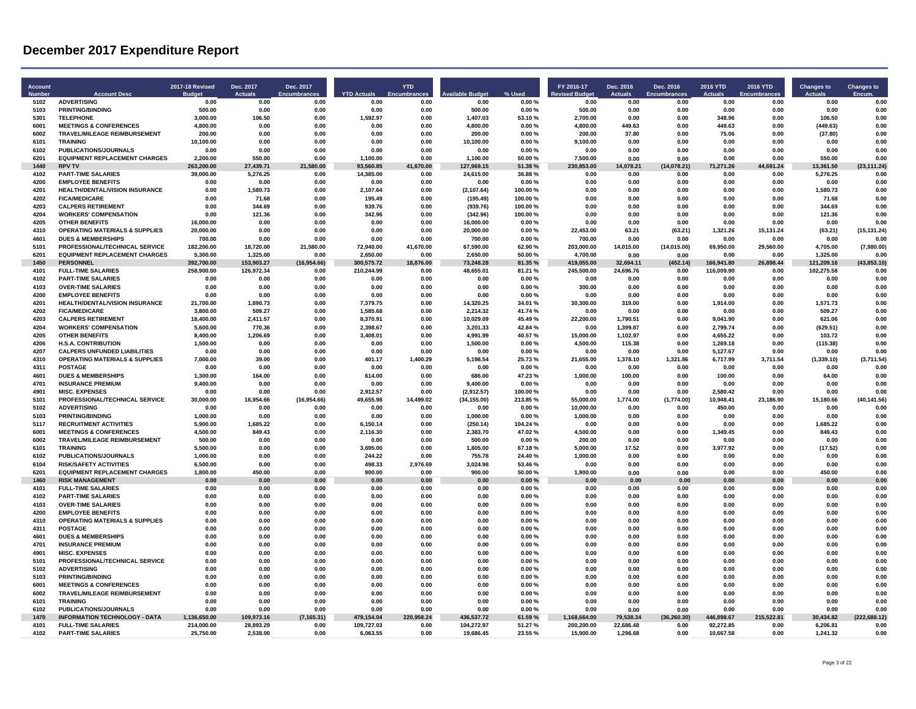| <b>Account</b><br><b>Numbe</b> | <b>Account Desc</b>                                                              | 2017-18 Revised<br>Budge | Dec. 2017<br>Actuals | Dec. 2017<br><b>Encumbrances</b> | <b>YTD Actuals</b> | <b>YTD</b><br>Encumbrar | vailable Budg        | % Used           | FY 2016-17<br>evised Budget | Dec. 2016<br><b>Actuals</b> | Dec. 2016<br><b>Encumbrances</b> | <b>2016 YTD</b><br><b>Actuals</b> | 2016 YTD<br>Encumbrances | <b>Changes to</b><br>Actuals | <b>Changes to</b><br>Encum. |
|--------------------------------|----------------------------------------------------------------------------------|--------------------------|----------------------|----------------------------------|--------------------|-------------------------|----------------------|------------------|-----------------------------|-----------------------------|----------------------------------|-----------------------------------|--------------------------|------------------------------|-----------------------------|
| 5102                           | <b>ADVERTISING</b>                                                               | 0.00                     | 0.00                 | 0.00                             | 0.00               | 0.00                    | 0.00                 | 0.00%            | 0.00                        | 0.00                        | 0.00                             | 0.00                              | 0.00                     | 0.00                         | 0.00                        |
| 5103                           | PRINTING/BINDING                                                                 | 500.00                   | 0.00                 | 0.00                             | 0.00               | 0.00                    | 500.00               | 0.00%            | 500.00                      | 0.00                        | 0.00                             | 0.00                              | 0.00                     | 0.00                         | 0.00                        |
| 5301<br>6001                   | <b>TELEPHONE</b><br><b>MEETINGS &amp; CONFERENCES</b>                            | 3,000.00<br>4.800.00     | 106.50<br>0.00       | 0.00<br>0.00                     | 1,592.97<br>0.00   | 0.00<br>0.00            | 1,407.03<br>4.800.00 | 53.10%<br>0.00%  | 2,700.00<br>4.800.00        | 0.00<br>449.63              | 0.00<br>0.00                     | 348.96<br>449.63                  | 0.00<br>0.00             | 106.50<br>(449.63)           | 0.00<br>0.00                |
| 6002                           |                                                                                  |                          | 0.00                 |                                  | 0.00               | 0.00                    | 200.00               | 0.00%            | 200.00                      |                             | 0.00                             |                                   | 0.00                     |                              | 0.00                        |
| 6101                           | TRAVEL/MILEAGE REIMBURSEMENT<br><b>TRAINING</b>                                  | 200.00<br>10,100.00      | 0.00                 | 0.00<br>0.00                     | 0.00               | 0.00                    | 10,100.00            | 0.00%            | 9,100.00                    | 37.80<br>0.00               | 0.00                             | 75.06<br>0.00                     | 0.00                     | (37.80)<br>0.00              | 0.00                        |
| 6102                           | PUBLICATIONS/JOURNALS                                                            | 0.00                     | 0.00                 | 0.00                             | 0.00               | 0.00                    | 0.00                 | 0.00%            | 0.00                        | 0.00                        | 0.00                             | 0.00                              | 0.00                     | 0.00                         | 0.00                        |
| 6201                           | <b>EQUIPMENT REPLACEMENT CHARGES</b>                                             | 2.200.00                 | 550.00               | 0.00                             | 1.100.00           | 0.00                    | 1.100.00             | 50.00%           | 7.500.00                    | 0.00                        | 0.00                             | 0.00                              | 0.00                     | 550.00                       | 0.00                        |
| 1440                           | <b>RPV TV</b>                                                                    | 263,200.00               | 27.439.71            | 21,580.00                        | 93,560.85          | 41,670.00               | 127,969.15           | 51.38%           | 230.853.00                  | 14,078.21                   | (14,078.21)                      | 71,271.26                         | 44,691.24                | 13,361.50                    | (23, 111.24)                |
| 4102                           | <b>PART-TIME SALARIES</b>                                                        | 39,000.00                | 5,276.25             | 0.00                             | 14,385.00          | 0.00                    | 24,615.00            | 36.88%           | 0.00                        | 0.00                        | 0.00                             | 0.00                              | 0.00                     | 5,276.25                     | 0.00                        |
| 4200                           | <b>EMPLOYEE BENEFITS</b>                                                         | 0.00                     | 0.00                 | 0.00                             | 0.00               | 0.00                    | 0.00                 | 0.00%            | 0.00                        | 0.00                        | 0.00                             | 0.00                              | 0.00                     | 0.00                         | 0.00                        |
| 4201                           | HEALTH/DENTAL/VISION INSURANCE                                                   | 0.00                     | 1,580.73             | 0.00                             | 2,107.64           | 0.00                    | (2, 107.64)          | 100.00%          | 0.00                        | 0.00                        | 0.00                             | 0.00                              | 0.00                     | 1,580.73                     | 0.00                        |
| 4202                           | <b>FICA/MEDICARE</b>                                                             | 0.00                     | 71.68                | 0.00                             | 195.49             | 0.00                    | (195.49)             | 100.00%          | 0.00                        | 0.00                        | 0.00                             | 0.00                              | 0.00                     | 71.68                        | 0.00                        |
| 4203                           | <b>CALPERS RETIREMENT</b>                                                        | 0.00                     | 344.69               | 0.00                             | 939.76             | 0.00                    | (939.76)             | 100.00%          | 0.00                        | 0.00                        | 0.00                             | 0.00                              | 0.00                     | 344.69                       | 0.00                        |
| 4204                           | <b>WORKERS' COMPENSATION</b>                                                     | 0.00                     | 121.36               | 0.00                             | 342.96             | 0.00                    | (342.96)             | 100.00%          | 0.00                        | 0.00                        | 0.00                             | 0.00                              | 0.00                     | 121.36                       | 0.00                        |
| 4205                           | <b>OTHER BENEFITS</b>                                                            | 16,000.00                | 0.00                 | 0.00                             | 0.00               | 0.00                    | 16,000.00            | 0.00%            | 0.00                        | 0.00                        | 0.00                             | 0.00                              | 0.00                     | 0.00                         | 0.00                        |
| 4310<br>4601                   | <b>OPERATING MATERIALS &amp; SUPPLIES</b><br><b>DUES &amp; MEMBERSHIPS</b>       | 20,000.00<br>700.00      | 0.00<br>0.00         | 0.00<br>0.00                     | 0.00<br>0.00       | 0.00<br>0.00            | 20,000.00<br>700.00  | 0.00%<br>0.00%   | 22,453.00<br>700.00         | 63.21<br>0.00               | (63.21)<br>0.00                  | 1,321.26<br>0.00                  | 15,131.24<br>0.00        | (63.21)<br>0.00              | (15, 131.24)<br>0.00        |
| 5101                           | PROFESSIONAL/TECHNICAL SERVICE                                                   | 182,200.00               | 18.720.00            | 21.580.00                        | 72.940.00          | 41,670.00               | 67.590.00            | 62.90%           | 203,000.00                  | 14,015.00                   | (14,015.00)                      | 69,950.00                         | 29,560.00                | 4.705.00                     | (7,980.00)                  |
| 6201                           | <b>EQUIPMENT REPLACEMENT CHARGES</b>                                             | 5,300.00                 | 1,325.00             | 0.00                             | 2,650.00           | 0.00                    | 2.650.00             | 50.00 %          | 4,700.00                    | 0.00                        | 0.00                             | 0.00                              | 0.00                     | 1,325.00                     | 0.00                        |
| 1450                           | <b>PERSONNEL</b>                                                                 | 392,700.00               | 153,903.27           | (16,954.66)                      | 300,575.72         | 18,876.00               | 73,248.28            | 81.35%           | 419,055.00                  | 32,694.11                   | (452.14)                         | 166,941.80                        | 26,898.44                | 121,209.16                   | (43, 853.10)                |
| 4101                           | <b>FULL-TIME SALARIES</b>                                                        | 258.900.00               | 126.972.34           | 0.00                             | 210.244.99         | 0.00                    | 48.655.01            | 81.21%           | 245.500.00                  | 24.696.76                   | 0.00                             | 116.009.90                        | 0.00                     | 102.275.58                   | 0.01                        |
| 4102                           | <b>PART-TIME SALARIES</b>                                                        | 0.00                     | 0.00                 | 0.00                             | 0.00               | 0.00                    | 0.00                 | 0.00%            | 0.00                        | 0.00                        | 0.00                             | 0.00                              | 0.00                     | 0.00                         | 0.00                        |
| 4103                           | <b>OVER-TIME SALARIES</b>                                                        | 0.00                     | 0.00                 | 0.00                             | 0.00               | 0.00                    | 0.00                 | 0.00%            | 300.00                      | 0.00                        | 0.00                             | 0.00                              | 0.00                     | 0.00                         | 0.00                        |
| 4200                           | <b>EMPLOYEE BENEFITS</b>                                                         | 0.00                     | 0.00                 | 0.00                             | 0.00               | 0.00                    | 0.00                 | 0.00%            | 0.00                        | 0.00                        | 0.00                             | 0.00                              | 0.00                     | 0.00                         | 0.00                        |
| 4201                           | <b>HEALTH/DENTAL/VISION INSURANCE</b>                                            | 21.700.00                | 1.890.73             | 0.00                             | 7.379.75           | 0.00                    | 14.320.25            | 34.01%           | 30.300.00                   | 319.00                      | 0.00                             | 1.914.00                          | 0.00                     | 1.571.73                     | 0.00                        |
| 4202                           | <b>FICA/MEDICARE</b>                                                             | 3.800.00                 | 509.27               | 0.00                             | 1.585.68           | 0.00                    | 2,214.32             | 41.74 %          | 0.00                        | 0.00                        | 0.00                             | 0.00                              | 0.00                     | 509.27                       | 0.00                        |
| 4203                           | <b>CALPERS RETIREMENT</b>                                                        | 18,400.00                | 2,411.57             | 0.00                             | 8,370.91           | 0.00                    | 10,029.09            | 45.49%           | 22,200.00                   | 1,790.51                    | 0.00                             | 9,041.90                          | 0.00                     | 621.06                       | 0.00                        |
| 4204                           | <b>WORKERS' COMPENSATION</b>                                                     | 5,600.00                 | 770.36               | 0.00                             | 2,398.67           | 0.00                    | 3,201.33             | 42.84 %          | 0.00                        | 1,399.87                    | 0.00                             | 2,799.74                          | 0.00                     | (629.51)                     | 0.00                        |
| 4205                           | <b>OTHER BENEFITS</b>                                                            | 8,400.00                 | 1,206.69             | 0.00                             | 3,408.01           | 0.00                    | 4,991.99             | 40.57%           | 15,000.00                   | 1,102.97                    | 0.00                             | 4,655.22                          | 0.00                     | 103.72                       | 0.00                        |
| 4206                           | <b>H.S.A. CONTRIBUTION</b>                                                       | 1,500.00                 | 0.00                 | 0.00                             | 0.00               | 0.00                    | 1,500.00             | 0.00%            | 4,500.00                    | 115.38                      | 0.00                             | 1,269.18                          | 0.00                     | (115.38)                     | 0.00                        |
| 4207<br>4310                   | <b>CALPERS UNFUNDED LIABILITIES</b><br><b>OPERATING MATERIALS &amp; SUPPLIES</b> | 0.00<br>7.000.00         | 0.00<br>39.00        | 0.00<br>0.00                     | 0.00<br>401.17     | 0.00<br>1.400.29        | 0.00<br>5.198.54     | 0.00%<br>25.73%  | 0.00<br>21.655.00           | 0.00<br>1.378.10            | 0.00<br>1.321.86                 | 5,127.67<br>6,717.99              | 0.00<br>3.711.54         | 0.00<br>(1,339.10)           | 0.00<br>(3,711.54)          |
| 4311                           | <b>POSTAGE</b>                                                                   | 0.00                     | 0.00                 | 0.00                             | 0.00               | 0.00                    | 0.00                 | 0.00%            | 0.00                        | 0.00                        | 0.00                             | 0.00                              | 0.00                     | 0.00                         | 0.00                        |
| 4601                           | <b>DUES &amp; MEMBERSHIPS</b>                                                    | 1,300.00                 | 164.00               | 0.00                             | 614.00             | 0.00                    | 686.00               | 47.23%           | 1,000.00                    | 100.00                      | 0.00                             | 100.00                            | 0.00                     | 64.00                        | 0.00                        |
| 4701                           | <b>INSURANCE PREMIUM</b>                                                         | 9,400.00                 | 0.00                 | 0.00                             | 0.00               | 0.00                    | 9,400.00             | 0.00%            | 0.00                        | 0.00                        | 0.00                             | 0.00                              | 0.00                     | 0.00                         | 0.00                        |
| 4901                           | <b>MISC EXPENSES</b>                                                             | 0.00                     | 0.00                 | 0.00                             | 2,912.57           | 0.00                    | (2,912.57)           | 100.00%          | 0.00                        | 0.00                        | 0.00                             | 2.580.42                          | 0.00                     | 0.00                         | 0.00                        |
| 5101                           | PROFESSIONAL/TECHNICAL SERVICE                                                   | 30,000.00                | 16,954.66            | (16,954.66)                      | 49,655.98          | 14.499.02               | (34, 155.00)         | 213.85%          | 55,000.00                   | 1,774.00                    | (1,774.00)                       | 10,948.41                         | 23,186.90                | 15,180.66                    | (40, 141.56)                |
| 5102                           | <b>ADVERTISING</b>                                                               | 0.00                     | 0.00                 | 0.00                             | 0.00               | 0.00                    | 0.00                 | 0.00%            | 10,000.00                   | 0.00                        | 0.00                             | 450.00                            | 0.00                     | 0.00                         | 0.00                        |
| 5103                           | PRINTING/BINDING                                                                 | 1,000.00                 | 0.00                 | 0.00                             | 0.00               | 0.00                    | 1,000.00             | 0.00%            | 1,000.00                    | 0.00                        | 0.00                             | 0.00                              | 0.00                     | 0.00                         | 0.00                        |
| 5117                           | <b>RECRUITMENT ACTIVITIES</b>                                                    | 5,900.00                 | 1.685.22             | 0.00                             | 6.150.14           | 0.00                    | (250.14)             | 104.24%          | 0.00                        | 0.00                        | 0.00                             | 0.00                              | 0.00                     | 1,685.22                     | 0.00                        |
| 6001                           | <b>MEETINGS &amp; CONFERENCES</b>                                                | 4,500.00                 | 849.43               | 0.00                             | 2,116.30           | 0.00                    | 2,383.70             | 47.02%           | 4,500.00                    | 0.00                        | 0.00                             | 1,349.45                          | 0.00                     | 849.43                       | 0.00                        |
| 6002                           | TRAVEL/MILEAGE REIMBURSEMENT                                                     | 500.00                   | 0.00                 | 0.00                             | 0.00               | 0.00                    | 500.00               | 0.00%            | 200.00                      | 0.00                        | 0.00                             | 0.00                              | 0.00                     | 0.00                         | 0.00                        |
| 6101                           | <b>TRAINING</b>                                                                  | 5.500.00                 | 0.00                 | 0.00                             | 3.695.00           | 0.00                    | 1.805.00             | 67.18%           | 5.000.00                    | 17.52                       | 0.00                             | 3.977.92                          | 0.00                     | (17.52)                      | 0.00                        |
| 6102                           | PUBLICATIONS/JOURNALS                                                            | 1,000.00                 | 0.00                 | 0.00                             | 244.22             | 0.00                    | 755.78               | 24.40%           | 1,000.00                    | 0.00                        | 0.00                             | 0.00                              | 0.00                     | 0.00                         | 0.00                        |
| 6104<br>6201                   | <b>RISK/SAFETY ACTIVITIES</b><br><b>EQUIPMENT REPLACEMENT CHARGES</b>            | 6,500.00<br>1,800.00     | 0.00<br>450.00       | 0.00<br>0.00                     | 498.33<br>900.00   | 2,976.69<br>0.00        | 3.024.98<br>900.00   | 53.46%<br>50.00% | 0.00<br>1,900.00            | 0.00<br>0.00                | 0.00<br>0.00                     | 0.00<br>0.00                      | 0.00<br>0.00             | 0.00<br>450.00               | 0.00<br>0.00                |
| 1460                           | <b>RISK MANAGEMENT</b>                                                           | 0.00                     | 0.00                 | 0.00                             | 0.00               | 0.00                    | 0.00                 | 0.00%            | 0.00                        | 0.00                        | 0.00                             | 0.00                              | 0.00                     | 0.00                         | 0.00                        |
| 4101                           | <b>FULL-TIME SALARIES</b>                                                        | 0.00                     | 0.00                 | 0.00                             | 0.00               | 0.00                    | 0.00                 | 0.00%            | 0.00                        | 0.00                        | 0.00                             | 0.00                              | 0.00                     | 0.00                         | 0.00                        |
| 4102                           | <b>PART-TIME SALARIES</b>                                                        | 0.00                     | 0.00                 | 0.00                             | 0.00               | 0.00                    | 0.00                 | 0.00%            | 0.00                        | 0.00                        | 0.00                             | 0.00                              | 0.00                     | 0.00                         | 0.00                        |
| 4103                           | <b>OVER-TIME SALARIES</b>                                                        | 0.00                     | 0.00                 | 0.00                             | 0.00               | 0.00                    | 0.00                 | 0.00%            | 0.00                        | 0.00                        | 0.00                             | 0.00                              | 0.00                     | 0.00                         | 0.00                        |
| 4200                           | <b>EMPLOYEE BENEFITS</b>                                                         | 0.00                     | 0.00                 | 0.00                             | 0.00               | 0.00                    | 0.00                 | 0.00%            | 0.00                        | 0.00                        | 0.00                             | 0.00                              | 0.00                     | 0.00                         | 0.00                        |
| 4310                           | <b>OPERATING MATERIALS &amp; SUPPLIES</b>                                        | 0.00                     | 0.00                 | 0.00                             | 0.00               | 0.00                    | 0.00                 | 0.00%            | 0.00                        | 0.00                        | 0.00                             | 0.00                              | 0.00                     | 0.00                         | 0.00                        |
| 4311                           | <b>POSTAGE</b>                                                                   | 0.00                     | 0.00                 | 0.00                             | 0.00               | 0.00                    | 0.00                 | 0.00%            | 0.00                        | 0.00                        | 0.00                             | 0.00                              | 0.00                     | 0.00                         | 0.00                        |
| 4601                           | <b>DUES &amp; MEMBERSHIPS</b>                                                    | 0.00                     | 0.00                 | 0.00                             | 0.00               | 0.00                    | 0.00                 | 0.00%            | 0.00                        | 0.00                        | 0.00                             | 0.00                              | 0.00                     | 0.00                         | 0.00                        |
| 4701                           | <b>INSURANCE PREMIUM</b>                                                         | 0.00                     | 0.00                 | 0.00                             | 0.00               | 0.00                    | 0.00                 | 0.00%            | 0.00                        | 0.00                        | 0.00                             | 0.00                              | 0.00                     | 0.00                         | 0.00                        |
| 4901                           | <b>MISC. EXPENSES</b>                                                            | 0.00                     | 0.00                 | 0.00                             | 0.00               | 0.00                    | 0.00                 | 0.00%            | 0.00                        | 0.00                        | 0.00                             | 0.00                              | 0.00                     | 0.00                         | 0.00                        |
| 5101                           | PROFESSIONAL/TECHNICAL SERVICE                                                   | 0.00                     | 0.00                 | 0.00                             | 0.00               | 0.00                    | 0.00                 | 0.00%            | 0.00                        | 0.00                        | 0.00                             | 0.00                              | 0.00                     | 0.00                         | 0.00                        |
| 5102                           | <b>ADVERTISING</b>                                                               | 0.00                     | 0.00                 | 0.00                             | 0.00               | 0.00                    | 0.00                 | 0.00%            | 0.00                        | 0.00                        | 0.00                             | 0.00                              | 0.00                     | 0.00                         | 0.00                        |
| 5103<br>6001                   | <b>PRINTING/BINDING</b><br><b>MEETINGS &amp; CONFERENCES</b>                     | 0.00                     | 0.00<br>0.00         | 0.00                             | 0.00               | 0.00                    | 0.00                 | 0.00%<br>0.00%   | 0.00<br>0.00                | 0.00                        | 0.00                             | 0.00                              | 0.00<br>0.00             | 0.00                         | 0.00<br>0.00                |
| 6002                           | TRAVEL/MILEAGE REIMBURSEMENT                                                     | 0.00<br>0.00             | 0.00                 | 0.00<br>0.00                     | 0.00<br>0.00       | 0.00<br>0.00            | 0.00<br>0.00         | 0.00%            | 0.00                        | 0.00<br>0.00                | 0.00<br>0.00                     | 0.00<br>0.00                      | 0.00                     | 0.00<br>0.00                 | 0.00                        |
| 6101                           | <b>TRAINING</b>                                                                  | 0.00                     | 0.00                 | 0.00                             | 0.00               | 0.00                    | 0.00                 | 0.00%            | 0.00                        | 0.00                        | 0.00                             | 0.00                              | 0.00                     | 0.00                         | 0.00                        |
| 6102                           | <b>PUBLICATIONS/JOURNALS</b>                                                     | 0.00                     | 0.00                 | 0.00                             | 0.00               | 0.00                    | 0.00                 | 0.00%            | 0.00                        | 0.00                        | 0.00                             | 0.00                              | 0.00                     | 0.00                         | 0.00                        |
| 1470                           | <b>INFORMATION TECHNOLOGY - DATA</b>                                             | 1,136,650.00             | 109,973.16           | (7, 165.31)                      | 479,154.04         | 220,958.24              | 436,537.72           | 61.59%           | 64.00<br>1.168              | 79.538.34                   | (36, 260.30)                     | 446.898.67                        | 522.81<br>215.           | 30,434.82                    | (222, 688.12)               |
| 4101                           | <b>FULL-TIME SALARIES</b>                                                        | 214,000.00               | 28.893.29            | 0.00                             | 109,727.03         | 0.00                    | 104.272.97           | 51.27%           | 200.200.00                  | 22.686.48                   | 0.00                             | 92.272.85                         | 0.00                     | 6.206.81                     | 0.00                        |
| 4102                           | <b>PART-TIME SALARIES</b>                                                        | 25,750.00                | 2.538.00             | 0.00                             | 6,063.55           | 0.00                    | 19,686.45            | 23.55 %          | 15,900.00                   | 1,296.68                    | 0.00                             | 10,667.58                         | 0.00                     | 1,241.32                     | 0.00                        |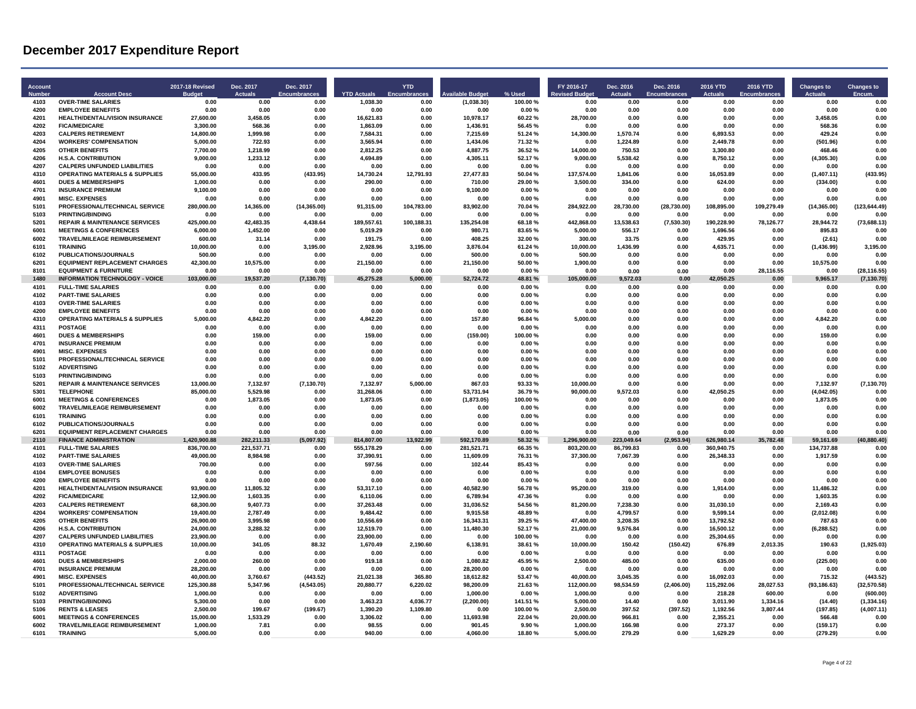| Account<br>Numbe | <b>Account Desc</b>                                                              | 2017-18 Revised<br>Budge | Dec. 2017<br><b>Actuals</b> | Dec. 2017<br><b>Encumbrances</b> | <b>YTD Actuals</b>     | <b>YTD</b><br><b>Encumbrar</b> | ailahle Budge           | % Used            | FY 2016-17<br>evised Budget | Dec. 2016<br><b>Actuals</b> | Dec. 2016<br><b>Encumbrances</b> | 2016 YTD<br><b>Actuals</b> | <b>2016 YTD</b><br><b>Encumbrances</b> | <b>Changes to</b><br>Actuals | <b>Changes to</b><br>Encum |
|------------------|----------------------------------------------------------------------------------|--------------------------|-----------------------------|----------------------------------|------------------------|--------------------------------|-------------------------|-------------------|-----------------------------|-----------------------------|----------------------------------|----------------------------|----------------------------------------|------------------------------|----------------------------|
| 4103             | <b>OVER-TIME SALARIES</b>                                                        | 0.00                     | 0.00                        | 0.00                             | 1.038.30               | 0.00                           | (1,038.30)              | 100.00%           | 0.00                        | 0.00                        | 0.00                             | 0.00                       | 0.00                                   | 0.00                         | 0.00                       |
| 4200<br>4201     | <b>EMPLOYEE BENEFITS</b><br>HEALTH/DENTAL/VISION INSURANCE                       | 0.00<br>27,600.00        | 0.00<br>3,458.05            | 0.00<br>0.00                     | 0.00<br>16,621.83      | 0.00<br>0.00                   | 0.00<br>10,978.17       | 0.00%<br>60.22%   | 0.00<br>28,700.00           | 0.00<br>0.00                | 0.00<br>0.00                     | 0.00<br>0.00               | 0.00<br>0.00                           | 0.00<br>3,458.05             | 0.00<br>0.00               |
| 4202             | <b>FICA/MEDICARE</b>                                                             | 3.300.00                 | 568.36                      | 0.00                             | 1.863.09               | 0.00                           | 1.436.91                | 56.45%            | 0.00                        | 0.00                        | 0.00                             | 0.00                       | 0.00                                   | 568.36                       | 0.00                       |
| 4203             | <b>CALPERS RETIREMENT</b>                                                        | 14,800.00                | 1.999.98                    | 0.00                             | 7,584.31               | 0.00                           | 7,215.69                | 51.24 %           | 14,300.00                   | 1,570.74                    | 0.00                             | 6,893.53                   | 0.00                                   | 429.24                       | 0.00                       |
| 4204             | <b>WORKERS' COMPENSATION</b>                                                     | 5,000.00                 | 722.93                      | 0.00                             | 3.565.94               | 0.00                           | 1,434.06                | 71.32%            | 0.00                        | 1,224.89                    | 0.00                             | 2,449.78                   | 0.00                                   | (501.96)                     | 0.00                       |
| 4205             | <b>OTHER BENEFITS</b>                                                            | 7,700.00                 | 1,218.99                    | 0.00                             | 2,812.25               | 0.00                           | 4,887.75                | 36.52%            | 14,000.00                   | 750.53                      | 0.00                             | 3,300.80                   | 0.00                                   | 468.46                       | 0.00                       |
| 4206<br>4207     | <b>H.S.A. CONTRIBUTION</b>                                                       | 9.000.00                 | 1.233.12                    | 0.00                             | 4.694.89               | 0.00                           | 4.305.11                | 52.17%            | 9.000.00                    | 5.538.42                    | 0.00                             | 8.750.12                   | 0.00                                   | (4, 305.30)                  | 0.00                       |
| 4310             | <b>CALPERS UNFUNDED LIABILITIES</b><br><b>OPERATING MATERIALS &amp; SUPPLIES</b> | 0.00<br>55,000.00        | 0.00<br>433.95              | 0.00<br>(433.95)                 | 0.00<br>14,730.24      | 0.00<br>12,791.93              | 0.00<br>27,477.83       | 0.00%<br>50.04%   | 0.00<br>137,574.00          | 0.00<br>1,841.06            | 0.00<br>0.00                     | 0.00<br>16,053.89          | 0.00<br>0.00                           | 0.00<br>(1,407.11)           | 0.00<br>(433.95)           |
| 4601             | <b>DUES &amp; MEMBERSHIPS</b>                                                    | 1,000.00                 | 0.00                        | 0.00                             | 290.00                 | 0.00                           | 710.00                  | 29.00 %           | 3,500.00                    | 334.00                      | 0.00                             | 624.00                     | 0.00                                   | (334.00)                     | 0.00                       |
| 4701             | <b>INSURANCE PREMIUM</b>                                                         | 9,100.00                 | 0.00                        | 0.00                             | 0.00                   | 0.00                           | 9.100.00                | 0.00%             | 0.00                        | 0.00                        | 0.00                             | 0.00                       | 0.00                                   | 0.00                         | 0.00                       |
| 4901             | <b>MISC. EXPENSES</b>                                                            | 0.00                     | 0.00                        | 0.00                             | 0.00                   | 0.00                           | 0.00                    | 0.00%             | 0.00                        | 0.00                        | 0.00                             | 0.00                       | 0.00                                   | 0.00                         | 0.00                       |
| 5101             | PROFESSIONAL/TECHNICAL SERVICE                                                   | 280,000.00               | 14.365.00                   | (14, 365.00)                     | 91.315.00              | 104.783.00                     | 83.902.00               | 70.04%            | 284.922.00                  | 28,730.00                   | (28, 730.00)                     | 108.895.00                 | 109.279.49                             | (14, 365.00)                 | (123, 644.49)              |
| 5103<br>5201     | PRINTING/BINDING                                                                 | 0.00                     | 0.00<br>42.483.35           | 0.00                             | 0.00                   | 0.00                           | 0.00                    | 0.00%<br>68.18%   | 0.00                        | 0.00                        | 0.00                             | 0.00                       | 0.00                                   | 0.00                         | 0.00                       |
| 6001             | <b>REPAIR &amp; MAINTENANCE SERVICES</b><br><b>MEETINGS &amp; CONFERENCES</b>    | 425,000.00<br>6,000.00   | 1,452.00                    | 4,438.64<br>0.00                 | 189,557.61<br>5,019.29 | 100,188.31<br>0.00             | 135,254.08<br>980.71    | 83.65%            | 442,868.00<br>5,000.00      | 13,538.63<br>556.17         | (7,530.30)<br>0.00               | 190,228.90<br>1,696.56     | 78,126.77<br>0.00                      | 28,944.72<br>895.83          | (73, 688.13)<br>0.00       |
| 6002             | TRAVEL/MILEAGE REIMBURSEMENT                                                     | 600.00                   | 31.14                       | 0.00                             | 191.75                 | 0.00                           | 408.25                  | 32.00%            | 300.00                      | 33.75                       | 0.00                             | 429.95                     | 0.00                                   | (2.61)                       | 0.00                       |
| 6101             | <b>TRAINING</b>                                                                  | 10,000.00                | 0.00                        | 3,195.00                         | 2,928.96               | 3,195.00                       | 3,876.04                | 61.24%            | 10,000.00                   | 1,436.99                    | 0.00                             | 4,635.71                   | 0.00                                   | (1,436.99)                   | 3,195.00                   |
| 6102             | PUBLICATIONS/JOURNALS                                                            | 500.00                   | 0.00                        | 0.00                             | 0.00                   | 0.00                           | 500.00                  | $0.00 \%$         | 500.00                      | 0.00                        | 0.00                             | 0.00                       | 0.00                                   | 0.00                         | 0.00                       |
| 6201             | <b>EQUIPMENT REPLACEMENT CHARGES</b>                                             | 42,300.00                | 10,575.00                   | 0.00                             | 21,150.00              | 0.00                           | 21,150.00               | 50.00%            | 1,900.00                    | 0.00                        | 0.00                             | 0.00                       | 0.00                                   | 10,575.00                    | 0.00                       |
| 8101             | <b>EQUIPMENT &amp; FURNITURE</b>                                                 | 0.00                     | 0.00                        | 0.00                             | 0.00                   | 0.00                           | 0.00                    | 0.00%             | 0.00                        | 0.00                        | 0.00                             | 0.00                       | 28,116.55                              | 0.00                         | (28, 116.55)               |
| 1480<br>4101     | <b>INFORMATION TECHNOLOGY - VOICE</b><br><b>FULL-TIME SALARIES</b>               | 103,000.00<br>0.00       | 19,537.20<br>0.00           | (7, 130.70)<br>0.00              | 45,275.28<br>0.00      | 5.000.00<br>0.00               | 52.724.72<br>0.00       | 48.81 %<br>0.00%  | 105,000.00<br>0.00          | 9.572.03<br>0.00            | 0.00<br>0.00                     | 42.050.25<br>0.00          | 0.00<br>0.00                           | 9,965.17<br>0.00             | (7, 130.70)<br>0.00        |
| 4102             | <b>PART-TIME SALARIES</b>                                                        | 0.00                     | 0.00                        | 0.00                             | 0.00                   | 0.00                           | 0.00                    | 0.00%             | 0.00                        | 0.00                        | 0.00                             | 0.00                       | 0.00                                   | 0.00                         | 0.00                       |
| 4103             | <b>OVER-TIME SALARIES</b>                                                        | 0.00                     | 0.00                        | 0.00                             | 0.00                   | 0.00                           | 0.00                    | 0.00%             | 0.00                        | 0.00                        | 0.00                             | 0.00                       | 0.00                                   | 0.00                         | 0.00                       |
| 4200             | <b>EMPLOYEE RENEFITS</b>                                                         | 0.00                     | 0.00                        | 0.00                             | 0.00                   | 0.00                           | 0.00                    | 0.00%             | 0.00                        | 0.00                        | 0.00                             | 0.00                       | 0.00                                   | 0.00                         | 0.00                       |
| 4310             | <b>OPERATING MATERIALS &amp; SUPPLIES</b>                                        | 5.000.00                 | 4.842.20                    | 0.00                             | 4.842.20               | 0.00                           | 157.80                  | 96.84%            | 5.000.00                    | 0.00                        | 0.00                             | 0.00                       | 0.00                                   | 4,842.20                     | 0.00                       |
| 4311             | <b>POSTAGE</b>                                                                   | 0.00                     | 0.00                        | 0.00                             | 0.00                   | 0.00                           | 0.00                    | 0.00%             | 0.00                        | 0.00                        | 0.00                             | 0.00                       | 0.00                                   | 0.00                         | 0.00                       |
| 4601             | <b>DUES &amp; MEMBERSHIPS</b>                                                    | 0.00                     | 159.00                      | 0.00                             | 159.00                 | 0.00                           | (159.00)                | 100.00%           | 0.00                        | 0.00                        | 0.00                             | 0.00                       | 0.00                                   | 159.00                       | 0.00                       |
| 4701<br>4901     | <b>INSURANCE PREMIUM</b><br><b>MISC. EXPENSES</b>                                | 0.00<br>0.00             | 0.00<br>0.00                | 0.00<br>0.00                     | 0.00<br>0.00           | 0.00<br>0.00                   | 0.00<br>0.00            | 0.00%<br>0.00%    | 0.00<br>0.00                | 0.00<br>0.00                | 0.00<br>0.00                     | 0.00<br>0.00               | 0.00<br>0.00                           | 0.00<br>0.00                 | 0.00<br>0.00               |
| 5101             | PROFESSIONAL/TECHNICAL SERVICE                                                   | 0.00                     | 0.00                        | 0.00                             | 0.00                   | 0.00                           | 0.00                    | 0.00%             | 0.00                        | 0.00                        | 0.00                             | 0.00                       | 0.00                                   | 0.00                         | 0.00                       |
| 5102             | <b>ADVERTISING</b>                                                               | 0.00                     | 0.00                        | 0.00                             | 0.00                   | 0.00                           | 0.00                    | 0.00%             | 0.00                        | 0.00                        | 0.00                             | 0.00                       | 0.00                                   | 0.00                         | 0.00                       |
| 5103             | <b>PRINTING/BINDING</b>                                                          | 0.00                     | 0.00                        | 0.00                             | 0.00                   | 0.00                           | 0.00                    | 0.00%             | 0.00                        | 0.00                        | 0.00                             | 0.00                       | 0.00                                   | 0.00                         | 0.00                       |
| 5201             | <b>REPAIR &amp; MAINTENANCE SERVICES</b>                                         | 13,000.00                | 7,132.97                    | (7, 130.70)                      | 7,132.97               | 5,000.00                       | 867.03                  | 93.33%            | 10,000.00                   | 0.00                        | 0.00                             | 0.00                       | 0.00                                   | 7,132.97                     | (7, 130.70)                |
| 5301             | <b>TFI FPHONE</b>                                                                | 85.000.00                | 5.529.98                    | 0.00                             | 31.268.06              | 0.00                           | 53.731.94               | 36.79%            | 90.000.00                   | 9.572.03                    | 0.00                             | 42.050.25                  | 0.00                                   | (4.042.05)                   | 0.00                       |
| 6001             | <b>MEETINGS &amp; CONFERENCES</b>                                                | 0.00                     | 1,873.05                    | 0.00                             | 1.873.05               | 0.00                           | (1,873.05)              | 100.00%           | 0.00                        | 0.00                        | 0.00                             | 0.00                       | 0.00                                   | 1,873.05                     | 0.00                       |
| 6002<br>6101     | TRAVEL/MILEAGE REIMBURSEMENT<br><b>TRAINING</b>                                  | 0.00<br>0.00             | 0.00<br>0.00                | 0.00<br>0.00                     | 0.00<br>0.00           | 0.00<br>0.00                   | 0.00<br>0.00            | 0.00%<br>0.00%    | 0.00<br>0.00                | 0.00<br>0.00                | 0.00<br>0.00                     | 0.00<br>0.00               | 0.00<br>0.00                           | 0.00<br>0.00                 | 0.00<br>0.00               |
| 6102             | PUBLICATIONS/JOURNALS                                                            | 0.00                     | 0.00                        | 0.00                             | 0.00                   | 0.00                           | 0.00                    | 0.00%             | 0.00                        | 0.00                        | 0.00                             | 0.00                       | 0.00                                   | 0.00                         | 0.00                       |
| 6201             | <b>EQUIPMENT REPLACEMENT CHARGES</b>                                             | 0.00                     | 0.00                        | 0.00                             | 0.00                   | 0.00                           | 0.00                    | 0.00 %            | 0.00                        | 0.00                        | 0.00                             | 0.00                       | 0.00                                   | 0.00                         | 0.00                       |
| 2110             | <b>FINANCE ADMINISTRATION</b>                                                    | 1,420,900.88             | 282,211.33                  | (5,097.92)                       | 814,807.00             | 13,922.99                      | 592,170.89              | 58.32%            | 900.00<br>1.296             | 223,049.64                  | (2,953.94)                       | 980.14<br>626              | 35,782.48                              | 59,161.69                    | (40, 880.40)               |
| 4101             | <b>FULL-TIME SALARIES</b>                                                        | 836,700.00               | 221,537.71                  | 0.00                             | 555.178.29             | 0.00                           | 281,521.71              | 66.35%            | 803.200.00                  | 86.799.83                   | 0.00                             | 360.940.75                 | 0.00                                   | 134,737.88                   | 0.00                       |
| 4102             | <b>PART-TIME SALARIES</b>                                                        | 49.000.00                | 8.984.98                    | 0.00                             | 37,390.91              | 0.00                           | 11,609.09               | 76.31%            | 37,300.00                   | 7,067.39                    | 0.00                             | 26.348.33                  | 0.00                                   | 1,917.59                     | 0.00                       |
| 4103<br>4104     | <b>OVER-TIME SALARIES</b><br><b>EMPLOYEE BONUSES</b>                             | 700.00<br>0.00           | 0.00<br>0.00                | 0.00<br>0.00                     | 597.56<br>0.00         | 0.00<br>0.00                   | 102.44<br>0.00          | 85.43%<br>0.00%   | 0.00<br>0.00                | 0.00<br>0.00                | 0.00<br>0.00                     | 0.00<br>0.00               | 0.00<br>0.00                           | 0.00<br>0.00                 | 0.00<br>0.00               |
| 4200             | <b>EMPLOYEE BENEFITS</b>                                                         | 0.00                     | 0.00                        | 0.00                             | 0.00                   | 0.00                           | 0.00                    | 0.00%             | 0.00                        | 0.00                        | 0.00                             | 0.00                       | 0.00                                   | 0.00                         | 0.00                       |
| 4201             | HEALTH/DENTAL/VISION INSURANCE                                                   | 93.900.00                | 11.805.32                   | 0.00                             | 53,317.10              | 0.00                           | 40.582.90               | 56.78%            | 95,200.00                   | 319.00                      | 0.00                             | 1,914.00                   | 0.00                                   | 11.486.32                    | 0.00                       |
| 4202             | <b>FICA/MEDICARE</b>                                                             | 12,900.00                | 1.603.35                    | 0.00                             | 6,110.06               | 0.00                           | 6,789.94                | 47.36%            | 0.00                        | 0.00                        | 0.00                             | 0.00                       | 0.00                                   | 1,603.35                     | 0.00                       |
| 4203             | <b>CALPERS RETIREMENT</b>                                                        | 68,300.00                | 9,407.73                    | 0.00                             | 37,263.48              | 0.00                           | 31,036.52               | 54.56 %           | 81,200.00                   | 7,238.30                    | 0.00                             | 31,030.10                  | 0.00                                   | 2,169.43                     | 0.00                       |
| 4204             | <b>WORKERS' COMPENSATION</b>                                                     | 19.400.00                | 2.787.49                    | 0.00                             | 9.484.42               | 0.00                           | 9.915.58                | 48.89%            | 0.00                        | 4.799.57                    | 0.00                             | 9.599.14                   | 0.00                                   | (2.012.08)                   | 0.00                       |
| 4205<br>4206     | <b>OTHER BENEFITS</b>                                                            | 26,900.00                | 3.995.98                    | 0.00                             | 10,556.69              | 0.00                           | 16,343.31               | 39.25%            | 47,400.00                   | 3.208.35                    | 0.00                             | 13,792.52                  | 0.00                                   | 787.63                       | 0.00                       |
| 4207             | <b>H.S.A. CONTRIBUTION</b><br><b>CALPERS UNFUNDED LIABILITIES</b>                | 24,000.00<br>23,900.00   | 3.288.32<br>0.00            | 0.00<br>0.00                     | 12,519.70<br>23,900.00 | 0.00<br>0.00                   | 11,480.30<br>0.00       | 52.17%<br>100.00% | 21,000.00<br>0.00           | 9,576.84<br>0.00            | 0.00<br>0.00                     | 16,500.12<br>25,304.65     | 0.00<br>0.00                           | (6, 288.52)<br>0.00          | 0.00<br>0.00               |
| 4310             | <b>OPERATING MATERIALS &amp; SUPPLIES</b>                                        | 10.000.00                | 341.05                      | 88.32                            | 1.670.49               | 2.190.60                       | 6.138.91                | 38.61%            | 10.000.00                   | 150.42                      | (150.42)                         | 676.89                     | 2.013.35                               | 190.63                       | (1.925.03)                 |
| 4311             | <b>POSTAGE</b>                                                                   | 0.00                     | 0.00                        | 0.00                             | 0.00                   | 0.00                           | 0.00                    | 0.00%             | 0.00                        | 0.00                        | 0.00                             | 0.00                       | 0.00                                   | 0.00                         | 0.00                       |
| 4601             | <b>DUES &amp; MEMBERSHIPS</b>                                                    | 2,000.00                 | 260.00                      | 0.00                             | 919.18                 | 0.00                           | 1,080.82                | 45.95%            | 2,500.00                    | 485.00                      | 0.00                             | 635.00                     | 0.00                                   | (225.00)                     | 0.00                       |
| 4701             | <b>INSURANCE PREMIUM</b>                                                         | 28,200.00                | 0.00                        | 0.00                             | 0.00                   | 0.00                           | 28,200.00               | 0.00%             | 0.00                        | 0.00                        | 0.00                             | 0.00                       | 0.00                                   | 0.00                         | 0.00                       |
| 4901             | <b>MISC. EXPENSES</b>                                                            | 40.000.00                | 3.760.67                    | (443.52)                         | 21.021.38              | 365.80                         | 18,612.82               | 53.47%            | 40.000.00                   | 3.045.35                    | 0.00                             | 16.092.03                  | 0.00                                   | 715.32                       | (443.52)                   |
| 5101             | PROFESSIONAL/TECHNICAL SERVICE                                                   | 125,300.88               | 5,347.96                    | (4, 543.05)                      | 20,880.77              | 6,220.02                       | 98,200.09               | 21.63%            | 112,000.00                  | 98,534.59                   | (2,406.00)                       | 115,292.06                 | 28,027.53                              | (93, 186.63)                 | (32, 570.58)               |
| 5102<br>5103     | <b>ADVERTISING</b><br>PRINTING/BINDING                                           | 1,000.00<br>5,300.00     | 0.00<br>0.00                | 0.00<br>0.00                     | 0.00<br>3,463.23       | 0.00<br>4,036.77               | 1,000.00<br>(2, 200.00) | 0.00%<br>141.51%  | 1,000.00<br>5,000.00        | 0.00<br>14.40               | 0.00<br>0.00                     | 218.28<br>3,011.90         | 600.00<br>1,334.16                     | 0.00<br>(14.40)              | (600.00)<br>(1,334.16)     |
| 5106             | <b>RENTS &amp; LEASES</b>                                                        | 2.500.00                 | 199.67                      | (199.67)                         | 1.390.20               | 1.109.80                       | 0.00                    | 100.00%           | 2,500.00                    | 397.52                      | (397.52)                         | 1,192.56                   | 3.807.44                               | (197.85)                     | (4,007.11)                 |
| 6001             | <b>MEETINGS &amp; CONFERENCES</b>                                                | 15.000.00                | 1.533.29                    | 0.00                             | 3,306.02               | 0.00                           | 11,693.98               | 22.04 %           | 20,000.00                   | 966.81                      | 0.00                             | 2,355.21                   | 0.00                                   | 566.48                       | 0.00                       |
| 6002             | TRAVEL/MILEAGE REIMBURSEMENT                                                     | 1.000.00                 | 7.81                        | 0.00                             | 98.55                  | 0.00                           | 901.45                  | 9.90%             | 1.000.00                    | 166.98                      | 0.00                             | 273.37                     | 0.00                                   | (159.17)                     | 0.00                       |
| 6101             | <b>TRAINING</b>                                                                  | 5,000.00                 | 0.00                        | 0.00                             | 940.00                 | 0.00                           | 4,060.00                | 18.80%            | 5,000.00                    | 279.29                      | 0.00                             | 1,629.29                   | 0.00                                   | (279.29)                     | 0.00                       |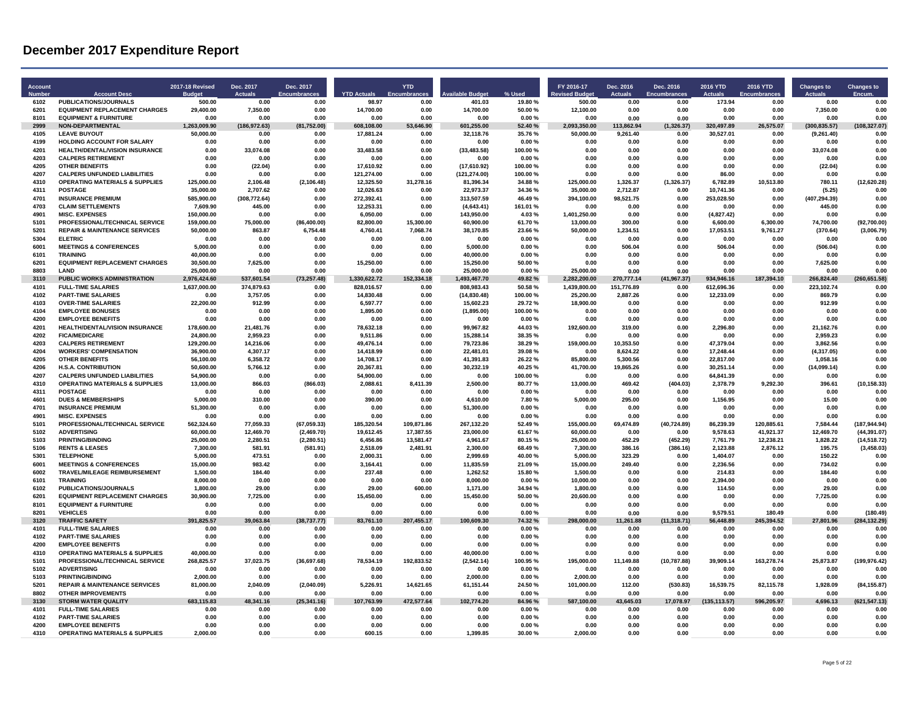| Account<br>Numbe | <b>Account Desc</b>                                                   | 2017-18 Revised<br>Budge | Dec. 2017<br><b>Actuals</b> | Dec. 2017<br><b>Encumbrances</b> | <b>YTD Actuals</b>     | <b>YTD</b><br><b>Encumbrar</b> | ailable Budo           | % Used           | FY 2016-17<br>evised Budget | Dec. 2016<br><b>Actuals</b> | Dec. 2016<br><b>Encumbrances</b> | 2016 YTD<br><b>Actuals</b> | 2016 YTD<br>Encumbrances | <b>Changes to</b><br>Actuals | <b>Changes to</b><br>Encum. |
|------------------|-----------------------------------------------------------------------|--------------------------|-----------------------------|----------------------------------|------------------------|--------------------------------|------------------------|------------------|-----------------------------|-----------------------------|----------------------------------|----------------------------|--------------------------|------------------------------|-----------------------------|
| 6102             | <b>PUBLICATIONS/JOURNALS</b>                                          | 500.00                   | 0.00                        | 0.00                             | 98.97                  | 0.00                           | 401.03                 | 19.80%           | 500.00                      | 0.00                        | 0.00                             | 173.94                     | 0.00                     | 0.00                         | 0.00                        |
| 6201             | <b>EQUIPMENT REPLACEMENT CHARGES</b>                                  | 29,400.00                | 7,350.00                    | 0.00                             | 14,700.00              | 0.00                           | 14,700.00              | 50.00 %          | 12,100.00                   | 0.00                        | 0.00                             | 0.00                       | 0.00                     | 7,350.00                     | 0.00                        |
| 8101<br>2999     | <b>EQUIPMENT &amp; FURNITURE</b><br><b>NON-DEPARTMENTAL</b>           | 0.00<br>1.263.009.90     | 0.00<br>(186.972.63)        | 0.00<br>(81.752.00)              | 0.00<br>608.108.00     | 0.00<br>53.646.90              | 0.00<br>601.255.00     | 0.00%<br>52.40%  | 0.00<br>2.093.350.00        | 0.00<br>113.862.94          | 0.00<br>(1.326.37)               | 0.00<br>320.497.89         | 0.00<br>26.575.07        | 0.00<br>(300.835.57)         | 0.00<br>(108.327.07)        |
| 4105             | <b>LEAVE BUYOUT</b>                                                   | 50,000.00                | 0.00                        | 0.00                             | 17,881.24              | 0.00                           | 32,118.76              | 35.76%           | 50,000.00                   | 9,261.40                    | 0.00                             | 30,527.01                  | 0.00                     | (9,261.40)                   | 0.00                        |
| 4199             | HOLDING ACCOUNT FOR SALARY                                            | 0.00                     | 0.00                        | 0.00                             | 0.00                   | 0.00                           | 0.00                   | 0.00%            | 0.00                        | 0.00                        | 0.00                             | 0.00                       | 0.00                     | 0.00                         | 0.00                        |
| 4201             | HEALTH/DENTAL/VISION INSURANCE                                        | 0.00                     | 33,074.08                   | 0.00                             | 33,483.58              | 0.00                           | (33, 483.58)           | 100.00%          | 0.00                        | 0.00                        | 0.00                             | 0.00                       | 0.00                     | 33,074.08                    | 0.00                        |
| 4203             | <b>CALPERS RETIREMENT</b>                                             | 0.00                     | 0.00                        | 0.00                             | 0.00                   | 0.00                           | 0.00                   | 0.00%            | 0.00                        | 0.00                        | 0.00                             | 0.00                       | 0.00                     | 0.00                         | 0.00                        |
| 4205             | <b>OTHER BENEFITS</b>                                                 | 0.00                     | (22.04)                     | 0.00                             | 17.610.92              | 0.00                           | (17,610.92)            | 100.00%          | 0.00                        | 0.00                        | 0.00                             | 0.00                       | 0.00                     | (22.04)                      | 0.00                        |
| 4207             | <b>CALPERS UNFUNDED LIABILITIES</b>                                   | 0.00                     | 0.00                        | 0.00                             | 121,274.00             | 0.00                           | (121, 274.00)          | 100.00%          | 0.00                        | 0.00                        | 0.00                             | 86.00                      | 0.00                     | 0.00                         | 0.00                        |
| 4310<br>4311     | <b>OPERATING MATERIALS &amp; SUPPLIES</b><br>POSTAGE                  | 125,000.00<br>35,000.00  | 2,106.48<br>2.707.62        | (2, 106.48)<br>0.00              | 12,325.50<br>12.026.63 | 31,278.16<br>0.00              | 81,396.34<br>22.973.37 | 34.88%<br>34.36% | 125,000.00<br>35.000.00     | 1,326.37<br>2.712.87        | (1,326.37)<br>0.00               | 6,782.89<br>10.741.36      | 10,513.80<br>0.00        | 780.11<br>(5.25)             | (12,620.28)<br>0.00         |
| 4701             | <b>INSURANCE PREMIUM</b>                                              | 585,900.00               | (308, 772.64)               | 0.00                             | 272.392.41             | 0.00                           | 313,507.59             | 46.49%           | 394.100.00                  | 98.521.75                   | 0.00                             | 253,028.50                 | 0.00                     | (407, 294.39)                | 0.00                        |
| 4703             | <b>CLAIM SETTLEMENTS</b>                                              | 7,609.90                 | 445.00                      | 0.00                             | 12,253.31              | 0.00                           | (4,643.41)             | 161.01%          | 0.00                        | 0.00                        | 0.00                             | 0.00                       | 0.00                     | 445.00                       | 0.00                        |
| 4901             | <b>MISC. EXPENSES</b>                                                 | 150,000.00               | 0.00                        | 0.00                             | 6,050.00               | 0.00                           | 143,950.00             | 4.03%            | 1,401,250.00                | 0.00                        | 0.00                             | (4,827.42)                 | 0.00                     | 0.00                         | 0.00                        |
| 5101             | PROFESSIONAL/TECHNICAL SERVICE                                        | 159,000.00               | 75,000.00                   | (86, 400.00)                     | 82,800.00              | 15,300.00                      | 60,900.00              | 61.70%           | 13,000.00                   | 300.00                      | 0.00                             | 6,600.00                   | 6,300.00                 | 74,700.00                    | (92,700.00)                 |
| 5201             | <b>REPAIR &amp; MAINTENANCE SERVICES</b>                              | 50,000.00                | 863.87                      | 6,754.48                         | 4,760.41               | 7,068.74                       | 38,170.85              | 23.66%           | 50,000.00                   | 1,234.51                    | 0.00                             | 17,053.51                  | 9,761.27                 | (370.64)                     | (3,006.79)                  |
| 5304             | <b>ELETRIC</b>                                                        | 0.00                     | 0.00                        | 0.00                             | 0.00                   | 0.00                           | 0.00                   | 0.00%            | 0.00                        | 0.00                        | 0.00                             | 0.00                       | 0.00                     | 0.00                         | 0.00                        |
| 6001<br>6101     | <b>MEETINGS &amp; CONFERENCES</b><br><b>TRAINING</b>                  | 5,000.00                 | 0.00<br>0.00                | 0.00                             | 0.00<br>0.00           | 0.00                           | 5,000.00               | 0.00%            | 0.00                        | 506.04                      | 0.00                             | 506.04<br>0.00             | 0.00                     | (506.04)<br>0.00             | 0.00                        |
| 6201             | <b>EQUIPMENT REPLACEMENT CHARGES</b>                                  | 40,000.00<br>30,500.00   | 7,625.00                    | 0.00<br>0.00                     | 15,250.00              | 0.00<br>0.00                   | 40,000.00<br>15,250.00 | 0.00%<br>50.00%  | 0.00<br>0.00                | 0.00<br>0.00                | 0.00<br>0.00                     | 0.00                       | 0.00<br>0.00             | 7,625.00                     | 0.00<br>0.00                |
| 8803             | LAND                                                                  | 25,000.00                | 0.00                        | 0.00                             | 0.00                   | 0.00                           | 25,000.00              | 0.00%            | 25.000.00                   | 0.00                        | 0.00                             | 0.00                       | 0.00                     | 0.00                         | 0.00                        |
| 3110             | PUBLIC WORKS ADMINISTRATION                                           | 2,976,424.60             | 537,601.54                  | (73, 257.48)                     | 1,330,622.72           | 152,334.18                     | 1,493,467.70           | 49.82%           | 2.282.200.00                | 270,777.14                  | (41, 967.37)                     | 934.946.16                 | 187,394.10               | 266,824.40                   | (260, 651.58)               |
| 4101             | <b>FULL-TIME SALARIES</b>                                             | 1,637,000.00             | 374,879.63                  | 0.00                             | 828.016.57             | 0.00                           | 808,983.43             | 50.58%           | 1,439,800.00                | 151.776.89                  | 0.00                             | 612.696.36                 | 0.00                     | 223,102.74                   | 0.00                        |
| 4102             | <b>PART-TIME SALARIES</b>                                             | 0.00                     | 3.757.05                    | 0.00                             | 14.830.48              | 0.00                           | (14, 830.48)           | 100.00%          | 25.200.00                   | 2.887.26                    | 0.00                             | 12.233.09                  | 0.00                     | 869.79                       | 0.00                        |
| 4103             | <b>OVER-TIME SALARIES</b>                                             | 22,200.00                | 912.99                      | 0.00                             | 6,597.77               | 0.00                           | 15,602.23              | 29.72%           | 18,900.00                   | 0.00                        | 0.00                             | 0.00                       | 0.00                     | 912.99                       | 0.00                        |
| 4104             | <b>EMPLOYEE BONUSES</b>                                               | 0.00                     | 0.00                        | 0.00                             | 1.895.00               | 0.00                           | (1,895.00)             | 100.00%          | 0.00                        | 0.00                        | 0.00                             | 0.00                       | 0.00                     | 0.00                         | 0.00                        |
| 4200<br>4201     | <b>EMPLOYEE BENEFITS</b><br><b>HEALTH/DENTAL/VISION INSURANCE</b>     | 0.00<br>178.600.00       | 0.00<br>21.481.76           | 0.00<br>0.00                     | 0.00                   | 0.00<br>0.00                   | 0.00<br>99.967.82      | 0.00%<br>44.03%  | 0.00<br>192.600.00          | 0.00<br>319.00              | 0.00<br>0.00                     | 0.00<br>2.296.80           | 0.00<br>0.00             | 0.00<br>21.162.76            | 0.00<br>0.00                |
| 4202             | <b>FICA/MEDICARE</b>                                                  | 24.800.00                | 2.959.23                    | 0.00                             | 78,632.18<br>9.511.86  | 0.00                           | 15.288.14              | 38.35%           | 0.00                        | 0.00                        | 0.00                             | 0.00                       | 0.00                     | 2.959.23                     | 0.00                        |
| 4203             | <b>CALPERS RETIREMENT</b>                                             | 129.200.00               | 14,216.06                   | 0.00                             | 49,476.14              | 0.00                           | 79,723.86              | 38.29%           | 159,000.00                  | 10,353.50                   | 0.00                             | 47,379.04                  | 0.00                     | 3,862.56                     | 0.00                        |
| 4204             | <b>WORKERS' COMPENSATION</b>                                          | 36,900.00                | 4,307.17                    | 0.00                             | 14.418.99              | 0.00                           | 22,481.01              | 39.08%           | 0.00                        | 8,624.22                    | 0.00                             | 17,248.44                  | 0.00                     | (4, 317.05)                  | 0.00                        |
| 4205             | <b>OTHER BENEFITS</b>                                                 | 56,100.00                | 6,358.72                    | 0.00                             | 14,708.17              | 0.00                           | 41,391.83              | 26.22%           | 85,800.00                   | 5,300.56                    | 0.00                             | 22,817.00                  | 0.00                     | 1,058.16                     | 0.00                        |
| 4206             | <b>H.S.A. CONTRIBUTION</b>                                            | 50,600.00                | 5,766.12                    | 0.00                             | 20,367.81              | 0.00                           | 30,232.19              | 40.25%           | 41,700.00                   | 19,865.26                   | 0.00                             | 30,251.14                  | 0.00                     | (14,099.14)                  | 0.00                        |
| 4207             | <b>CALPERS UNFUNDED LIABILITIES</b>                                   | 54,900.00                | 0.00                        | 0.00                             | 54.900.00              | 0.00                           | 0.00                   | 100.00%          | 0.00                        | 0.00                        | 0.00                             | 64.841.39                  | 0.00                     | 0.00                         | 0.00                        |
| 4310             | <b>OPERATING MATERIALS &amp; SUPPLIES</b><br>POSTAGE                  | 13,000.00                | 866.03                      | (866.03)                         | 2,088.61               | 8,411.39                       | 2,500.00               | 80.77%           | 13,000.00                   | 469.42                      | (404.03)                         | 2,378.79                   | 9,292.30                 | 396.61                       | (10, 158.33)                |
| 4311<br>4601     | <b>DUES &amp; MEMBERSHIPS</b>                                         | 0.00<br>5,000.00         | 0.00<br>310.00              | 0.00<br>0.00                     | 0.00<br>390.00         | 0.00<br>0.00                   | 0.00<br>4.610.00       | 0.00%<br>7.80%   | 0.00<br>5,000.00            | 0.00<br>295.00              | 0.00<br>0.00                     | 0.00<br>1,156.95           | 0.00<br>0.00             | 0.00<br>15.00                | 0.00<br>0.00                |
| 4701             | <b>INSURANCE PREMIUM</b>                                              | 51,300.00                | 0.00                        | 0.00                             | 0.00                   | 0.00                           | 51,300.00              | 0.00%            | 0.00                        | 0.00                        | 0.00                             | 0.00                       | 0.00                     | 0.00                         | 0.00                        |
| 4901             | <b>MISC. EXPENSES</b>                                                 | 0.00                     | 0.00                        | 0.00                             | 0.00                   | 0.00                           | 0.00                   | 0.00%            | 0.00                        | 0.00                        | 0.00                             | 0.00                       | 0.00                     | 0.00                         | 0.00                        |
| 5101             | PROFESSIONAL/TECHNICAL SERVICE                                        | 562.324.60               | 77.059.33                   | (67.059.33)                      | 185.320.54             | 109.871.86                     | 267.132.20             | 52.49%           | 155.000.00                  | 69.474.89                   | (40.724.89)                      | 86.239.39                  | 120.885.61               | 7.584.44                     | (187.944.94)                |
| 5102             | <b>ADVERTISING</b>                                                    | 60,000.00                | 12,469.70                   | (2,469.70)                       | 19,612.45              | 17,387.55                      | 23,000.00              | 61.67%           | 60,000.00                   | 0.00                        | 0.00                             | 9,578.63                   | 41,921.37                | 12,469.70                    | (44, 391.07)                |
| 5103             | <b>PRINTING/BINDING</b>                                               | 25,000.00                | 2,280.51                    | (2, 280.51)                      | 6,456.86               | 13,581.47                      | 4,961.67               | 80.15%           | 25,000.00                   | 452.29                      | (452.29)                         | 7,761.79                   | 12,238.21                | 1,828.22                     | (14, 518.72)                |
| 5106<br>5301     | <b>RENTS &amp; LEASES</b><br><b>TELEPHONE</b>                         | 7,300.00<br>5.000.00     | 581.91<br>473.51            | (581.91)<br>0.00                 | 2.518.09<br>2.000.31   | 2.481.91                       | 2,300.00               | 68.49%<br>40.00% | 7.300.00                    | 386.16<br>323.29            | (386.16)<br>0.00                 | 2,123.88                   | 2,876.12<br>0.00         | 195.75<br>150.22             | (3, 458.03)<br>0.00         |
| 6001             | <b>MEETINGS &amp; CONFERENCES</b>                                     | 15,000.00                | 983.42                      | 0.00                             | 3,164.41               | 0.00<br>0.00                   | 2,999.69<br>11,835.59  | 21.09%           | 5,000.00<br>15,000.00       | 249.40                      | 0.00                             | 1,404.07<br>2,236.56       | 0.00                     | 734.02                       | 0.00                        |
| 6002             | TRAVEL/MILEAGE REIMBURSEMENT                                          | 1,500.00                 | 184.40                      | 0.00                             | 237.48                 | 0.00                           | 1,262.52               | 15.80%           | 1,500.00                    | 0.00                        | 0.00                             | 214.83                     | 0.00                     | 184.40                       | 0.00                        |
| 6101             | <b>TRAINING</b>                                                       | 8,000.00                 | 0.00                        | 0.00                             | 0.00                   | 0.00                           | 8,000.00               | 0.00%            | 10,000.00                   | 0.00                        | 0.00                             | 2,394.00                   | 0.00                     | 0.00                         | 0.00                        |
| 6102             | <b>PUBLICATIONS/JOURNALS</b>                                          | 1.800.00                 | 29.00                       | 0.00                             | 29.00                  | 600.00                         | 1,171.00               | 34.94 %          | 1.800.00                    | 0.00                        | 0.00                             | 114.50                     | 0.00                     | 29.00                        | 0.00                        |
| 6201             | <b>EQUIPMENT REPLACEMENT CHARGES</b>                                  | 30,900.00                | 7,725.00                    | 0.00                             | 15,450.00              | 0.00                           | 15,450.00              | 50.00 %          | 20,600.00                   | 0.00                        | 0.00                             | 0.00                       | 0.00                     | 7,725.00                     | 0.00                        |
| 8101             | <b>EQUIPMENT &amp; FURNITURE</b>                                      | 0.00                     | 0.00                        | 0.00                             | 0.00                   | 0.00                           | 0.00                   | 0.00%            | 0.00                        | 0.00                        | 0.00                             | 0.00                       | 0.00                     | 0.00                         | 0.00                        |
| 8201<br>3120     | <b>VEHICLES</b><br><b>TRAFFIC SAFETY</b>                              | 0.00<br>391,825.57       | 0.00<br>39.063.84           | 0.00<br>(38,737.77)              | 0.00<br>83,761.10      | 0.00<br>207,455.17             | 0.00<br>100,609.30     | 0.00%<br>74.32%  | 0.00<br>298,000.00          | 0.00<br>11.261.88           | 0.00<br>(11, 318.71)             | 9.579.51<br>56,448.89      | 180.49<br>245,394.52     | 0.00<br>27,801.96            | (180.49)<br>(284, 132.29)   |
| 4101             | <b>FULL-TIME SALARIES</b>                                             | 0.00                     | 0.00                        | 0.00                             | 0.00                   | 0.00                           | 0.00                   | 0.00%            | 0.00                        | 0.00                        | 0.00                             | 0.00                       | 0.00                     | 0.00                         | 0.00                        |
| 4102             | <b>PART-TIME SALARIES</b>                                             | 0.00                     | 0.00                        | 0.00                             | 0.00                   | 0.00                           | 0.00                   | 0.00%            | 0.00                        | 0.00                        | 0.00                             | 0.00                       | 0.00                     | 0.00                         | 0.00                        |
| 4200             | <b>EMPLOYEE BENEFITS</b>                                              | 0.00                     | 0.00                        | 0.00                             | 0.00                   | 0.00                           | 0.00                   | 0.00%            | 0.00                        | 0.00                        | 0.00                             | 0.00                       | 0.00                     | 0.00                         | 0.00                        |
| 4310             | <b>OPERATING MATERIALS &amp; SUPPLIES</b>                             | 40.000.00                | 0.00                        | 0.00                             | 0.00                   | 0.00                           | 40,000.00              | 0.00%            | 0.00                        | 0.00                        | 0.00                             | 0.00                       | 0.00                     | 0.00                         | 0.00                        |
| 5101             | PROFESSIONAL/TECHNICAL SERVICE                                        | 268,825.57               | 37,023.75                   | (36, 697.68)                     | 78,534.19              | 192,833.52                     | (2,542.14)             | 100.95%          | 195,000.00                  | 11,149.88                   | (10, 787.88)                     | 39,909.14                  | 163,278.74               | 25,873.87                    | (199, 976.42)               |
| 5102             | <b>ADVERTISING</b>                                                    | 0.00                     | 0.00                        | 0.00                             | 0.00                   | 0.00                           | 0.00                   | 0.00%            | 0.00                        | 0.00                        | 0.00                             | 0.00                       | 0.00                     | 0.00                         | 0.00                        |
| 5103             | <b>PRINTING/BINDING</b>                                               | 2.000.00                 | 0.00                        | 0.00                             | 0.00                   | 0.00                           | 2.000.00               | 0.00%            | 2.000.00                    | 0.00                        | 0.00                             | 0.00                       | 0.00                     | 0.00                         | 0.00                        |
| 5201<br>8802     | <b>REPAIR &amp; MAINTENANCE SERVICES</b><br><b>OTHER IMPROVEMENTS</b> | 81,000.00<br>0.00        | 2,040.09<br>0.00            | (2,040.09)<br>0.00               | 5,226.91<br>0.00       | 14,621.65<br>0.00              | 61,151.44<br>0.00      | 24.50%<br>0.00%  | 101,000.00<br>0.00          | 112.00<br>0.00              | (530.83)<br>0.00                 | 16,539.75<br>0.00          | 82,115.78<br>0.00        | 1,928.09<br>0.00             | (84, 155.87)<br>0.00        |
| 3130             | <b>STORM WATER QUALITY</b>                                            | 683,115.83               | 48,341.16                   | (25, 341.16)                     | 107,763.99             | 472,577.64                     | 102,774.20             | 84.96%           | 587,100.00                  | 43,645.03                   | 17,078.97                        | (135, 113.57)              | 596,205.97               | 4,696.13                     | (621, 547.13)               |
| 4101             | <b>FULL-TIME SALARIES</b>                                             | 0.00                     | 0.00                        | 0.00                             | 0.00                   | 0.00                           | 0.00                   | 0.00%            | 0.00                        | 0.00                        | 0.00                             | 0.00                       | 0.00                     | 0.00                         | 0.00                        |
| 4102             | <b>PART-TIME SALARIES</b>                                             | 0.00                     | 0.00                        | 0.00                             | 0.00                   | 0.00                           | 0.00                   | 0.00%            | 0.00                        | 0.00                        | 0.00                             | 0.00                       | 0.00                     | 0.00                         | 0.00                        |
| 4200             | <b>EMPLOYEE BENEFITS</b>                                              | 0.00                     | 0.00                        | 0.00                             | 0.00                   | 0.00                           | 0.00                   | 0.00%            | 0.00                        | 0.00                        | 0.00                             | 0.00                       | 0.00                     | 0.00                         | 0.00                        |
| 4310             | <b>OPERATING MATERIALS &amp; SUPPLIES</b>                             | 2,000.00                 | 0.00                        | 0.00                             | 600.15                 | 0.00                           | 1,399.85               | 30.00%           | 2,000.00                    | 0.00                        | 0.00                             | 0.00                       | 0.00                     | 0.00                         | 0.00                        |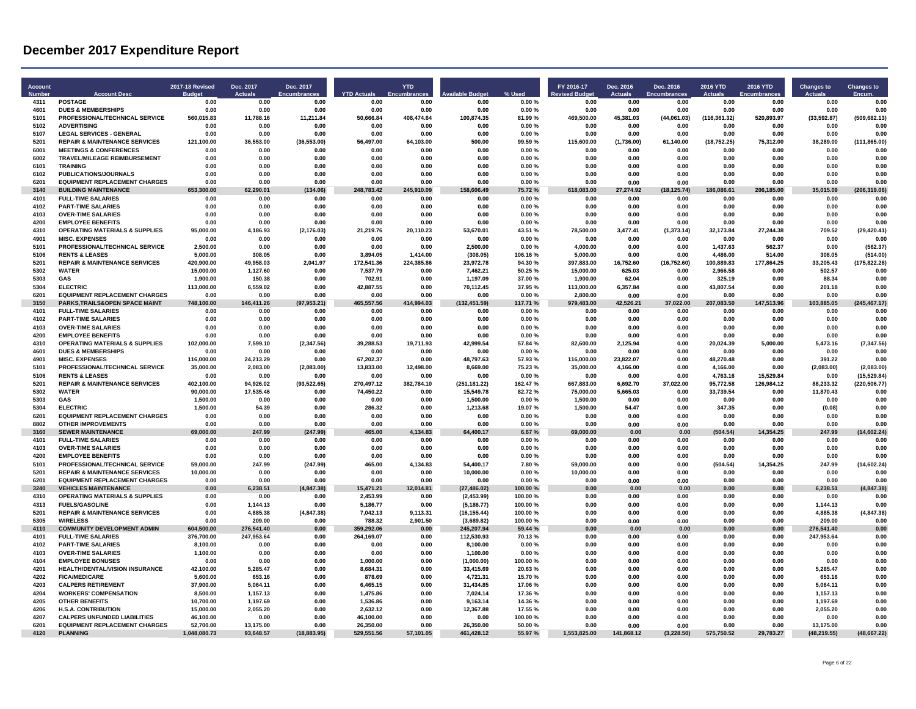| Account<br><b>Numbe</b> | <b>Account Desc</b>                                         | 2017-18 Revised<br>Budge | Dec. 2017<br>Actuals  | Dec. 2017<br>Encumbrances | <b>YTD Actuals</b>   | <b>YTD</b><br>Encumbrar | ailahle Budo               | % Used             | FY 2016-17<br><b><u>evised</u></b> Budget | Dec. 2016<br>Actuals | Dec. 2016<br><b>Encumbrances</b> | 2016 YTD<br>Actuals    | 2016 YTD<br>Encumbrances | <b>Changes to</b><br>Actuals | <b>Changes to</b><br>Encum. |
|-------------------------|-------------------------------------------------------------|--------------------------|-----------------------|---------------------------|----------------------|-------------------------|----------------------------|--------------------|-------------------------------------------|----------------------|----------------------------------|------------------------|--------------------------|------------------------------|-----------------------------|
| 4311                    | <b>POSTAGE</b>                                              | 0.00                     | 0.00                  | 0.00                      | 0.00                 | 0.00                    | 0.00                       | 0.00%              | 0.00                                      | 0.00                 | 0.00                             | 0.00                   | 0.00                     | 0.00                         | 0.00                        |
| 4601                    | <b>DUES &amp; MEMBERSHIPS</b>                               | 0.00                     | 0.00                  | 0.00                      | 0.00                 | 0.00                    | 0.00                       | 0.00%              | 0.00                                      | 0.00                 | 0.00                             | 0.00                   | 0.00                     | 0.00                         | 0.00                        |
| 5101<br>5102            | PROFESSIONAL/TECHNICAL SERVICE<br><b>ADVERTISING</b>        | 560,015.83<br>0.00       | 11,788.16<br>0.00     | 11,211.84<br>0.00         | 50,666.84<br>0.00    | 408,474.64<br>0.00      | 100,874.35<br>0.00         | 81.99%<br>0.00%    | 469,500.00<br>0.00                        | 45,381.03<br>0.00    | (44,061.03)<br>0.00              | (116, 361.32)<br>0.00  | 520,893.97<br>0.00       | (33, 592.87)<br>0.00         | (509, 682.13)<br>0.00       |
| 5107                    | <b>LEGAL SERVICES - GENERAL</b>                             | 0.00                     | 0.00                  | 0.00                      | 0.00                 | 0.00                    | 0.00                       | 0.00%              | 0.00                                      | 0.00                 | 0.00                             | 0.00                   | 0.00                     | 0.00                         | 0.00                        |
| 5201                    | <b>REPAIR &amp; MAINTENANCE SERVICES</b>                    | 121,100.00               | 36,553.00             | (36, 553.00)              | 56,497.00            | 64,103.00               | 500.00                     | 99.59%             | 115,600.00                                | (1,736.00)           | 61,140.00                        | (18, 752.25)           | 75,312.00                | 38,289.00                    | (111, 865.00)               |
| 6001                    | <b>MEETINGS &amp; CONFERENCES</b>                           | 0.00                     | 0.00                  | 0.00                      | 0.00                 | 0.00                    | 0.00                       | 0.00%              | 0.00                                      | 0.00                 | 0.00                             | 0.00                   | 0.00                     | 0.00                         | 0.00                        |
| 6002                    | <b>TRAVEL/MILEAGE REIMBURSEMENT</b>                         | 0.00                     | 0.00                  | 0.00                      | 0.00                 | 0.00                    | 0.00                       | 0.00%              | 0.00                                      | 0.00                 | 0.00                             | 0.00                   | 0.00                     | 0.00                         | 0.00                        |
| 6101                    | <b>TRAINING</b>                                             | 0.00                     | 0.00                  | 0.00                      | 0.00                 | 0.00                    | 0.00                       | 0.00%              | 0.00                                      | 0.00                 | 0.00                             | 0.00                   | 0.00                     | 0.00                         | 0.00                        |
| 6102                    | PUBLICATIONS/JOURNALS                                       | 0.00                     | 0.00                  | 0.00                      | 0.00                 | 0.00                    | 0.00                       | 0.00%              | 0.00                                      | 0.00                 | 0.00                             | 0.00                   | 0.00                     | 0.00                         | 0.00                        |
| 6201                    | <b>EQUIPMENT REPLACEMENT CHARGES</b>                        | 0.00                     | 0.00                  | 0.00                      | 0.00                 | 0.00                    | 0.00                       | 0.00%              | 0.00                                      | 0.00                 | 0.00                             | 0.00                   | 0.00                     | 0.00                         | 0.00                        |
| 3140<br>4101            | <b>BUILDING MAINTENANCE</b><br><b>FULL-TIME SALARIES</b>    | 653,300.00<br>0.00       | 62.290.01<br>0.00     | (134.06)<br>0.00          | 248.783.42<br>0.00   | 245.910.09<br>0.00      | 158.606.49<br>0.00         | 75.72%<br>0.00%    | 618,083.00<br>0.00                        | 27.274.92<br>0.00    | 125.74)<br>0.00                  | 186.086.61<br>0.00     | 185.00<br>206.<br>0.00   | 35.015.09<br>0.00            | (206, 319.06)<br>0.00       |
| 4102                    | <b>PART-TIME SALARIES</b>                                   | 0.00                     | 0.00                  | 0.00                      | 0.00                 | 0.00                    | 0.00                       | 0.00%              | 0.00                                      | 0.00                 | 0.00                             | 0.00                   | 0.00                     | 0.00                         | 0.00                        |
| 4103                    | <b>OVER-TIME SALARIES</b>                                   | 0.00                     | 0.00                  | 0.00                      | 0.00                 | 0.00                    | 0.00                       | 0.00%              | 0.00                                      | 0.00                 | 0.00                             | 0.00                   | 0.00                     | 0.00                         | 0.00                        |
| 4200                    | <b>EMPLOYEE BENEFITS</b>                                    | 0.00                     | 0.00                  | 0.00                      | 0.00                 | 0.00                    | 0.00                       | 0.00%              | 0.00                                      | 0.00                 | 0.00                             | 0.00                   | 0.00                     | 0.00                         | 0.00                        |
| 4310                    | <b>OPERATING MATERIALS &amp; SUPPLIES</b>                   | 95,000.00                | 4,186.93              | (2, 176.03)               | 21,219.76            | 20,110.23               | 53,670.01                  | 43.51 %            | 78,500.00                                 | 3,477.41             | (1, 373.14)                      | 32,173.84              | 27,244.38                | 709.52                       | (29, 420.41)                |
| 4901                    | <b>MISC. EXPENSES</b>                                       | 0.00                     | 0.00                  | 0.00                      | 0.00                 | 0.00                    | 0.00                       | 0.00%              | 0.00                                      | 0.00                 | 0.00                             | 0.00                   | 0.00                     | 0.00                         | 0.00                        |
| 5101                    | PROFESSIONAL/TECHNICAL SERVICE                              | 2.500.00                 | 0.00                  | 0.00                      | 0.00                 | 0.00                    | 2.500.00                   | 0.00%              | 4,000.00                                  | 0.00                 | 0.00                             | 1.437.63               | 562.37                   | 0.00                         | (562.37)                    |
| 5106                    | <b>RENTS &amp; LEASES</b>                                   | 5,000.00                 | 308.05                | 0.00                      | 3,894.05             | 1,414.00                | (308.05)                   | 106.16%            | 5,000.00                                  | 0.00                 | 0.00                             | 4,486.00               | 514.00                   | 308.05                       | (514.00)                    |
| 5201<br>5302            | <b>REPAIR &amp; MAINTENANCE SERVICES</b><br><b>WATER</b>    | 420,900.00<br>15,000.00  | 49,958.03<br>1.127.60 | 2,041.97<br>0.00          | 172,541.36           | 224,385.86              | 23,972.78<br>7.462.21      | 94.30%<br>50.25%   | 397,883.00<br>15.000.00                   | 16,752.60<br>625.03  | (16, 752.60)<br>0.00             | 100,889.83<br>2.966.58 | 177,864.25<br>0.00       | 33,205.43<br>502.57          | (175,822.28)<br>0.00        |
| 5303                    | GAS                                                         |                          |                       | 0.00                      | 7,537.79<br>702.91   | 0.00                    |                            |                    |                                           |                      |                                  | 325.19                 | 0.00                     | 88.34                        | 0.00                        |
| 5304                    | <b>ELECTRIC</b>                                             | 1,900.00<br>113,000.00   | 150.38<br>6,559.02    | 0.00                      | 42,887.55            | 0.00<br>0.00            | 1,197.09<br>70,112.45      | 37.00%<br>37.95%   | 1,900.00<br>113,000.00                    | 62.04<br>6,357.84    | 0.00<br>0.00                     | 43,807.54              | 0.00                     | 201.18                       | 0.00                        |
| 6201                    | <b>EQUIPMENT REPLACEMENT CHARGES</b>                        | 0.00                     | 0.00                  | 0.00                      | 0.00                 | 0.00                    | 0.00                       | 0.00%              | 2.800.00                                  | 0.00                 | 0.00                             | 0.00                   | 0.00                     | 0.00                         | 0.00                        |
| 3150                    | PARKS, TRAILS& OPEN SPACE MAINT                             | 748,100.00               | 146.411.26            | (97, 953.21)              | 465.557.56           | 414,994.03              | (132, 451.59)              | 117.71 %           | 979.483.00                                | 42.526.21            | 37.022.00                        | 207,083.50             | 147,513.96               | 103.885.05                   | (245, 467.17)               |
| 4101                    | <b>FULL-TIME SALARIES</b>                                   | 0.00                     | 0.00                  | 0.00                      | 0.00                 | 0.00                    | 0.00                       | 0.00%              | 0.00                                      | 0.00                 | 0.00                             | 0.00                   | 0.00                     | 0.00                         | 0.00                        |
| 4102                    | <b>PART-TIME SALARIES</b>                                   | 0.00                     | 0.00                  | 0.00                      | 0.00                 | 0.00                    | 0.00                       | 0.00%              | 0.00                                      | 0.00                 | 0.00                             | 0.00                   | 0.00                     | 0.00                         | 0.00                        |
| 4103                    | <b>OVER-TIME SALARIES</b>                                   | 0.00                     | 0.00                  | 0.00                      | 0.00                 | 0.00                    | 0.00                       | 0.00%              | 0.00                                      | 0.00                 | 0.00                             | 0.00                   | 0.00                     | 0.00                         | 0.00                        |
| 4200                    | <b>EMPLOYEE BENEFITS</b>                                    | 0.00                     | 0.00                  | 0.00                      | 0.00                 | 0.00                    | 0.00                       | 0.00%              | 0.00                                      | 0.00                 | 0.00                             | 0.00                   | 0.00                     | 0.00                         | 0.00                        |
| 4310                    | <b>OPERATING MATERIALS &amp; SUPPLIES</b>                   | 102,000.00               | 7,599.10              | (2, 347.56)               | 39,288.53            | 19,711.93               | 42,999.54                  | 57.84 %            | 82,600.00                                 | 2,125.94             | 0.00                             | 20,024.39              | 5,000.00                 | 5,473.16                     | (7, 347.56)                 |
| 4601<br>4901            | <b>DUES &amp; MEMBERSHIPS</b><br><b>MISC. EXPENSES</b>      | 0.00<br>116,000.00       | 0.00<br>24.213.29     | 0.00<br>0.00              | 0.00<br>67.202.37    | 0.00<br>0.00            | 0.00<br>48.797.63          | 0.00%<br>57.93%    | 0.00<br>116,000.00                        | 0.00<br>23.822.07    | 0.00<br>0.00                     | 0.00<br>48.270.48      | 0.00<br>0.00             | 0.00<br>391.22               | 0.00<br>0.00                |
| 5101                    | PROFESSIONAL/TECHNICAL SERVICE                              | 35,000.00                | 2,083.00              | (2,083.00)                | 13,833.00            | 12,498.00               | 8,669.00                   | 75.23%             | 35,000.00                                 | 4,166.00             | 0.00                             | 4,166.00               | 0.00                     | (2,083.00)                   | (2,083.00)                  |
| 5106                    | <b>RENTS &amp; LEASES</b>                                   | 0.00                     | 0.00                  | 0.00                      | 0.00                 | 0.00                    | 0.00                       | 0.00%              | 0.00                                      | 0.00                 | 0.00                             | 4,763.16               | 15.529.84                | 0.00                         | (15, 529.84)                |
| 5201                    | <b>REPAIR &amp; MAINTENANCE SERVICES</b>                    | 402.100.00               | 94.926.02             | (93, 522.65)              | 270.497.12           | 382.784.10              | (251.181.22)               | 162.47%            | 667.883.00                                | 6.692.70             | 37.022.00                        | 95.772.58              | 126.984.12               | 88.233.32                    | (220.506.77)                |
| 5302                    | <b>WATER</b>                                                | 90,000.00                | 17,535.46             | 0.00                      | 74.450.22            | 0.00                    | 15,549.78                  | 82.72%             | 75.000.00                                 | 5.665.03             | 0.00                             | 33,739.54              | 0.00                     | 11,870.43                    | 0.00                        |
| 5303                    | GAS                                                         | 1,500.00                 | 0.00                  | 0.00                      | 0.00                 | 0.00                    | 1,500.00                   | 0.00%              | 1,500.00                                  | 0.00                 | 0.00                             | 0.00                   | 0.00                     | 0.00                         | 0.00                        |
| 5304                    | <b>FLECTRIC</b>                                             | 1,500.00                 | 54.39                 | 0.00                      | 286.32               | 0.00                    | 1,213.68                   | 19.07%             | 1,500.00                                  | 54.47                | 0.00                             | 347.35                 | 0.00                     | (0.08)                       | 0.00                        |
| 6201                    | <b>EQUIPMENT REPLACEMENT CHARGES</b>                        | 0.00                     | 0.00                  | 0.00                      | 0.00                 | 0.00                    | 0.00                       | 0.00%              | 0.00                                      | 0.00                 | 0.00                             | 0.00                   | 0.00                     | 0.00                         | 0.00                        |
| 8802                    | <b>OTHER IMPROVEMENTS</b>                                   | 0.00                     | 0.00                  | 0.00                      | 0.00                 | 0.00                    | 0.00                       | 0.00%              | 0.00                                      | 0.00                 | 0.00                             | 0.00                   | 0.00                     | 0.00                         | 0.00                        |
| 3160<br>4101            | <b>SEWER MAINTENANCE</b><br><b>FULL-TIME SALARIES</b>       | 69,000.00<br>0.00        | 247.99<br>0.00        | (247.99)<br>0.00          | 465.00<br>0.00       | 134.83<br>0.00          | 64,400.17<br>0.00          | 6.67%<br>0.00%     | 69,000.00<br>0.00                         | 0.00<br>0.00         | 0.00<br>0.00                     | (504.54)<br>0.00       | 4,354.25<br>0.00         | 247.99<br>0.00               | (14, 602.24)<br>0.00        |
| 4103                    | <b>OVER-TIME SALARIES</b>                                   | 0.00                     | 0.00                  | 0.00                      | 0.00                 | 0.00                    | 0.00                       | 0.00%              | 0.00                                      | 0.00                 | 0.00                             | 0.00                   | 0.00                     | 0.00                         | 0.00                        |
| 4200                    | <b>EMPLOYEE BENEFITS</b>                                    | 0.00                     | 0.00                  | 0.00                      | 0.00                 | 0.00                    | 0.00                       | 0.00%              | 0.00                                      | 0.00                 | 0.00                             | 0.00                   | 0.00                     | 0.00                         | 0.00                        |
| 5101                    | PROFESSIONAL/TECHNICAL SERVICE                              | 59,000.00                | 247.99                | (247.99)                  | 465.00               | 4,134.83                | 54,400.17                  | 7.80%              | 59,000.00                                 | 0.00                 | 0.00                             | (504.54)               | 14,354.25                | 247.99                       | (14, 602.24)                |
| 5201                    | <b>REPAIR &amp; MAINTENANCE SERVICES</b>                    | 10.000.00                | 0.00                  | 0.00                      | 0.00                 | 0.00                    | 10.000.00                  | 0.00%              | 10.000.00                                 | 0.00                 | 0.00                             | 0.00                   | 0.00                     | 0.00                         | 0.00                        |
| 6201                    | <b>EQUIPMENT REPLACEMENT CHARGES</b>                        | 0.00                     | 0.00                  | 0.00                      | 0.00                 | 0.00                    | 0.00                       | 0.00%              | 0.00                                      | 0.00                 | 0.00                             | 0.00                   | 0.00                     | 0.00                         | 0.00                        |
| 3240                    | <b>VEHICLES MAINTENANCE</b>                                 | 0.00                     | 6,238.51              | (4, 847.38)               | 15,471.21            | 12.014.81               | (27, 486.02)               | 100.00%            | 0.00                                      | 0.00                 | 0.00                             | 0.00                   | 0.00                     | 6,238.51                     | (4, 847.38)                 |
| 4310                    | <b>OPERATING MATERIALS &amp; SUPPLIES</b>                   | 0.00                     | 0.00                  | 0.00                      | 2.453.99             | 0.00                    | (2.453.99)                 | 100.00%            | 0.00                                      | 0.00                 | 0.00                             | 0.00                   | 0.00                     | 0.00                         | 0.00                        |
| 4313                    | <b>FUELS/GASOLINE</b>                                       | 0.00                     | 1,144.13              | 0.00                      | 5.186.77             | 0.00                    | (5, 186.77)                | 100.00%            | 0.00                                      | 0.00                 | 0.00                             | 0.00                   | 0.00                     | 1.144.13                     | 0.00                        |
| 5201<br>5305            | <b>REPAIR &amp; MAINTENANCE SERVICES</b><br><b>WIRELESS</b> | 0.00<br>0.00             | 4,885.38<br>209.00    | (4, 847.38)<br>0.00       | 7,042.13<br>788.32   | 9,113.31<br>2,901.50    | (16, 155.44)<br>(3,689.82) | 100.00%<br>100.00% | 0.00<br>0.00                              | 0.00<br>0.00         | 0.00<br>0.00                     | 0.00<br>0.00           | 0.00<br>0.00             | 4,885.38<br>209.00           | (4, 847.38)<br>0.00         |
| 4110                    | <b>COMMUNITY DEVELOPMENT ADMIN</b>                          | 604.500.00               | 276.541.40            | 0.00                      | 359.292.06           | 0.00                    | 245.207.94                 | 59.44 %            | 0.00                                      | 0.00                 | 0.00                             | 0.00                   | 0.00                     | 276.541.40                   | 0.00                        |
| 4101                    | <b>FULL-TIME SALARIES</b>                                   | 376,700.00               | 247,953.64            | 0.00                      | 264,169.07           | 0.00                    | 112,530.93                 | 70.13%             | 0.00                                      | 0.00                 | 0.00                             | 0.00                   | 0.00                     | 247,953.64                   | 0.00                        |
| 4102                    | <b>PART-TIME SALARIES</b>                                   | 8,100.00                 | 0.00                  | 0.00                      | 0.00                 | 0.00                    | 8,100.00                   | 0.00%              | 0.00                                      | 0.00                 | 0.00                             | 0.00                   | 0.00                     | 0.00                         | 0.00                        |
| 4103                    | <b>OVER-TIME SALARIES</b>                                   | 1,100.00                 | 0.00                  | 0.00                      | 0.00                 | 0.00                    | 1,100.00                   | 0.00%              | 0.00                                      | 0.00                 | 0.00                             | 0.00                   | 0.00                     | 0.00                         | 0.00                        |
| 4104                    | <b>EMPLOYEE BONUSES</b>                                     | 0.00                     | 0.00                  | 0.00                      | 1.000.00             | 0.00                    | (1,000.00)                 | 100.00%            | 0.00                                      | 0.00                 | 0.00                             | 0.00                   | 0.00                     | 0.00                         | 0.00                        |
| 4201                    | HEALTH/DENTAL/VISION INSURANCE                              | 42,100.00                | 5,285.47              | 0.00                      | 8,684.31             | 0.00                    | 33,415.69                  | 20.63%             | 0.00                                      | 0.00                 | 0.00                             | 0.00                   | 0.00                     | 5,285.47                     | 0.00                        |
| 4202                    | <b>FICA/MEDICARE</b>                                        | 5,600.00                 | 653.16                | 0.00                      | 878.69               | 0.00                    | 4,721.31                   | 15.70%             | 0.00                                      | 0.00                 | 0.00                             | 0.00                   | 0.00                     | 653.16                       | 0.00                        |
| 4203<br>4204            | <b>CALPERS RETIREMENT</b><br><b>WORKERS' COMPENSATION</b>   | 37.900.00<br>8,500.00    | 5.064.11<br>1,157.13  | 0.00<br>0.00              | 6.465.15<br>1,475.86 | 0.00<br>0.00            | 31.434.85<br>7,024.14      | 17.06%<br>17.36%   | 0.00<br>0.00                              | 0.00<br>0.00         | 0.00<br>0.00                     | 0.00<br>0.00           | 0.00<br>0.00             | 5.064.11<br>1,157.13         | 0.00<br>0.00                |
| 4205                    | <b>OTHER BENEFITS</b>                                       | 10,700.00                | 1,197.69              | 0.00                      | 1,536.86             | 0.00                    | 9,163.14                   | 14.36%             | 0.00                                      | 0.00                 | 0.00                             | 0.00                   | 0.00                     | 1,197.69                     | 0.00                        |
| 4206                    | <b>H.S.A. CONTRIBUTION</b>                                  | 15,000.00                | 2,055.20              | 0.00                      | 2,632.12             | 0.00                    | 12,367.88                  | 17.55%             | 0.00                                      | 0.00                 | 0.00                             | 0.00                   | 0.00                     | 2,055.20                     | 0.00                        |
| 4207                    | <b>CALPERS UNFUNDED LIABILITIES</b>                         | 46,100.00                | 0.00                  | 0.00                      | 46,100.00            | 0.00                    | 0.00                       | 100.00%            | 0.00                                      | 0.00                 | 0.00                             | 0.00                   | 0.00                     | 0.00                         | 0.00                        |
| 6201                    | <b>EQUIPMENT REPLACEMENT CHARGES</b>                        | 52.700.00                | 13,175.00             | 0.00                      | 26,350.00            | 0.00                    | 26,350.00                  | 50.00%             | 0.00                                      | 0.00                 | 0.00                             | 0.00                   | 0.00                     | 13,175.00                    | 0.00                        |
| 4120                    | <b>PLANNING</b>                                             | 1,048,080.73             | 93,648.57             | (18, 883.95)              | 529,551.56           | 57,101.05               | 461,428.12                 | 55.97%             | 1,553,825.00                              | 141,868.12           | (3,228.50)                       | 575,750.52             | 29,783.27                | (48, 219.55)                 | (48, 667.22)                |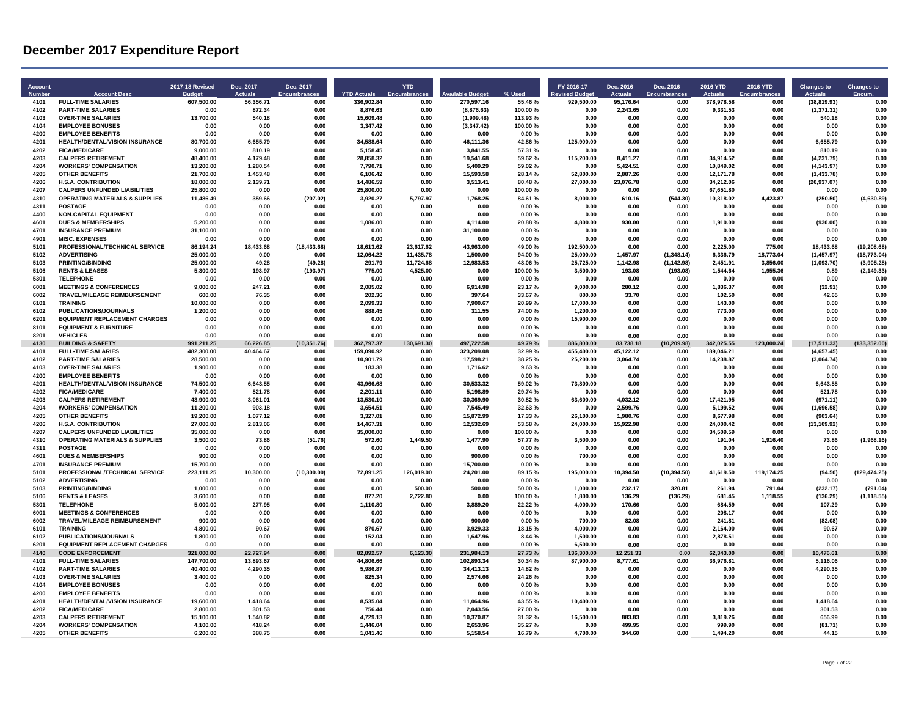| <b>Account</b><br><b>Numbe</b> | <b>Account Desc</b>                                               | <b>2017-18 Revised</b> | Dec. 2017<br>Actuals | Dec. 2017<br>Encumbrances | <b>YTD Actuals</b>     | <b>YTD</b><br>Encumbra | lable Budge              | % Used             | FY 2016-17<br>evised Budget | Dec. 2016<br><b>Actuals</b> | Dec. 2016<br><b>Encumbrances</b> | 2016 YTD<br><b>Actuals</b> | 2016 YTD<br>Encumbrance | <b>Changes to</b><br><b>Actuals</b> | <b>Changes to</b><br>Encum |
|--------------------------------|-------------------------------------------------------------------|------------------------|----------------------|---------------------------|------------------------|------------------------|--------------------------|--------------------|-----------------------------|-----------------------------|----------------------------------|----------------------------|-------------------------|-------------------------------------|----------------------------|
| 4101                           | <b>FULL-TIME SALARIES</b>                                         | 607,500.00             | 56,356.71            | 0.00                      | 336,902.84             | 0.00                   | 270,597.16               | 55.46%             | 929,500.00                  | 95,176.64                   | 0.00                             | 378,978.58                 | 0.00                    | (38, 819.93)                        | 0.00                       |
| 4102<br>4103                   | <b>PART-TIME SALARIES</b><br><b>OVER-TIME SALARIES</b>            | 0.00                   | 872.34               | 0.00<br>0.00              | 8,876.63               | 0.00                   | (8,876.63)               | 100.00%<br>113.93% | 0.00                        | 2,243.65                    | 0.00                             | 9,331.53<br>0.00           | 0.00<br>0.00            | (1,371.31)<br>540.18                | 0.00<br>0.00               |
| 4104                           | <b>EMPLOYEE BONUSES</b>                                           | 13,700.00<br>0.00      | 540.18<br>0.00       | 0.00                      | 15,609.48<br>3,347.42  | 0.00<br>0.00           | (1,909.48)<br>(3,347.42) | 100.00%            | 0.00<br>0.00                | 0.00<br>0.00                | 0.00<br>0.00                     | 0.00                       | 0.00                    | 0.00                                | 0.00                       |
| 4200                           | <b>EMPLOYEE BENEFITS</b>                                          | 0.00                   | 0.00                 | 0.00                      | 0.00                   | 0.00                   | 0.00                     | 0.00%              | 0.00                        | 0.00                        | 0.00                             | 0.00                       | 0.00                    | 0.00                                | 0.00                       |
| 4201                           | HEALTH/DENTAL/VISION INSURANCE                                    | 80,700.00              | 6,655.79             | 0.00                      | 34.588.64              | 0.00                   | 46,111.36                | 42.86%             | 125.900.00                  | 0.00                        | 0.00                             | 0.00                       | 0.00                    | 6,655.79                            | 0.00                       |
| 4202                           | <b>FICA/MEDICARE</b>                                              | 9,000.00               | 810.19               | 0.00                      | 5,158.45               | 0.00                   | 3,841.55                 | 57.31 %            | 0.00                        | 0.00                        | 0.00                             | 0.00                       | 0.00                    | 810.19                              | 0.00                       |
| 4203                           | <b>CALPERS RETIREMENT</b>                                         | 48,400.00              | 4,179.48             | 0.00                      | 28,858.32              | 0.00                   | 19,541.68                | 59.62%             | 115,200.00                  | 8.411.27                    | 0.00                             | 34.914.52                  | 0.00                    | (4, 231.79)                         | 0.00                       |
| 4204<br>4205                   | <b>WORKERS' COMPENSATION</b>                                      | 13,200.00              | 1 280 54             | 0.00                      | 7,790.71               | 0.00                   | 5,409.29                 | 59.02%<br>28.14%   | 0.00                        | 5 424 51                    | 0.00                             | 10,849.02                  | 0.00                    | (4, 143.97)                         | 0 OC<br>0.00               |
| 4206                           | <b>OTHER BENEFITS</b><br><b>H.S.A. CONTRIBUTION</b>               | 21,700.00<br>18.000.00 | 1,453.48<br>2.139.71 | 0.00<br>0.00              | 6.106.42<br>14.486.59  | 0.00<br>0.00           | 15,593.58<br>3.513.41    | 80.48%             | 52,800.00<br>27.000.00      | 2,887.26<br>23.076.78       | 0.00<br>0.00                     | 12,171.78<br>34.212.06     | 0.00<br>0.00            | (1,433.78)<br>(20, 937.07)          | 0.00                       |
| 4207                           | <b>CALPERS UNFUNDED LIABILITIES</b>                               | 25.800.00              | 0.00                 | 0.00                      | 25,800.00              | 0.00                   | 0.00                     | 100.00%            | 0.00                        | 0.00                        | 0.00                             | 67.651.80                  | 0.00                    | 0.00                                | 0.00                       |
| 4310                           | <b>OPERATING MATERIALS &amp; SUPPLIES</b>                         | 11,486.49              | 359.66               | (207.02)                  | 3.920.27               | 5.797.97               | 1.768.25                 | 84.61%             | 8,000.00                    | 610.16                      | (544.30)                         | 10,318.02                  | 4.423.87                | (250.50)                            | (4,630.89)                 |
| 4311                           | <b>POSTAGE</b>                                                    | 0.00                   | 0.00                 | 0.00                      | 0.00                   | 0.00                   | 0.00                     | 0.00%              | 0.00                        | 0.00                        | 0.00                             | 0.00                       | 0.00                    | 0.00                                | 0.00                       |
| 4400                           | <b>NON-CAPITAL EQUIPMENT</b>                                      | 0.00                   | 0.00                 | 0.00                      | 0.00                   | 0.00                   | 0.00                     | 0.00%              | 0.00                        | 0.00                        | 0.00                             | 0.00                       | 0.00                    | 0.00                                | 0.00                       |
| 4601<br>4701                   | <b>DUES &amp; MEMBERSHIPS</b>                                     | 5.200.00               | 0.00                 | 0.00                      | 1.086.00               | 0.00                   | 4.114.00                 | 20.88%             | 4.800.00                    | 930.00                      | 0.00                             | 1,910.00                   | 0.00                    | (930.00)                            | 0.00                       |
| 4901                           | <b>INSURANCE PREMIUM</b><br><b>MISC. EXPENSES</b>                 | 31,100.00<br>0.00      | 0.00<br>0.00         | 0.00<br>0.00              | 0.00<br>0.00           | 0.00<br>0.00           | 31,100.00<br>0.00        | 0.00%<br>0.00%     | 0.00<br>0.00                | 0.00<br>0.00                | 0.00<br>0.00                     | 0.00<br>0.00               | 0.00<br>0.00            | 0.00<br>0.00                        | 0.00<br>0.00               |
| 5101                           | PROFESSIONAL/TECHNICAL SERVICE                                    | 86,194.24              | 18,433.68            | (18, 433.68)              | 18,613.62              | 23,617.62              | 43,963.00                | 49.00%             | 192,500.00                  | 0.00                        | 0.00                             | 2,225.00                   | 775.00                  | 18,433.68                           | (19, 208.68)               |
| 5102                           | <b>ADVERTISING</b>                                                | 25,000.00              | 0.00                 | 0.00                      | 12,064.22              | 11,435.78              | 1.500.00                 | 94.00%             | 25,000.00                   | 1,457.97                    | (1,348.14)                       | 6,336.79                   | 18,773.04               | (1,457.97)                          | (18, 773.04)               |
| 5103                           | <b>PRINTING/BINDING</b>                                           | 25,000.00              | 49.28                | (49.28)                   | 291.79                 | 11,724.68              | 12,983.53                | 48.06%             | 25,725.00                   | 1,142.98                    | (1, 142.98)                      | 2,451.91                   | 3,856.00                | (1,093.70)                          | (3,905.28)                 |
| 5106                           | <b>RENTS &amp; LEASES</b>                                         | 5,300.00               | 193.97               | (193.97)                  | 775.00                 | 4,525.00               | 0.00                     | 100.00%            | 3,500.00                    | 193.08                      | (193.08)                         | 1,544.64                   | 1,955.36                | 0.89                                | (2, 149.33)                |
| 5301                           | <b>TELEPHONE</b>                                                  | 0.00                   | 0.00                 | 0.00                      | 0.00                   | 0.00                   | 0.00                     | 0.00%              | 0.00                        | 0.00                        | 0.00                             | 0.00                       | 0.00                    | 0.00                                | 0.00                       |
| 6001                           | <b>MEETINGS &amp; CONFERENCES</b>                                 | 9,000.00               | 247 21               | 0 OC                      | 2.085.02               | 0.00                   | 6,914.98                 | 23 17 %            | 9,000.00                    | 280.12                      | 0.00                             | 1,836.37                   | 0.00                    | (32.91)                             | 0.00                       |
| 6002<br>6101                   | TRAVEL/MILEAGE REIMBURSEMENT<br><b>TRAINING</b>                   | 600.00                 | 76.35<br>0.00        | 0.00<br>0.00              | 202.36<br>2.099.33     | 0.00<br>0.00           | 397.64<br>7.900.67       | 33.67%<br>20.99%   | 800.00<br>17.000.00         | 33.70<br>0.00               | 0.00<br>0.00                     | 102.50<br>143.00           | 0.00<br>0.00            | 42.65<br>0.00                       | 0.00<br>0.00               |
| 6102                           | PUBLICATIONS/JOURNALS                                             | 10,000.00<br>1.200.00  | 0.00                 | 0.00                      | 888.45                 | 0.00                   | 311.55                   | 74.00%             | 1.200.00                    | 0.00                        | 0.00                             | 773.00                     | 0.00                    | 0.00                                | 0.00                       |
| 6201                           | <b>EQUIPMENT REPLACEMENT CHARGES</b>                              | 0.00                   | 0.00                 | 0.00                      | 0.00                   | 0.00                   | 0.00                     | 0.00%              | 15.900.00                   | 0.00                        | 0.00                             | 0.00                       | 0.00                    | 0.00                                | 0.00                       |
| 8101                           | <b>EQUIPMENT &amp; FURNITURE</b>                                  | 0.00                   | 0.00                 | 0.00                      | 0.00                   | 0.00                   | 0.00                     | 0.00%              | 0.00                        | 0.00                        | 0.00                             | 0.00                       | 0.00                    | 0.00                                | 0.00                       |
| 8201                           | <b>VEHICLES</b>                                                   | 0.00                   | 0.00                 | 0.00                      | 0.00                   | 0.00                   | 0.00                     | 0.00%              | 0.00                        | 0.00                        | 0.00                             | 0.00                       | 0.00                    | 0.00                                | 0.00                       |
| 4130                           | <b>BUILDING &amp; SAFETY</b>                                      | 991,211.25             | 66,226.85            | (10, 351.76)              | 362.797.37             | 130,691.30             | 497,722.58               | 49.79%             | 886,800.00                  | 83,738.18                   | (10, 209.98)                     | 342,025.55                 | 123,000.24              | (17, 511.33)                        | (133, 352.00)              |
| 4101                           | <b>FULL-TIME SALARIES</b>                                         | 482,300.00             | 40,464.67            | 0.00                      | 159,090.92             | 0.00                   | 323,209.08               | 32.99%             | 455,400.00                  | 45,122.12                   | 0.00                             | 189,046.21                 | 0.00                    | (4,657.45)                          | 0.00                       |
| 4102<br>4103                   | <b>PART-TIME SALARIES</b><br><b>OVER-TIME SALARIES</b>            | 28,500.00<br>1.900.00  | 0.00<br>0.00         | 0.00<br>0.00              | 10,901.79<br>183.38    | 0.00<br>0.00           | 17,598.21<br>1.716.62    | 38.25 %<br>9.63%   | 25,200.00<br>0.00           | 3,064.74<br>0.00            | 0.00<br>0.00                     | 14,238.87<br>0.00          | 0.00<br>0.00            | (3,064.74)<br>0.00                  | 0.00<br>0.00               |
| 4200                           | <b>EMPLOYEE BENEFITS</b>                                          | 0.00                   | 0.00                 | 0.00                      | 0.00                   | 0.00                   | 0.00                     | 0.00%              | 0.00                        | 0.00                        | 0.00                             | 0.00                       | 0.00                    | 0.00                                | 0.00                       |
| 4201                           | HEALTH/DENTAL/VISION INSURANCE                                    | 74,500.00              | 6,643.55             | 0.00                      | 43,966.68              | 0.00                   | 30,533.32                | 59.02%             | 73,800.00                   | 0.00                        | 0.00                             | 0.00                       | 0.00                    | 6,643.55                            | 0.00                       |
| 4202                           | <b>FICA/MEDICARE</b>                                              | 7,400.00               | 521.78               | 0.00                      | 2,201.11               | 0.00                   | 5,198.89                 | 29.74%             | 0.00                        | 0.00                        | 0.00                             | 0.00                       | 0.00                    | 521.78                              | 0.00                       |
| 4203                           | <b>CALPERS RETIREMENT</b>                                         | 43.900.00              | 3.061.01             | 0.00                      | 13.530.10              | 0.00                   | 30.369.90                | 30.82%             | 63,600.00                   | 4.032.12                    | 0.00                             | 17.421.95                  | 0.00                    | (971.11)                            | 0.00                       |
| 4204                           | <b>WORKERS' COMPENSATION</b>                                      | 11,200.00              | 903.18               | 0.00                      | 3,654.51               | 0.00                   | 7,545.49                 | 32.63%             | 0.00                        | 2,599.76                    | 0.00                             | 5,199.52                   | 0.00                    | (1,696.58)                          | 0.00                       |
| 4205                           | <b>OTHER BENEFITS</b>                                             | 19,200.00              | 1,077.12             | 0.00                      | 3,327.01               | 0.00                   | 15,872.99                | 17.33%             | 26,100.00                   | 1,980.76                    | 0.00                             | 8,677.98                   | 0.00                    | (903.64)                            | 0.00                       |
| 4206<br>4207                   | <b>H.S.A. CONTRIBUTION</b><br><b>CALPERS UNFUNDED LIABILITIES</b> | 27,000.00<br>35,000.00 | 2,813.06<br>0.00     | 0.00<br>0.00              | 14,467.31<br>35,000.00 | 0.00<br>0.00           | 12,532.69<br>0.00        | 53.58%<br>100.00%  | 24,000.00<br>0.00           | 15,922.98<br>0.00           | 0.00<br>0.00                     | 24,000.42<br>34,509.59     | 0.00<br>0.00            | (13, 109.92)<br>0.00                | 0.00<br>0.00               |
| 4310                           | <b>OPERATING MATERIALS &amp; SUPPLIES</b>                         | 3,500.00               | 73.86                | (51.76)                   | 572.60                 | 1,449.50               | 1,477.90                 | 57.77 %            | 3,500.00                    | 0.00                        | 0.00                             | 191.04                     | 1.916.40                | 73.86                               | (1,968.16)                 |
| 4311                           | <b>POSTAGE</b>                                                    | 0.00                   | 0.00                 | 0.00                      | 0.00                   | 0.00                   | 0.00                     | 0.00%              | 0.00                        | 0.00                        | 0.00                             | 0.00                       | 0.00                    | 0.00                                | 0.00                       |
| 4601                           | <b>DUES &amp; MEMBERSHIPS</b>                                     | 900.00                 | 0.00                 | 0.00                      | 0.00                   | 0.00                   | 900.00                   | 0.00%              | 700.00                      | 0.00                        | 0.00                             | 0.00                       | 0.00                    | 0.00                                | 0.00                       |
| 4701                           | <b>INSURANCE PREMIUM</b>                                          | 15,700.00              | 0.00                 | 0.00                      | 0.00                   | 0.00                   | 15,700.00                | 0.00%              | 0.00                        | 0.00                        | 0.00                             | 0.00                       | 0.00                    | 0.00                                | 0.00                       |
| 5101                           | PROFESSIONAL/TECHNICAL SERVICE                                    | 223,111.25             | 10,300.00            | (10, 300.00)              | 72,891.25              | 126,019.00             | 24,201.00                | 89.15%             | 195,000.00                  | 10,394.50                   | (10, 394.50)                     | 41,619.50                  | 119,174.25              | (94.50)                             | (129, 474.25)              |
| 5102<br>5103                   | <b>ADVERTISING</b><br><b>PRINTING/BINDING</b>                     | 0.00<br>1.000.00       | 0.00<br>0.00         | 0.00<br>0.00              | 0.00<br>0.00           | 0.00<br>500.00         | 0.00<br>500.00           | 0.00%<br>50.00%    | 0.00<br>1.000.00            | 0.00<br>232.17              | 0.00<br>320.81                   | 0.00<br>261.94             | 0.00<br>791.04          | 0.00<br>(232.17)                    | 0.00<br>(791.04)           |
| 5106                           | <b>RENTS &amp; LEASES</b>                                         | 3,600.00               | 0.00                 | 0.00                      | 877.20                 | 2.722.80               | 0.00                     | 100.00%            | 1.800.00                    | 136.29                      | (136.29)                         | 681.45                     | 1,118.55                | (136.29)                            | (1, 118.55)                |
| 5301                           | <b>TELEPHONE</b>                                                  | 5,000.00               | 277.95               | 0.00                      | 1,110.80               | 0.00                   | 3,889.20                 | 22.22 %            | 4,000.00                    | 170.66                      | 0.00                             | 684.59                     | 0.00                    | 107.29                              | 0.00                       |
| 6001                           | <b>MEETINGS &amp; CONFERENCES</b>                                 | 0.00                   | 0.00                 | 0.00                      | 0.00                   | 0.00                   | 0.00                     | 0.00%              | 0.00                        | 0.00                        | 0.00                             | 208.17                     | 0.00                    | 0.00                                | 0.00                       |
| 6002                           | <b>TRAVEL/MILEAGE REIMBURSEMENT</b>                               | 900.00                 | 0.00                 | 0.00                      | 0.00                   | 0.00                   | 900.00                   | 0.00%              | 700.00                      | 82.08                       | 0.00                             | 241.81                     | 0.00                    | (82.08)                             | 0.00                       |
| 6101                           | <b>TRAINING</b>                                                   | 4,800.00               | 90.67                | 0.00                      | 870.67                 | 0.00                   | 3,929.33                 | 18.15%             | 4,000.00                    | 0.00                        | 0.00                             | 2,164.00                   | 0.00                    | 90.67                               | 0.00                       |
| 6102                           | PUBLICATIONS/JOURNALS                                             | 1,800.00               | 0.00                 | 0.00                      | 152.04                 | 0.00                   | 1,647.96                 | 8.44 %             | 1,500.00                    | 0.00                        | 0.00                             | 2,878.51                   | 0.00                    | 0.00                                | 0.00                       |
| 6201<br>4140                   | <b>EQUIPMENT REPLACEMENT CHARGES</b><br><b>CODE ENFORCEMENT</b>   | 0.00<br>321,000.00     | 0.00<br>22,727.94    | 0.00<br>0.00              | 0.00<br>82,892.57      | 0.00<br>3,123.30       | 0.00<br>231,984.13       | 0.00%<br>27.73%    | 6,500.00<br>136,300.00      | 0.00<br>12,251.33           | 0.00<br>0.00                     | 0.00<br>62.343.00          | 0.00<br>0.00            | 0.00<br>10,476.61                   | 0.00<br>0.00               |
| 4101                           | <b>FULL-TIME SALARIES</b>                                         | 147,700.00             | 13,893.67            | 0.00                      | 44,806.66              | 0.00                   | 102,893.34               | 30.34 %            | 87,900.00                   | 8,777.61                    | 0.00                             | 36,976.81                  | 0.00                    | 5,116.06                            | 0.00                       |
| 4102                           | <b>PART-TIME SALARIES</b>                                         | 40,400.00              | 4,290.35             | 0.00                      | 5,986.87               | 0.00                   | 34,413.13                | 14.82%             | 0.00                        | 0.00                        | 0.00                             | 0.00                       | 0.00                    | 4,290.35                            | 0.00                       |
| 4103                           | <b>OVER-TIME SALARIES</b>                                         | 3.400.00               | 0.00                 | 0.00                      | 825.34                 | 0.00                   | 2.574.66                 | 24.26%             | 0.00                        | 0.00                        | 0.00                             | 0.00                       | 0.00                    | 0.00                                | 0.00                       |
| 4104                           | <b>EMPLOYEE BONUSES</b>                                           | 0.00                   | 0.00                 | 0.00                      | 0.00                   | 0.00                   | 0.00                     | 0.00%              | 0.00                        | 0.00                        | 0.00                             | 0.00                       | 0.00                    | 0.00                                | 0.00                       |
| 4200                           | <b>EMPLOYEE BENEFITS</b>                                          | 0.00                   | 0.00                 | 0.00                      | 0.00                   | 0.00                   | 0.00                     | 0.00%              | 0.00                        | 0.00                        | 0.00                             | 0.00                       | 0.00                    | 0.00                                | 0.00                       |
| 4201<br>4202                   | HEALTH/DENTAL/VISION INSURANCE                                    | 19,600.00              | 1,418.64             | 0.00                      | 8,535.04               | 0.00                   | 11,064.96                | 43.55 %            | 10,400.00                   | 0.00                        | 0.00                             | 0.00                       | 0.00                    | 1,418.64                            | 0.00                       |
| 4203                           | <b>FICA/MEDICARE</b><br><b>CALPERS RETIREMENT</b>                 | 2.800.00<br>15,100.00  | 301.53<br>1.540.82   | 0.00<br>0.00              | 756.44<br>4,729.13     | 0.00<br>0.00           | 2.043.56<br>10,370.87    | 27.00%<br>31.32%   | 0.00<br>16,500.00           | 0.00<br>883.83              | 0.00<br>0.00                     | 0.00<br>3,819.26           | 0.00<br>0.00            | 301.53<br>656.99                    | 0.00<br>0.00               |
| 4204                           | <b>WORKERS' COMPENSATION</b>                                      | 4.100.00               | 418.24               | 0.00                      | 1.446.04               | 0.00                   | 2.653.96                 | 35.27%             | 0.00                        | 499.95                      | 0.00                             | 999.90                     | 0.00                    | (81.71)                             | 0.00                       |
| 4205                           | <b>OTHER BENEFITS</b>                                             | 6,200.00               | 388.75               | 0.00                      | 1,041.46               | 0.00                   | 5,158.54                 | 16.79%             | 4,700.00                    | 344.60                      | 0.00                             | 1,494.20                   | 0.00                    | 44 15                               | 0.00                       |
|                                |                                                                   |                        |                      |                           |                        |                        |                          |                    |                             |                             |                                  |                            |                         |                                     |                            |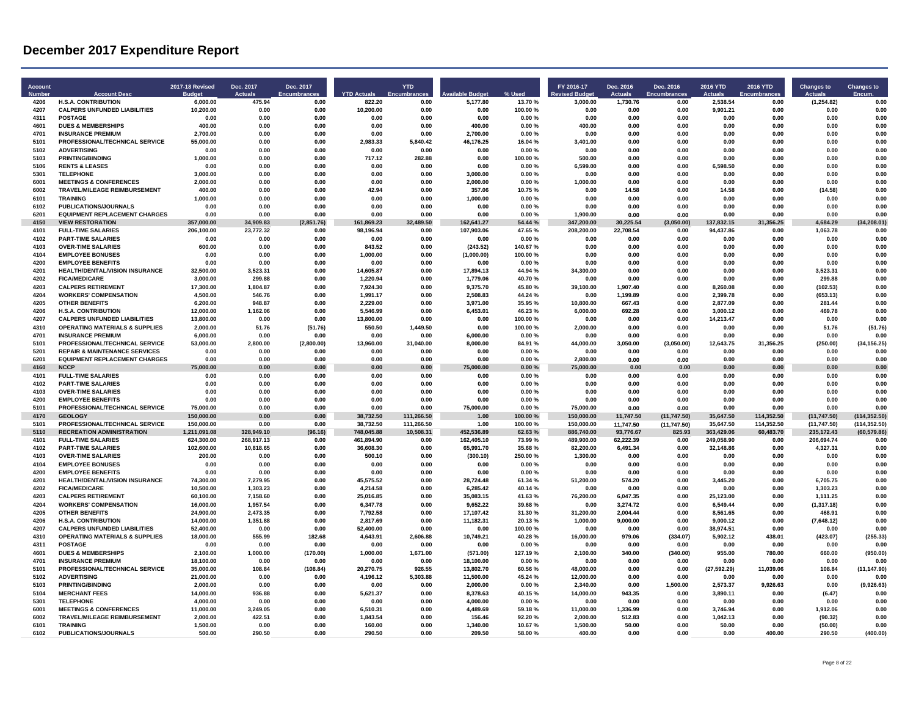| <b>Account</b><br><b>Numbe</b> | <b>Account Desc</b>                                               | <b>2017-18 Revised</b>   | Dec. 2017<br>Actuals    | Dec. 2017<br>Encumbrances | <b>YTD Actuals</b>      | <b>YTD</b><br>Encumbra | le Budget               | % Used             | FY 2016-17              | Dec. 2016<br><b>Actuals</b> | Dec. 2016<br><b>Encumbrances</b> | 2016 YTD<br><b>Actuals</b> | 2016 YTD<br><b>Encumbrances</b> | <b>Changes to</b><br>Actuals | <b>Changes to</b><br><b>Encum</b> |
|--------------------------------|-------------------------------------------------------------------|--------------------------|-------------------------|---------------------------|-------------------------|------------------------|-------------------------|--------------------|-------------------------|-----------------------------|----------------------------------|----------------------------|---------------------------------|------------------------------|-----------------------------------|
| 4206                           | <b>H.S.A. CONTRIBUTION</b>                                        | 6,000.00                 | 475.94                  | 0.00                      | 822.20                  | 0.00                   | 5,177.80                | 13.70%             | 3,000.00                | 1,730.76                    | 0.00                             | 2,538.54                   | 0.00                            | (1, 254.82)                  | 0.00                              |
| 4207                           | <b>CALPERS UNFUNDED LIABILITIES</b>                               | 10,200.00                | 0.00                    | 0.00                      | 10,200.00               | 0.00                   | 0.00                    | 100.00%            | 0.00                    | 0.00                        | 0.00                             | 9,901.21                   | 0.00                            | 0.00                         | 0.00                              |
| 4311<br>4601                   | <b>POSTAGE</b><br><b>DUES &amp; MEMBERSHIPS</b>                   | 0.00<br>400.00           | 0.00<br>0.00            | 0.00<br>0.00              | 0.00<br>0.00            | 0.00<br>0.00           | 0.00<br>400.00          | 0.00%<br>0.00%     | 0.00<br>400.00          | 0.00<br>0.00                | 0.00<br>0.00                     | 0.00<br>0.00               | 0.00<br>0.00                    | 0.00<br>0.00                 | 0.00<br>0.00                      |
| 4701                           | <b>INSURANCE PREMIUM</b>                                          | 2.700.00                 | 0.00                    | 0.00                      | 0.00                    | 0.00                   | 2.700.00                | 0.00%              | 0.00                    | 0.00                        | 0.00                             | 0.00                       | 0.00                            | 0.00                         | 0.00                              |
| 5101                           | PROFESSIONAL/TECHNICAL SERVICE                                    | 55,000.00                | 0.00                    | 0.00                      | 2.983.33                | 5,840.42               | 46,176.25               | 16.04%             | 3,401.00                | 0.00                        | 0.00                             | 0.00                       | 0.00                            | 0.00                         | 0.00                              |
| 5102                           | <b>ADVERTISING</b>                                                | 0.00                     | 0.00                    | 0.00                      | 0.00                    | 0.00                   | 0.00                    | 0.00%              | 0.00                    | 0.00                        | 0.00                             | 0.00                       | 0.00                            | 0.00                         | 0.00                              |
| 5103                           | <b>PRINTING/BINDING</b>                                           | 1,000.00                 | 0.00                    | 0.00                      | 717.12                  | 282.88                 | 0.00                    | 100.00%            | 500.00                  | 0.00                        | 0.00                             | 0.00                       | 0.00                            | 0.00                         | 0.00                              |
| 5106                           | <b>RENTS &amp; LEASES</b>                                         | 0.00                     | 0.00                    | 0.00                      | 0.00                    | n nn                   | 0.00                    | 0.00%              | 6,599.00                | 0.00                        | 0.00                             | 6,598.50                   | 0.00                            | 0.00                         | 0 <sub>0</sub>                    |
| 5301                           | <b>TELEPHONE</b>                                                  | 3,000.00                 | 0.00                    | 0.00                      | 0.00                    | 0.00                   | 3,000.00                | 0.00%              | 0.00                    | 0.00                        | 0.00                             | 0.00                       | 0.00                            | 0.00                         | 0.00                              |
| 6001<br>6002                   | <b>MEETINGS &amp; CONFERENCES</b><br>TRAVEL/MILEAGE REIMBURSEMENT | 2,000.00<br>400.00       | 0.00<br>0.00            | 0.00<br>0.00              | 0.00<br>42.94           | 0.00<br>0.00           | 2.000.00<br>357.06      | 0.00%<br>10.75%    | 1.000.00<br>0.00        | 0.00<br>14.58               | 0.00<br>0.00                     | 0.00<br>14.58              | 0.00<br>0.00                    | 0.00<br>(14.58)              | 0.00<br>0.00                      |
| 6101                           | <b>TRAINING</b>                                                   | 1,000.00                 | 0.00                    | 0.00                      | 0.00                    | 0.00                   | 1.000.00                | 0.00%              | 0.00                    | 0.00                        | 0.00                             | 0.00                       | 0.00                            | 0.00                         | 0.00                              |
| 6102                           | PUBLICATIONS/JOURNALS                                             | 0.00                     | 0.00                    | 0.00                      | 0.00                    | 0.00                   | 0.00                    | 0.00%              | 0.00                    | 0.00                        | 0.00                             | 0.00                       | 0.00                            | 0.00                         | 0.00                              |
| 6201                           | <b>EQUIPMENT REPLACEMENT CHARGES</b>                              | 0.00                     | 0.00                    | 0.00                      | 0.00                    | 0.00                   | 0.00                    | 0.00%              | 1.900.00                | 0.00                        | 0.00                             | 0.00                       | 0.00                            | 0.00                         | 0.00                              |
| 4150                           | <b>VIEW RESTORATION</b>                                           | 357,000.00               | 34.909.83               | (2,851.76)                | 161,869.23              | 32.489.50              | 162.641.27              | 54.44 %            | 347.200.00              | 30.225.54                   | (3,050.00)                       | 137,832.15                 | 31,356.25                       | 4.684.29                     | (34, 208.01)                      |
| 4101                           | <b>FULL-TIME SALARIES</b>                                         | 206,100.00               | 23,772.32               | 0.00                      | 98,196.94               | 0.00                   | 107,903.06              | 47.65%             | 208,200.00              | 22,708.54                   | 0.00                             | 94,437.86                  | 0.00                            | 1,063.78                     | 0.00                              |
| 4102                           | <b>PART-TIME SALARIES</b>                                         | 0.00                     | 0.00                    | 0.00                      | 0.00                    | 0.00                   | 0.00                    | 0.00%              | 0.00                    | 0.00                        | 0.00                             | 0.00                       | 0.00                            | 0.00                         | 0.00                              |
| 4103<br>4104                   | <b>OVER-TIME SALARIES</b><br><b>EMPLOYEE BONUSES</b>              | 600.00<br>0.00           | 0.00<br>0.00            | 0.00<br>0.00              | 843.52<br>1,000.00      | 0.00<br>0.00           | (243.52)<br>(1,000.00)  | 140.67%<br>100.00% | 0.00<br>0.00            | 0.00<br>0.00                | 0.00<br>0.00                     | 0.00<br>0.00               | 0.00<br>0.00                    | 0.00<br>0.00                 | 0.00<br>0.00                      |
| 4200                           | <b>EMPLOYEE BENEFITS</b>                                          | 0.00                     | 0.00                    | 0.00                      | 0.00                    | 0.00                   | 0.00                    | 0.00%              | 0.00                    | 0.00                        | 0.00                             | 0.00                       | 0.00                            | 0.00                         | 0.00                              |
| 4201                           | HEALTH/DENTAL/VISION INSURANCE                                    | 32,500.00                | 3,523.31                | 0.00                      | 14.605.87               | 0.00                   | 17,894.13               | 44.94 %            | 34,300.00               | 0.00                        | 0.00                             | 0.00                       | 0.00                            | 3,523.31                     | 0.00                              |
| 4202                           | <b>FICA/MEDICARE</b>                                              | 3.000.00                 | 299.88                  | 0.00                      | 1.220.94                | 0.00                   | 1.779.06                | 40.70%             | 0.00                    | 0.00                        | 0.00                             | 0.00                       | 0.00                            | 299.88                       | 0.00                              |
| 4203                           | <b>CALPERS RETIREMENT</b>                                         | 17,300.00                | 180487                  | 0.00                      | 7,924.30                | n nn                   | 9,375.70                | 45.80%             | 39,100.00               | 1.907.40                    | 0.00                             | 8,260.08                   | 0.00                            | (102.53)                     | 0.00                              |
| 4204                           | <b>WORKERS' COMPENSATION</b>                                      | 4,500.00                 | 546.76                  | 0.00                      | 1,991.17                | 0.00                   | 2,508.83                | 44.24 %            | 0.00                    | 1,199.89                    | 0.00                             | 2,399.78                   | 0.00                            | (653.13)                     | 0.00                              |
| 4205                           | <b>OTHER BENEFITS</b>                                             | 6,200.00                 | 948.87                  | 0.00                      | 2.229.00                | 0.00                   | 3.971.00                | 35.95 %            | 10.800.00               | 667.43                      | 0.00                             | 2.877.09                   | 0.00                            | 281.44                       | 0.00                              |
| 4206<br>4207                   | <b>H.S.A. CONTRIBUTION</b><br><b>CALPERS UNFUNDED LIABILITIES</b> | 12.000.00                | 1.162.06<br>0.00        | 0.00<br>0.00              | 5.546.99<br>13,800.00   | 0.00<br>n nn           | 6.453.01<br>0.00        | 46.23%<br>100.00%  | 6.000.00<br>0.00        | 692.28<br>0.00              | 0.00<br>0.00                     | 3.000.12<br>14.213.47      | 0.00<br>0.00                    | 469.78<br>0.00               | 0.00<br>0.00                      |
| 4310                           | <b>OPERATING MATERIALS &amp; SUPPLIES</b>                         | 13,800.00<br>2,000.00    | 51.76                   | (51.76)                   | 550.50                  | 1,449.50               | 0.00                    | 100.00%            | 2,000.00                | 0.00                        | 0.00                             | 0.00                       | 0.00                            | 51.76                        | (51.76)                           |
| 4701                           | <b>INSURANCE PREMIUM</b>                                          | 6.000.00                 | 0.00                    | 0.00                      | 0.00                    | 0.00                   | 6.000.00                | 0.00%              | 0.00                    | 0.00                        | 0.00                             | 0.00                       | 0.00                            | 0.00                         | 0.00                              |
| 5101                           | PROFESSIONAL/TECHNICAL SERVICE                                    | 53,000.00                | 2,800.00                | (2,800.00)                | 13,960.00               | 31,040.00              | 8,000.00                | 84.91%             | 44,000.00               | 3,050.00                    | (3,050.00)                       | 12,643.75                  | 31,356.25                       | (250.00)                     | (34, 156.25)                      |
| 5201                           | <b>REPAIR &amp; MAINTENANCE SERVICES</b>                          | 0.00                     | 0.00                    | 0.00                      | 0.00                    | 0.00                   | 0.00                    | 0.00%              | 0.00                    | 0.00                        | 0.00                             | 0.00                       | 0.00                            | 0.00                         | 0.00                              |
| 6201                           | <b>EQUIPMENT REPLACEMENT CHARGES</b>                              | 0.00                     | 0.00                    | 0.00                      | 0.00                    | 0.00                   | 0.00                    | 0.00%              | 2,800.00                | 0.00                        | 0.00                             | 0.00                       | 0.00                            | 0.00                         | 0.00                              |
| 4160                           | <b>NCCP</b>                                                       | 75.000.00                | 0.00                    | 0.00                      | 0.00                    | 0.00                   | 75.000.00               | 0.00%              | 75.000.00               | 0.00                        | 0.00                             | 0.00                       | 0.00                            | 0.00                         | 0.00                              |
| 4101                           | <b>FULL-TIME SALARIES</b>                                         | 0.00                     | 0.00                    | 0.00                      | 0.00                    | 0.00                   | 0.00                    | 0.00%              | 0.00                    | 0.00                        | 0.00                             | 0.00                       | 0.00                            | 0.00                         | 0.00                              |
| 4102<br>4103                   | <b>PART-TIME SALARIES</b><br><b>OVER-TIME SALARIES</b>            | 0.00<br>0.00             | 0.00<br>0.00            | 0.00<br>0.00              | 0.00<br>0.00            | 0.00<br>0.00           | 0.00<br>0.00            | 0.00%<br>0.00%     | 0.00<br>0.00            | 0.00<br>0.00                | 0.00<br>0.00                     | 0.00<br>0.00               | 0.00<br>0.00                    | 0.00<br>0.00                 | 0.00<br>0.00                      |
| 4200                           | <b>EMPLOYEE BENEFITS</b>                                          | 0.00                     | 0.00                    | 0.00                      | 0.00                    | 0.00                   | 0.00                    | 0.00%              | 0.00                    | 0.00                        | 0.00                             | 0.00                       | 0.00                            | 0.00                         | 0.00                              |
| 5101                           | PROFESSIONAL/TECHNICAL SERVICE                                    | 75,000.00                | 0.00                    | 0.00                      | 0.00                    | 0.00                   | 75,000.00               | 0.00%              | 75,000.00               | 0.00                        | 0.00                             | 0.00                       | 0.00                            | 0.00                         | 0.00                              |
| 4170                           | <b>GEOLOGY</b>                                                    | 150,000.00               | 0.00                    | 0.00                      | 38,732.50               | 111,266.50             | 1.00                    | 100.00%            | 150,000.00              | 11,747.50                   | (11, 747.50)                     | 35,647.50                  | 114,352.50                      | (11,747.50)                  | (114, 352.50)                     |
| 5101                           | PROFESSIONAL/TECHNICAL SERVICE                                    | 150,000.00               | 0.00                    | 0.00                      | 38,732.50               | 111,266.50             | 1.00                    | 100.00%            | 150,000.00              | 11,747.50                   | (11, 747.50)                     | 35,647.50                  | 114,352.50                      | (11, 747.50)                 | (114, 352.50)                     |
| 5110                           | <b>RECREATION ADMINISTRATION</b>                                  | 1,211,091.08             | 328.949.10              | (96.16)                   | 748.045.88              | 10.508.31              | 452.536.89              | 62.63%             | 886,740.00              | 93.776.67                   | 825.93                           | 363.429.06                 | 60,483.70                       | 235,172.43                   | (60, 579.86)                      |
| 4101<br>4102                   | <b>FULL-TIME SALARIES</b><br><b>PART-TIME SALARIES</b>            | 624,300.00<br>102,600.00 | 268,917.13<br>10,818.65 | 0.00<br>0.00              | 461,894.90<br>36,608.30 | 0.00<br>0.00           | 162,405.10<br>65,991.70 | 73.99%<br>35.68%   | 489,900.00<br>82,200.00 | 62,222.39<br>6,491.34       | 0.00<br>0.00                     | 249,058.90<br>32,148.86    | 0.00<br>0.00                    | 206,694.74<br>4,327.31       | 0.00<br>0.00                      |
| 4103                           | <b>OVER-TIME SALARIES</b>                                         | 200.00                   | 0.00                    | 0.00                      | 500.10                  | 0.00                   | (300.10)                | 250.00%            | 1.300.00                | 0.00                        | 0.00                             | 0.00                       | 0.00                            | 0.00                         | 0.00                              |
| 4104                           | <b>EMPLOYEE BONUSES</b>                                           | 0.00                     | 0.00                    | 0.00                      | 0.00                    | 0.00                   | 0.00                    | 0.00%              | 0.00                    | 0.00                        | 0.00                             | 0.00                       | 0.00                            | 0.00                         | 0.00                              |
| 4200                           | <b>EMPLOYEE BENEFITS</b>                                          | 0.00                     | 0.00                    | 0.00                      | 0.00                    | 0.00                   | 0.00                    | 0.00%              | 0.00                    | 0.00                        | 0.00                             | 0.00                       | 0.00                            | 0.00                         | 0.00                              |
| 4201                           | HEALTH/DENTAL/VISION INSURANCE                                    | 74,300.00                | 7,279.95                | 0.00                      | 45,575.52               | 0.00                   | 28,724.48               | 61.34 %            | 51,200.00               | 574.20                      | 0.00                             | 3,445.20                   | 0.00                            | 6,705.75                     | 0.00                              |
| 4202                           | <b>FICA/MEDICARE</b>                                              | 10.500.00                | 1.303.23                | 0.00                      | 4.214.58                | 0.00                   | 6.285.42                | 40.14%             | 0.00                    | 0.00                        | 0.00                             | 0.00                       | 0.00                            | 1.303.23                     | 0.00                              |
| 4203                           | <b>CALPERS RETIREMENT</b>                                         | 60,100.00                | 7,158.60                | 0.00                      | 25,016.85               | 0.00                   | 35,083.15               | 41.63%             | 76,200.00               | 6,047.35                    | 0.00                             | 25.123.00                  | 0.00                            | 1,111.25                     | 0.00                              |
| 4204<br>4205                   | <b>WORKERS' COMPENSATION</b><br><b>OTHER BENEFITS</b>             | 16,000.00<br>24,900.00   | 1,957.54<br>2,473.35    | 0.00<br>0.00              | 6,347.78<br>7,792.58    | 0.00<br>0.00           | 9,652.22<br>17,107.42   | 39.68%<br>31.30%   | 0.00<br>31,200.00       | 3,274.72<br>2,004.44        | 0.00<br>0.00                     | 6,549.44<br>8,561.65       | 0.00<br>0.00                    | (1,317.18)<br>468.91         | 0.00<br>0.00                      |
| 4206                           | <b>H.S.A. CONTRIBUTION</b>                                        | 14.000.00                | 1.351.88                | 0.00                      | 2.817.69                | 0.00                   | 11.182.31               | 20.13%             | 1.000.00                | 9.000.00                    | 0.00                             | 9.000.12                   | 0.00                            | (7,648.12)                   | 0.00                              |
| 4207                           | <b>CALPERS UNFUNDED LIABILITIES</b>                               | 52,400.00                | 0.00                    | 0.00                      | 52,400.00               | 0.00                   | 0.00                    | 100.00%            | 0.00                    | 0.00                        | 0.00                             | 38,974.51                  | 0.00                            | 0.00                         | 0.00                              |
| 4310                           | <b>OPERATING MATERIALS &amp; SUPPLIES</b>                         | 18,000.00                | 555.99                  | 182.68                    | 4,643.91                | 2,606.88               | 10,749.21               | 40.28%             | 16,000.00               | 979.06                      | (334.07)                         | 5,902.12                   | 438.01                          | (423.07)                     | (255.33)                          |
| 4311                           | <b>POSTAGE</b>                                                    | 0.00                     | 0.00                    | 0.00                      | 0.00                    | 0.00                   | 0.00                    | 0.00%              | 0.00                    | 0.00                        | 0.00                             | 0.00                       | 0.00                            | 0.00                         | 0.00                              |
| 4601                           | <b>DUES &amp; MEMBERSHIPS</b>                                     | 2,100.00                 | 1,000.00                | (170.00)                  | 1.000.00                | 1,671.00               | (571.00)                | 127.19%            | 2,100.00                | 340.00                      | (340.00)                         | 955.00                     | 780.00                          | 660.00                       | (950.00)                          |
| 4701                           | <b>INSURANCE PREMIUM</b>                                          | 18,100.00                | 0.00                    | 0.00                      | 0.00                    | 0.00                   | 18,100.00               | 0.00%              | 0.00                    | 0.00                        | 0.00                             | 0.00                       | 0.00                            | 0.00                         | 0.00                              |
| 5101<br>5102                   | PROFESSIONAL/TECHNICAL SERVICE<br><b>ADVERTISING</b>              | 35,000.00<br>21.000.00   | 108.84<br>0.00          | (108.84)<br>0.00          | 20,270.75<br>4.196.12   | 926.55<br>5.303.88     | 13,802.70<br>11.500.00  | 60.56%<br>45.24%   | 48,000.00<br>12.000.00  | 0.00<br>0.00                | 0.00<br>0.00                     | (27, 592.29)<br>0.00       | 11,039.06<br>0.00               | 108.84<br>0.00               | (11, 147.90)<br>0.00              |
| 5103                           | <b>PRINTING/BINDING</b>                                           | 2,000.00                 | 0.00                    | 0.00                      | 0.00                    | 0.00                   | 2,000.00                | 0.00%              | 2,340.00                | 0.00                        | 1,500.00                         | 2,573.37                   | 9,926.63                        | 0.00                         | (9,926.63)                        |
| 5104                           | <b>MERCHANT FEES</b>                                              | 14,000.00                | 936.88                  | 0.00                      | 5,621.37                | 0.00                   | 8,378.63                | 40.15%             | 14,000.00               | 943.35                      | 0.00                             | 3,890.11                   | 0.00                            | (6.47)                       | 0.00                              |
| 5301                           | <b>TELEPHONE</b>                                                  | 4,000.00                 | 0.00                    | 0.00                      | 0.00                    | 0.00                   | 4,000.00                | 0.00%              | 0.00                    | 0.00                        | 0.00                             | 0.00                       | 0.00                            | 0.00                         | 0.00                              |
| 6001                           | <b>MEETINGS &amp; CONFERENCES</b>                                 | 11.000.00                | 3.249.05                | 0.00                      | 6,510.31                | 0.00                   | 4.489.69                | 59.18%             | 11,000.00               | 1.336.99                    | 0.00                             | 3.746.94                   | 0.00                            | 1.912.06                     | 0.00                              |
| 6002                           | TRAVEL/MILEAGE REIMBURSEMENT                                      | 2,000.00                 | 422.51                  | 0.00                      | 1.843.54                | 0.00                   | 156.46                  | 92.20%             | 2,000.00                | 512.83                      | 0.00                             | 1,042.13                   | 0.00                            | (90.32)                      | 0.00                              |
| 6101                           | <b>TRAINING</b>                                                   | 1.500.00                 | 0.00                    | 0.00                      | 160.00                  | 0.00                   | 1.340.00                | 10.67%             | 1.500.00                | 50.00                       | 0.00                             | 50.00                      | 0.00                            | (50.00)                      | 0.00                              |
| 6102                           | PUBLICATIONS/JOURNALS                                             | 500.00                   | 290.50                  | 0.00                      | 290.50                  | 0.00                   | 209.50                  | 58.00 %            | 400.00                  | 0.00                        | 0.00                             | 0.00                       | 400.00                          | 290.50                       | (400.00)                          |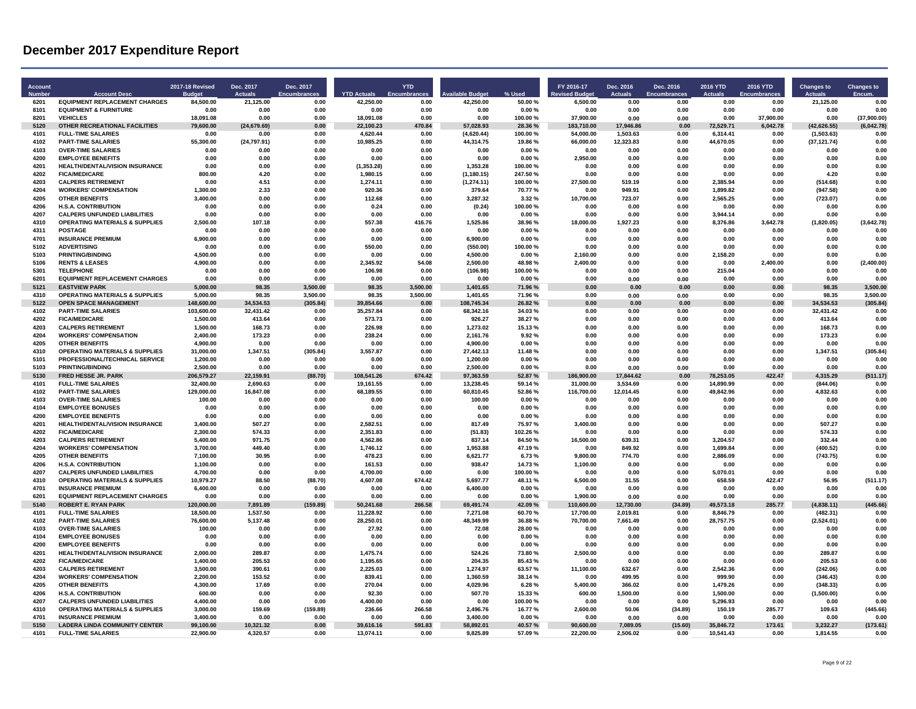| Account<br><b>Numbe</b> | <b>Account Desc</b>                                                   | <b>2017-18 Revised</b>   | Dec. 2017<br>Actuals   | Dec. 2017<br><b>Encumbrances</b> | <b>YTD Actuals</b>     | <b>YTD</b><br>Encumbra | vailable Budge             | % User             | FY 2016-17<br>vised Budget | Dec. 2016<br><b>Actuals</b> | Dec. 2016<br><b>Encumbrances</b> | 2016 YTD<br><b>Actuals</b> | 2016 YTD<br><b>Encumbrances</b> | <b>Changes to</b><br><b>Actuals</b> | <b>Changes to</b><br>Encum |
|-------------------------|-----------------------------------------------------------------------|--------------------------|------------------------|----------------------------------|------------------------|------------------------|----------------------------|--------------------|----------------------------|-----------------------------|----------------------------------|----------------------------|---------------------------------|-------------------------------------|----------------------------|
| 6201                    | <b>EQUIPMENT REPLACEMENT CHARGES</b>                                  | 84,500.00                | 21,125.00              | 0.00                             | 42,250.00              | 0.00                   | 42,250.00                  | 50.00 %            | 6,500.00                   | 0.00                        | 0.00                             | 0.00                       | 0.00                            | 21,125.00                           | 0.00                       |
| 8101<br>8201            | <b>EQUIPMENT &amp; FURNITURE</b><br><b>VEHICLES</b>                   | 0.00                     | 0.00                   | 0.00                             | 0.00                   | 0.00                   | 0.00<br>0.00               | 0.00%              | 0.00                       | 0.00                        | 0.00                             | 0.00                       | 0.00                            | 0.00<br>0.00                        | 0.00                       |
| 5120                    | OTHER RECREATIONAL FACILITIES                                         | 18,091.08<br>79,600.00   | 0.00<br>(24, 679.69)   | 0.00<br>0.00                     | 18,091.08<br>22,100.23 | 0.00<br>470.84         | 57,028.93                  | 100.00%<br>28.36 % | 37,900.00<br>183,710.00    | 0.00<br>17,946.86           | 0.00<br>0.00                     | 0.00<br>72,529.71          | 37,900.00<br>6,042.78           | (42, 626.55)                        | (37,900.00)<br>(6,042.78)  |
| 4101                    | <b>FULL-TIME SALARIES</b>                                             | 0.00                     | 0.00                   | 0.00                             | 4,620.44               | 0.00                   | (4,620.44)                 | 100.00%            | 54,000.00                  | 1,503.63                    | 0.00                             | 6,314.41                   | 0.00                            | (1,503.63)                          | 0.00                       |
| 4102                    | <b>PART-TIME SALARIES</b>                                             | 55,300.00                | (24, 797.91)           | 0.00                             | 10,985.25              | 0.00                   | 44,314.75                  | 19.86%             | 66,000.00                  | 12,323.83                   | 0.00                             | 44,670.05                  | 0.00                            | (37, 121.74)                        | 0.00                       |
| 4103                    | <b>OVER-TIME SALARIES</b>                                             | 0.00                     | 0.00                   | 0.00                             | 0.00                   | 0.00                   | 0.00                       | 0.00%              | 0.00                       | 0.00                        | 0.00                             | 0.00                       | 0.00                            | 0.00                                | 0.00                       |
| 4200                    | <b>EMPLOYEE BENEFITS</b>                                              | 0.00                     | 0.00                   | 0.00                             | 0.00                   | 0.00                   | 0.00                       | 0.00%              | 2,950.00                   | 0.00                        | 0.00                             | 0.00                       | 0.00                            | 0.00                                | 0.00                       |
| 4201                    | <b>HEALTH/DENTAL/VISION INSURANCE</b>                                 | 0.00                     | 0.00                   | 0.00                             | (1, 353.28)            | 0.00                   | 1.353.28                   | 100.00%            | 0.00                       | 0.00                        | 0.00                             | 0.00                       | 0.00                            | 0.00                                | 0.00                       |
| 4202<br>4203            | <b>FICA/MEDICARE</b><br><b>CALPERS RETIREMENT</b>                     | 800.00<br>0.00           | 4.20<br>4.51           | 0.00<br>0.00                     | 1.980.15<br>1,274.11   | 0.00<br>0.00           | (1, 180.15)<br>(1, 274.11) | 247.50%<br>100.00% | 0.00<br>27,500.00          | 0.00<br>519.19              | 0.00<br>0.00                     | 0.00<br>2,385.94           | 0.00<br>0.00                    | 4.20<br>(514.68)                    | 0.00<br>0.00               |
| 4204                    | <b>WORKERS' COMPENSATION</b>                                          | 1,300.00                 | 2.33                   | 0.00                             | 920.36                 | 0.00                   | 379.64                     | 70 77 %            | 0.00                       | 949.91                      | 0.00                             | 1.899.82                   | 0.00                            | (947.58)                            | 0.00                       |
| 4205                    | <b>OTHER BENEFITS</b>                                                 | 3,400.00                 | 0.00                   | 0.00                             | 112.68                 | 0.00                   | 3,287.32                   | 3.32%              | 10,700.00                  | 723.07                      | 0.00                             | 2,565.25                   | 0.00                            | (723.07)                            | 0.00                       |
| 4206                    | <b>H.S.A. CONTRIBUTION</b>                                            | 0.00                     | 0.00                   | 0.00                             | 0.24                   | 0.00                   | (0.24)                     | 100.00%            | 0.00                       | 0.00                        | 0.00                             | 0.00                       | 0.00                            | 0.00                                | 0.00                       |
| 4207                    | <b>CALPERS UNFUNDED LIABILITIES</b>                                   | 0.00                     | 0.00                   | 0.00                             | 0.00                   | 0.00                   | 0.00                       | 0.00%              | 0.00                       | 0.00                        | 0.00                             | 3,944.14                   | 0.00                            | 0.00                                | 0.00                       |
| 4310                    | <b>OPERATING MATERIALS &amp; SUPPLIES</b>                             | 2,500.00                 | 107.18                 | 0.00                             | 557.38                 | 416.76                 | 1,525.86                   | 38.96%             | 18.000.00                  | 1,927.23                    | 0.00                             | 8,376.86                   | 3,642.78                        | (1,820.05)                          | (3,642.78)                 |
| 4311<br>4701            | <b>POSTAGE</b><br><b>INSURANCE PREMIUM</b>                            | 0.00<br>6,900.00         | 0.00<br>0.00           | 0.00<br>0.00                     | 0.00<br>0.00           | 0.00                   | 0.00<br>6,900.00           | 0.00%<br>0.00%     | 0.00<br>0.00               | 0.00<br>0.00                | 0.00<br>0.00                     | 0.00<br>0.00               | 0.00<br>0.00                    | 0.00<br>0.00                        | 0.00<br>0.00               |
| 5102                    | <b>ADVERTISING</b>                                                    | 0.00                     | 0.00                   | 0.00                             | 550.00                 | 0.00<br>0.00           | (550.00)                   | 100.00%            | 0.00                       | 0.00                        | 0.00                             | 0.00                       | 0.00                            | 0.00                                | 0.00                       |
| 5103                    | <b>PRINTING/BINDING</b>                                               | 4.500.00                 | 0.00                   | 0.00                             | 0.00                   | 0.00                   | 4.500.00                   | 0.00%              | 2,160.00                   | 0.00                        | 0.00                             | 2,158.20                   | 0.00                            | 0.00                                | 0.00                       |
| 5106                    | <b>RENTS &amp; LEASES</b>                                             | 4,900.00                 | 0.00                   | 0.00                             | 2,345.92               | 54.08                  | 2,500.00                   | 48.98%             | 2,400.00                   | 0.00                        | 0.00                             | 0.00                       | 2,400.00                        | 0.00                                | (2,400.00)                 |
| 5301                    | <b>TELEPHONE</b>                                                      | 0.00                     | 0.00                   | 0.00                             | 106.98                 | 0.00                   | (106.98)                   | 100.00%            | 0.00                       | 0.00                        | 0.00                             | 215.04                     | 0.00                            | 0.00                                | 0.00                       |
| 6201                    | <b>EQUIPMENT REPLACEMENT CHARGES</b>                                  | 0.00                     | 0.00                   | 0 <sup>0<sup>c</sup></sup>       | 0.00                   | 0.00                   | 0.00                       | 0.00 %             | 0.00                       | 0.00                        | 0.00                             | 0.00                       | 0.00                            | 0.00                                | 0.00                       |
| 5121                    | <b>EASTVIEW PARK</b>                                                  | 5,000.00                 | 98.35                  | 3,500.00                         | 98.35                  | 3.500.00               | 1,401.65                   | 71.96%             | 0.00                       | 0.00                        | 0.00                             | 0.00                       | 0.00                            | 98.35                               | 3,500.00                   |
| 4310                    | <b>OPERATING MATERIALS &amp; SUPPLIES</b>                             | 5,000.00                 | 98.35                  | 3,500.00                         | 98.35                  | 3,500.00               | 1,401.65                   | 71.96%             | 0.00                       | 0.00                        | 0.00                             | 0.00                       | 0.00                            | 98.35                               | 3.500.00                   |
| 5122<br>4102            | <b>OPEN SPACE MANAGEMENT</b><br><b>PART-TIME SALARIES</b>             | 148,600.00<br>103,600.00 | 34,534.53<br>32,431.42 | (305.84)<br>0.00                 | 39,854.66<br>35,257.84 | 0.00<br>0.00           | 108,745.34<br>68,342.16    | 26.82%<br>34.03%   | 0.00<br>0.00               | 0.00<br>0.00                | 0.00<br>0.00                     | 0.00<br>0.00               | 0.00<br>0.00                    | 34,534.53<br>32,431.42              | (305.84)<br>0.00           |
| 4202                    | <b>FICA/MEDICARE</b>                                                  | 1,500.00                 | 413.64                 | 0.00                             | 573.73                 | 0.00                   | 926.27                     | 38.27 %            | 0.00                       | 0.00                        | 0.00                             | 0.00                       | 0.00                            | 413.64                              | 0.00                       |
| 4203                    | <b>CALPERS RETIREMENT</b>                                             | 1,500.00                 | 168.73                 | 0.00                             | 226.98                 | 0.00                   | 1,273.02                   | 15.13%             | 0.00                       | 0.00                        | 0.00                             | 0.00                       | 0.00                            | 168.73                              | 0.00                       |
| 4204                    | <b>WORKERS' COMPENSATION</b>                                          | 2,400.00                 | 173.23                 | 0.0C                             | 238.24                 | 0.00                   | 2,161.76                   | 992%               | 0.00                       | 0.00                        | 0.00                             | 0.00                       | 0.00                            | 173.23                              | 0.00                       |
| 4205                    | <b>OTHER BENEFITS</b>                                                 | 4,900.00                 | 0.00                   | 0.00                             | 0.00                   | 0.00                   | 4,900.00                   | 0.00%              | 0.00                       | 0.00                        | 0.00                             | 0.00                       | 0.00                            | 0.00                                | 0.00                       |
| 4310                    | <b>OPERATING MATERIALS &amp; SUPPLIES</b>                             | 31,000.00                | 1,347.51               | (305.84)                         | 3.557.87               | 0.00                   | 27,442.13                  | 11.48%             | 0.00                       | 0.00                        | 0.00                             | 0.00                       | 0.00                            | 1,347.51                            | (305.84)                   |
| 5101                    | PROFESSIONAL/TECHNICAL SERVICE                                        | 1,200.00                 | 0.00                   | 0.00                             | 0.00                   | 0.00                   | 1,200.00                   | 0.00%              | 0.00                       | 0.00                        | 0.00                             | 0.00                       | 0.00                            | 0.00                                | 0.00                       |
| 5103<br>5130            | PRINTING/BINDING<br><b>FRED HESSE JR. PARK</b>                        | 2,500.00<br>206,579.27   | 0.00<br>22,159.91      | 0.00<br>(88.70)                  | 0.00<br>108.541.26     | 0.00<br>674.42         | 2.500.00<br>97,363.59      | 0.00%<br>52.87%    | 0.00<br>186.900.00         | 0.00<br>17.844.62           | 0.00<br>0.00                     | 0.00<br>78.253.05          | 0.00<br>422.47                  | 0.00<br>4,315.29                    | 0.00<br>(511.17)           |
| 4101                    | <b>FULL-TIME SALARIES</b>                                             | 32,400.00                | 2.690.63               | 0.00                             | 19,161.55              | 0.00                   | 13.238.45                  | 59.14%             | 31.000.00                  | 3.534.69                    | 0.00                             | 14,890.99                  | 0.00                            | (844.06)                            | 0.00                       |
| 4102                    | <b>PART-TIME SALARIES</b>                                             | 129,000.00               | 16,847.08              | 0.00                             | 68,189.55              | 0.00                   | 60,810.45                  | 52 86 %            | 116,700.00                 | 12,014.45                   | 0.00                             | 49,842.96                  | 0.00                            | 4,832.63                            | 0.00                       |
| 4103                    | <b>OVER-TIME SALARIES</b>                                             | 100.00                   | 0.00                   | 0.00                             | 0.00                   | 0.00                   | 100.00                     | 0.00%              | 0.00                       | 0.00                        | 0.00                             | 0.00                       | 0.00                            | 0.00                                | 0.00                       |
| 4104                    | <b>EMPLOYEE BONUSES</b>                                               | 0.00                     | 0.00                   | 0.00                             | 0.00                   | 0.00                   | 0.00                       | 0.00%              | 0.00                       | 0.00                        | 0.00                             | 0.00                       | 0.00                            | 0.00                                | 0.00                       |
| 4200                    | <b>EMPLOYEE BENEFITS</b>                                              | 0.00                     | 0.00                   | 0.00                             | 0.00                   | 0.00                   | 0.00                       | 0.00%              | 0.00                       | 0.00                        | 0.00                             | 0.00                       | 0.00                            | 0.00                                | 0.00                       |
| 4201                    | <b>HEALTH/DENTAL/VISION INSURANCE</b>                                 | 3,400.00                 | 507.27                 | 0.00                             | 2.582.51               | 0.00                   | 817.49                     | 75.97%             | 3.400.00                   | 0.00                        | 0.00                             | 0.00                       | 0.00                            | 507.27                              | 0.00                       |
| 4202<br>4203            | <b>FICA/MEDICARE</b><br><b>CALPERS RETIREMENT</b>                     | 2,300.00<br>5,400.00     | 574.33<br>971.75       | 0.00<br>0.00                     | 2.351.83<br>4.562.86   | 0.00<br>0.00           | (51.83)<br>837.14          | 102.26%<br>84.50%  | 0.00<br>16.500.00          | 0.00<br>639.31              | 0.00<br>0.00                     | 0.00<br>3.204.57           | 0.00<br>0.00                    | 574.33<br>332.44                    | 0.00<br>0.00               |
| 4204                    | <b>WORKERS' COMPENSATION</b>                                          | 3,700.00                 | 449.40                 | 0.00                             | 1,746.12               | 0.00                   | 1,953.88                   | 47.19%             | 0.00                       | 849.92                      | 0.00                             | 1,699.84                   | 0.00                            | (400.52)                            | 0.00                       |
| 4205                    | <b>OTHER BENEFITS</b>                                                 | 7,100.00                 | 30.95                  | 0.00                             | 478.23                 | 0.00                   | 6,621.77                   | 6.73%              | 9,800.00                   | 774.70                      | 0.00                             | 2,886.09                   | 0.00                            | (743.75)                            | 0.00                       |
| 4206                    | <b>H.S.A. CONTRIBUTION</b>                                            | 1,100.00                 | 0.00                   | 0.00                             | 161.53                 | 0.00                   | 938.47                     | 14.73%             | 1,100.00                   | 0.00                        | 0.00                             | 0.00                       | 0.00                            | 0.00                                | 0.00                       |
| 4207                    | <b>CALPERS UNFUNDED LIABILITIES</b>                                   | 4,700.00                 | 0.00                   | 0.00                             | 4,700.00               | 0.00                   | 0.00                       | 100.00%            | 0.00                       | 0.00                        | 0.00                             | 5,070.01                   | 0.00                            | 0.00                                | 0.00                       |
| 4310                    | <b>OPERATING MATERIALS &amp; SUPPLIES</b>                             | 10.979.27                | 88.50                  | (88.70)                          | 4.607.08               | 674 42                 | 569777                     | 48.11%             | 6,500.00                   | 31.55                       | 0.00                             | 658.59                     | 422.47                          | 56.95                               | (511.17)                   |
| 4701<br>6201            | <b>INSURANCE PREMIUM</b><br><b>EQUIPMENT REPLACEMENT CHARGES</b>      | 6,400.00<br>0.00         | 0.00<br>0.00           | 0.00<br>0.00                     | 0.00<br>0.00           | 0.00<br>0.00           | 6,400.00<br>0.00           | 0.00%<br>0.00%     | 0.00<br>1.900.00           | 0.00<br>0.00                | 0.00<br>0.00                     | 0.00<br>0.00               | 0.00<br>0.00                    | 0.00<br>0.00                        | 0.00<br>0.00               |
| 5140                    | <b>ROBERT E. RYAN PARK</b>                                            | 120,000.00               | 7,891.89               | (159.89)                         | 50,241.68              | 266.58                 | 69,491.74                  | 42.09%             | 110,600.00                 | 12,730.00                   | (34.89)                          | 49,573.18                  | 285.77                          | (4,838.11)                          | (445.66)                   |
| 4101                    | <b>FULL-TIME SALARIES</b>                                             | 18,500.00                | 1,537.50               | 0.00                             | 11,228.92              | 0.00                   | 7.271.08                   | 60.70%             | 17,700.00                  | 2.019.81                    | 0.00                             | 8.846.79                   | 0.00                            | (482.31)                            | 0.00                       |
| 4102                    | <b>PART-TIME SALARIES</b>                                             | 76,600.00                | 5,137.48               | 0.00                             | 28,250.01              | 0.00                   | 48,349.99                  | 36.88%             | 70,700.00                  | 7,661.49                    | 0.00                             | 28,757.75                  | 0.00                            | (2,524.01)                          | 0.00                       |
| 4103                    | <b>OVER-TIME SALARIES</b>                                             | 100.00                   | 0.00                   | 0.00                             | 27.92                  | 0.00                   | 72.08                      | 28.00%             | 0.00                       | 0.00                        | 0.00                             | 0.00                       | 0.00                            | 0.00                                | 0.00                       |
| 4104                    | <b>EMPLOYEE BONUSES</b>                                               | 0.00                     | 0.00                   | 0.00                             | 0.00                   | 0.00                   | 0.00                       | 0.00%              | 0.00                       | 0.00                        | 0.00                             | 0.00                       | 0.00                            | 0.00                                | 0.00                       |
| 4200                    | <b>EMPLOYEE BENEFITS</b>                                              | 0.00                     | 0.00                   | 0.00                             | 0.00                   | 0.00                   | 0.00                       | 0.00%              | 0.00                       | 0.00                        | 0.00                             | 0.00                       | 0.00                            | 0.00                                | 0.00                       |
| 4201<br>4202            | HEALTH/DENTAL/VISION INSURANCE<br><b>FICA/MEDICARE</b>                | 2.000.00<br>1,400.00     | 289.87<br>205.53       | 0.00<br>0.00                     | 1.475.74<br>1,195.65   | 0.00<br>0.00           | 524.26<br>204.35           | 73.80%<br>85.43%   | 2.500.00<br>0.00           | 0.00<br>0.00                | 0.00<br>0.00                     | 0.00<br>0.00               | 0.00<br>0.00                    | 289.87<br>205.53                    | 0.00<br>0.00               |
| 4203                    | <b>CALPERS RETIREMENT</b>                                             | 3,500.00                 | 390.61                 | 0.00                             | 2,225.03               | 0.00                   | 1,274.97                   | 63.57%             | 11,100.00                  | 632.67                      | 0.00                             | 2,542.36                   | 0.00                            | (242.06)                            | 0.00                       |
| 4204                    | <b>WORKERS' COMPENSATION</b>                                          | 2,200.00                 | 153.52                 | 0.00                             | 839.41                 | 0.00                   | 1,360.59                   | 38.14%             | 0.00                       | 499.95                      | 0.00                             | 999.90                     | 0.00                            | (346.43)                            | 0.00                       |
| 4205                    | <b>OTHER BENEFITS</b>                                                 | 4,300.00                 | 17.69                  | 0.00                             | 270.04                 | 0.00                   | 4,029.96                   | 6.28%              | 5,400.00                   | 366.02                      | 0.00                             | 1,479.26                   | 0.00                            | (348.33)                            | 0.00                       |
| 4206                    | <b>H.S.A. CONTRIBUTION</b>                                            | 600.00                   | 0.00                   | 0.00                             | 92.30                  | 0.00                   | 507.70                     | 15.33%             | 600.00                     | 1,500.00                    | 0.00                             | 1,500.00                   | 0.00                            | (1,500.00)                          | 0.00                       |
| 4207                    | <b>CALPERS UNFUNDED LIABILITIES</b>                                   | 4,400.00                 | 0.00                   | 0.00                             | 4.400.00               | 0.00                   | 0.00                       | 100.00%            | 0.00                       | 0.00                        | 0.00                             | 5,296.93                   | 0.00                            | 0.00                                | 0.00                       |
| 4310<br>4701            | <b>OPERATING MATERIALS &amp; SUPPLIES</b><br><b>INSURANCE PREMIUM</b> | 3,000.00<br>3,400.00     | 159.69<br>0.00         | (159.89)<br>0.00                 | 236.66<br>0.00         | 266.58<br>0.00         | 2,496.76<br>3,400.00       | 16.77%<br>0.00%    | 2,600.00<br>0.00           | 50.06<br>0.00               | (34.89)<br>0.00                  | 150.19<br>0.00             | 285.77<br>0.00                  | 109.63<br>0.00                      | (445.66)<br>0.00           |
| 5150                    | <b>LADERA LINDA COMMUNITY CENTER</b>                                  | 99.100.00                | 10,321.32              | 0.00                             | 39.616.16              | 591.83                 | 58.892.01                  | 40.57%             | 90.600.00                  | 7.089.05                    | (15.60)                          | 35.846.72                  | 173.61                          | 3.232.27                            | (173.61)                   |
| 4101                    | <b>FULL-TIME SALARIES</b>                                             | 22,900.00                | 4.320.57               | 0.00                             | 13,074.11              | 0.00                   | 9,825.89                   | 57.09%             | 22,200.00                  | 2,506.02                    | 0.00                             | 10,541.43                  | 0.00                            | 1,814.55                            | 0.00                       |
|                         |                                                                       |                          |                        |                                  |                        |                        |                            |                    |                            |                             |                                  |                            |                                 |                                     |                            |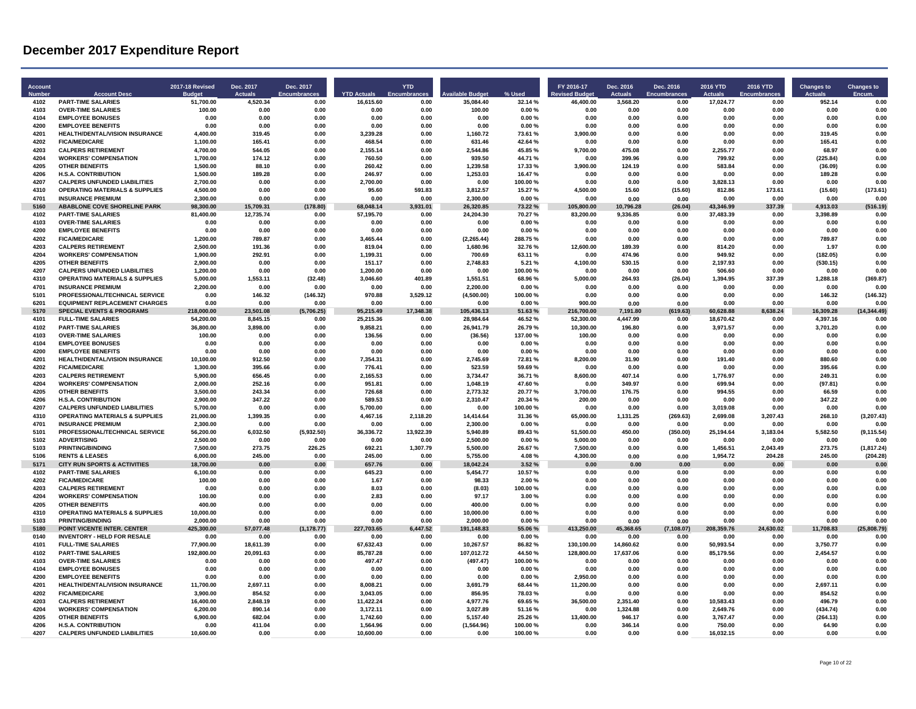| Account<br><b>Numbe</b> | <b>Account Desc</b>                                                   | <b>2017-18 Revised</b> | Dec. 2017<br><b>Actuals</b> | Dec. 2017<br>Encumbrances | <b>YTD Actuals</b>    | <b>YTD</b><br>Encumbra | vailable Budge         | % Used           | FY 2016-17<br>evised Budget | Dec. 2016<br><b>Actuals</b> | Dec. 2016<br><b>Encumbrances</b> | 2016 YTD<br><b>Actuals</b> | 2016 YTD<br>Encumbrances | <b>Changes to</b><br><b>Actuals</b> | <b>Changes to</b><br>Encum |
|-------------------------|-----------------------------------------------------------------------|------------------------|-----------------------------|---------------------------|-----------------------|------------------------|------------------------|------------------|-----------------------------|-----------------------------|----------------------------------|----------------------------|--------------------------|-------------------------------------|----------------------------|
| 4102                    | <b>PART-TIME SALARIES</b>                                             | 51,700.00              | 4.520.34                    | 0.00                      | 16,615.60             | 0.00                   | 35,084.40              | 32.14%           | 46,400.00                   | 3,568.20                    | 0.00                             | 17,024.77                  | 0.00                     | 952.14                              | 0.00                       |
| 4103                    | <b>OVER-TIME SALARIES</b>                                             | 100.00                 | 0.00                        | 0.00                      | 0.00                  | 0.00                   | 100.00                 | 0.00%            | 0.00                        | 0.00                        | 0.00                             | 0.00                       | 0.00                     | 0.00                                | 0.00                       |
| 4104<br>4200            | <b>EMPLOYEE BONUSES</b><br><b>EMPLOYEE BENEFITS</b>                   | 0.00<br>0.00           | 0.00<br>0.00                | 0.00<br>0.00              | 0.00<br>0.00          | 0.00<br>0.00           | 0.00<br>0.00           | 0.00%<br>0.00%   | 0.00<br>0.00                | 0.00<br>0.00                | 0.00<br>0.00                     | 0.00<br>0.00               | 0.00<br>0.00             | 0.00<br>0.00                        | 0.00<br>0.00               |
| 4201                    | <b>HEALTH/DENTAL/VISION INSURANCE</b>                                 | 4.400.00               | 319.45                      | 0.00                      | 3.239.28              | 0.00                   | 1.160.72               | 73.61%           | 3,900.00                    | 0.00                        | 0.00                             | 0.00                       | 0.00                     | 319.45                              | 0.00                       |
| 4202                    | <b>FICA/MEDICARE</b>                                                  | 1,100.00               | 165.41                      | 0.00                      | 468.54                | 0.00                   | 631.46                 | 42.64%           | 0.00                        | 0.00                        | 0.00                             | 0.00                       | 0.00                     | 165.41                              | 0.00                       |
| 4203                    | <b>CALPERS RETIREMENT</b>                                             | 4,700.00               | 544.05                      | 0.00                      | 2,155.14              | 0.00                   | 2,544.86               | 45.85%           | 9,700.00                    | 475.08                      | 0.00                             | 2,255.77                   | 0.00                     | 68.97                               | 0.00                       |
| 4204                    | <b>WORKERS' COMPENSATION</b>                                          | 1,700.00               | 174.12                      | 0.00                      | 760.50                | 0.00                   | 939.50                 | 44.71%           | 0.00                        | 399.96                      | 0.00                             | 799.92                     | 0.00                     | (225.84)                            | 0.00                       |
| 4205                    | <b>OTHER BENEFITS</b>                                                 | 1.500.00               | 88.10                       | 0.00                      | 260.42                | 0.00                   | 1.239.58               | 17.33%           | 3,900.00                    | 124.19                      | 0.00                             | 583.84                     | 0.00                     | (36.09)                             | 0.00                       |
| 4206                    | <b>H.S.A. CONTRIBUTION</b>                                            | 1,500.00               | 189.28                      | 0.00                      | 246.97                | 0.00                   | 1,253.03               | 16.47%           | 0.00                        | 0.00                        | 0.00                             | 0.00                       | 0.00                     | 189.28                              | 0.00                       |
| 4207                    | <b>CALPERS UNFUNDED LIABILITIES</b>                                   | 2,700.00               | 0.00                        | 0.00                      | 2,700.00              | 0.00                   | 0.00                   | 100.00%          | 0.00                        | 0.00                        | 0.00                             | 3,828.13                   | 0.00                     | 0.00                                | 0.00                       |
| 4310                    | <b>OPERATING MATERIALS &amp; SUPPLIES</b>                             | 4.500.00               | 0.00                        | 0.00                      | 95.60                 | 591.83                 | 3.812.57               | 15.27%           | 4.500.00                    | 15.60                       | (15.60)                          | 812.86                     | 173.61                   | (15.60)                             | (173.61)                   |
| 4701                    | <b>INSURANCE PREMIUM</b>                                              | 2,300.00               | 0.00                        | 0.00                      | 0.00                  | 0.00                   | 2,300.00               | 0.00 %           | 0.00                        | 0.00                        | 0.00                             | 0.00                       | 0.00                     | 0.00                                | 0.00                       |
| 5160                    | <b>ABABLONE COVE SHORELINE PARK</b>                                   | 98,300.00              | 15,709.31                   | (178.80)                  | 68,048.14             | 3,931.01               | 26,320.85              | 73.22%           | 105,800.00                  | 10,796.28                   | (26.04)                          | 43.346.99                  | 337.39                   | 4,913.03                            | (516.19)                   |
| 4102<br>4103            | <b>PART-TIME SALARIES</b><br><b>OVER-TIME SALARIES</b>                | 81,400.00<br>0.00      | 12,735.74<br>0.00           | 0.00<br>0.00              | 57,195.70<br>0.00     | 0.00<br>0.00           | 24,204.30<br>0.00      | 70.27%<br>0.00%  | 83,200.00<br>0.00           | 9,336.85<br>0.00            | 0.00<br>0.00                     | 37,483.39<br>0.00          | 0.00<br>0.00             | 3,398.89<br>0.00                    | 0.00<br>0.00               |
| 4200                    | <b>EMPLOYEE BENEFITS</b>                                              | 0.00                   | 0.00                        | 0.00                      | 0.00                  | 0.00                   | 0.00                   | 0.00%            | 0.00                        | 0.00                        | 0.00                             | 0.00                       | 0.00                     | 0.00                                | 0 <sub>0</sub> c           |
| 4202                    | <b>FICA/MEDICARE</b>                                                  | 1,200.00               | 789.87                      | 0.00                      | 3,465.44              | 0.00                   | (2, 265.44)            | 288.75%          | 0.00                        | 0.00                        | 0.00                             | 0.00                       | 0.00                     | 789.87                              | 0.00                       |
| 4203                    | <b>CALPERS RETIREMENT</b>                                             | 2.500.00               | 191.36                      | 0.00                      | 819.04                | 0.00                   | 1,680.96               | 32.76%           | 12.600.00                   | 189.39                      | 0.00                             | 814.20                     | 0.00                     | 1.97                                | 0.00                       |
| 4204                    | <b>WORKERS' COMPENSATION</b>                                          | 1.900.00               | 292.91                      | 0.00                      | 1.199.31              | 0.00                   | 700.69                 | 63.11%           | 0.00                        | 474.96                      | 0.00                             | 949.92                     | 0.00                     | (182.05)                            | 0.00                       |
| 4205                    | <b>OTHER BENEFITS</b>                                                 | 2,900.00               | 0.00                        | 0.00                      | 151.17                | 0.00                   | 2,748.83               | 5.21 %           | 4,100.00                    | 530.15                      | 0.00                             | 2,197.93                   | 0.00                     | (530.15)                            | 0.00                       |
| 4207                    | <b>CALPERS UNFUNDED LIABILITIES</b>                                   | 1,200.00               | 0.00                        | 0.00                      | 1,200.00              | 0.00                   | 0.00                   | 100.00%          | 0.00                        | 0.00                        | 0.00                             | 506.60                     | 0.00                     | 0.00                                | 0.00                       |
| 4310                    | <b>OPERATING MATERIALS &amp; SUPPLIES</b>                             | 5.000.00               | 1.553.11                    | (32.48)                   | 3.046.60              | 401.89                 | 1.551.51               | 68.96%           | 5.000.00                    | 264.93                      | (26.04)                          | 1.394.95                   | 337.39                   | 1.288.18                            | (369.87)                   |
| 4701                    | <b>INSURANCE PREMIUM</b>                                              | 2,200.00               | 0.00                        | 0.00                      | 0.00                  | 0.00                   | 2.200.00               | 0.00%            | 0.00                        | 0.00                        | 0.00                             | 0.00                       | 0.00                     | 0.00                                | 0.00                       |
| 5101                    | PROFESSIONAL/TECHNICAL SERVICE                                        | 0.00                   | 146.32                      | (146.32)                  | 970.88                | 3,529.12               | (4,500.00)             | 100.00%          | 0.00                        | 0.00                        | 0.00                             | 0.00                       | 0.00                     | 146.32                              | (146.32)                   |
| 6201                    | <b>EQUIPMENT REPLACEMENT CHARGES</b>                                  | 0.00                   | 0.00                        | 0.00                      | 0.00                  | 0.00                   | 0.00                   | 0.00%            | 900.00                      | 0.00                        | 0.00                             | 0.00                       | 0.00                     | 0.00                                | 0.00                       |
| 5170                    | <b>SPECIAL EVENTS &amp; PROGRAMS</b>                                  | 218.000.00             | 23.501.08                   | (5.706.25)                | 95.215.49             | 17.348.38              | 105.436.13             | 51.63%           | 216.700.00                  | 7.191.80                    | (619.63)                         | 60.628.88                  | 3.638.24                 | 16.309.28                           | (14, 344.49)               |
| 4101<br>4102            | <b>FULL-TIME SALARIES</b><br><b>PART-TIME SALARIES</b>                | 54,200.00<br>36,800.00 | 8,845.15<br>3,898.00        | 0.00<br>0.00              | 25,215.36<br>9,858.21 | 0.00<br>0.00           | 28,984.64<br>26,941.79 | 46.52%<br>26.79% | 52,300.00<br>10,300.00      | 4,447.99<br>196.80          | 0.00<br>0.00                     | 18,670.42<br>3,971.57      | 0.00<br>0.00             | 4,397.16<br>3,701.20                | 0.00<br>0.00               |
| 4103                    | <b>OVER-TIME SALARIES</b>                                             | 100.00                 | 0.00                        | 0.00                      | 136.56                | 0.00                   | (36.56)                | 137.00%          | 100.00                      | 0.00                        | 0.00                             | 0.00                       | 0.00                     | 0.00                                | 0.00                       |
| 4104                    | <b>EMPLOYEE BONUSES</b>                                               | 0.00                   | 0.00                        | 0.00                      | 0.00                  | 0.00                   | 0.00                   | 0.00%            | 0.00                        | 0.00                        | 0.00                             | 0.00                       | 0.00                     | 0.00                                | 0.00                       |
| 4200                    | <b>EMPLOYEE BENEFITS</b>                                              | 0.00                   | 0.00                        | 0.00                      | 0.00                  | 0.00                   | 0.00                   | 0.00%            | 0.00                        | 0.00                        | 0.00                             | 0.00                       | 0.00                     | 0.00                                | 0.00                       |
| 4201                    | HEALTH/DENTAL/VISION INSURANCE                                        | 10,100.00              | 912.50                      | 0.00                      | 7,354.31              | 0.00                   | 2,745.69               | 72.81%           | 8,200.00                    | 31.90                       | 0.00                             | 191.40                     | 0.00                     | 880.60                              | 0.00                       |
| 4202                    | <b>FICA/MEDICARE</b>                                                  | 1,300.00               | 395.66                      | 0.00                      | 776.41                | 0.00                   | 523.59                 | 59.69%           | 0.00                        | 0.00                        | 0.00                             | 0.00                       | 0.00                     | 395.66                              | 0.00                       |
| 4203                    | <b>CALPERS RETIREMENT</b>                                             | 5.900.00               | 656.45                      | 0.00                      | 2.165.53              | 0.00                   | 3.734.47               | 36.71%           | 8.600.00                    | 407.14                      | 0.00                             | 1.776.97                   | 0.00                     | 249.31                              | 0.00                       |
| 4204                    | <b>WORKERS' COMPENSATION</b>                                          | 2,000.00               | 252.16                      | 0.00                      | 951.81                | 0.00                   | 1,048.19               | 47.60%           | 0.00                        | 349.97                      | 0.00                             | 699.94                     | 0.00                     | (97.81)                             | 0.00                       |
| 4205                    | <b>OTHER BENEFITS</b>                                                 | 3,500.00               | 243.34                      | 0.00                      | 726.68                | 0.00                   | 2,773.32               | 20.77%           | 3,700.00                    | 176.75                      | 0.00                             | 994.55                     | 0.00                     | 66.59                               | 0.00                       |
| 4206                    | <b>H.S.A. CONTRIBUTION</b>                                            | 2,900.00               | 347.22                      | 0.00                      | 589.53                | 0.00                   | 2,310.47               | 20.34 %          | 200.00                      | 0.00                        | 0.00                             | 0.00                       | 0.00                     | 347.22                              | 0.00                       |
| 4207<br>4310            | <b>CALPERS UNFUNDED LIABILITIES</b>                                   | 5,700.00               | 0.00                        | 0.00                      | 5,700.00              | 0.00                   | 0.00                   | 100.00%          | 0.00                        | 0.00                        | 0.00                             | 3,019.08                   | 0.00                     | 0.00                                | 0.00                       |
| 4701                    | <b>OPERATING MATERIALS &amp; SUPPLIES</b><br><b>INSURANCE PREMIUM</b> | 21,000.00<br>2,300.00  | 1,399.35<br>0.00            | 0.00<br>0.00              | 4,467.16<br>0.00      | 2,118.20<br>0.00       | 14,414.64<br>2,300.00  | 31.36%<br>0.00%  | 65,000.00<br>0.00           | 1,131.25<br>0.00            | (269.63)<br>0.00                 | 2,699.08<br>0.00           | 3,207.43<br>0.00         | 268.10<br>0.00                      | (3,207.43)<br>0.00         |
| 5101                    | PROFESSIONAL/TECHNICAL SERVICE                                        | 56,200.00              | 6,032.50                    | (5,932.50)                | 36,336.72             | 13,922.39              | 5,940.89               | 89.43%           | 51,500.00                   | 450.00                      | (350.00)                         | 25,194.64                  | 3,183.04                 | 5,582.50                            | (9, 115.54)                |
| 5102                    | <b>ADVERTISING</b>                                                    | 2,500.00               | 0.00                        | 0.00                      | 0.00                  | 0.00                   | 2,500.00               | 0.00%            | 5,000.00                    | 0.00                        | 0.00                             | 0.00                       | 0.00                     | 0.00                                | 0.00                       |
| 5103                    | <b>PRINTING/BINDING</b>                                               | 7,500.00               | 273.75                      | 226.25                    | 692.21                | 1,307.79               | 5,500.00               | 26.67%           | 7,500.00                    | 0.00                        | 0.00                             | 1,456.51                   | 2.043.49                 | 273.75                              | (1, 817.24)                |
| 5106                    | <b>RENTS &amp; LEASES</b>                                             | 6,000.00               | 245.00                      | 0.00                      | 245.00                | 0.00                   | 5,755.00               | 4.08%            | 4,300.00                    | 0.00                        | 0.00                             | 1,954.72                   | 204.28                   | 245.00                              | (204.28)                   |
| 5171                    | <b>CITY RUN SPORTS &amp; ACTIVITIES</b>                               | 18,700.00              | 0.00                        | 0.00                      | 657.76                | 0.00                   | 18,042.24              | 3.52%            | 0.00                        | 0.00                        | 0.00                             | 0.00                       | 0.00                     | 0.00                                | 0.00                       |
| 4102                    | <b>PART-TIME SALARIES</b>                                             | 6,100.00               | 0.00                        | 0.00                      | 645.23                | 0.00                   | 5,454.77               | 10.57%           | 0.00                        | 0.00                        | 0.00                             | 0.00                       | 0.00                     | 0.00                                | 0.00                       |
| 4202                    | <b>FICA/MEDICARE</b>                                                  | 100.00                 | 0.00                        | 0.00                      | 1.67                  | 0.00                   | 98.33                  | 2.00%            | 0.00                        | 0.00                        | 0.00                             | 0.00                       | 0.00                     | 0.00                                | 0.00                       |
| 4203                    | <b>CALPERS RETIREMENT</b>                                             | 0.00                   | 0.00                        | 0.00                      | 8.03                  | 0.00                   | (8.03)                 | 100.00%          | 0.00                        | 0.00                        | 0.00                             | 0.00                       | 0.00                     | 0.00                                | 0.00                       |
| 4204<br>4205            | <b>WORKERS' COMPENSATION</b>                                          | 100.00                 | 0.00                        | 0.00                      | 2.83                  | 0.00                   | 97.17                  | 3.00 %           | 0.00                        | 0.00                        | 0.00                             | 0.00                       | 0.00                     | 0.00                                | 0.00                       |
| 4310                    | <b>OTHER BENEFITS</b><br><b>OPERATING MATERIALS &amp; SUPPLIES</b>    | 400.00<br>10.000.00    | 0.00<br>0.00                | 0.00<br>0.00              | 0.00<br>0.00          | 0.00<br>0.00           | 400.00<br>10.000.00    | 0.00%<br>0.00%   | 0.00<br>0.00                | 0.00<br>0.00                | 0.00<br>0.00                     | 0.00<br>0.00               | 0.00<br>0.00             | 0.00<br>0.00                        | 0.00<br>0.00               |
| 5103                    | PRINTING/BINDING                                                      | 2,000.00               | 0.00                        | 0.00                      | 0.00                  | 0.00                   | 2,000.00               | 0.00%            | 0.00                        | 0.00                        | 0.00                             | 0.00                       | 0.00                     | 0.00                                | 0.00                       |
| 5180                    | POINT VICENTE INTER. CENTER                                           | 425,300.00             | 57,077.48                   | (1, 178.77)               | 227,703.65            | 6,447.52               | 191,148.83             | 55.06 %          | 413.250.00                  | 45.368.65                   | (7, 108.07)                      | 208,359.76                 | 24,630.02                | 11,708.83                           | (25, 808.79)               |
| 0140                    | <b>INVENTORY - HELD FOR RESALE</b>                                    | 0.00                   | 0.00                        | 0.00                      | 0.00                  | 0.00                   | 0.00                   | 0.00%            | 0.00                        | 0.00                        | 0.00                             | 0.00                       | 0.00                     | 0.00                                | 0.00                       |
| 4101                    | <b>FULL-TIME SALARIES</b>                                             | 77,900.00              | 18,611.39                   | 0.00                      | 67,632.43             | 0.00                   | 10,267.57              | 86.82%           | 130,100.00                  | 14,860.62                   | 0.00                             | 50,993.54                  | 0.00                     | 3,750.77                            | 0.00                       |
| 4102                    | <b>PART-TIME SALARIES</b>                                             | 192.800.00             | 20,091.63                   | 0.00                      | 85.787.28             | 0.00                   | 107,012.72             | 44.50%           | 128.800.00                  | 17.637.06                   | 0.00                             | 85.179.56                  | 0.00                     | 2.454.57                            | 0.00                       |
| 4103                    | <b>OVER-TIME SALARIES</b>                                             | 0.00                   | 0.00                        | 0.00                      | 497.47                | 0.00                   | (497.47)               | 100.00%          | 0.00                        | 0.00                        | 0.00                             | 0.00                       | 0.00                     | 0.00                                | 0.00                       |
| 4104                    | <b>EMPLOYEE BONUSES</b>                                               | 0.00                   | 0.00                        | 0.00                      | 0.00                  | 0.00                   | 0.00                   | 0.00%            | 0.00                        | 0.00                        | 0.00                             | 0.00                       | 0.00                     | 0.00                                | 0.00                       |
| 4200                    | <b>EMPLOYEE BENEFITS</b>                                              | 0.00                   | 0.00                        | 0.00                      | 0.00                  | 0.00                   | 0.00                   | 0.00%            | 2.950.00                    | 0.00                        | 0.00                             | 0.00                       | 0.00                     | 0.00                                | 0.00                       |
| 4201                    | <b>HEALTH/DENTAL/VISION INSURANCE</b>                                 | 11,700.00              | 2,697.11                    | 0.00                      | 8,008.21              | 0.00                   | 3,691.79               | 68.44%           | 11,200.00                   | 0.00                        | 0.00                             | 0.00                       | 0.00                     | 2.697.11                            | 0.00                       |
| 4202                    | <b>FICA/MEDICARE</b>                                                  | 3,900.00               | 854.52                      | 0.00                      | 3,043.05              | 0.00                   | 856.95                 | 78.03%           | 0.00                        | 0.00                        | 0.00                             | 0.00                       | 0.00                     | 854.52                              | 0.00                       |
| 4203<br>4204            | <b>CALPERS RETIREMENT</b><br><b>WORKERS' COMPENSATION</b>             | 16,400.00<br>6.200.00  | 2,848.19<br>890.14          | 0.00<br>0.00              | 11,422.24<br>3.172.11 | 0.00<br>0.00           | 4,977.76<br>3.027.89   | 69.65%<br>51.16% | 36,500.00<br>0.00           | 2,351.40<br>1.324.88        | 0.00<br>0.00                     | 10,583.43<br>2.649.76      | 0.00<br>0.00             | 496.79<br>(434.74)                  | 0.00<br>0.00               |
| 4205                    | <b>OTHER BENEFITS</b>                                                 | 6,900.00               | 682.04                      | 0.00                      | 1,742.60              | 0.00                   | 5,157.40               | 25.26%           | 13,400.00                   | 946.17                      | 0.00                             | 3,767.47                   | 0.00                     | (264.13)                            | 0.00                       |
| 4206                    | <b>H.S.A. CONTRIBUTION</b>                                            | 0.00                   | 411.04                      | 0.00                      | 1,564.96              | 0.00                   | (1,564.96)             | 100.00%          | 0.00                        | 346.14                      | 0.00                             | 750.00                     | 0.00                     | 64.90                               | 0.00                       |
| 4207                    | <b>CALPERS UNFUNDED LIABILITIES</b>                                   | 10,600.00              | 0.00                        | 0.00                      | 10,600.00             | 0.00                   | 0.00                   | 100.00%          | 0.00                        | 0.00                        | 0.00                             | 16,032.15                  | 0.00                     | 0.00                                | 0.00                       |
|                         |                                                                       |                        |                             |                           |                       |                        |                        |                  |                             |                             |                                  |                            |                          |                                     |                            |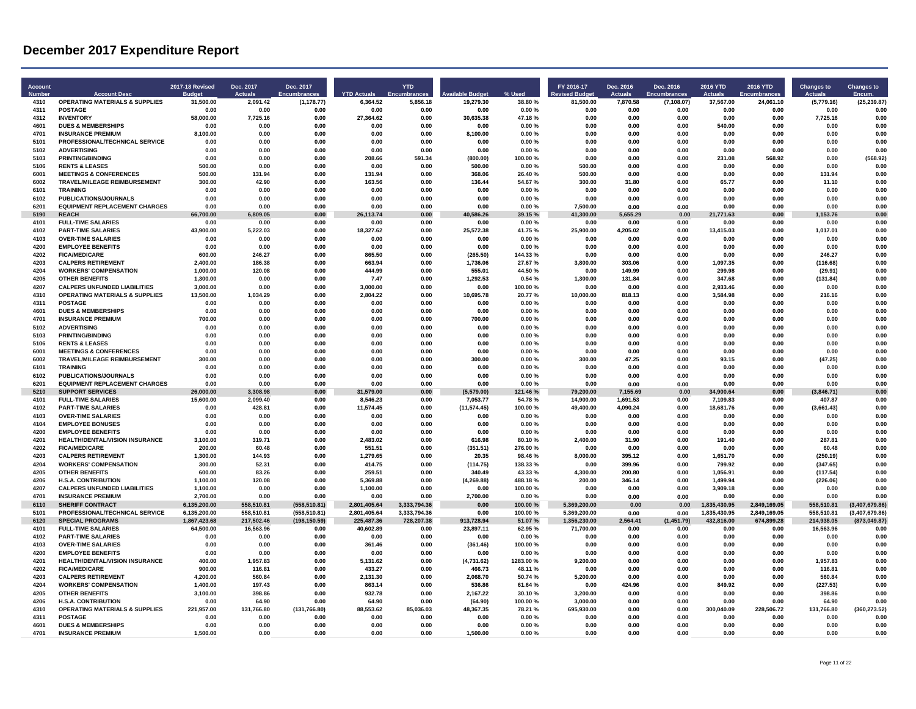| <b>Account</b><br><b>Numbe</b> | <b>Account Desc</b>                                                  | <b>2017-18 Revised</b> | Dec. 2017<br>Actuals | Dec. 2017<br><b>Encumbrances</b> | <b>YTD Actuals</b>    | <b>YTD</b><br>Encu | railable Budge         | % Used            | FY 2016-17<br>evised Budget | Dec. 2016<br><b>Actuals</b> | Dec. 2016<br><b>Encumbrances</b> | 2016 YTD<br><b>Actuals</b> | 2016 YTD<br><b>Encumbrances</b> | <b>Changes to</b><br>Actuals | <b>Changes to</b><br>Encum. |
|--------------------------------|----------------------------------------------------------------------|------------------------|----------------------|----------------------------------|-----------------------|--------------------|------------------------|-------------------|-----------------------------|-----------------------------|----------------------------------|----------------------------|---------------------------------|------------------------------|-----------------------------|
| 4310                           | <b>OPERATING MATERIALS &amp; SUPPLIES</b>                            | 31,500.00              | 2,091.42             | (1, 178.77)                      | 6,364.52              | 5,856.18           | 19,279.30              | 38.80%            | 81,500.00                   | 7,870.58                    | (7, 108.07)                      | 37,567.00                  | 24,061.10                       | (5,779.16)                   | (25, 239.87)                |
| 4311<br>4312                   | <b>POSTAGE</b><br><b>INVENTORY</b>                                   | 0.00<br>58,000.00      | 0.00<br>7,725.16     | 0.00<br>0.00                     | 0.00<br>27,364.62     | 0.00<br>0.00       | 0.00<br>30,635.38      | 0.00%<br>47.18%   | 0.00<br>0.00                | 0.00<br>0.00                | 0.00<br>0.00                     | 0.00<br>0.00               | 0.00<br>0.00                    | 0.00<br>7,725.16             | 0.00<br>0.00                |
| 4601                           | <b>DUES &amp; MEMBERSHIPS</b>                                        | 0.00                   | 0.00                 | 0.00                             | 0.00                  | 0.00               | 0.00                   | 0.00%             | 0.00                        | 0.00                        | 0.00                             | 540.00                     | 0.00                            | 0.00                         | 0.00                        |
| 4701                           | <b>INSURANCE PREMIUM</b>                                             | 8,100.00               | 0.00                 | 0.00                             | 0.00                  | 0.00               | 8,100.00               | 0.00%             | 0.00                        | 0.00                        | 0.00                             | 0.00                       | 0.00                            | 0.00                         | 0.00                        |
| 5101                           | PROFESSIONAL/TECHNICAL SERVICE                                       | 0.00                   | 0.00                 | 0.00                             | 0.00                  | 0.00               | 0.00                   | 0.00%             | 0.00                        | 0.00                        | 0.00                             | 0.00                       | 0.00                            | 0.00                         | 0.00                        |
| 5102<br>5103                   | <b>ADVERTISING</b><br><b>PRINTING/BINDING</b>                        | 0.00<br>0.00           | 0.00<br>0.00         | 0.00<br>0.00                     | 0.00<br>208.66        | 0.00<br>591.34     | 0.00<br>(800.00)       | 0.00%<br>100.00%  | 0.00<br>0.00                | 0.00<br>0.00                | 0.00<br>0.00                     | 0.00<br>231.08             | 0.00<br>568.92                  | 0.00<br>0.00                 | 0.00<br>(568.92)            |
| 5106                           | <b>RENTS &amp; LEASES</b>                                            | 500.00                 | 0.00                 | 0.00                             | 0.00                  | 0.00               | 500.00                 | 0.00 %            | 500.00                      | 0.00                        | 0.00                             | 0.00                       | 0.00                            | 0.00                         | 0 OC                        |
| 6001                           | <b>MEETINGS &amp; CONFERENCES</b>                                    | 500.00                 | 131.94               | 0.00                             | 131.94                | 0.00               | 368.06                 | 26.40%            | 500.00                      | 0.00                        | 0.00                             | 0.00                       | 0.00                            | 131.94                       | 0.00                        |
| 6002                           | <b>TRAVEL/MILEAGE REIMBURSEMENT</b>                                  | 300.00                 | 42.90                | 0.00                             | 163.56                | 0.00               | 136.44                 | 54.67%            | 300.00                      | 31.80                       | 0.00                             | 65.77                      | 0.00                            | 11.10                        | 0.00                        |
| 6101<br>6102                   | <b>TRAINING</b>                                                      | 0.00                   | 0.00                 | 0.00                             | 0.00                  | 0.00               | 0.00                   | 0.00%             | 0.00                        | 0.00                        | 0.00                             | 0.00                       | 0.00                            | 0.00                         | 0.00                        |
| 6201                           | <b>PUBLICATIONS/JOURNALS</b><br><b>EQUIPMENT REPLACEMENT CHARGES</b> | 0.00<br>0.00           | 0.00<br>0.00         | 0.00<br>0.00                     | 0.00<br>0.00          | 0.00<br>0.00       | 0.00<br>0.00           | 0.00%<br>0.00%    | 0.00<br>7,500.00            | 0.00<br>0.00                | 0.00<br>0.00                     | 0.00<br>0.00               | 0.00<br>0.00                    | 0.00<br>0.00                 | 0.00<br>0.00                |
| 5190                           | <b>REACH</b>                                                         | 66,700.00              | 6.809.05             | 0.00                             | 26,113.74             | 0.00               | 40.586.26              | 39.15%            | 41.300.00                   | 5.655.29                    | 0.00                             | 21.771.63                  | 0.00                            | 1,153.76                     | 0.00                        |
| 4101                           | <b>FULL-TIME SALARIES</b>                                            | 0.00                   | 0.00                 | 0.00                             | 0.00                  | 0.00               | 0.00                   | 0.00%             | 0.00                        | 0.00                        | 0.00                             | 0.00                       | 0.00                            | 0.00                         | 0.00                        |
| 4102                           | <b>PART-TIME SALARIES</b>                                            | 43,900.00              | 5,222.03             | 0.00                             | 18,327.62             | 0.00               | 25,572.38              | 41.75%            | 25,900.00                   | 4,205.02                    | 0.00                             | 13.415.03                  | 0.00                            | 1,017.01                     | 0.00                        |
| 4103<br>4200                   | <b>OVER-TIME SALARIES</b>                                            | 0.00                   | 0.00<br>0.00         | 0.00                             | 0.00                  | 0.00               | 0.00                   | 0.00%             | 0.00                        | 0.00                        | 0.00                             | 0.00                       | 0.00                            | 0.00                         | 0.00<br>0.00                |
| 4202                           | <b>EMPLOYEE BENEFITS</b><br><b>FICA/MEDICARE</b>                     | 0.00<br>600.00         | 246.27               | 0.00<br>0.00                     | 0.00<br>865.50        | 0.00<br>0.00       | 0.00<br>(265.50)       | 0.00%<br>144.33%  | 0.00<br>0.00                | 0.00<br>0.00                | 0.00<br>0.00                     | 0.00<br>0.00               | 0.00<br>0.00                    | 0.00<br>246.27               | 0.00                        |
| 4203                           | <b>CALPERS RETIREMENT</b>                                            | 2,400.00               | 186.38               | 0.00                             | 663.94                | 0.00               | 1,736.06               | 27.67%            | 3,800.00                    | 303.06                      | 0.00                             | 1,097.35                   | 0.00                            | (116.68)                     | 0.00                        |
| 4204                           | <b>WORKERS' COMPENSATION</b>                                         | 1,000.00               | 120.08               | 0.00                             | 444.99                | 0.00               | 555.01                 | 44.50%            | 0.00                        | 149.99                      | 0.00                             | 299.98                     | 0.00                            | (29.91)                      | 0.00                        |
| 4205                           | <b>OTHER BENEFITS</b>                                                | 1.300.00               | 0.00                 | 0.00                             | 7.47                  | 0.00               | 1.292.53               | 0.54 %            | 1.300.00                    | 131.84                      | 0.00                             | 347.68                     | 0.00                            | (131.84)                     | 0.00                        |
| 4207                           | <b>CALPERS UNFUNDED LIABILITIES</b>                                  | 3,000.00               | 0.00                 | 0.00                             | 3.000.00              | 0.00               | 0.00                   | 100.00%           | 0.00                        | . በ በበ                      | 0.00                             | 2.933.46                   | 0.00                            | 0.00                         | 0 OC                        |
| 4310<br>4311                   | <b>OPERATING MATERIALS &amp; SUPPLIES</b><br><b>POSTAGE</b>          | 13,500.00<br>0.00      | 1,034.29<br>0.00     | 0.00<br>0.00                     | 2,804.22<br>0.00      | 0.00<br>0.00       | 10,695.78<br>0.00      | 20.77%<br>0.00%   | 10,000.00<br>0.00           | 818.13<br>0.00              | 0.00<br>0.00                     | 3,584.98<br>0.00           | 0.00<br>0.00                    | 216.16<br>0.00               | 0.00<br>0.00                |
| 4601                           | <b>DUES &amp; MEMBERSHIPS</b>                                        | 0.00                   | 0.00                 | 0.00                             | 0.00                  | 0.00               | 0.00                   | 0.00%             | 0.00                        | 0.00                        | 0.00                             | 0.00                       | 0.00                            | 0.00                         | 0.00                        |
| 4701                           | <b>INSURANCE PREMIUM</b>                                             | 700.00                 | 0.00                 | 0.00                             | 0.00                  | 0.00               | 700.00                 | 0.00%             | 0.00                        | 0.00                        | 0.00                             | 0.00                       | 0.00                            | 0.00                         | 0.00                        |
| 5102                           | <b>ADVERTISING</b>                                                   | 0.00                   | 0.00                 | 0.00                             | 0.00                  | 0.00               | 0.00                   | 0.00%             | 0.00                        | 0.00                        | 0.00                             | 0.00                       | 0.00                            | 0.00                         | 0.00                        |
| 5103                           | <b>PRINTING/BINDING</b>                                              | 0.00                   | 0.00                 | 0.00                             | 0.00                  | 0.00               | 0.00                   | 0.00%             | 0.00                        | 0.00                        | 0.00                             | 0.00                       | 0.00                            | 0.00                         | 0.00                        |
| 5106<br>6001                   | <b>RENTS &amp; LEASES</b>                                            | 0.00                   | 0.00<br>0.00         | 0.00                             | 0.00                  | 0.00               | 0.00                   | 0.00%             | 0.00                        | 0.00                        | 0.00                             | 0.00                       | 0.00<br>0.00                    | 0.00                         | 0.00<br>0.00                |
| 6002                           | <b>MEETINGS &amp; CONFERENCES</b><br>TRAVEL/MILEAGE REIMBURSEMENT    | 0.00<br>300.00         | 0.00                 | 0.00<br>0.00                     | 0.00<br>0.00          | 0.00<br>0.00       | 0.00<br>300.00         | 0.00%<br>0.00%    | 0.00<br>300.00              | 0.00<br>47.25               | 0.00<br>0.00                     | 0.00<br>93.15              | 0.00                            | 0.00<br>(47.25)              | 0.00                        |
| 6101                           | <b>TRAINING</b>                                                      | 0.00                   | 0.00                 | 0.00                             | 0.00                  | 0.00               | 0.00                   | 0.00%             | 0.00                        | 0.00                        | 0.00                             | 0.00                       | 0.00                            | 0.00                         | 0.00                        |
| 6102                           | PUBLICATIONS/JOURNALS                                                | 0.00                   | 0.00                 | 0.00                             | 0.00                  | 0.00               | 0.00                   | 0.00%             | 0.00                        | 0.00                        | 0.00                             | 0.00                       | 0.00                            | 0.00                         | 0.00                        |
| 6201                           | <b>EQUIPMENT REPLACEMENT CHARGES</b>                                 | 0.00                   | 0.00                 | 0.00                             | 0.00                  | 0.00               | 0.00                   | 0.00%             | 0.00                        | 0.00                        | 0.00                             | 0.00                       | 0.00                            | 0.00                         | 0.00                        |
| 5210<br>4101                   | <b>SUPPORT SERVICES</b><br><b>FULL-TIME SALARIES</b>                 | 26,000.00<br>15.600.00 | 3,308.98<br>2.099.40 | 0.00<br>0.00                     | 31,579.00<br>8.546.23 | 0.00<br>0.00       | (5,579.00)<br>7.053.77 | 121.46%<br>54.78% | 79,200.00<br>14.900.00      | 7,155.69<br>1.691.53        | 0.00<br>0.00                     | 34,900.64<br>7.109.83      | 0.00<br>0.00                    | (3,846.71)<br>407.87         | 0.00<br>0.00                |
| 4102                           | <b>PART-TIME SALARIES</b>                                            | 0.00                   | 428.81               | 0.00                             | 11,574.45             | 0.00               | (11, 574.45)           | 100.00%           | 49,400.00                   | 4,090.24                    | 0.00                             | 18,681.76                  | 0.00                            | (3,661.43)                   | 0.00                        |
| 4103                           | <b>OVER-TIME SALARIES</b>                                            | 0.00                   | 0.00                 | 0.00                             | 0.00                  | 0.00               | 0.00                   | 0.00%             | 0.00                        | 0.00                        | 0.00                             | 0.00                       | 0.00                            | 0.00                         | 0.00                        |
| 4104                           | <b>EMPLOYEE BONUSES</b>                                              | 0.00                   | 0.00                 | 0.00                             | 0.00                  | 0.00               | 0.00                   | 0.00%             | 0.00                        | 0.00                        | 0.00                             | 0.00                       | 0.00                            | 0.00                         | 0.00                        |
| 4200                           | <b>EMPLOYEE BENEFITS</b>                                             | 0.00                   | 0.00                 | 0.00                             | 0.00                  | 0.00               | 0.00                   | 0.00%             | 0.00                        | 0.00                        | 0.00                             | 0.00                       | 0.00                            | 0.00                         | 0.00                        |
| 4201<br>4202                   | HEALTH/DENTAL/VISION INSURANCE<br><b>FICA/MEDICARE</b>               | 3,100.00<br>200.00     | 319.71<br>60.48      | 0.00<br>0.00                     | 2,483.02<br>551.51    | 0.00<br>0.00       | 616.98<br>(351.51)     | 80.10%<br>276.00% | 2,400.00<br>0.00            | 31.90<br>0.00               | 0.00<br>0.00                     | 191.40<br>0.00             | 0.00<br>0.00                    | 287.81<br>60.48              | 0.00<br>0.00                |
| 4203                           | <b>CALPERS RETIREMENT</b>                                            | 1.300.00               | 144.93               | 0.00                             | 1.279.65              | 0.00               | 20.35                  | 98.46%            | 8.000.00                    | 395.12                      | 0.00                             | 1.651.70                   | 0.00                            | (250.19)                     | 0.00                        |
| 4204                           | <b>WORKERS' COMPENSATION</b>                                         | 300.00                 | 52.31                | 0.00                             | 414.75                | 0.00               | (114.75)               | 138.33%           | 0.00                        | 399.96                      | 0.00                             | 799.92                     | 0.00                            | (347.65)                     | 0.00                        |
| 4205                           | <b>OTHER BENEFITS</b>                                                | 600.00                 | 83.26                | 0.00                             | 259.51                | 0.00               | 340.49                 | 43.33%            | 4,300.00                    | 200.80                      | 0.00                             | 1,056.91                   | 0.00                            | (117.54)                     | 0.00                        |
| 4206                           | <b>H.S.A. CONTRIBUTION</b>                                           | 1,100.00               | 120.08               | 0.00                             | 5,369.88              | 0.00               | (4, 269.88)            | 488.18%           | 200.00                      | 346.14                      | 0.00                             | 1,499.94                   | 0.00                            | (226.06)                     | 0.00                        |
| 4207<br>4701                   | <b>CALPERS UNFUNDED LIABILITIES</b><br><b>INSURANCE PREMIUM</b>      | 1.100.00<br>2,700.00   | 0.00<br>0.00         | 0.00<br>0.00                     | 1.100.00<br>0.00      | 0.00<br>0.00       | 0.00<br>2,700.00       | 100.00%<br>0.00%  | 0.00<br>0.00                | 0.00<br>0.00                | 0.00<br>0.00                     | 3,909.18<br>0.00           | 0.00<br>0.00                    | 0.00<br>0.00                 | 0.00<br>0.00                |
| 6110                           | SHERIFF CONTRACT                                                     | 6,135,200.00           | 558,510.81           | (558, 510.81)                    | 2,801,405.64          | 3,333,794.36       | 0.00                   | 100.00%           | 5,369,200.00                | 0.00                        | 0.00                             | 1,835,430.95               | 2,849,169.05                    | 558,510.81                   | (3,407,679.86)              |
| 5101                           | PROFESSIONAL/TECHNICAL SERVICE                                       | 6,135,200.00           | 558,510.81           | (558, 510.81)                    | 2,801,405.64          | 3,333,794.36       | 0.00                   | 100.00%           | 5,369,200.00                | 0.00                        | 0.00                             | 1,835,430.95               | 2,849,169.05                    | 558,510.81                   | (3,407,679.86)              |
| 6120                           | <b>SPECIAL PROGRAMS</b>                                              | 1,867,423.68           | 217.502.46           | (198, 150.59)                    | 225,487.36            | 728.207.38         | 913.728.94             | 51.07%            | 1.356.230.00                | 2.564.41                    | (1,451.79)                       | 432,816.00                 | 674,899.28                      | 214.938.05                   | (873,049.87)                |
| 4101                           | <b>FULL-TIME SALARIES</b>                                            | 64,500.00              | 16,563.96            | 0.00                             | 40,602.89             | 0.00               | 23,897.11              | 62.95%            | 71,700.00                   | 0.00                        | 0.00                             | 0.00                       | 0.00                            | 16,563.96                    | 0.00                        |
| 4102<br>4103                   | <b>PART-TIME SALARIES</b><br><b>OVER-TIME SALARIES</b>               | 0.00<br>0.00           | 0.00<br>0.00         | 0.00<br>0.00                     | 0.00<br>361.46        | 0.00<br>0.00       | 0.00<br>(361.46)       | 0.00%<br>100.00%  | 0.00<br>0.00                | 0.00<br>0.00                | 0.00<br>0.00                     | 0.00<br>0.00               | 0.00<br>0.00                    | 0.00<br>0.00                 | 0.00<br>0.00                |
| 4200                           | <b>EMPLOYEE BENEFITS</b>                                             | 0.00                   | 0.00                 | 0.00                             | 0.00                  | 0.00               | 0.00                   | 0.00%             | 0.00                        | 0.00                        | 0.00                             | 0.00                       | 0.00                            | 0.00                         | 0.00                        |
| 4201                           | HEALTH/DENTAL/VISION INSURANCE                                       | 400.00                 | 1,957.83             | 0.00                             | 5,131.62              | 0.00               | (4,731.62)             | 1283.00%          | 9,200.00                    | 0.00                        | 0.00                             | 0.00                       | 0.00                            | 1,957.83                     | 0.00                        |
| 4202                           | <b>FICA/MEDICARE</b>                                                 | 900.00                 | 116.81               | 0.00                             | 433.27                | 0.00               | 466.73                 | 48.11%            | 0.00                        | 0.00                        | 0.00                             | 0.00                       | 0.00                            | 116.81                       | 0.00                        |
| 4203                           | <b>CALPERS RETIREMENT</b>                                            | 4.200.00               | 560.84               | 0.00                             | 2.131.30              | 0.00               | 2.068.70               | 50.74%            | 5.200.00                    | 0.00                        | 0.00                             | 0.00                       | 0.00                            | 560.84                       | 0.00                        |
| 4204<br>4205                   | <b>WORKERS' COMPENSATION</b><br><b>OTHER BENEFITS</b>                | 1,400.00<br>3,100.00   | 197.43<br>398.86     | 0.00<br>0.00                     | 863.14<br>932.78      | 0.00<br>0.00       | 536.86<br>2,167.22     | 61.64%<br>30.10%  | 0.00<br>3,200.00            | 424.96<br>0.00              | 0.00<br>0.00                     | 849.92<br>0.00             | 0.00<br>0.00                    | (227.53)<br>398.86           | 0.00<br>0.00                |
| 4206                           | <b>H.S.A. CONTRIBUTION</b>                                           | 0.00                   | 64.90                | 0.00                             | 64.90                 | 0.00               | (64.90)                | 100.00%           | 3,000.00                    | 0.00                        | 0.00                             | 0.00                       | 0.00                            | 64.90                        | 0.00                        |
| 4310                           | <b>OPERATING MATERIALS &amp; SUPPLIES</b>                            | 221,957.00             | 131,766.80           | (131, 766.80)                    | 88.553.62             | 85,036.03          | 48,367.35              | 78.21%            | 695.930.00                  | 0.00                        | 0.00                             | 300,040.09                 | 228.506.72                      | 131.766.80                   | (360, 273.52)               |
| 4311                           | <b>POSTAGE</b>                                                       | 0.00                   | 0.00                 | 0.00                             | 0.00                  | 0.00               | 0.00                   | 0.00%             | 0.00                        | 0.00                        | 0.00                             | 0.00                       | 0.00                            | 0.00                         | 0.00                        |
| 4601                           | <b>DUES &amp; MEMBERSHIPS</b>                                        | 0.00                   | 0.00                 | 0.00                             | 0.00                  | 0.00               | 0.00                   | 0.00%             | 0.00                        | 0.00                        | 0.00                             | 0.00                       | 0.00                            | 0.00                         | 0.00                        |
| 4701                           | <b>INSURANCE PREMIUM</b>                                             | 1,500.00               | 0.00                 | 0.00                             | 0.00                  | 0.00               | 1,500.00               | 0.00%             | 0.00                        | 0.00                        | 0.00                             | 0.00                       | 0.00                            | 0.00                         | 0.00                        |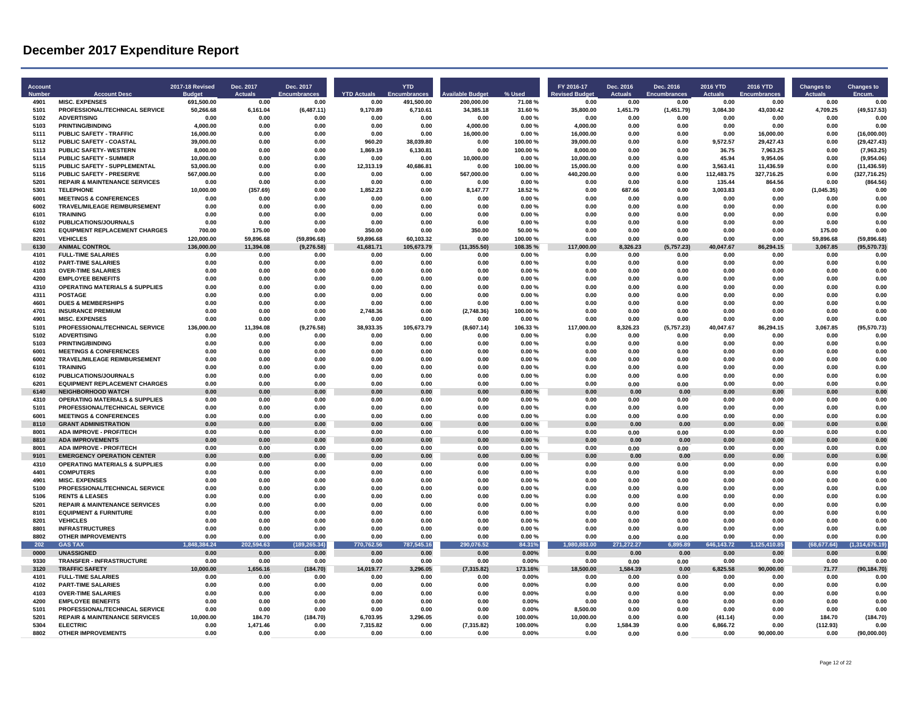| <b>Account</b><br><b>Numbe</b> | <b>Account Desc</b>                                          | 2017-18 Revised<br>Budae | Dec. 2017<br><b>Actuals</b> | Dec. 2017<br><b>Encumbrances</b> | <b>YTD Actuals</b>   | <b>YTD</b><br><b>Encumbrances</b> | ilable Budget       | % Used             | FY 2016-17<br>evised Budget | Dec. 2016<br><b>Actuals</b> | Dec. 2016<br><b>Encumbrances</b> | 2016 YTD<br><b>Actuals</b> | 2016 YTD<br>Encumbrances | <b>Changes to</b><br>Actuals | <b>Changes to</b><br>Encum. |
|--------------------------------|--------------------------------------------------------------|--------------------------|-----------------------------|----------------------------------|----------------------|-----------------------------------|---------------------|--------------------|-----------------------------|-----------------------------|----------------------------------|----------------------------|--------------------------|------------------------------|-----------------------------|
| 4901                           | <b>MISC. EXPENSES</b>                                        | 691.500.00               | 0.00                        | 0.00                             | 0.00                 | 491.500.00                        | 200.000.00          | 71.08%             | 0.00                        | 0.00                        | 0.00                             | 0.00                       | 0.00                     | 0.00                         | 0.00                        |
| 5101                           | PROFESSIONAL/TECHNICAL SERVICE                               | 50,266.68                | 6,161.04                    | (6,487.11)                       | 9,170.89             | 6,710.61                          | 34,385.18           | 31.60%             | 35,800.00                   | 1,451.79                    | (1,451.79)                       | 3,084.30                   | 43,030.42                | 4,709.25                     | (49, 517.53)                |
| 5102<br>5103                   | <b>ADVERTISING</b><br><b>PRINTING/BINDING</b>                | 0.00<br>4.000.00         | 0.00<br>0.00                | 0.00<br>0.00                     | 0.00<br>0.00         | 0.00<br>0.00                      | 0.00<br>4.000.00    | 0.00%<br>0.00%     | 0.00<br>4.000.00            | 0.00<br>0.00                | 0.00<br>0.00                     | 0.00<br>0.00               | 0.00<br>0.00             | 0.00<br>0.00                 | 0.00<br>0.00                |
| 5111                           | <b>PUBLIC SAFETY - TRAFFIC</b>                               | 16,000.00                | 0.00                        |                                  | 0.00                 | 0.00                              |                     |                    |                             |                             |                                  | 0.00                       | 16.000.00                |                              |                             |
| 5112                           | PUBLIC SAFETY - COASTAL                                      | 39,000.00                | 0.00                        | 0.00<br>0.00                     | 960.20               | 38,039.80                         | 16,000.00<br>0.00   | 0.00%<br>100.00%   | 16,000.00<br>39,000.00      | 0.00<br>0.00                | 0.00<br>0.00                     | 9,572.57                   | 29,427.43                | 0.00<br>0.00                 | (16,000.00)<br>(29, 427.43) |
| 5113                           | <b>PUBLIC SAFETY- WESTERN</b>                                | 8,000.00                 | 0.00                        | 0.00                             | 1,869.19             | 6,130.81                          | 0.00                | 100.00%            | 8,000.00                    | 0.00                        | 0.00                             | 36.75                      | 7,963.25                 | 0.00                         | (7,963.25)                  |
| 5114                           | <b>PUBLIC SAFETY - SUMMER</b>                                | 10.000.00                | 0.00                        | 0.00                             | 0.00                 | 0.00                              | 10.000.00           | 0.00%              | 10,000.00                   | 0.00                        | 0.00                             | 45.94                      | 9,954.06                 | 0.00                         | (9,954.06)                  |
| 5115                           | PUBLIC SAFETY - SUPPLEMENTAL                                 | 53,000.00                | 0.00                        | 0.00                             | 12,313.19            | 40,686.81                         | 0.00                | 100.00%            | 15,000.00                   | 0.00                        | 0.00                             | 3,563.41                   | 11,436.59                | 0.00                         | (11, 436.59)                |
| 5116                           | <b>PUBLIC SAFETY - PRESERVE</b>                              | 567,000.00               | 0.00                        | 0.00                             | 0.00                 | 0.00                              | 567,000.00          | 0.00%              | 440,200.00                  | 0.00                        | 0.00                             | 112,483.75                 | 327,716.25               | 0.00                         | (327, 716.25)               |
| 5201                           | <b>REPAIR &amp; MAINTENANCE SERVICES</b>                     | 0.00                     | 0.00                        | 0.00                             | 0.00                 | 0.00                              | 0.00                | 0.00%              | 0.00                        | 0.00                        | 0.00                             | 135.44                     | 864.56                   | 0.00                         | (864.56)                    |
| 5301                           | TEI FPHONE                                                   | 10.000.00                | (357.69)                    | 0.00                             | 1,852.23             | 0.00                              | 8,147.77            | 18.52%             | 0.00                        | 687.66                      | 0.00                             | 3,003.83                   | 0.00                     | (1,045.35)                   | 0.00                        |
| 6001                           | <b>MEETINGS &amp; CONFERENCES</b>                            | 0.00                     | 0.00                        | 0.00                             | 0.00                 | 0.00                              | 0.00                | 0.00%              | 0.00                        | 0.00                        | 0.00                             | 0.00                       | 0.00                     | 0.00                         | 0.00                        |
| 6002                           | TRAVEL/MILEAGE REIMBURSEMENT                                 | 0.00                     | 0.00                        | 0.00                             | 0.00                 | 0.00                              | 0.00                | 0.00%              | 0.00                        | 0.00                        | 0.00                             | 0.00                       | 0.00                     | 0.00                         | 0.00                        |
| 6101                           | <b>TRAINING</b>                                              | 0.00                     | 0.00                        | 0.00                             | 0.00                 | 0.00                              | 0.00                | 0.00%              | 0.00                        | 0.00                        | 0.00                             | 0.00                       | 0.00                     | 0.00                         | 0.00                        |
| 6102                           | PUBLICATIONS/JOURNALS                                        | 0.00                     | 0.00                        | 0.00                             | 0.00                 | 0.00                              | 0.00                | 0.00%              | 0.00                        | 0.00                        | 0.00                             | 0.00                       | 0.00                     | 0.00                         | 0.00                        |
| 6201<br>8201                   | <b>EQUIPMENT REPLACEMENT CHARGES</b><br><b>VEHICLES</b>      | 700.00<br>120,000.00     | 175.00<br>59,896.68         | 0.00<br>(59, 896.68)             | 350.00<br>59,896.68  | 0.00<br>60,103.32                 | 350.00<br>0.00      | 50.00 %<br>100.00% | 0.00<br>0.00                | 0.00<br>0.00                | 0.00<br>0.00                     | 0.00<br>0.00               | 0.00<br>0.00             | 175.00<br>59,896.68          | 0.00<br>(59, 896.68)        |
| 6130                           | <b>ANIMAL CONTROL</b>                                        | 136.000.00               | 11.394.08                   | (9,276.58)                       | 41.681.71            | 105,673.79                        | (11, 355.50)        | 108.35%            | 117,000.00                  | 8.326.23                    | (5,757.23)                       | 40.047.67                  | 86,294.15                | 3,067.85                     | (95, 570.73)                |
| 4101                           | <b>FULL-TIME SALARIES</b>                                    | 0.00                     | 0.00                        | 0.00                             | 0.00                 | 0.00                              | 0.00                | 0.00%              | 0.00                        | 0.00                        | 0.00                             | 0.00                       | 0.00                     | 0.00                         | 0.00                        |
| 4102                           | <b>PART-TIME SALARIES</b>                                    | 0.00                     | 0.00                        | 0.00                             | 0.00                 | 0.00                              | 0.00                | 0.00%              | 0.00                        | 0.00                        | 0.00                             | 0.00                       | 0.00                     | 0.00                         | 0.00                        |
| 4103                           | <b>OVER-TIME SALARIES</b>                                    | 0.00                     | 0.00                        | 0.00                             | 0.00                 | 0.00                              | 0.00                | 0.00%              | 0.00                        | 0.00                        | 0.00                             | 0.00                       | 0.00                     | 0.00                         | 0.00                        |
| 4200                           | <b>EMPLOYEE BENEFITS</b>                                     | 0.00                     | 0.00                        | 0.00                             | 0.00                 | 0.00                              | 0.00                | 0.00%              | 0.00                        | 0.00                        | 0.00                             | 0.00                       | 0.00                     | 0.00                         | 0.00                        |
| 4310                           | <b>OPERATING MATERIALS &amp; SUPPLIES</b>                    | 0.00                     | 0.00                        | 0.00                             | 0.00                 | 0.00                              | 0.00                | 0.00%              | 0.00                        | 0.00                        | 0.00                             | 0.00                       | 0.00                     | 0.00                         | 0.00                        |
| 4311                           | <b>POSTAGE</b>                                               | 0.00                     | 0.00                        | 0.00                             | 0.00                 | 0.00                              | 0.00                | 0.00%              | 0.00                        | 0.00                        | 0.00                             | 0.00                       | 0.00                     | 0.00                         | 0.00                        |
| 4601                           | <b>DUES &amp; MEMBERSHIPS</b>                                | 0.00                     | 0.00                        | 0.00                             | 0.00                 | 0.00                              | 0.00                | 0.00%              | 0.00                        | 0.00                        | 0.00                             | 0.00                       | 0.00                     | 0.00                         | 0.00                        |
| 4701                           | <b>INSURANCE PREMIUM</b>                                     | 0.00                     | 0.00                        | 0.00                             | 2.748.36             | 0.00                              | (2,748.36)          | 100.00%            | 0.00                        | 0.00                        | 0.00                             | 0.00                       | 0.00                     | 0.00                         | 0.00                        |
| 4901                           | <b>MISC. EXPENSES</b>                                        | 0.00                     | 0.00                        | 0.00                             | 0.00                 | 0.00                              | 0.00                | 0.00%              | 0.00                        | 0.00                        | 0.00                             | 0.00                       | 0.00                     | 0.00                         | 0.00                        |
| 5101                           | PROFESSIONAL/TECHNICAL SERVICE                               | 136,000.00               | 11,394.08                   | (9, 276.58)                      | 38,933.35            | 105,673.79                        | (8,607.14)          | 106.33%            | 117,000.00                  | 8,326.23                    | (5,757.23)                       | 40,047.67                  | 86,294.15                | 3,067.85                     | (95, 570.73)                |
| 5102                           | <b>ADVERTISING</b>                                           | 0.00                     | 0.00                        | 0.00                             | 0.00                 | 0.00                              | 0.00                | 0.00%              | 0.00                        | 0.00                        | 0.00                             | 0.00                       | 0.00                     | 0.00                         | 0.00                        |
| 5103<br>6001                   | <b>PRINTING/BINDING</b><br><b>MEETINGS &amp; CONFERENCES</b> | 0.00<br>0.00             | 0.00<br>0.00                | 0.00<br>0.00                     | 0.00<br>0.00         | 0.00<br>0.00                      | 0.00<br>0.00        | 0.00%<br>0.00%     | 0.00<br>0.00                | 0.00<br>0.00                | 0.00<br>0.00                     | 0.00<br>0.00               | 0.00<br>0.00             | 0.00<br>0.00                 | 0.00<br>0.00                |
| 6002                           | TRAVEL/MILEAGE REIMBURSEMENT                                 | 0.00                     | 0.00                        | 0.00                             | 0.00                 | 0.00                              | 0.00                | 0.00%              | 0.00                        | 0.00                        | 0.00                             | 0.00                       | 0.00                     | 0.00                         | 0.00                        |
| 6101                           | <b>TRAINING</b>                                              | 0.00                     | 0.00                        | 0.00                             | 0.00                 | 0.00                              | 0.00                | 0.00%              | 0.00                        | 0.00                        | 0.00                             | 0.00                       | 0.00                     | 0.00                         | 0.00                        |
| 6102                           | PUBLICATIONS/JOURNALS                                        | 0.00                     | 0.00                        | 0.00                             | 0.00                 | 0.00                              | 0.00                | 0.00%              | 0.00                        | 0.00                        | 0.00                             | 0.00                       | 0.00                     | 0.00                         | 0.00                        |
| 6201                           | <b>EQUIPMENT REPLACEMENT CHARGES</b>                         | 0.00                     | 0.00                        | 0.00                             | 0.00                 | 0.00                              | 0.00                | 0.00%              | 0.00                        | 0.00                        | 0.00                             | 0.00                       | 0.00                     | 0.00                         | 0.00                        |
| 6140                           | <b>NEIGHBORHOOD WATCH</b>                                    | 0.00                     | 0.00                        | 0.00                             | 0.00                 | 0.00                              | 0.00                | 0.00%              | 0.00                        | 0.00                        | 0.00                             | 0.00                       | 0.00                     | 0.00                         | 0.00                        |
| 4310                           | <b>OPERATING MATERIALS &amp; SUPPLIES</b>                    | 0.00                     | 0.00                        | 0.00                             | 0.00                 | 0.00                              | 0.00                | 0.00%              | 0.00                        | 0.00                        | 0.00                             | 0.00                       | 0.00                     | 0.00                         | 0.00                        |
| 5101                           | PROFESSIONAL/TECHNICAL SERVICE                               | 0.00                     | 0.00                        | 0.00                             | 0.00                 | 0.00                              | 0.00                | 0.00%              | 0.00                        | 0.00                        | 0.00                             | 0.00                       | 0.00                     | 0.00                         | 0.00                        |
| 6001                           | <b>MEETINGS &amp; CONFERENCES</b>                            | 0.00                     | 0.00                        | 0.00                             | 0.00                 | 0.00                              | 0.00                | 0.00%              | 0.00                        | 0.00                        | 0.00                             | 0.00                       | 0.00                     | 0.00                         | 0.00                        |
| 8110                           | <b>GRANT ADMINISTRATION</b>                                  | 0.00                     | 0.00                        | 0.00                             | 0.00                 | 0.00                              | 0.00                | 0.00%              | 0.00                        | 0.00                        | 0.00                             | 0.00                       | 0.00                     | 0.00                         | 0.00                        |
| 8001<br>8810                   | <b>ADA IMPROVE - PROF/TECH</b><br><b>ADA IMPROVEMENTS</b>    | 0.00<br>0.00             | 0.00<br>0.00                | 0.00<br>0.00                     | 0.00<br>0.00         | 0.00<br>0.00                      | 0.00<br>0.00        | 0.00%<br>0.00%     | 0.00<br>0.00                | 0.00<br>0.00                | 0.00<br>0.00                     | 0.00<br>0.00               | 0.00<br>0.00             | 0.00<br>0.00                 | 0.00<br>0.00                |
| 8001                           | <b>ADA IMPROVE - PROF/TECH</b>                               | 0.00                     | 0.00                        | 0.00                             | 0.00                 | 0.00                              | 0.00                | 0.00%              | 0.00                        | 0.00                        |                                  | 0.00                       | 0.00                     | 0.00                         | 0.00                        |
| 9101                           | <b>EMERGENCY OPERATION CENTER</b>                            | 0.00                     | 0.00                        | 0.00                             | 0.00                 | 0.00                              | 0.00                | 0.00%              | 0.00                        | 0.00                        | 0.00<br>0.00                     | 0.00                       | 0.00                     | 0.00                         | 0.00                        |
| 4310                           | <b>OPERATING MATERIALS &amp; SUPPLIES</b>                    | 0.00                     | 0.00                        | 0.00                             | 0.00                 | 0.00                              | 0.00                | 0.00%              | 0.00                        | 0.00                        | 0.00                             | 0.00                       | 0.00                     | 0.00                         | 0.00                        |
| 4401                           | <b>COMPUTERS</b>                                             | 0.00                     | 0.00                        | 0.00                             | 0.00                 | 0.00                              | 0.00                | 0.00%              | 0.00                        | 0.00                        | 0.00                             | 0.00                       | 0.00                     | 0.00                         | 0.00                        |
| 4901                           | <b>MISC. EXPENSES</b>                                        | 0.00                     | 0.00                        | 0.00                             | 0.00                 | 0.00                              | 0.00                | 0.00%              | 0.00                        | 0.00                        | 0.00                             | 0.00                       | 0.00                     | 0.00                         | 0.00                        |
| 5100                           | PROFESSIONAL/TECHNICAL SERVICE                               | 0.00                     | 0.00                        | 0.00                             | 0.00                 | 0.00                              | 0.00                | 0.00%              | 0.00                        | 0.00                        | 0.00                             | 0.00                       | 0.00                     | 0.00                         | 0.00                        |
| 5106                           | <b>RENTS &amp; LEASES</b>                                    | 0.00                     | 0.00                        | 0.00                             | 0.00                 | 0.00                              | 0.00                | 0.00%              | 0.00                        | 0.00                        | 0.00                             | 0.00                       | 0.00                     | 0.00                         | 0.00                        |
| 5201                           | <b>REPAIR &amp; MAINTENANCE SERVICES</b>                     | 0.00                     | 0.00                        | 0.00                             | 0.00                 | 0.00                              | 0.00                | 0.00%              | 0.00                        | 0.00                        | 0.00                             | 0.00                       | 0.00                     | 0.00                         | 0.00                        |
| 8101                           | <b>EQUIPMENT &amp; FURNITURE</b>                             | 0.00                     | 0.00                        | 0.00                             | 0.00                 | 0.00                              | 0.00                | 0.00%              | 0.00                        | 0.00                        | 0.00                             | 0.00                       | 0.00                     | 0.00                         | 0.00                        |
| 8201<br>8801                   | <b>VEHICLES</b>                                              | 0.00                     | 0.00                        | 0.00                             | 0.00                 | 0.00                              | 0.00                | 0.00%              | 0.00                        | 0.00                        | 0.00                             | 0.00                       | 0.00                     | 0.00                         | 0.00<br>0.00                |
| 8802                           | <b>INFRASTRUCTURES</b><br><b>OTHER IMPROVEMENTS</b>          | 0.00<br>0.00             | 0.00<br>0.00                | 0.00<br>0.00                     | 0.00<br>0.00         | 0.00<br>0.00                      | 0.00<br>0.00        | 0.00%<br>0.00%     | 0.00<br>0.00                | 0.00<br>0.00                | 0.00                             | 0.00<br>0.00               | 0.00<br>0.00             | 0.00<br>0.00                 | 0.00                        |
| 202                            | <b>GAS TAX</b>                                               | 1.848.384.24             | 202,594.63                  | (189, 265.34)                    | 770,762.56           | 787,545.16                        | 290,076.52          | 84.31%             | 383.00<br>1.980             | 271,272.27                  | 0.00<br>6,895.89                 | 646, 143. 72               | 1,125,410.85             | (68, 677.64)                 | (1,314,676.19)              |
| 0000                           | <b>UNASSIGNED</b>                                            | 0.00                     | 0.00                        | 0.00                             | 0.00                 | 0.00                              | 0.00                | 0.00%              | 0.00                        | 0.00                        | 0.00                             | 0.00                       | 0.00                     | 0.00                         | 0.00                        |
| 9330                           | TRANSFER - INFRASTRUCTURE                                    | 0.00                     | 0.00                        | 0.00                             | 0.00                 | 0.00                              | 0.00                | $0.00\%$           | 0.00                        | 0.00                        | 0.00                             | 0.00                       | 0.00                     | 0.00                         | 0.00                        |
| 3120                           | <b>TRAFFIC SAFETY</b>                                        | 10,000.00                | 1,656.16                    | (184.70)                         | 14,019.77            | 3,296.05                          | (7, 315.82)         | 173.16%            | 18,500.00                   | 1,584.39                    | 0.00                             | 6,825.58                   | 90,000.00                | 71.77                        | (90, 184.70)                |
| 4101                           | <b>FULL-TIME SALARIES</b>                                    | 0.00                     | 0.00                        | 0.00                             | 0.00                 | 0.00                              | 0.00                | 0.00%              | 0.00                        | 0.00                        | 0.00                             | 0.00                       | 0.00                     | 0.00                         | 0.00                        |
| 4102                           | <b>PART-TIME SALARIES</b>                                    | 0.00                     | 0.00                        | 0.00                             | 0.00                 | 0.00                              | 0.00                | 0.00%              | 0.00                        | 0.00                        | 0.00                             | 0.00                       | 0.00                     | 0.00                         | 0.00                        |
| 4103                           | <b>OVER-TIME SALARIES</b>                                    | 0.00                     | 0.00                        | 0.00                             | 0.00                 | 0.00                              | 0.00                | 0.00%              | 0.00                        | 0.00                        | 0.00                             | 0.00                       | 0.00                     | 0.00                         | 0.00                        |
| 4200                           | <b>EMPLOYEE BENEFITS</b>                                     | 0.00                     | 0.00                        | 0.00                             | 0.00                 | 0.00                              | 0.00                | 0.00%              | 0.00                        | 0.00                        | 0.00                             | 0.00                       | 0.00                     | 0.00                         | 0.00                        |
| 5101<br>5201                   | PROFESSIONAL/TECHNICAL SERVICE                               | 0.00                     | 0.00<br>184.70              | 0.00                             | 0.00                 | 0.00<br>3.296.05                  | 0.00<br>0.00        | $0.00\%$           | 8.500.00                    | 0.00<br>0.00                | 0.00                             | 0.00                       | 0.00<br>0.00             | 0.00<br>184.70               | 0.00                        |
| 5304                           | <b>REPAIR &amp; MAINTENANCE SERVICES</b><br><b>FLECTRIC</b>  | 10,000.00<br>0.00        | 1.471.46                    | (184.70)<br>0.00                 | 6,703.95<br>7.315.82 | 0.00                              |                     | 100.00%<br>100.00% | 10,000.00<br>0.00           | 1.584.39                    | 0.00<br>0.00                     | (41.14)<br>6.866.72        | 0.00                     | (112.93)                     | (184.70)<br>0.00            |
| 8802                           | <b>OTHER IMPROVEMENTS</b>                                    | 0.00                     | 0.00                        | 0.00                             | 0.00                 | 0.00                              | (7, 315.82)<br>0.00 | 0.00%              | 0.00                        | 0.00                        | 0.00                             | 0.00                       | 90,000.00                | 0.00                         | (90,000.00)                 |
|                                |                                                              |                          |                             |                                  |                      |                                   |                     |                    |                             |                             |                                  |                            |                          |                              |                             |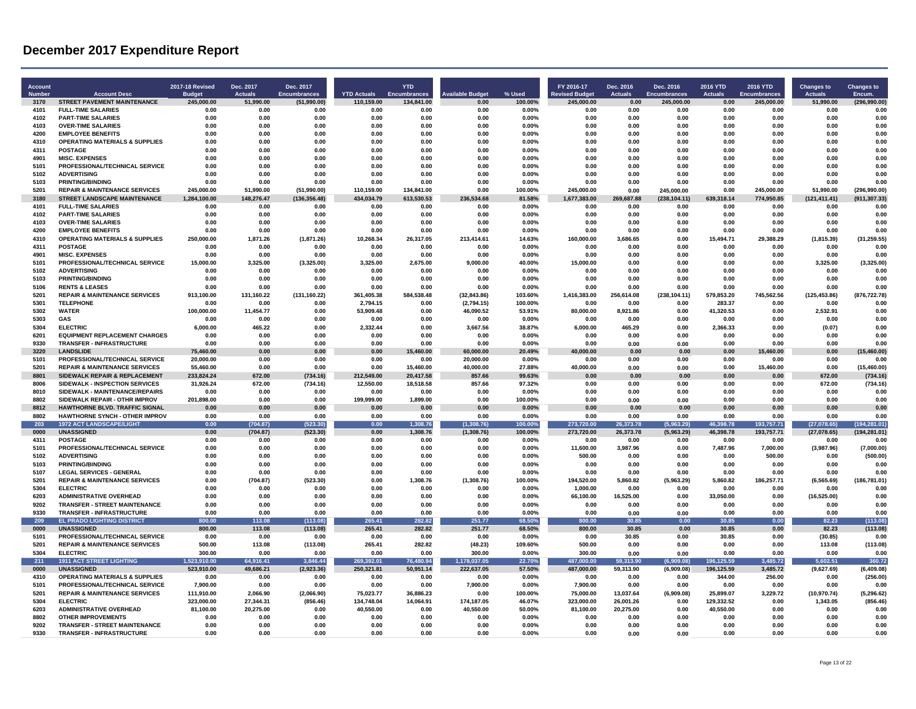| Account<br>Number | <b>Account Desc</b>                                                         | <b>2017-18 Revised</b><br><b>Budget</b> | Dec. 2017<br><b>Actuals</b> | Dec. 2017<br><b>Encumbrances</b> | <b>YTD Actuals</b> | <b>YTD</b><br><b>Encumbrances</b> | <b>Available Budget</b>            | % Used              | FY 2016-17<br><b>Revised Budge</b> | Dec. 2016<br><b>Actuals</b> | Dec. 2016<br><b>Encumbrances</b> | 2016 YTD<br><b>Actuals</b> | <b>2016 YTD</b><br><b>Encumbrances</b> | <b>Changes to</b><br><b>Actuals</b> | <b>Changes to</b><br>Encum.    |
|-------------------|-----------------------------------------------------------------------------|-----------------------------------------|-----------------------------|----------------------------------|--------------------|-----------------------------------|------------------------------------|---------------------|------------------------------------|-----------------------------|----------------------------------|----------------------------|----------------------------------------|-------------------------------------|--------------------------------|
| 3170              | <b>STREET PAVEMENT MAINTENANCE</b>                                          | 245,000.00                              | 51,990.00                   | (51,990.00)                      | 110,159.00         | 134,841.00                        | 0.00                               | 100.00%             | 245,000.00                         | 0.00                        | 245,000.00                       | 0.00                       | 245,000.00                             | 51,990.00                           | (296, 990.00)                  |
| 4101              | <b>FULL-TIME SALARIES</b>                                                   | 0.00                                    | 0.00                        | 0.00                             | 0.00               | 0.00                              | 0.00                               | 0.00%               | 0.00                               | 0.00                        | 0.00                             | 0.00                       | 0.00                                   | 0.00                                | 0.00                           |
| 4102              | <b>PART-TIME SALARIES</b>                                                   | 0.00                                    | 0.00                        | 0.00                             | 0.00               | 0.00                              | 0.00                               | 0.00%               | 0.00                               | 0.00                        | 0.00                             | 0.00                       | 0.00                                   | 0.00                                | 0.00                           |
| 4103<br>4200      | <b>OVER-TIME SALARIES</b><br><b>EMPLOYEE BENEFITS</b>                       | 0.00<br>0.00                            | 0.00<br>0.00                | 0.00<br>0.00                     | 0.00<br>0.00       | 0.00<br>0.00                      | 0.00<br>0.00                       | 0.00%<br>0.00%      | 0.00<br>0.00                       | 0.00<br>0.00                | 0.00<br>0.00                     | 0.00<br>0.00               | 0.00<br>0.00                           | 0.00<br>0.00                        | 0.00<br>0.00                   |
| 4310              | <b>OPERATING MATERIALS &amp; SUPPLIES</b>                                   | 0.00                                    | 0.00                        | 0.00                             | 0.00               | 0.00                              | 0.00                               | 0.00%               | 0.00                               | 0.00                        | 0.00                             | 0.00                       | 0.00                                   | 0.00                                | 0.00                           |
| 4311              | <b>POSTAGE</b>                                                              | 0.00                                    | 0.00                        | 0.00                             | 0.00               | 0.00                              | 0.00                               | 0.00%               | 0.00                               | 0.00                        | 0.00                             | 0.00                       | 0.00                                   | 0.00                                | 0.00                           |
| 4901              | <b>MISC. EXPENSES</b>                                                       | 0.00                                    | 0.00                        | 0.00                             | 0.00               | 0.00                              | 0.00                               | 0.00%               | 0.00                               | 0.00                        | 0.00                             | 0.00                       | 0.00                                   | 0.00                                | 0.00                           |
| 5101              | PROFESSIONAL/TECHNICAL SERVICE                                              | 0.00                                    | 0.00                        | 0.00                             | 0.00               | 0.00                              | 0.00                               | 0.00%               | 0.00                               | 0.00                        | 0.00                             | 0.00                       | 0.00                                   | 0.00                                | 0.00                           |
| 5102              | <b>ADVERTISING</b>                                                          | 0.00                                    | 0.00                        | 0.00                             | 0.00               | 0.00                              | 0.00                               | 0.00%               | 0.00                               | 0.00                        | 0.00                             | 0.00                       | 0.00                                   | 0.00                                | 0.00                           |
| 5103              | <b>PRINTING/BINDING</b>                                                     | 0.00                                    | 0.00                        | 0.00                             | 0.00               | 0.00                              | 0.00                               | 0.00%               | 0.00                               | 0.00                        | 0.00                             | 0.00                       | 0.00                                   | 0.00                                | 0.00                           |
| 5201              | <b>REPAIR &amp; MAINTENANCE SERVICES</b>                                    | 245.000.00                              | 51.990.00                   | (51.990.00)                      | 110.159.00         | 134.841.00                        | 0.00                               | 100.00%             | 245.000.00                         | 0.00                        | 245.000.00                       | 0.00                       | 245.000.00                             | 51.990.00                           | (296.990.00)                   |
| 3180<br>4101      | <b>STREET LANDSCAPE MAINTENANCE</b><br><b>FULL-TIME SALARIES</b>            | 1,284,100.00<br>0.00                    | 148.276.47<br>0.00          | (136, 356.48)<br>0.00            | 434,034.79<br>0.00 | 613.530.53<br>0.00                | 236,534.68<br>0.00                 | 81.58%<br>0.00%     | 1.677.383.00<br>0.00               | 269,687.88<br>0.00          | (238, 104.11)<br>0.00            | 639.318.14<br>0.00         | 774,950.85<br>0.00                     | (121, 411.41)<br>0.00               | (911, 307.33)<br>0.00          |
| 4102              | <b>PART-TIME SALARIES</b>                                                   | 0.00                                    | 0.00                        | 0.00                             | 0.00               | 0.00                              | 0.00                               | 0.00%               | 0.00                               | 0.00                        | 0.00                             | 0.00                       | 0.00                                   | 0.00                                | 0.00                           |
| 4103              | <b>OVER-TIME SALARIES</b>                                                   | 0.00                                    | 0.00                        | 0.00                             | 0.00               | 0.00                              | 0.00                               | 0.00%               | 0.00                               | 0.00                        | 0.00                             | 0.00                       | 0.00                                   | 0.00                                | 0.00                           |
| 4200              | <b>EMPLOYEE BENEFITS</b>                                                    | 0.00                                    | 0.00                        | 0.00                             | 0.00               | 0.00                              | 0.00                               | $0.00\%$            | 0.00                               | 0.00                        | 0.00                             | 0.00                       | 0.00                                   | 0.00                                | 0.00                           |
| 4310              | <b>OPERATING MATERIALS &amp; SUPPLIES</b>                                   | 250,000.00                              | 1,871.26                    | (1,871.26)                       | 10,268.34          | 26,317.05                         | 213,414.61                         | 14.63%              | 160,000.00                         | 3,686.65                    | 0.00                             | 15,494.71                  | 29,388.29                              | (1,815.39)                          | (31, 259.55)                   |
| 4311              | <b>POSTAGE</b>                                                              | 0.00                                    | 0.00                        | 0.00                             | 0.00               | 0.00                              | 0.00                               | 0.00%               | 0.00                               | 0.00                        | 0.00                             | 0.00                       | 0.00                                   | 0.00                                | 0.00                           |
| 4901              | <b>MISC. EXPENSES</b>                                                       | 0.00                                    | 0.00                        | 0.00                             | 0.00               | 0.00                              | 0.00                               | 0.00%               | 0.00                               | 0.00                        | 0.00                             | 0.00                       | 0.00                                   | 0.00                                | 0.00                           |
| 5101              | PROFESSIONAL/TECHNICAL SERVICE                                              | 15,000.00                               | 3,325.00                    | (3,325.00)                       | 3,325.00           | 2,675.00                          | 9,000.00                           | 40.00%              | 15,000.00                          | 0.00                        | 0.00                             | 0.00                       | 0.00                                   | 3,325.00                            | (3,325.00)                     |
| 5102              | <b>ADVERTISING</b>                                                          | 0.00                                    | 0.00                        | 0.00                             | 0.00               | 0.00                              | 0.00                               | $0.00\%$            | 0.00                               | 0.00                        | 0.00                             | 0.00                       | 0.00                                   | 0.00                                | 0.00                           |
| 5103<br>5106      | <b>PRINTING/BINDING</b><br><b>RENTS &amp; LEASES</b>                        | 0.00<br>0.00                            | 0.00<br>0.00                | 0.00<br>0.00                     | 0.00<br>0.00       | 0.00<br>0.00                      | 0.00<br>0 <sup>0<sup>c</sup></sup> | 0.00%<br>$0.00\%$   | 0.00<br>0.00                       | 0.00<br>0.00                | 0.00<br>0.00                     | 0.00<br>0.00               | 0.00<br>0.00                           | 0.00<br>0.00                        | 0.00<br>0.00                   |
| 5201              | <b>REPAIR &amp; MAINTENANCE SERVICES</b>                                    | 913,100.00                              | 131,160.22                  | (131, 160.22)                    | 361,405.38         | 584,538.48                        | (32, 843.86)                       | 103.60%             | 1,416,383.00                       | 256,614.08                  | (238, 104.11)                    | 579,853.20                 | 745,562.56                             | (125, 453.86)                       | (876, 722.78)                  |
| 5301              | <b>TELEPHONE</b>                                                            | 0.00                                    | 0.00                        | 0.00                             | 2,794.15           | 0.00                              | (2,794.15)                         | 100.00%             | 0.00                               | 0.00                        | 0.00                             | 283.37                     | 0.00                                   | 0.00                                | 0.00                           |
| 5302              | <b>WATER</b>                                                                | 100,000.00                              | 11.454.77                   | 0.00                             | 53,909.48          | 0.00                              | 46.090.52                          | 53.91%              | 80.000.00                          | 8,921.86                    | 0.00                             | 41,320.53                  | 0.00                                   | 2,532.91                            | 0.00                           |
| 5303              | GAS                                                                         | 0.00                                    | 0.00                        | 0.00                             | 0.00               | 0.00                              | 0.00                               | 0.00%               | 0.00                               | 0.00                        | 0.00                             | 0.00                       | 0.00                                   | 0.00                                | 0.00                           |
| 5304              | <b>ELECTRIC</b>                                                             | 6,000.00                                | 465.22                      | 0.00                             | 2.332.44           | 0.00                              | 3,667.56                           | 38.87%              | 6,000.00                           | 465.29                      | 0.00                             | 2,366.33                   | 0.00                                   | (0.07)                              | 0.00                           |
| 6201              | <b>EQUIPMENT REPLACEMENT CHARGES</b>                                        | 0.00                                    | 0.00                        | 0.00                             | 0.00               | 0.00                              | 0.00                               | 0.00%               | 0.00                               | 0.00                        | 0.00                             | 0.00                       | 0.00                                   | 0.00                                | 0.00                           |
| 9330              | <b>TRANSFER - INFRASTRUCTURE</b>                                            | 0.00                                    | 0.00                        | 0.00                             | 0.00               | 0.00                              | 0.00                               | $0.00\%$            | 0.00                               | 0.00                        | 0.00                             | 0.00                       | 0.00                                   | 0.00                                | 0.00                           |
| 3220<br>5101      | <b>LANDSLIDE</b>                                                            | 75,460.00                               | 0.00<br>0.00                | 0.00<br>0.00                     | 0.00<br>0.00       | 15,460.00                         | 60,000.00<br>20.000.00             | 20.49%<br>0.00%     | 40,000.00                          | 0.00<br>0.00                | 0.00<br>0.00                     | 0.00<br>0.00               | 15,460.00                              | 0.00                                | (15, 460.00)                   |
| 5201              | PROFESSIONAL/TECHNICAL SERVICE<br><b>REPAIR &amp; MAINTENANCE SERVICES</b>  | 20,000.00<br>55.460.00                  | 0.00                        | 0.00                             | 0.00               | 0.00<br>15,460.00                 | 40.000.00                          | 27.88%              | 0.00<br>40.000.00                  | 0.00                        | 0.00                             | 0.00                       | 0.00<br>15,460.00                      | 0.00<br>0.00                        | 0.00<br>(15, 460.00)           |
| 8801              | SIDEWALK REPAIR & REPLACEMENT                                               | 233,824.24                              | 672.00                      | (734.16)                         | 212,549.00         | 20,417.58                         | 857.66                             | 99.63%              | 0.00                               | 0.00                        | 0.00                             | 0.00                       | 0.00                                   | 672.00                              | (734.16)                       |
| 8006              | SIDEWALK - INSPECTION SERVICES                                              | 31,926.24                               | 672.00                      | (734.16)                         | 12,550.00          | 18,518.58                         | 857.66                             | 97.32%              | 0.00                               | 0.00                        | 0.00                             | 0.00                       | 0.00                                   | 672.00                              | (734.16)                       |
| 8010              | SIDEWALK - MAINTENANCE/REPAIRS                                              | 0.00                                    | 0.00                        | 0.00                             | 0.00               | 0.00                              | 0.00                               | $0.00\%$            | 0.00                               | 0.00                        | 0.00                             | 0.00                       | 0.00                                   | 0.00                                | 0.00                           |
| 8802              | SIDEWALK REPAIR - OTHR IMPROV                                               | 201,898.00                              | 0.00                        | 0.00                             | 199,999.00         | 1,899.00                          | 0.00                               | 100.00%             | 0.00                               | 0.00                        | 0.00                             | 0.00                       | 0.00                                   | 0.00                                | 0.00                           |
| 8812              | HAWTHORNE BLVD. TRAFFIC SIGNAL                                              | 0.00                                    | 0.00                        | 0.00                             | 0.00               | 0.00                              | 0.00                               | 0.00%               | 0.00                               | 0.00                        | 0.00                             | 0.00                       | 0.00                                   | 0.00                                | 0.00                           |
| 8802              | <b>HAWTHORNE SYNCH - OTHER IMPROV</b>                                       | 0.00                                    | 0.00                        | 0.00                             | 0.00               | 0.00                              | 0.00                               | 0.00%               | 0.00                               | 0.00                        | 0.00                             | 0.00                       | 0.00                                   | 0.00                                | 0.00                           |
| 203<br>0000       | <b>1972 ACT LANDSCAPE/LIGHT</b>                                             | 0.00<br>0.00                            | (704.87)                    | (523.30)<br>(523.30)             | 0.00<br>0.00       | 1.308.76                          | (1.308.76)                         | 100.00%             | 273.720.00<br>273,720.00           | 26.373.78                   | (5,963.29)                       | 46.398.78<br>46,398.78     | 193.757.71<br>193,757.71               | (27,078.65)                         | (194, 281.01)<br>(194, 281.01) |
| 4311              | <b>UNASSIGNED</b><br><b>POSTAGE</b>                                         | 0.00                                    | (704.87)<br>0.00            | 0.00                             | 0.00               | 1,308.76<br>0.00                  | (1,308.76)<br>0.00                 | 100.00%<br>$0.00\%$ | 0.00                               | 26,373.78<br>0.00           | (5,963.29)<br>0.00               | 0.00                       | 0.00                                   | (27,078.65)<br>0.00                 | 0.00                           |
| 5101              | PROFESSIONAL/TECHNICAL SERVICE                                              | 0.00                                    | 0.00                        | 0.00                             | 0.00               | 0.00                              | 0.00                               | 0.00%               | 11,600.00                          | 3,987.96                    | 0.00                             | 7,487.96                   | 7,000.00                               | (3,987.96)                          | (7,000.00)                     |
| 5102              | <b>ADVERTISING</b>                                                          | 0.00                                    | 0.00                        | 0.00                             | 0.00               | 0.00                              | 0.00                               | 0.00%               | 500.00                             | 0.00                        | 0.00                             | 0.00                       | 500.00                                 | 0.00                                | (500.00)                       |
| 5103              | <b>PRINTING/BINDING</b>                                                     | 0.00                                    | 0.00                        | 0.00                             | 0.00               | 0.00                              | 0.00                               | 0.00%               | 0.00                               | 0.00                        | 0.00                             | 0.00                       | 0.00                                   | 0.00                                | 0.00                           |
| 5107              | <b>LEGAL SERVICES - GENERAL</b>                                             | 0.00                                    | 0.00                        | 0.00                             | 0.00               | 0.00                              | 0.00                               | 0.00%               | 0.00                               | 0.00                        | 0.00                             | 0.00                       | 0.00                                   | 0.00                                | 0.00                           |
| 5201              | <b>REPAIR &amp; MAINTENANCE SERVICES</b>                                    | 0.00                                    | (704.87)                    | (523.30)                         | 0.00               | 1,308.76                          | (1,308.76)                         | 100.00%             | 194,520.00                         | 5,860.82                    | (5,963.29)                       | 5,860.82                   | 186,257.71                             | (6, 565.69)                         | (186, 781.01)                  |
| 5304              | <b>FLECTRIC</b>                                                             | 0.00                                    | 0.00                        | 0.00                             | 0.00               | 0.00                              | 0.00                               | 0.00%               | 1,000.00                           | 0.00                        | 0.00                             | 0.00                       | 0.00                                   | 0.00                                | 0.00                           |
| 6203<br>9202      | <b>ADMINISTRATIVE OVERHEAD</b>                                              | 0.00                                    | 0.00                        | 0.00<br>0.00                     | 0.00               | 0.00                              | 0.00<br>0.00                       | $0.00\%$            | 66,100.00                          | 16,525.00                   | 0.00                             | 33,050.00                  | 0.00                                   | (16, 525.00)                        | 0.00                           |
| 9330              | <b>TRANSFER - STREET MAINTENANCE</b><br><b>TRANSFER - INFRASTRUCTURE</b>    | 0.00<br>0.00                            | 0.00<br>0.00                | 0.00                             | 0.00<br>0.00       | 0.00<br>0.00                      | 0.00                               | 0.00%<br>0.00%      | 0.00<br>0.00                       | 0.00                        | 0.00                             | 0.00<br>0.00               | 0.00<br>0.00                           | 0.00<br>0.00                        | 0.00<br>0.00                   |
| 20 <sup>1</sup>   | EL PRADO LIGHTING DISTRICT                                                  | 800.0                                   | 113.08                      | (113.08)                         | 265.41             | 282.82                            | 251.77                             | 68.50%              | 800.00                             | 0.00<br>30.85               | 0.00<br>0.00                     | 30.85                      | 0.00                                   | 82.23                               | (113.08)                       |
| 0000              | <b>UNASSIGNED</b>                                                           | 800.00                                  | 113.08                      | (113.08)                         | 265.41             | 282.82                            | 251.77                             | 68.50%              | 800.00                             | 30.85                       | 0.00                             | 30.85                      | 0.00                                   | 82.23                               | (113.08)                       |
| 5101              | PROFESSIONAL/TECHNICAL SERVICE                                              | 0.00                                    | 0.00                        | 0.00                             | 0.00               | 0.00                              | 0.00                               | $0.00\%$            | 0.00                               | 30.85                       | 0.00                             | 30.85                      | 0.00                                   | (30.85)                             | 0.00                           |
| 5201              | <b>REPAIR &amp; MAINTENANCE SERVICES</b>                                    | 500.00                                  | 113.08                      | (113.08)                         | 265.41             | 282.82                            | (48.23)                            | 109.60%             | 500.00                             | 0.00                        | 0.00                             | 0.00                       | 0.00                                   | 113.08                              | (113.08)                       |
| 5304              | <b>ELECTRIC</b>                                                             | 300.00                                  | 0.00                        | 0.00                             | 0.00               | 0.00                              | 300.00                             | 0.00%               | 300.00                             | 0.00                        | 0.00                             | 0.00                       | 0.00                                   | 0.00                                | 0.00                           |
| 211               | <b>1911 ACT STREET LIGHTING</b>                                             | 1,523,910.00                            | 64,916.41                   | 3.846.44                         | 269,392.01         | 76,480.94                         | 1,178,037.05                       | 22.70%              | 487.000.00                         | 59,313.90                   | (6,909.08)                       | 196.125.59                 | 3,485.72                               | 5,602.51                            | 360.72                         |
| 0000              | <b>UNASSIGNED</b>                                                           | 523,910.00                              | 49.686.21                   | (2,923.36)                       | 250,321.81         | 50,951.14                         | 222,637.05                         | 57.50%              | 487,000.00                         | 59,313.90                   | (6,909.08)                       | 196,125.59                 | 3,485.72                               | (9,627.69)                          | (6.409.08)                     |
| 4310<br>5101      | <b>OPERATING MATERIALS &amp; SUPPLIES</b><br>PROFESSIONAL/TECHNICAL SERVICE | 0.00                                    | 0.00                        | 0.00                             | 0.00               | 0.00                              | 0.00<br>7,900.00                   | $0.00\%$            | 0.00                               | 0.00                        | 0.00                             | 344.00                     | 256.00<br>0.00                         | 0.00                                | (256.00)                       |
| 5201              | <b>REPAIR &amp; MAINTENANCE SERVICES</b>                                    | 7,900.00<br>111,910.00                  | 0.00<br>2,066.90            | 0.00<br>(2,066.90)               | 0.00<br>75,023.77  | 0.00<br>36,886.23                 | 0.00                               | $0.00\%$<br>100.00% | 7,900.00<br>75,000.00              | 0.00<br>13,037.64           | 0.00<br>(6,909.08)               | 0.00<br>25,899.07          | 3,229.72                               | 0.00<br>(10, 970.74)                | 0.00<br>(5, 296.62)            |
| 5304              | <b>ELECTRIC</b>                                                             | 323,000.00                              | 27,344.31                   | (856.46)                         | 134,748.04         | 14,064.91                         | 174,187.05                         | 46.07%              | 323,000.00                         | 26,001.26                   | 0.00                             | 129.332.52                 | 0.00                                   | 1,343.05                            | (856.46)                       |
| 6203              | <b>ADMINISTRATIVE OVERHEAD</b>                                              | 81,100.00                               | 20,275.00                   | 0.00                             | 40,550.00          | 0.00                              | 40,550.00                          | 50.00%              | 81,100.00                          | 20,275.00                   | 0.00                             | 40,550.00                  | 0.00                                   | 0.00                                | 0.00                           |
| 8802              | <b>OTHER IMPROVEMENTS</b>                                                   | 0.00                                    | 0.00                        | 0.00                             | 0.00               | 0.00                              | 0.00                               | 0.00%               | 0.00                               | 0.00                        | 0.00                             | 0.00                       | 0.00                                   | 0.00                                | 0.00                           |
| 9202              | <b>TRANSFER - STREET MAINTENANCE</b>                                        | 0.00                                    | 0.00                        | 0.00                             | 0.00               | 0.00                              | 0.00                               | 0.00%               | 0.00                               | 0.00                        | 0.00                             | 0.00                       | 0.00                                   | 0.00                                | 0.00                           |
| 9330              | <b>TRANSFER - INFRASTRUCTURE</b>                                            | 0.00                                    | 0.00                        | 0.00                             | 0.00               | 0.00                              | 0.00                               | 0.00%               | 0.00                               | 0.00                        | 0.00                             | 0.00                       | 0.00                                   | 0.00                                | 0.00                           |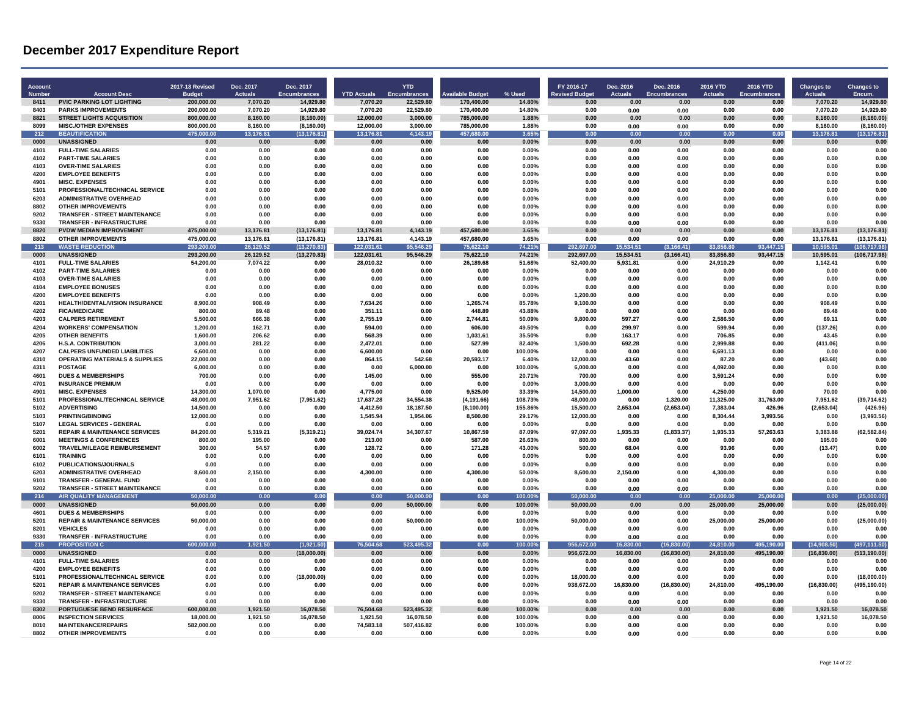| Account<br>Number | <b>Account Desc</b>                                                      | <b>2017-18 Revised</b><br><b>Budget</b> | Dec. 2017<br><b>Actuals</b> | Dec. 2017<br><b>Encumbrances</b> | <b>YTD Actuals</b>   | <b>YTD</b><br><b>Encumbrances</b> | vailable Budget         | % Used            | FY 2016-17<br><b>Revised Budget</b> | Dec. 2016<br><b>Actuals</b> | Dec. 2016<br><b>Encumbrances</b> | 2016 YTD<br><b>Actuals</b> | 2016 YTD<br><b>Encumbrances</b> | <b>Changes to</b><br><b>Actuals</b> | <b>Changes to</b><br>Encum. |
|-------------------|--------------------------------------------------------------------------|-----------------------------------------|-----------------------------|----------------------------------|----------------------|-----------------------------------|-------------------------|-------------------|-------------------------------------|-----------------------------|----------------------------------|----------------------------|---------------------------------|-------------------------------------|-----------------------------|
| 8411              | <b>PVIC PARKING LOT LIGHTING</b>                                         | 200.000.00                              | 7,070.20                    | 14,929.80                        | 7,070.20             | 22,529.80                         | 170,400.00              | 14.80%            | 0.00                                | 0.00                        | 0.00                             | 0.00                       | 0.00                            | 7,070.20                            | 14,929.80                   |
| 8403              | <b>PARKS IMPROVEMENTS</b>                                                | 200,000.00                              | 7,070.20                    | 14,929.80                        | 7,070.20             | 22,529.80                         | 170,400.00              | 14.80%            | 0.00                                | 0.00                        | 0.00                             | 0.00                       | 0.00                            | 7.070.20                            | 14.929.80                   |
| 8821              | <b>STREET LIGHTS ACQUISITION</b>                                         | 800,000.00                              | 8,160.00                    | (8, 160.00)                      | 12,000.00            | 3,000.00                          | 785,000.00              | 1.88%             | 0.00                                | 0.00                        | 0.00                             | 0.00                       | 0.00                            | 8,160.00                            | (8, 160.00)                 |
| 8099              | <b>MISC./OTHER EXPENSES</b>                                              | 800,000.00                              | 8,160.00                    | (8, 160.00)                      | 12,000.00            | 3,000.00                          | 785,000.00              | 1.88%             | 0.00                                | 0.00                        | 0.00                             | 0.00                       | 0.00                            | 8,160.00                            | (8, 160.00)                 |
| 212<br>0000       | <b>BEAUTIFICATION</b><br><b>UNASSIGNED</b>                               | 475,000.00<br>0.00                      | 13 176 81<br>0.00           | (13, 176.81)<br>0.00             | 13.176.81<br>0.00    | 4,143.19<br>0.00                  | 457.680.00<br>0.00      | 3.65%<br>0.00%    | 0.00<br>0.00                        | 0.00<br>0.00                | 0.00<br>0.00                     | 0.00<br>0.00               | 0.00<br>0.00                    | 13.176.81<br>0.00                   | (13, 176.81)<br>0.00        |
| 4101              | <b>FULL-TIME SALARIES</b>                                                | 0.00                                    | 0.00                        | 0.00                             | 0.00                 | 0.00                              | 0.00                    | 0.00%             | 0.00                                | 0.00                        | 0.00                             | 0.00                       | 0.00                            | 0.00                                | 0.00                        |
| 4102              | <b>PART-TIME SALARIES</b>                                                | 0.00                                    | 0.00                        | 0.00                             | 0.00                 | 0.00                              | 0.00                    | 0.00%             | 0.00                                | 0.00                        | 0.00                             | 0.00                       | 0.00                            | 0.00                                | 0.00                        |
| 4103              | <b>OVER-TIME SALARIES</b>                                                | 0.00                                    | 0.00                        | 0.00                             | 0.00                 | 0.00                              | 0.00                    | 0.00%             | 0.00                                | 0.00                        | 0.00                             | 0.00                       | 0.00                            | 0.00                                | 0.00                        |
| 4200              | <b>EMPLOYEE BENEFITS</b>                                                 | 0.00                                    | 0.00                        | 0.00                             | 0.00                 | 0.00                              | 0.00                    | 0.00%             | 0.00                                | 0.00                        | 0.00                             | 0.00                       | 0.00                            | 0.00                                | 0.00                        |
| 4901              | <b>MISC. EXPENSES</b>                                                    | 0.00                                    | 0.00                        | 0.00                             | 0.00                 | 0.00                              | 0.00                    | 0.00%             | 0.00                                | 0.00                        | 0.00                             | 0.00                       | 0.00                            | 0.00                                | 0.00                        |
| 5101              | PROFESSIONAL/TECHNICAL SERVICE                                           | 0.00                                    | 0.00                        | 0.00                             | 0.00                 | 0.00                              | 0.00                    | 0.00%             | 0.00                                | 0.00                        | 0.00                             | 0.00                       | 0.00                            | 0.00                                | 0.00                        |
| 6203<br>8802      | <b>ADMINISTRATIVE OVERHEAD</b><br><b>OTHER IMPROVEMENTS</b>              | 0.00<br>0.00                            | 0.00<br>0.00                | 0.00<br>0.00                     | 0.00<br>0.00         | 0.00<br>0.00                      | 0.00<br>0.00            | 0.00%<br>0.00%    | 0.00<br>0.00                        | 0.00<br>0.00                | 0.00<br>0.00                     | 0.00<br>0.00               | 0.00<br>0.00                    | 0.00<br>0.00                        | 0.00<br>0.00                |
| 9202              | <b>TRANSFER - STREET MAINTENANCE</b>                                     | 0.00                                    | 0.00                        | 0.00                             | 0.00                 | 0.00                              | 0.00                    | 0.00%             | 0.00                                | 0.00                        | 0.00                             | 0.00                       | 0.00                            | 0.00                                | 0.00                        |
| 9330              | <b>TRANSFER - INFRASTRUCTURE</b>                                         | 0.00                                    | 0.00                        | 0.00                             | 0.00                 | 0.00                              | 0.00                    | 0.00%             | 0.00                                | 0.00                        | 0.00                             | 0.00                       | 0.00                            | 0.00                                | 0.00                        |
| 8820              | PVDW MEDIAN IMPROVEMENT                                                  | 475,000.00                              | 13,176.81                   | (13, 176.81)                     | 13,176.81            | 4,143.19                          | 457,680.00              | 3.65%             | 0.00                                | 0.00                        | 0.00                             | 0.00                       | 0.00                            | 13,176.81                           | (13, 176.81)                |
| 8802              | <b>OTHER IMPROVEMENTS</b>                                                | 475,000.00                              | 13,176.81                   | (13, 176.81)                     | 13,176.81            | 4,143.19                          | 457,680.00              | 3.65%             | 0.00                                | 0.00                        | 0.00                             | 0.00                       | 0.00                            | 13,176.81                           | (13, 176.81)                |
| $\overline{213}$  | <b>WASTE REDUCTION</b>                                                   | 293.200.00                              | 26.129.52                   | (13.270.83)                      | 122.031.61           | 95.546.29                         | 75.622.10               | 74.21%            | 292.697.00                          | 15.534.51                   | (3.166.41)                       | 83.856.80                  | 93.447.15                       | 10.595.01                           | (106.717.98)                |
| 0000              | <b>UNASSIGNED</b>                                                        | 293,200.00                              | 26,129.52                   | (13, 270.83)                     | 122,031.61           | 95,546.29                         | 75,622.10               | 74.21%            | 292,697.00                          | 15,534.51                   | (3, 166.41)                      | 83,856.80                  | 93,447.15                       | 10,595.01                           | (106, 717.98)               |
| 4101              | <b>FULL-TIME SALARIES</b>                                                | 54,200.00                               | 7.074.22                    | 0.00                             | 28,010.32            | 0.00                              | 26,189.68               | 51.68%            | 52,400.00                           | 5,931.81                    | 0.00                             | 24,910.29                  | 0.00                            | 1,142.41                            | 0.00                        |
| 4102<br>4103      | <b>PART-TIME SALARIES</b><br><b>OVER-TIME SALARIES</b>                   | 0.00<br>0.00                            | 0.00<br>0.00                | 0.00<br>0.00                     | 0.00<br>0.00         | 0.00<br>0.00                      | 0.00<br>0.00            | 0.00%<br>0.00%    | 0.00<br>0.00                        | 0.00<br>0.00                | 0.00<br>0.00                     | 0.00<br>0.00               | 0.00<br>0.00                    | 0.00<br>0.00                        | 0.00<br>0.00                |
| 4104              | <b>EMPLOYEE BONUSES</b>                                                  | 0.00                                    | 0.00                        | 0.00                             | 0.00                 | 0.00                              | 0.00                    | 0.00%             | 0.00                                | 0.00                        | 0.00                             | 0.00                       | 0.00                            | 0.00                                | 0.00                        |
| 4200              | <b>EMPLOYEE BENEFITS</b>                                                 | 0.00                                    | 0.00                        | 0.00                             | 0.00                 | 0.00                              | 0.00                    | 0.00%             | 1,200.00                            | 0.00                        | 0.00                             | 0.00                       | 0.00                            | 0.00                                | 0.00                        |
| 4201              | <b>HEALTH/DENTAL/VISION INSURANCE</b>                                    | 8.900.00                                | 908.49                      | 0.00                             | 7.634.26             | 0.00                              | 1.265.74                | 85.78%            | 9.100.00                            | 0.00                        | 0.00                             | 0.00                       | 0.00                            | 908.49                              | 0.00                        |
| 4202              | <b>FICA/MEDICARE</b>                                                     | 800.00                                  | 89.48                       | 0.00                             | 351.11               | 0.00                              | 448.89                  | 43.88%            | 0.00                                | 0.00                        | 0.00                             | 0.00                       | 0.00                            | 89.48                               | 0.00                        |
| 4203              | <b>CALPERS RETIREMENT</b>                                                | 5,500.00                                | 666.38                      | 0.00                             | 2,755.19             | 0.00                              | 2,744.81                | 50.09%            | 9,800.00                            | 597.27                      | 0.00                             | 2,586.50                   | 0.00                            | 69.11                               | 0.00                        |
| 4204              | <b>WORKERS' COMPENSATION</b>                                             | 1,200.00                                | 162.71                      | 0.00                             | 594.00               | 0.00                              | 606.00                  | 49.50%            | 0.00                                | 299.97                      | 0.00                             | 599.94                     | 0.00                            | (137.26)                            | 0.00                        |
| 4205              | <b>OTHER BENEFITS</b>                                                    | 1,600.00                                | 206.62                      | 0.00                             | 568.39               | 0.00                              | 1,031.61                | 35.50%            | 0.00                                | 163.17                      | 0.00                             | 706.85                     | 0.00<br>0.00                    | 43.45                               | 0.00                        |
| 4206<br>4207      | <b>H.S.A. CONTRIBUTION</b><br><b>CALPERS UNFUNDED LIABILITIES</b>        | 3,000.00<br>6,600.00                    | 281.22<br>0.00              | 0.00<br>0.00                     | 2,472.01<br>6,600.00 | 0.00<br>0.00                      | 527.99<br>0.00          | 82.40%<br>100.00% | 1,500.00<br>0.00                    | 692.28<br>0.00              | 0.00<br>0.00                     | 2,999.88<br>6,691.13       | 0.00                            | (411.06)<br>0.00                    | 0.00<br>0.00                |
| 4310              | <b>OPERATING MATERIALS &amp; SUPPLIES</b>                                | 22.000.00                               | 0.00                        | 0.00                             | 864.15               | 542.68                            | 20.593.17               | 6.40%             | 12.000.00                           | 43.60                       | 0.00                             | 87.20                      | 0.00                            | (43.60)                             | 0.00                        |
| 4311              | <b>POSTAGE</b>                                                           | 6,000.00                                | 0.00                        | 0.00                             | 0.00                 | 6,000.00                          | 0.00                    | 100.00%           | 6,000.00                            | 0.00                        | 0.00                             | 4.092.00                   | 0.00                            | 0.00                                | 0.00                        |
| 4601              | <b>DUES &amp; MEMBERSHIPS</b>                                            | 700.00                                  | 0.00                        | 0.00                             | 145.00               | 0.00                              | 555.00                  | 20.71%            | 700.00                              | 0.00                        | 0.00                             | 3,591.24                   | 0.00                            | 0.00                                | 0.00                        |
| 4701              | <b>INSURANCE PREMIUM</b>                                                 | 0.00                                    | 0.00                        | 0.00                             | 0.00                 | 0.00                              | 0.00                    | 0.00%             | 3,000.00                            | 0.00                        | 0.00                             | 0.00                       | 0.00                            | 0.00                                | 0.00                        |
| 4901              | <b>MISC. EXPENSES</b>                                                    | 14,300.00                               | 1,070.00                    | 0.00                             | 4,775.00             | 0.00                              | 9,525.00                | 33.39%            | 14,500.00                           | 1,000.00                    | 0.00                             | 4,250.00                   | 0.00                            | 70.00                               | 0.00                        |
| 5101              | PROFESSIONAL/TECHNICAL SERVICE                                           | 48,000.00                               | 7,951.62                    | (7,951.62)                       | 17,637.28            | 34,554.38                         | (4, 191.66)             | 108.73%           | 48,000.00                           | 0.00                        | 1,320.00                         | 11,325.00                  | 31,763.00                       | 7,951.62                            | (39,714.62)                 |
| 5102<br>5103      | <b>ADVERTISING</b><br><b>PRINTING/BINDING</b>                            | 14,500.00<br>12.000.00                  | 0.00<br>0.00                | 0.00<br>0.00                     | 4,412.50<br>1.545.94 | 18,187.50<br>1.954.06             | (8, 100.00)<br>8.500.00 | 155.86%<br>29.17% | 15,500.00<br>12.000.00              | 2,653.04<br>0.00            | (2,653.04)<br>0.00               | 7,383.04<br>8.304.44       | 426.96<br>3.993.56              | (2,653.04)<br>0.00                  | (426.96)<br>(3.993.56)      |
| 5107              | <b>LEGAL SERVICES - GENERAL</b>                                          | 0.00                                    | 0.00                        | 0.00                             | 0.00                 | 0.00                              | 0.00                    | 0.00%             | 0.00                                | 0.00                        | 0.00                             | 0.00                       | 0.00                            | 0.00                                | 0.00                        |
| 5201              | <b>REPAIR &amp; MAINTENANCE SERVICES</b>                                 | 84,200.00                               | 5,319.21                    | (5,319.21)                       | 39,024.74            | 34,307.67                         | 10,867.59               | 87.09%            | 97,097.00                           | 1,935.33                    | (1, 833.37)                      | 1,935.33                   | 57,263.63                       | 3,383.88                            | (62, 582.84)                |
| 6001              | <b>MEETINGS &amp; CONFERENCES</b>                                        | 800.00                                  | 195.00                      | 0.00                             | 213.00               | 0.00                              | 587.00                  | 26.63%            | 800.00                              | 0.00                        | 0.00                             | 0.00                       | 0.00                            | 195.00                              | 0.00                        |
| 6002              | <b>TRAVEL/MILEAGE REIMBURSEMENT</b>                                      | 300.00                                  | 54.57                       | 0.00                             | 128.72               | 0.00                              | 171.28                  | 43.00%            | 500.00                              | 68.04                       | 0.00                             | 93.96                      | 0.00                            | (13.47)                             | 0.00                        |
| 6101              | <b>TRAINING</b>                                                          | 0.00                                    | 0.00                        | 0.00                             | 0.00                 | 0.00                              | 0.00                    | 0.00%             | 0.00                                | 0.00                        | 0.00                             | 0.00                       | 0.00                            | 0.00                                | 0.00                        |
| 6102<br>6203      | PUBLICATIONS/JOURNALS<br><b>ADMINISTRATIVE OVERHEAD</b>                  | 0.00<br>8.600.00                        | 0.00<br>2.150.00            | 0.00<br>0.00                     | 0.00<br>4.300.00     | 0.00<br>0.00                      | 0.00<br>4.300.00        | 0.00%<br>50.00%   | 0.00<br>8.600.00                    | 0.00<br>2.150.00            | 0.00<br>0.00                     | 0.00<br>4.300.00           | 0.00<br>0.00                    | 0.00<br>0.00                        | 0.00<br>0.00                |
| 9101              | <b>TRANSFER - GENERAL FUND</b>                                           | 0.00                                    | 0.00                        | 0.00                             | 0.00                 | 0.00                              | 0.00                    | 0.00%             | 0.00                                | 0.00                        | 0.00                             | 0.00                       | 0.00                            | 0.00                                | 0.00                        |
| 9202              | <b>TRANSFER - STREET MAINTENANCE</b>                                     | 0.00                                    | 0.00                        | 0.00                             | 0.00                 | 0.00                              | 0.00                    | 0.00%             | 0.00                                | 0.00                        | 0.00                             | 0.00                       | 0.00                            | 0.00                                | 0.00                        |
| 214               | <b>AIR QUALITY MANAGEMENT</b>                                            | 50,000.00                               | 0.00                        | 0.00                             | 0.00                 | 50,000.00                         | 0.00                    | 100.00%           | 50,000.00                           | 0.00                        | 0.00                             | 25,000.00                  | 25,000.00                       | 0.00                                | (25,000.00)                 |
| 0000              | <b>UNASSIGNED</b>                                                        | 50.000.00                               | 0.00                        | 0.00                             | 0.00                 | 50,000.00                         | 0.00                    | 100.00%           | 50.000.00                           | 0.00                        | 0.00                             | 25.000.00                  | 25,000.00                       | 0.00                                | (25,000.00)                 |
| 4601              | <b>DUES &amp; MEMBERSHIPS</b>                                            | 0.00                                    | 0.00                        | 0.00                             | 0.00                 | 0.00                              | 0.00                    | 0.00%             | 0.00                                | 0.00                        | 0.00                             | 0.00                       | 0.00                            | 0.00                                | 0.00                        |
| 5201              | <b>REPAIR &amp; MAINTENANCE SERVICES</b>                                 | 50,000.00                               | 0.00                        | 0.00                             | 0.00                 | 50,000.00                         | 0.00                    | 100.00%           | 50,000.00                           | 0.00                        | 0.00                             | 25,000.00                  | 25,000.00                       | 0.00                                | (25,000.00)                 |
| 8201<br>9330      | <b>VEHICLES</b><br><b>TRANSFER - INFRASTRUCTURE</b>                      | 0.00<br>0.00                            | 0.00<br>0.00                | 0.00<br>0.00                     | 0.00<br>0.00         | 0.00<br>0.00                      | 0.00<br>0.00            | 0.00%<br>0.00%    | 0.00<br>0.00                        | 0.00                        | 0.00                             | 0.00<br>0.00               | 0.00<br>0.00                    | 0.00<br>0.00                        | 0.00<br>0.00                |
| 215               | <b>PROPOSITION C</b>                                                     | 600,000.00                              | 1,921.50                    | (1,921.50)                       | 76,504.68            | 523,495.32                        | 0.00                    | 100.00%           | 956,672.00                          | 0.00<br>16,830.00           | 0.00<br>(16, 830.00)             | 24,810.00                  | 495,190.00                      | (14,908.50)                         | (497, 111.50)               |
| 0000              | <b>UNASSIGNED</b>                                                        | 0.00                                    | 0.00                        | (18,000.00)                      | 0.00                 | 0.00                              | 0.00                    | 0.00%             | 956,672.00                          | 16,830.00                   | (16, 830.00)                     | 24,810.00                  | 495,190.00                      | (16, 830.00)                        | (513, 190.00)               |
| 4101              | <b>FULL-TIME SALARIES</b>                                                | 0.00                                    | 0.00                        | 0.00                             | 0.00                 | 0.00                              | 0.00                    | 0.00%             | 0.00                                | 0.00                        | 0.00                             | 0.00                       | 0.00                            | 0.00                                | 0.00                        |
| 4200              | <b>EMPLOYEE BENEFITS</b>                                                 | 0.00                                    | 0.00                        | 0.00                             | 0.00                 | 0.00                              | 0.00                    | 0.00%             | 0.00                                | 0.00                        | 0.00                             | 0.00                       | 0.00                            | 0.00                                | 0.00                        |
| 5101              | PROFESSIONAL/TECHNICAL SERVICE                                           | 0.00                                    | 0.00                        | (18,000.00)                      | 0.00                 | 0.00                              | 0.00                    | 0.00%             | 18,000.00                           | 0.00                        | 0.00                             | 0.00                       | 0.00                            | 0.00                                | (18,000.00)                 |
| 5201              | <b>REPAIR &amp; MAINTENANCE SERVICES</b>                                 | 0.00                                    | 0.00                        | 0.00                             | 0.00                 | 0.00                              | 0.00                    | 0.00%             | 938.672.00                          | 16.830.00                   | (16, 830.00)                     | 24.810.00                  | 495.190.00                      | (16.830.00)                         | (495.190.00)                |
| 9202<br>9330      | <b>TRANSFER - STREET MAINTENANCE</b><br><b>TRANSFER - INFRASTRUCTURE</b> | 0.00<br>0.00                            | 0.00<br>0.00                | 0.00<br>0.00                     | 0.00<br>0.00         | 0.00<br>0.00                      | 0.00<br>0.00            | 0.00%<br>0.00%    | 0.00<br>0.00                        | 0.00<br>0.00                | 0.00<br>0.00                     | 0.00<br>0.00               | 0.00<br>0.00                    | 0.00<br>0.00                        | 0.00<br>0.00                |
| 8302              | PORTUGUESE BEND RESURFACE                                                | 600,000.00                              | 1,921.50                    | 16,078.50                        | 76,504.68            | 523,495.32                        | 0.00                    | 100.00%           | 0.00                                | 0.00                        | 0.00                             | 0.00                       | 0.00                            | 1,921.50                            | 16,078.50                   |
| 8006              | <b>INSPECTION SERVICES</b>                                               | 18.000.00                               | 1.921.50                    | 16,078.50                        | 1,921.50             | 16,078.50                         | 0.00                    | 100.00%           | 0.00                                | 0.00                        | 0.00                             | 0.00                       | 0.00                            | 1.921.50                            | 16.078.50                   |
| 8010              | <b>MAINTENANCE/REPAIRS</b>                                               | 582,000.00                              | 0.00                        | 0.00                             | 74,583.18            | 507,416.82                        | 0.00                    | 100.00%           | 0.00                                | 0.00                        | 0.00                             | 0.00                       | 0.00                            | 0.00                                | 0.00                        |
| 8802              | <b>OTHER IMPROVEMENTS</b>                                                | 0.00                                    | 0.00                        | 0.00                             | 0.00                 | 0.00                              | 0.00                    | 0.00%             | 0.00                                | 0.00                        | 0.00                             | 0.00                       | 0.00                            | 0.00                                | 0.00                        |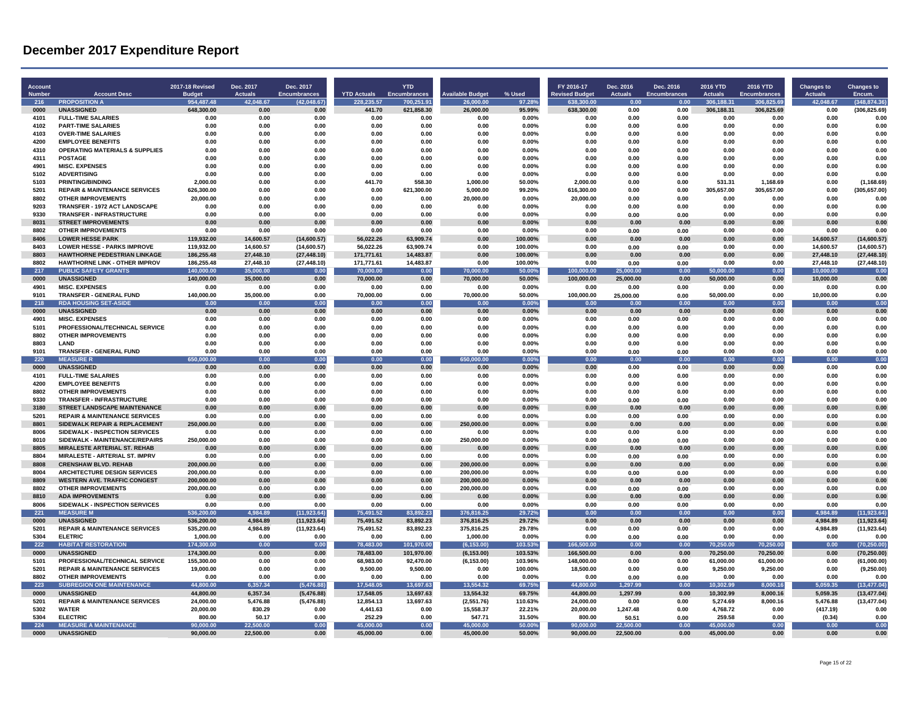| <b>Account</b><br>Number | <b>Account Desc</b>                                                       | 2017-18 Revised<br><b>Budget</b> | Dec. 2017<br><b>Actuals</b> | Dec. 2017<br><b>Encumbrances</b> | <b>YTD Actuals</b>     | <b>YTD</b><br><b>Encumbrances</b> | vailable Budget          | % Used            | FY 2016-17<br><b>Revised Budget</b> | Dec. 2016<br><b>Actuals</b> | Dec. 2016<br><b>Encumbrances</b> | <b>2016 YTD</b><br><b>Actuals</b> | 2016 YTD<br><b>Encumbrances</b> | <b>Changes to</b><br><b>Actuals</b> | <b>Changes to</b><br>Encum.  |
|--------------------------|---------------------------------------------------------------------------|----------------------------------|-----------------------------|----------------------------------|------------------------|-----------------------------------|--------------------------|-------------------|-------------------------------------|-----------------------------|----------------------------------|-----------------------------------|---------------------------------|-------------------------------------|------------------------------|
| 216                      | <b>PROPOSITION A</b>                                                      | 954,487.48                       | 42,048.67                   | (42, 048.67)                     | 228,235.57             | 700,251.91                        | 26,000.00                | 97.28%            | 638,300.00                          | 0.00                        | 0.00                             | 306,188.31                        | 306,825.69                      | 42,048.67                           | (348, 874.36)                |
| 0000                     | <b>UNASSIGNED</b>                                                         | 648,300.00                       | 0.00                        | 0.00                             | 441.70                 | 621,858.30                        | 26,000.00                | 95.99%            | 638,300.00                          | 0.00                        | 0.00                             | 306,188.31                        | 306,825.69                      | 0.00                                | (306, 825.69)                |
| 4101                     | <b>FULL-TIME SALARIES</b>                                                 | 0.00                             | 0.00                        | 0.00                             | 0.00                   | 0.00                              | 0.00                     | 0.00%             | 0.00                                | 0.00                        | 0.00                             | 0.00                              | 0.00                            | 0.00                                | 0.00                         |
| 4102                     | <b>PART-TIME SALARIES</b>                                                 | 0.00                             | 0.00                        | 0.00                             | 0.00                   | 0.00                              | 0.00                     | 0.00%             | 0.00                                | 0.00                        | 0.00                             | 0.00                              | 0.00                            | 0.00                                | 0.00                         |
| 4103                     | <b>OVER-TIME SALARIES</b>                                                 | 0.00                             | 0.00                        | 0.00                             | 0.00                   | 0.00                              | 0.00                     | 0.00%             | 0.00                                | 0.00                        | 0.00                             | 0.00                              | 0.00                            | 0.00                                | 0.00                         |
| 4200                     | <b>EMPLOYEE BENEFITS</b>                                                  | 0.00                             | 0.00                        | 0.00                             | 0.00                   | 0.00                              | 0.00                     | 0.00%             | 0.00                                | 0.00                        | 0.00                             | 0.00                              | 0.00                            | 0.00                                | 0.00                         |
| 4310                     | <b>OPERATING MATERIALS &amp; SUPPLIES</b>                                 | 0.00                             | 0.00                        | 0.00                             | 0.00                   | 0.00                              | 0.00                     | 0.00%             | 0.00                                | 0.00                        | 0.00                             | 0.00                              | 0.00                            | 0.00                                | 0.00                         |
| 4311                     | <b>POSTAGE</b>                                                            | 0.00                             | 0.00                        | 0.00                             | 0.00                   | 0.00                              | 0.00                     | 0.00%             | 0.00                                | 0.00                        | 0.00                             | 0.00                              | 0.00                            | 0.00                                | 0.00                         |
| 4901                     | <b>MISC. EXPENSES</b>                                                     | 0.00                             | 0.00                        | 0.00                             | 0.00                   | 0.00                              | 0.00                     | 0.00%             | 0.00                                | 0.00                        | 0.00                             | 0.00                              | 0.00                            | 0.00                                | 0.00                         |
| 5102<br>5103             | <b>ADVERTISING</b><br><b>PRINTING/BINDING</b>                             | 0.00<br>2.000.00                 | 0.00<br>0.00                | 0.00<br>0.00                     | 0.00<br>441.70         | 0.00<br>558.30                    | 0.00<br>1.000.00         | 0.00%<br>50.00%   | 0.00<br>2.000.00                    | 0.00<br>0.00                | 0.00<br>0.00                     | 0.00<br>531.31                    | 0.00<br>1.168.69                | 0.00<br>0.00                        | 0.00                         |
| 5201                     | <b>REPAIR &amp; MAINTENANCE SERVICES</b>                                  | 626,300.00                       |                             | 0.00                             | 0.00                   | 621.300.00                        | 5,000.00                 | 99.20%            | 616.300.00                          | 0.00                        | 0.00                             | 305,657.00                        | 305,657.00                      | 0.00                                | (1, 168.69)<br>(305, 657.00) |
| 8802                     | <b>OTHER IMPROVEMENTS</b>                                                 | 20,000.00                        | 0.00<br>0.00                | 0.00                             | 0.00                   | 0.00                              | 20,000.00                | 0.00%             | 20,000.00                           | 0.00                        | 0.00                             | 0.00                              | 0.00                            | 0.00                                | 0.00                         |
| 9203                     | TRANSFER - 1972 ACT LANDSCAPE                                             | 0.00                             | 0.00                        | 0.00                             | 0.00                   | 0.00                              | 0.00                     | 0.00%             | 0.00                                | 0.00                        | 0.00                             | 0.00                              | 0.00                            | 0.00                                | 0.00                         |
| 9330                     | <b>TRANSFER - INFRASTRUCTURE</b>                                          | 0.00                             | 0.00                        | 0.00                             | 0.00                   | 0.00                              | 0.00                     | 0.00%             | 0.00                                | 0.00                        | 0.00                             | 0.00                              | 0.00                            | 0.00                                | 0.00                         |
| 8031                     | <b>STREET IMPROVEMENTS</b>                                                | 0.00                             | 0.00                        | 0.00                             | 0.00                   | 0.00                              | 0.00                     | 0.00%             | 0.00                                | 0.00                        | 0.00                             | 0.00                              | 0.00                            | 0.00                                | 0.00                         |
| 8802                     | <b>OTHER IMPROVEMENTS</b>                                                 | 0.00                             | 0.00                        | 0.00                             | 0.00                   | 0.00                              | 0.00                     | 0.00%             | 0.00                                | 0.00                        | 0.00                             | 0.00                              | 0.00                            | 0.00                                | 0.00                         |
| 8406                     | <b>LOWER HESSE PARK</b>                                                   | 119.932.00                       | 14.600.57                   | (14,600.57)                      | 56.022.26              | 63,909.74                         | 0.00                     | 100.00%           | 0.00                                | 0.00                        | 0.00                             | 0.00                              | 0.00                            | 14.600.57                           | (14,600.57)                  |
| 8403                     | <b>LOWER HESSE - PARKS IMPROVE</b>                                        | 119.932.00                       | 14,600.57                   | (14,600.57)                      | 56.022.26              | 63.909.74                         | 0.00                     | 100.00%           | 0.00                                | 0.00                        | 0.00                             | 0.00                              | 0.00                            | 14.600.57                           | (14,600.57)                  |
| 8803                     | HAWTHORNE PEDESTRIAN LINKAGE                                              | 186,255.48                       | 27,448.10                   | (27, 448.10)                     | 171,771.61             | 14,483.87                         | 0.00                     | 100.00%           | 0.00                                | 0.00                        | 0.00                             | 0.00                              | 0.00                            | 27,448.10                           | (27, 448.10)                 |
| 8802                     | <b>HAWTHORNE LINK - OTHER IMPROV</b>                                      | 186.255.48                       | 27.448.10                   | (27, 448.10)                     | 171.771.61             | 14.483.87                         | 0.00                     | 100.00%           | 0.00                                | 0.00                        | 0.00                             | 0.00                              | 0.00                            | 27.448.10                           | (27, 448.10)                 |
| 217                      | <b>PUBLIC SAFETY GRANTS</b>                                               | 140.000.00                       | 35,000.00                   | 0.00                             | 70,000.00              | 0.00                              | 70.000.00                | 50.00%            | 100.000.00                          | 25.000.00                   | 0.00                             | 50.000.00                         | 0.00                            | 10,000.00                           | 0.00                         |
| 0000                     | <b>UNASSIGNED</b>                                                         | 140,000.00                       | 35,000.00                   | 0.00                             | 70,000.00              | 0.00                              | 70,000.00                | 50.00%            | 100,000.00                          | 25,000.00                   | 0.00                             | 50,000.00                         | 0.00                            | 10,000.00                           | 0.00                         |
| 4901                     | <b>MISC. EXPENSES</b>                                                     | 0.00                             | 0.00                        | 0.00                             | 0.00                   | 0.00                              | 0.00                     | 0.00%             | 0.00                                | 0.00                        | 0.00                             | 0.00                              | 0.00                            | 0.00                                | 0.00                         |
| 9101<br>218              | <b>TRANSFER - GENERAL FUND</b><br><b>RDA HOUSING SET-ASIDE</b>            | 140,000.00<br>0.00               | 35,000.00<br>0.00           | 0.00                             | 70,000.00<br>0.00      | 0.00<br>0.00                      | 70,000.00<br>0.00        | 50.00%            | 100,000.00<br>0.00                  | 25,000.00<br>0 <sub>0</sub> | 0.00<br>0.00                     | 50.000.00<br>0.00                 | 0.00<br>0.00                    | 10.000.00<br>0 O O                  | 0.00<br>0.00                 |
| 0000                     | <b>UNASSIGNED</b>                                                         | 0.00                             | 0.00                        | 0.00<br>0.00                     | 0.00                   | 0.00                              | 0.00                     | 0.00%<br>0.00%    | 0.00                                | 0.00                        | 0.00                             | 0.00                              | 0.00                            | 0.00                                | 0.00                         |
| 4901                     | <b>MISC. EXPENSES</b>                                                     | 0.00                             | 0.00                        | 0.00                             | 0.00                   | 0.00                              | 0.00                     | 0.00%             | 0.00                                | 0.00                        | 0.00                             | 0.00                              | 0.00                            | 0.00                                | 0.00                         |
| 5101                     | PROFESSIONAL/TECHNICAL SERVICE                                            | 0.00                             | 0.00                        | 0.00                             | 0.00                   | 0.00                              | 0.00                     | 0.00%             | 0.00                                | 0.00                        | 0.00                             | 0.00                              | 0.00                            | 0.00                                | 0.00                         |
| 8802                     | <b>OTHER IMPROVEMENTS</b>                                                 | 0.00                             | 0.00                        | 0.00                             | 0.00                   | 0.00                              | 0.00                     | 0.00%             | 0.00                                | 0.00                        | 0.00                             | 0.00                              | 0.00                            | 0.00                                | 0.00                         |
| 8803                     | LAND                                                                      | 0.00                             | 0.00                        | 0.00                             | 0.00                   | 0.00                              | 0.00                     | 0.00%             | 0.00                                | 0.00                        | 0.00                             | 0.00                              | 0.00                            | 0.00                                | 0.00                         |
| 9101                     | TRANSFER - GENERAL FUND                                                   | 0.00                             | 0.00                        | 0.00                             | 0.00                   | 0.00                              | 0.00                     | 0.00%             | 0.00                                | 0.00                        | 0.00                             | 0.00                              | 0.00                            | 0.00                                | 0.00                         |
| 220                      | <b>MEASURE R</b>                                                          | 00.00<br>650                     | 0.00                        | 0.00                             | 0.00                   | 0.00                              | no or<br>650.            | 0.00%             | 0.00                                | 0.00                        | 0.00                             | 0.00                              | 0.00                            | 0.00                                | 0.00                         |
| 0000                     | <b>UNASSIGNED</b>                                                         | 0.00                             | 0.00                        | 0.00                             | 0.00                   | 0.00                              | 0.00                     | 0.00%             | 0.00                                | 0.00                        | 0.00                             | 0.00                              | 0.00                            | 0.00                                | 0.00                         |
| 4101                     | <b>FULL-TIME SALARIES</b>                                                 | 0.00                             | 0.00                        | 0.00                             | 0.00                   | 0.00                              | 0.00                     | 0.00%             | 0.00                                | 0.00                        | 0.00                             | 0.00                              | 0.00                            | 0.00                                | 0.00                         |
| 4200                     | <b>EMPLOYEE BENEFITS</b>                                                  | 0.00                             | 0.00                        | 0.00                             | 0.00                   | 0.00                              | 0.00                     | 0.00%             | 0.00                                | 0.00                        | 0.00                             | 0.00                              | 0.00                            | 0.00                                | 0.00                         |
| 8802                     | <b>OTHER IMPROVEMENTS</b>                                                 | 0.00                             | 0.00                        | 0.00                             | 0.00                   | 0.00                              | 0.00                     | 0.00%             | 0.00                                | 0.00                        | 0.00                             | 0.00                              | 0.00                            | 0.00                                | 0.00                         |
| 9330                     | TRANSFER - INFRASTRUCTURE                                                 | 0.00                             | 0.00                        | 0.00                             | 0.00                   | 0.00                              | 0.00                     | 0.00%             | 0.00                                | 0.00                        | 0.00                             | 0.00                              | 0.00                            | 0.00                                | 0.00                         |
| 3180                     | <b>STREET LANDSCAPE MAINTENANCE</b>                                       | 0.00                             | 0.00                        | 0.00                             | 0.00                   | 0.00                              | 0.00                     | 0.00%             | 0.00                                | 0.00                        | 0.00                             | 0.00                              | 0.00                            | 0.00                                | 0.00                         |
| 5201<br>8801             | <b>REPAIR &amp; MAINTENANCE SERVICES</b><br>SIDEWALK REPAIR & REPLACEMENT | 0.00<br>250,000.00               | 0.00<br>0.00                | 0.00<br>0.00                     | 0.00<br>0.00           | 0.00<br>0.00                      | 0.00<br>250,000.00       | 0.00%<br>$0.00\%$ | 0.00<br>0.00                        | 0.00<br>0.00                | 0.00<br>0.00                     | 0.00<br>0.00                      | 0.00<br>0.00                    | 0.00<br>0.00                        | 0.00<br>0.00                 |
| 8006                     | SIDEWALK - INSPECTION SERVICES                                            | 0.00                             | 0.00                        | 0.00                             | 0.00                   | 0.00                              | 0.00                     | 0.00%             | 0.00                                | 0.00                        | 0.00                             | 0.00                              | 0.00                            | 0.00                                | 0.00                         |
| 8010                     | SIDEWALK - MAINTENANCE/REPAIRS                                            | 250,000.00                       | 0.00                        | 0.00                             | 0.00                   | 0.00                              | 250,000.00               | 0.00%             | 0.00                                | 0.00                        | 0.00                             | 0.00                              | 0.00                            | 0.00                                | 0.00                         |
| 8805                     | <b>MIRALESTE ARTERIAL ST. REHAB</b>                                       | 0.00                             | 0.00                        | 0.00                             | 0.00                   | 0.00                              | 0.00                     | 0.00%             | 0.00                                | 0.00                        | 0.00                             | 0.00                              | 0.00                            | 0.00                                | 0.00                         |
| 8804                     | MIRALESTE - ARTERIAL ST. IMPRV                                            | 0.00                             | 0.00                        | 0.00                             | 0.00                   | 0.00                              | 0.00                     | 0.00%             | 0.00                                | 0.00                        | 0.00                             | 0.00                              | 0.00                            | 0.00                                | 0.00                         |
| 8808                     | <b>CRENSHAW BLVD. REHAB</b>                                               | 200,000.00                       | 0.00                        | 0.00                             | 0.00                   | 0.00                              | 200,000.00               | 0.00%             | 0.00                                | 0.00                        | 0.00                             | 0.00                              | 0.00                            | 0.00                                | 0.00                         |
| 8004                     | <b>ARCHITECTURE DESIGN SERVICES</b>                                       | 200,000.00                       | 0.00                        | 0.00                             | 0.00                   | 0.00                              | 200,000.00               | 0.00%             | 0.00                                | 0.00                        | 0.00                             | 0.00                              | 0.00                            | 0.00                                | 0.00                         |
| 8809                     | <b>WESTERN AVE. TRAFFIC CONGEST</b>                                       | 200,000.00                       | 0.00                        | 0.00                             | 0.00                   | 0.00                              | 200,000.00               | 0.00%             | 0.00                                | 0.00                        | 0.00                             | 0.00                              | 0.00                            | 0.00                                | 0.00                         |
| 8802                     | <b>OTHER IMPROVEMENTS</b>                                                 | 200.000.00                       | 0.00                        | 0.00                             | 0.00                   | 0.00                              | 200.000.00               | 0.00%             | 0.00                                | 0.00                        | 0.00                             | 0.00                              | 0.00                            | 0.00                                | 0.00                         |
| 8810                     | <b>ADA IMPROVEMENTS</b>                                                   | 0.00                             | 0.00                        | 0.00                             | 0.00                   | 0.00                              | 0.00                     | 0.00%             | 0.00                                | 0.00                        | 0.00                             | 0.00                              | 0.00                            | 0.00                                | 0.00                         |
| 8006                     | SIDEWALK - INSPECTION SERVICES<br><b>MEASURE M</b>                        | 0.00                             | 0.00                        | 0.00                             | 0.00                   | 0.00                              | 0.00                     | 0.00%             | 0.00                                | 0.00                        | 0.00                             | 0.00                              | 0.00                            | 0.00                                | 0.00                         |
| 221<br>0000              | <b>UNASSIGNED</b>                                                         | 536.200.00<br>536,200.00         | 4.984.89<br>4,984.89        | (11, 923.64)<br>(11, 923.64)     | 75.491.52<br>75,491.52 | 83.892.23<br>83,892.23            | 376.816.25<br>376,816.25 | 29.72%<br>29.72%  | 0.00<br>0.00                        | 0.00<br>0.00                | 0.00<br>0.00                     | 0.00<br>0.00                      | 0.00<br>0.00                    | 4,984.89<br>4,984.89                | (11,923.64)<br>(11, 923.64)  |
| 5201                     | <b>REPAIR &amp; MAINTENANCE SERVICES</b>                                  | 535,200.00                       | 4,984.89                    | (11, 923.64)                     | 75,491.52              | 83,892.23                         | 375,816.25               | 29.78%            | 0.00                                | 0.00                        | 0.00                             | 0.00                              | 0.00                            | 4,984.89                            | (11, 923.64)                 |
| 5304                     | <b>ELETRIC</b>                                                            | 1,000.00                         | 0.00                        | 0.00                             | 0.00                   | 0.00                              | 1,000.00                 | 0.00%             | 0.00                                | 0.00                        | 0.00                             | 0.00                              | 0.00                            | 0.00                                | 0.00                         |
| 222                      | <b>HABITAT RESTORATION</b>                                                | 174.300.00                       | 0.00                        | 0.00                             | 78,483.00              | 101,970.00                        | (6, 153.00)              | 103.53%           | 166.500.00                          | 0.00                        | 0.00                             | 70,250.00                         | 70,250.00                       | 0.00                                | (70, 250.00)                 |
| 0000                     | <b>UNASSIGNED</b>                                                         | 174,300.00                       | 0.00                        | 0.00                             | 78,483.00              | 101,970.00                        | (6, 153.00)              | 103.53%           | 166,500.00                          | 0.00                        | 0.00                             | 70,250.00                         | 70,250.00                       | 0.00                                | (70, 250.00)                 |
| 5101                     | PROFESSIONAL/TECHNICAL SERVICE                                            | 155,300.00                       | 0.00                        | 0.00                             | 68,983.00              | 92,470.00                         | (6, 153.00)              | 103.96%           | 148,000.00                          | 0.00                        | 0.00                             | 61,000.00                         | 61,000.00                       | 0.00                                | (61,000.00)                  |
| 5201                     | <b>REPAIR &amp; MAINTENANCE SERVICES</b>                                  | 19,000.00                        | 0.00                        | 0.00                             | 9,500.00               | 9,500.00                          | 0.00                     | 100.00%           | 18,500.00                           | 0.00                        | 0.00                             | 9,250.00                          | 9,250.00                        | 0.00                                | (9,250.00)                   |
| 8802                     | <b>OTHER IMPROVEMENTS</b>                                                 | 0.00                             | 0.00                        | 0.00                             | 0.00                   | 0.00                              | 0.00                     | 0.00%             | 0.00                                | 0.00                        | 0.00                             | 0.00                              | 0.00                            | 0.00                                | 0.00                         |
| 223                      | <b>SUBREGION ONE MAINTENANCE</b>                                          | 44,800.00                        | 6,357.34                    | (5,476.88)                       | 17,548.05              | 13,697.63                         | 13,554.32                | 69.75%            | 44,800.00                           | ,297.99                     | 0.00                             | 10,302.99                         | 8,000.16                        | 5,059.35                            | (13, 477.04)                 |
| 0000                     | <b>UNASSIGNED</b>                                                         | 44,800.00                        | 6,357.34                    | (5,476.88)                       | 17,548.05              | 13,697.63                         | 13.554.32                | 69.75%            | 44,800.00                           | 1,297.99                    | 0.00                             | 10,302.99                         | 8,000.16                        | 5,059.35                            | (13, 477.04)                 |
| 5201                     | <b>REPAIR &amp; MAINTENANCE SERVICES</b>                                  | 24,000.00                        | 5,476.88                    | (5,476.88)                       | 12,854.13              | 13,697.63                         | (2,551.76)               | 110.63%           | 24,000.00                           | 0.00                        | 0.00                             | 5,274.69                          | 8.000.16                        | 5,476.88                            | (13, 477.04)                 |
| 5302                     | <b>WATER</b>                                                              | 20,000.00                        | 830.29                      | 0.00                             | 4,441.63               | 0.00                              | 15,558.37                | 22.21%            | 20,000.00                           | 1,247.48                    | 0.00                             | 4,768.72                          | 0.00                            | (417.19)                            | 0.00                         |
| 5304                     | <b>ELECTRIC</b>                                                           | 800.00                           | 50.17                       | 0.00                             | 252.29                 | 0.00                              | 547.71                   | 31.50%            | 800.00                              | 50.51                       | 0.00                             | 259.58                            | 0.00                            | (0.34)                              | 0.00                         |
| 224<br>0000              | <b>MEASURE A MAINTENANCE</b><br><b>UNASSIGNED</b>                         | 90.000.00<br>90,000.00           | 22,500.00<br>22,500.00      | 0.00<br>0.00                     | 45,000.00<br>45,000.00 | 0.00<br>0.00                      | 45.000.00<br>45,000.00   | 50.00%<br>50.00%  | 90.000.00<br>90,000.00              | 22.500.00<br>22,500.00      | 0.00<br>0.00                     | 45.000.00<br>45,000.00            | 0.00<br>0.00                    | 0.00<br>0.00                        | 0.00<br>0.00                 |
|                          |                                                                           |                                  |                             |                                  |                        |                                   |                          |                   |                                     |                             |                                  |                                   |                                 |                                     |                              |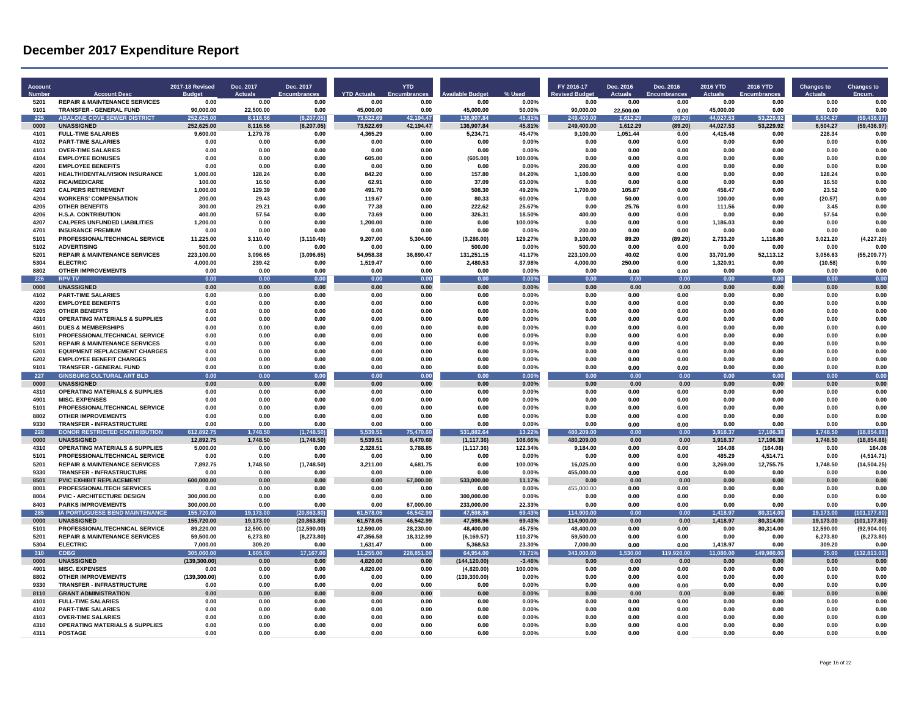| <b>Account</b><br><b>Numbe</b> | <b>Account Desc</b>                                                        | <b>2017-18 Revised</b><br>Buda | Dec. 2017<br>Actuals   | Dec. 2017<br>Encumbra        | <b>YTD Actuals</b>     | <b>YTD</b><br>Encumbra | ailable Budge           | % Used            | FY 2016-17<br>evised Budo | Dec. 2016<br><b>Actuals</b> | Dec. 2016<br><b>Encumbrances</b> | <b>2016 YTD</b><br><b>Actuals</b> | <b>2016 YTD</b><br><b>Encumbrance:</b> | <b>Changes to</b>      | <b>Changes to</b><br>Encum     |
|--------------------------------|----------------------------------------------------------------------------|--------------------------------|------------------------|------------------------------|------------------------|------------------------|-------------------------|-------------------|---------------------------|-----------------------------|----------------------------------|-----------------------------------|----------------------------------------|------------------------|--------------------------------|
| 5201                           | <b>REPAIR &amp; MAINTENANCE SERVICES</b>                                   | 0.00                           | 0.00                   | 0.00                         | 0.00                   | 0.00                   | 0.00                    | 0.00%             | 0.00                      | 0.00                        | 0.00                             | 0.00                              | 0.00                                   | 0.00                   | 0.00                           |
| 9101<br>225                    | <b>TRANSFER - GENERAL FUND</b><br><b>ABALONE COVE SEWER DISTRICT</b>       | 90,000.00<br>252,625.00        | 22,500.00<br>8,116.56  | 0.00<br>(6, 207.05)          | 45,000.00<br>73,522.69 | 0.00<br>42,194.47      | 45,000.00<br>136,907.84 | 50.00%<br>45.81%  | 90,000.00<br>249,400.00   | 22,500.00<br>1,612.29       | 0.00<br>(89.20)                  | 45,000.00<br>44,027.53            | 0.00<br>53,229.92                      | 0.00<br>6,504.27       | 0.00<br>(59, 436.97)           |
| 0000                           | <b>UNASSIGNED</b>                                                          | 252,625.00                     | 8,116.56               | (6, 207.05)                  | 73,522.69              | 42,194.47              | 136,907.84              | 45.81%            | 249,400.00                | 1,612.29                    | (89.20)                          | 44,027.53                         | 53,229.92                              | 6,504.27               | (59, 436.97)                   |
| 4101                           | <b>FULL-TIME SALARIES</b>                                                  | 9,600.00                       | 1,279.78               | 0.00                         | 4,365.29               | 0.00                   | 5,234.71                | 45.47%            | 9,100.00                  | 1,051.44                    | 0.00                             | 4,415.46                          | 0.00                                   | 228.34                 | 0.00                           |
| 4102                           | <b>PART-TIME SALARIES</b>                                                  | 0.00                           | 0.00                   | 0.00                         | 0.00                   | 0.00                   | 0.00                    | $0.00\%$          | 0.00                      | 0.00                        | 0.00                             | 0.00                              | 0.00                                   | 0.00                   | 0.00                           |
| 4103<br>4104                   | <b>OVER-TIME SALARIES</b>                                                  | 0.00                           | 0.00<br>0.00           | 0.00                         | 0.00                   | 0.00<br>0.00           | 0.00                    | 0.00%             | 0.00<br>0.00              | 0.00                        | 0.00<br>0.00                     | 0.00<br>0.00                      | 0.00<br>0.00                           | 0.00                   | 0.00<br>0.00                   |
| 4200                           | <b>EMPLOYEE BONUSES</b><br><b>EMPLOYEE RENEFITS</b>                        | 0.00<br>0.00                   | 0.00                   | 0.00<br>0.00                 | 605.00<br>0.00         | 0.00                   | (605.00)<br>0.00        | 100.00%<br>0.00%  | 200.00                    | 0.00<br>0.00                | 0.00                             | 0.00                              | 0.00                                   | 0.00<br>0.00           | 0.00                           |
| 4201                           | HEALTH/DENTAL/VISION INSURANCE                                             | 1,000.00                       | 128.24                 | 0.00                         | 842.20                 | 0.00                   | 157.80                  | 84.20%            | 1.100.00                  | 0.00                        | 0.00                             | 0.00                              | 0.00                                   | 128.24                 | 0.00                           |
| 4202                           | <b>FICA/MEDICARE</b>                                                       | 100.00                         | 16.50                  | 0.00                         | 62.91                  | 0.00                   | 37.09                   | 63.00%            | 0.00                      | 0.00                        | 0.00                             | 0.00                              | 0.00                                   | 16.50                  | 0.00                           |
| 4203                           | <b>CALPERS RETIREMENT</b>                                                  | 1.000.00                       | 129.39                 | 0.00                         | 491.70                 | 0.00                   | 508.30                  | 49.20%            | 1.700.00                  | 105.87                      | 0.00                             | 458.47                            | 0.00                                   | 23.52                  | 0.00                           |
| 4204                           | <b>WORKERS' COMPENSATION</b>                                               | 200.00                         | 29.43                  | 0.00                         | 119.67                 | 0.00                   | 80.33                   | 60.00%            | 0.00                      | 50.00                       | 0.00                             | 100.00                            | 0.00                                   | (20.57)                | 0.00                           |
| 4205                           | <b>OTHER BENEFITS</b>                                                      | 300.00                         | 29.21                  | 0.00                         | 77.38                  | 0.00                   | 222.62                  | 25.67%            | 0.00                      | 25.76                       | 0.00                             | 111.56                            | 0.00                                   | 3.45                   | 0.00                           |
| 4206<br>4207                   | <b>H.S.A. CONTRIBUTION</b><br><b>CALPERS UNFUNDED LIABILITIES</b>          | 400.00<br>1,200.00             | 57.54<br>0.00          | 0.00<br>0.00                 | 73.69<br>1,200.00      | 0.00<br>0.00           | 326.31<br>0.00          | 18.50%<br>100.00% | 400.00<br>0.00            | 0.00<br>0.00                | 0.00<br>0.00                     | 0.00<br>1,186.03                  | 0.00<br>0.00                           | 57.54<br>0.00          | 0.00<br>0.00                   |
| 4701                           | <b>INSURANCE PREMIUN</b>                                                   | 0.00                           | 0.00                   | 0.00                         | 0.00                   | 0.00                   | 0.00                    | 0.00%             | 200.00                    | 0.00                        | 0.00                             | 0.00                              | 0.00                                   | 0.00                   | 0.00                           |
| 5101                           | PROFESSIONAL/TECHNICAL SERVICE                                             | 11,225.00                      | 3,110.40               | (3, 110.40)                  | 9,207.00               | 5,304.00               | (3, 286.00)             | 129.27%           | 9,100.00                  | 89.20                       | (89.20)                          | 2,733.20                          | 1,116.80                               | 3,021.20               | (4,227.20)                     |
| 5102                           | <b>ADVERTISING</b>                                                         | 500.00                         | 0.00                   | 0.00                         | 0.00                   | 0.00                   | 500.00                  | 0.00%             | 500.00                    | 0.00                        | 0.00                             | 0.00                              | 0.00                                   | 0.00                   | 0.00                           |
| 5201                           | <b>REPAIR &amp; MAINTENANCE SERVICES</b>                                   | 223,100.00                     | 3.096.65               | (3,096.65)                   | 54,958.38              | 36,890.47              | 131,251.15              | 41.17%            | 223,100.00                | 40.02                       | 0.00                             | 33,701.90                         | 52,113.12                              | 3,056.63               | (55, 209.77)                   |
| 5304                           | <b>ELECTRIC</b>                                                            | 4,000.00                       | 239.42                 | 0.00                         | 1,519.47               | 0.00                   | 2,480.53                | 37.98%            | 4,000.00                  | 250.00                      | 0.00                             | 1,320.91                          | 0.00                                   | (10.58)                | 0.00                           |
| 8802<br>226                    | <b>OTHER IMPROVEMENTS</b><br><b>RPV TV</b>                                 | 0.00<br>0.00                   | 0.00<br>0.00           | 0.00<br>0.00                 | 0.00<br>0.00           | 0.00<br>0.00           | 0.00<br>0.00            | 0.00%<br>0.00%    | 0.00<br>0.00              | 0.00<br>0.00                | 0.00<br>0.00                     | 0.00<br>0.00                      | 0.00<br>0.00                           | 0.00<br>0.00           | 0.00<br>0.00                   |
| 0000                           | <b>UNASSIGNED</b>                                                          | 0.00                           | 0.00                   | 0.00                         | 0.00                   | 0.00                   | 0.00                    | 0.00%             | 0.00                      | 0.00                        | 0.00                             | 0.00                              | 0.00                                   | 0.00                   | 0.00                           |
| 4102                           | <b>PART-TIME SALARIES</b>                                                  | 0.00                           | 0.00                   | 0.00                         | 0.00                   | 0.00                   | 0.00                    | 0.00%             | 0.00                      | 0.00                        | 0.00                             | 0.00                              | 0.00                                   | 0.00                   | 0.00                           |
| 4200                           | <b>EMPLOYEE BENEFITS</b>                                                   | 0.00                           | 0.00                   | 0.00                         | 0.00                   | 0.00                   | 0.00                    | 0.00%             | 0.00                      | 0.00                        | 0.00                             | 0.00                              | 0.00                                   | 0.00                   | 0.00                           |
| 4205                           | <b>OTHER BENEFITS</b>                                                      | 0.00                           | 0.00                   | 0.00                         | 0.00                   | 0.00                   | 0.00                    | 0.00%             | 0.00                      | 0.00                        | 0.00                             | 0.00                              | 0.00                                   | 0.00                   | 0.00                           |
| 4310                           | <b>OPERATING MATERIALS &amp; SUPPLIES</b>                                  | 0.00                           | 0.00                   | 0.00                         | 0.00                   | 0.00                   | 0.00                    | $0.00\%$          | 0.00                      | 0.00                        | 0.00                             | 0.00                              | 0.00                                   | 0.00                   | 0.00                           |
| 4601                           | <b>DUES &amp; MEMBERSHIPS</b>                                              | 0.00                           | 0.00                   | 0.00                         | 0.00                   | 0.00                   | 0.00                    | 0.00%             | 0.00                      | 0.00                        | 0.00                             | 0.00                              | 0.00                                   | 0.00                   | 0.00                           |
| 5101<br>5201                   | PROFESSIONAL/TECHNICAL SERVICE<br><b>REPAIR &amp; MAINTENANCE SERVICES</b> | 0.00<br>0.00                   | 0.00<br>0.00           | 0.00<br>0.00                 | 0.00<br>0.00           | 0.00<br>0.00           | 0.00<br>0.00            | 0.00%<br>0.00%    | 0.00<br>0.00              | 0.00<br>0.00                | 0.00<br>0.00                     | 0.00<br>0.00                      | 0.00<br>0.00                           | 0.00<br>0.00           | 0.00<br>0.00                   |
| 6201                           | <b>EQUIPMENT REPLACEMENT CHARGES</b>                                       | 0.00                           | 0.00                   | 0.00                         | 0.00                   | 0.00                   | 0.00                    | 0.00%             | 0.00                      | 0.00                        | 0.00                             | 0.00                              | 0.00                                   | 0.00                   | 0.00                           |
| 6202                           | <b>EMPLOYEE BENEFIT CHARGES</b>                                            | 0.00                           | 0.00                   | 0.00                         | 0.00                   | 0.00                   | 0.00                    | 0.00%             | 0.00                      | 0.00                        | 0.00                             | 0.00                              | 0.00                                   | 0.00                   | 0.00                           |
| 9101                           | <b>TRANSFER - GENERAL FUND</b>                                             | 0.00                           | 0.00                   | 0.00                         | 0.00                   | 0.00                   | 0.00                    | 0.00%             | 0.00                      | 0.00                        | 0.00                             | 0.00                              | 0.00                                   | 0.00                   | 0.00                           |
| 227                            | <b>GINSBURG CULTURAL ART BLD</b>                                           | 0.00                           | 0.00                   | 0.00                         | 0.00                   | 0.00                   | 0.00                    | 0.00%             | 0.00                      | 0.00                        | 0.00                             | 0.00                              | 0.00                                   | 0.00                   | 0.00                           |
| 0000                           | <b>UNASSIGNED</b>                                                          | 0.00                           | 0.00                   | 0.00                         | 0.00                   | 0.00                   | 0.00                    | 0.00%             | 0.00                      | 0.00                        | 0.00                             | 0.00                              | 0.00                                   | 0.00                   | 0.00                           |
| 4310<br>4901                   | <b>OPERATING MATERIALS &amp; SUPPLIES</b><br><b>MISC. EXPENSES</b>         | 0.00<br>0.00                   | 0.00<br>0.00           | 0.00<br>0.00                 | 0.00<br>0.00           | 0.00<br>0.00           | 0.00<br>0.00            | 0.00%<br>0.00%    | 0.00<br>0.00              | 0.00<br>0.00                | 0.00<br>0.00                     | 0.00<br>0.00                      | 0.00<br>0.00                           | 0.00<br>0.00           | 0.00<br>0.00                   |
| 5101                           | PROFESSIONAL/TECHNICAL SERVICE                                             | 0.00                           | 0.00                   | 0.00                         | 0.00                   | 0.00                   | 0.00                    | $0.00\%$          | 0.00                      | 0.00                        | 0.00                             | 0.00                              | 0.00                                   | 0.00                   | 0.00                           |
| 8802                           | <b>OTHER IMPROVEMENTS</b>                                                  | 0.00                           | 0.00                   | 0.00                         | 0.00                   | 0.00                   | 0.00                    | 0.00%             | 0.00                      | 0.00                        | 0.00                             | 0.00                              | 0.00                                   | 0.00                   | 0.00                           |
| 9330                           | TRANSFER - INFRASTRUCTURE                                                  | 0.00                           | 0.00                   | 0.00                         | 0.00                   | 0.00                   | 0.00                    | 0.00%             | 0.00                      | 0.00                        | 0.00                             | 0.00                              | 0.00                                   | 0.00                   | 0.00                           |
| 228                            | <b>DONOR RESTRICTED CONTRIBUTION</b>                                       | 612.892.75                     | 1.748.50               | (1,748.50)                   | 5.539.51               | 75,470.60              | 531.882.64              | 13.22%            | 480.209.00                | 0.00                        | 0.00                             | 3.918.37                          | 17,106.38                              | 1.748.50               | (18.854.88)                    |
| 0000                           | <b>UNASSIGNED</b>                                                          | 12,892.75                      | 1.748.50               | (1,748.50)                   | 5.539.51               | 8,470.60               | (1, 117.36)             | 108.66%           | 480,209.00                | 0.00                        | 0.00                             | 3,918.37                          | 17,106.38                              | 1,748.50               | (18, 854.88)                   |
| 4310                           | <b>OPERATING MATERIALS &amp; SUPPLIES</b>                                  | 5,000.00                       | 0.00                   | 0.00                         | 2,328.51               | 3,788.85               | (1, 117.36)             | 122.34%           | 9,184.00                  | 0.00                        | 0.00                             | 164.08                            | (164.08)                               | 0.00                   | 164.08                         |
| 5101<br>5201                   | PROFESSIONAL/TECHNICAL SERVICE<br><b>REPAIR &amp; MAINTENANCE SERVICES</b> | 0.00                           | 0.00                   | 0.00                         | 0.00                   | 0.00                   | 0.00                    | 0.00%             | 0.00                      | 0.00                        | 0.00                             | 485.29                            | 4.514.71                               | 0.00                   | (4.514.71)<br>(14, 504.25)     |
| 9330                           | <b>TRANSFER - INFRASTRUCTURE</b>                                           | 7,892.75<br>0.00               | 1,748.50<br>0.00       | (1,748.50)<br>0.00           | 3,211.00<br>0.00       | 4,681.75<br>0.00       | 0.00<br>0.00            | 100.00%<br>0.00%  | 16,025.00<br>455,000.00   | 0.00<br>0.00                | 0.00<br>0.00                     | 3,269.00<br>0.00                  | 12,755.75<br>0.00                      | 1,748.50<br>0.00       | 0.00                           |
| 8501                           | PVIC EXHIBIT REPLACEMENT                                                   | 600,000.00                     | 0.00                   | 0.00                         | 0.00                   | 67,000.00              | 533,000.00              | 11.17%            | 0.00                      | 0.00                        | 0.00                             | 0.00                              | 0.00                                   | 0.00                   | 0.00                           |
| 8001                           | <b>PROFESSIONAL/TECH SERVICES</b>                                          | 0.00                           | 0.00                   | 0.00                         | 0.00                   | 0.00                   | 0.00                    | 0.00%             | 455.000.00                | 0.00                        | 0.00                             | 0.00                              | 0.00                                   | 0.00                   | 0.00                           |
| 8004                           | <b>PVIC - ARCHITECTURE DESIGN</b>                                          | 300,000.00                     | 0.00                   | 0.00                         | 0.00                   | 0.00                   | 300,000.00              | $0.00\%$          | 0.00                      | 0.00                        | 0.00                             | 0.00                              | 0.00                                   | 0.00                   | 0.00                           |
| 8403                           | <b>PARKS IMPROVEMENTS</b>                                                  | 300,000.00                     | 0.00                   | 0.00                         | 0.00                   | 67,000.00              | 233,000.00              | 22.33%            | 0.00                      | 0.00                        | 0.00                             | 0.00                              | 0.00                                   | 0.00                   | 0.00                           |
| 285<br>0000                    | <b>IA PORTUGUESE BEND MAINTENANCE</b><br><b>UNASSIGNED</b>                 | 155,720.00<br>155,720.00       | 19,173.00<br>19,173.00 | (20, 863.80)<br>(20, 863.80) | 61,578.05<br>61,578.05 | 46,542.99<br>46,542.99 | 47,598.96<br>47,598.96  | 69.43%<br>69.43%  | 114,900.00<br>114,900.00  | 0.00<br>0.00                | 0.00<br>0.00                     | ,418.97<br>1,418.97               | 80,314.00<br>80,314.00                 | 19,173.00<br>19,173.00 | (101, 177.80)<br>(101, 177.80) |
| 5101                           | PROFESSIONAL/TECHNICAL SERVICE                                             | 89,220.00                      | 12,590.00              | (12,590.00)                  | 12,590.00              | 28,230.00              | 48,400.00               | 45.75%            | 48,400.00                 | 0.00                        | 0.00                             | 0.00                              | 80,314.00                              | 12,590.00              | (92, 904.00)                   |
| 5201                           | <b>REPAIR &amp; MAINTENANCE SERVICES</b>                                   | 59,500.00                      | 6,273.80               | (8, 273.80)                  | 47,356.58              | 18,312.99              | (6, 169.57)             | 110.37%           | 59,500.00                 | 0.00                        | 0.00                             | 0.00                              | 0.00                                   | 6,273.80               | (8,273.80)                     |
| 5304                           | <b>ELECTRIC</b>                                                            | 7,000.00                       | 309.20                 | 0.00                         | 1,631.47               | 0.00                   | 5,368.53                | 23.30%            | 7,000.00                  | 0.00                        | 0.00                             | 1,418.97                          | 0.00                                   | 309.20                 | 0.00                           |
| 310                            | CDBG                                                                       | 305,060,00                     | 1.605.00               | 17,167.00                    | 11,255.00              | 228,851.00             | 64 954 00               | 78.71%            | 343,000.00                | 530.00                      | 119,920.00                       | 11 080 00                         | 149,980.00                             | 75.00                  | (132, 813.00)                  |
| 0000                           | <b>UNASSIGNED</b>                                                          | (139, 300.00)                  | 0.00                   | 0.00                         | 4,820.00               | 0.00                   | (144, 120.00)           | $-3.46%$          | 0.00                      | 0.00                        | $0.00\,$                         | 0.00                              | 0.00                                   | 0.00                   | 0.00                           |
| 4901                           | <b>MISC. EXPENSES</b>                                                      | 0.00                           | 0.00                   | 0.00                         | 4,820.00               | 0.00                   | (4,820.00)              | 100.00%           | 0.00                      | 0.00                        | 0.00                             | 0.00                              | 0.00                                   | 0.00                   | 0.00                           |
| 8802<br>9330                   | <b>OTHER IMPROVEMENTS</b>                                                  | (139, 300.00)                  | 0.00                   | 0.00                         | 0.00                   | 0.00                   | (139, 300.00)           | 0.00%             | 0.00                      | 0.00                        | 0.00                             | 0.00                              | 0.00                                   | 0.00                   | 0.00                           |
| 8110                           | TRANSFER - INFRASTRUCTURE<br><b>GRANT ADMINISTRATION</b>                   | 0.00<br>0.00                   | 0.00<br>0.00           | 0.00<br>0.00                 | 0.00<br>0.00           | 0.00<br>0.00           | 0.00<br>0.00            | 0.00%<br>0.00%    | 0.00<br>0.00              | 0.00<br>0.00                | 0.00<br>0.00                     | 0.00<br>0.00                      | 0.00<br>0.00                           | 0.00<br>0.00           | 0.00<br>0.00                   |
| 4101                           | <b>FULL-TIME SALARIES</b>                                                  | 0.00                           | 0.00                   | 0.00                         | 0.00                   | 0.00                   | 0.00                    | 0.00%             | 0.00                      | 0.00                        | 0.00                             | 0.00                              | 0.00                                   | 0.00                   | 0.00                           |
| 4102                           | <b>PART-TIME SALARIES</b>                                                  | 0.00                           | 0.00                   | 0.00                         | 0.00                   | 0.00                   | 0.00                    | 0.00%             | 0.00                      | 0.00                        | 0.00                             | 0.00                              | 0.00                                   | 0.00                   | 0.00                           |
| 4103                           | <b>OVER-TIME SALARIES</b>                                                  | 0.00                           | 0.00                   | 0.00                         | 0.00                   | 0.00                   | 0.00                    | 0.00%             | 0.00                      | 0.00                        | 0.00                             | 0.00                              | 0.00                                   | 0.00                   | 0.00                           |
| 4310                           | <b>OPERATING MATERIALS &amp; SUPPLIES</b>                                  | 0.00                           | 0.00                   | 0.00                         | 0.00                   | 0.00                   | 0.00                    | 0.00%             | 0.00                      | 0.00                        | 0.00                             | 0.00                              | 0.00                                   | 0.00                   | 0.00                           |
| 4311                           | <b>POSTAGE</b>                                                             | 0.00                           | 0.00                   | 0.00                         | 0.00                   | 0.00                   | 0.00                    | 0.00%             | 0.00                      | 0.00                        | 0.00                             | 0.00                              | 0.00                                   | 0.00                   | 0.00                           |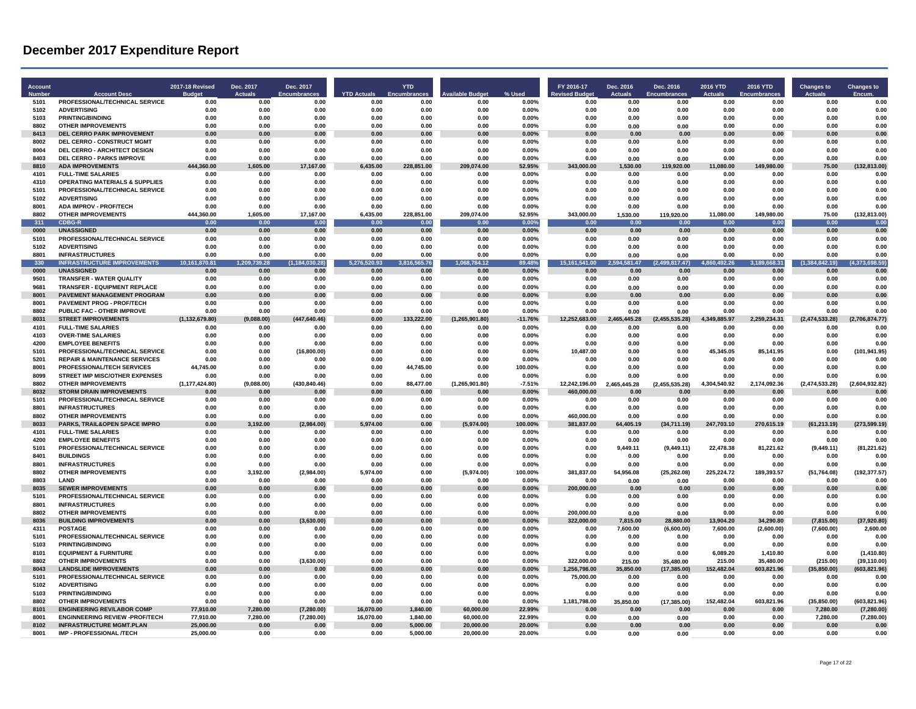| Account<br><b>Numbe</b> | <b>Account Desc</b>                                                        | <b>2017-18 Revised</b><br><b>Budge</b> | Dec. 2017<br>Actuals | Dec. 2017                   |                            | <b>YTD</b><br>Encumbran | vailable Budget    | % Used            | FY 2016-17                   | Dec. 2016<br>Actuals | Dec. 2016                   | 2016 YTD<br><b>Actuals</b> | 2016 YTD                  | Changes to<br><b>Actuals</b> | <b>Changes to</b>            |
|-------------------------|----------------------------------------------------------------------------|----------------------------------------|----------------------|-----------------------------|----------------------------|-------------------------|--------------------|-------------------|------------------------------|----------------------|-----------------------------|----------------------------|---------------------------|------------------------------|------------------------------|
| 5101                    | PROFESSIONAL/TECHNICAL SERVICE                                             | 0.00                                   | 0.00                 | <b>Encumbrance:</b><br>0.00 | <b>YTD Actuals</b><br>0.00 | 0.00                    | 0.00               | 0.00%             | <b>Revised Budge</b><br>0.00 | 0.00                 | <b>Encumbrances</b><br>0.00 | 0.00                       | <b>Encumbranc</b><br>0.00 | 0.00                         | Encum<br>0.00                |
| 5102                    | <b>ADVERTISING</b>                                                         | 0.00                                   | 0.00                 | 0.00                        | 0.00                       | 0.00                    | 0.00               | 0.00%             | 0.00                         | 0.00                 | 0.00                        | 0.00                       | 0.00                      | 0.00                         | 0.00                         |
| 5103                    | <b>PRINTING/BINDING</b>                                                    | 0.00                                   | 0.00                 | 0.00                        | 0.00                       | 0.00                    | 0.00               | 0.00%             | 0.00                         | 0.00                 | 0.00                        | 0.00                       | 0.00                      | 0.00                         | 0.00                         |
| 8802                    | <b>OTHER IMPROVEMENTS</b>                                                  | 0.00                                   | 0.00                 | 0.00                        | 0.00                       | 0.00                    | 0.00               | 0.00%             | 0.00                         | 0.00                 | 0.00                        | 0.00                       | 0.00                      | 0.00                         | 0.00                         |
| 8413                    | <b>DEL CERRO PARK IMPROVEMENT</b>                                          | 0.00                                   | 0.00                 | 0.00                        | 0.00                       | 0.00                    | 0.00               | 0.00%             | 0.00                         | 0.00                 | 0.00                        | 0.00                       | 0.00                      | 0.00                         | 0.00                         |
| 8002                    | DEL CERRO - CONSTRUCT MGMT                                                 | 0.00                                   | 0.00                 | 0.00                        | 0.00                       | 0.00                    | 0.00               | 0.00%             | 0.00                         | 0.00                 | 0.00                        | 0.00                       | 0.00                      | 0.00                         | 0.00                         |
| 8004                    | DEL CERRO - ARCHITECT DESIGN                                               | 0.00                                   | 0.00                 | 0.00                        | 0.00                       | 0.00                    | 0.00               | 0.00%             | 0.00                         | 0.00                 | 0.00                        | 0.00                       | 0.00                      | 0.00                         | 0.00                         |
| 8403<br>8810            | <b>DEL CERRO - PARKS IMPROVE</b><br><b>ADA IMPROVEMENTS</b>                | 0.00<br>444,360.00                     | 0.00<br>1.605.00     | 0.00<br>17,167.00           | 0.00<br>6.435.00           | 0.00<br>228,851.00      | 0.00<br>209,074.00 | 0.00%<br>52.95%   | 0.00<br>343,000.00           | 0.00<br>1.530.00     | 0.00<br>119,920.00          | 0.00<br>11.080.00          | 0.00<br>149,980.00        | 0.00<br>75.00                | 0.00<br>(132, 813.00)        |
| 4101                    | <b>FULL-TIME SALARIES</b>                                                  | 0.00                                   | 0.00                 | 0.00                        | 0.00                       | 0.00                    | 0.00               | 0.00%             | 0.00                         | 0.00                 | 0.00                        | 0.00                       | 0.00                      | 0.00                         | 0.00                         |
| 4310                    | <b>OPERATING MATERIALS &amp; SUPPLIES</b>                                  | 0.00                                   | 0.00                 | 0.00                        | 0.00                       | 0.00                    | 0.00               | 0.00%             | 0.00                         | 0.00                 | 0.00                        | 0.00                       | 0.00                      | 0.00                         | 0.00                         |
| 5101                    | PROFESSIONAL/TECHNICAL SERVICE                                             | 0.00                                   | 0.00                 | 0.00                        | 0.00                       | 0.00                    | 0.00               | 0.00%             | 0.00                         | 0.00                 | 0.00                        | 0.00                       | 0.00                      | 0.00                         | 0.00                         |
| 5102                    | <b>ADVERTISING</b>                                                         | 0.00                                   | 0.00                 | 0.00                        | 0.00                       | 0.00                    | 0.00               | $0.00\%$          | 0.00                         | 0.00                 | 0.00                        | 0.00                       | 0.00                      | 0.00                         | 0.00                         |
| 8001                    | ADA IMPROV - PROF/TECH                                                     | 0.00                                   | 0.00                 | 0.00                        | 0.00                       | 0.00                    | 0.00               | 0.00%             | 0.00                         | 0.00                 | 0.00                        | 0.00                       | 0.00                      | 0.00                         | 0.00                         |
| 8802                    | <b>OTHER IMPROVEMENTS</b>                                                  | 444.360.00                             | 1.605.00             | 17.167.00                   | 6.435.00                   | 228.851.00              | 209.074.00         | 52.95%            | 343.000.00                   | 1.530.00             | 119.920.00                  | 11.080.00                  | 149.980.00                | 75.00                        | (132, 813.00)                |
| 311<br>0000             | <b>CDBG-R</b><br><b>UNASSIGNED</b>                                         | 0.00<br>0.00                           | 0.00<br>0.00         | 0.00<br>0.00                | 0.00<br>0.00               | 0.00<br>0.00            | 0.00<br>0.00       | 0.00%<br>0.00%    | 0.00<br>0.00                 | 0.00<br>0.00         | 0.00<br>0.00                | 0.00<br>0.00               | 0.00<br>0.00              | 0.00<br>0.00                 | 0.00<br>0.00                 |
| 5101                    | PROFESSIONAL/TECHNICAL SERVICE                                             | 0.00                                   | 0.00                 | 0.00                        | 0.00                       | 0.00                    | 0.00               | 0.00%             | 0.00                         | 0.00                 | 0.00                        | 0.00                       | 0.00                      | 0.00                         | 0.00                         |
| 5102                    | <b>ADVERTISING</b>                                                         | 0.00                                   | 0.00                 | 0.00                        | 0.00                       | 0.00                    | 0.00               | 0.00%             | 0.00                         | 0.00                 | 0.00                        | 0.00                       | 0.00                      | 0.00                         | 0.00                         |
| 8801                    | <b>INFRASTRUCTURES</b>                                                     | 0.00                                   | 0.00                 | 0.00                        | 0.00                       | 0.00                    | 0.00               | 0.00%             | 0.00                         | 0.00                 | 0.00                        | 0.00                       | 0.00                      | 0.00                         | 0.00                         |
| 330                     | <b>INFRASTRUCTURE IMPROVEMENTS</b>                                         | 10,161<br>370.81                       | 1,209,739.28         | 30.28)<br>(1, 184)          | 5,276,520.93               | 3,816<br>65.76          | 84.12<br>1.0       | 89.48%            | 15,161<br>641.00             | 581.47<br>2.594      | 17.47)<br>(2.499            | 92.26<br>4.86              | 68.31<br>3.18             | (1, 384.8)<br>42.19)         | 98.59)<br>(4, 373,           |
| 0000                    | <b>UNASSIGNED</b>                                                          | 0.00                                   | 0.00                 | 0.00                        | 0.00                       | 0.00                    | 0.00               | 0.00%             | 0.00                         | 0.00                 | 0.00                        | 0.00                       | 0.00                      | 0.00                         | 0.00                         |
| 9501                    | TRANSFER - WATER QUALITY                                                   | 0.00                                   | 0.00                 | 0.00                        | 0.00                       | 0.00                    | 0.00               | 0.00%             | 0.00                         | 0.00                 | 0.00                        | 0.00                       | 0.00                      | 0.00                         | 0.00                         |
| 9681<br>8001            | <b>TRANSFER - EQUIPMENT REPLACE</b><br>PAVEMENT MANAGEMENT PROGRAM         | 0.00                                   | 0.00<br>0.00         | 0.00                        | 0.00<br>0.00               | 0.00<br>0.00            | 0.00<br>0.00       | 0.00%             | 0.00                         | 0.00<br>0.00         | 0.00<br>0.00                | 0.00<br>0.00               | 0.00                      | 0.00<br>0.00                 | 0.00<br>0.00                 |
| 8001                    | <b>PAVEMENT PROG - PROF/TECH</b>                                           | 0.00<br>0.00                           | 0.00                 | 0.00<br>0.00                | 0.00                       | 0.00                    | 0.00               | 0.00%<br>0.00%    | 0.00<br>0.00                 | 0.00                 | 0.00                        | 0.00                       | 0.00<br>0.00              | 0.00                         | 0.00                         |
| 8802                    | <b>PUBLIC FAC - OTHER IMPROVE</b>                                          | 0.00                                   | 0.00                 | 0.00                        | 0.00                       | 0.00                    | 0.00               | 0.00%             | 0.00                         | 0.00                 | 0.00                        | 0.00                       | 0.00                      | 0.00                         | 0.00                         |
| 8031                    | <b>STREET IMPROVEMENTS</b>                                                 | (1, 132, 679.80)                       | (9,088.00)           | (447, 640.46)               | 0.00                       | 133,222.00              | (1, 265, 901.80)   | -11.76%           | 12,252,683.00                | 2,465,445.28         | (2,455,535.28)              | 4,349,885.97               | 2,259,234.31              | (2,474,533.28)               | (2,706,874.77)               |
| 4101                    | <b>FULL-TIME SALARIES</b>                                                  | 0.00                                   | 0.00                 | 0.00                        | 0.00                       | 0.00                    | 0.00               | 0.00%             | 0.00                         | 0.00                 | 0.00                        | 0.00                       | 0.00                      | 0.00                         | 0.00                         |
| 4103                    | <b>OVER-TIME SALARIES</b>                                                  | 0.00                                   | 0.00                 | 0.00                        | 0.00                       | 0.00                    | 0.00               | 0.00%             | 0.00                         | 0.00                 | n nn                        | 0.00                       | 0.00                      | 0.00                         | 0.00                         |
| 4200                    | <b>EMPLOYEE BENEFITS</b>                                                   | 0.00                                   | 0.00                 | 0.00                        | 0.00                       | 0.00                    | 0.00               | 0.00%             | 0.00                         | 0.00                 | 0.00                        | 0.00                       | 0.00                      | 0.00                         | 0.00                         |
| 5101<br>5201            | PROFESSIONAL/TECHNICAL SERVICE<br><b>REPAIR &amp; MAINTENANCE SERVICES</b> | 0.00<br>0.00                           | 0.00<br>0.00         | (16, 800.00)<br>0.00        | 0.00<br>0.00               | 0.00<br>0.00            | 0.00<br>0.00       | $0.00\%$<br>0.00% | 10,487.00<br>0.00            | 0.00<br>0.00         | 0.00<br>0.00                | 45.345.05<br>0.00          | 85,141.95<br>0.00         | 0.00<br>0.00                 | (101, 941.95)<br>0.00        |
| 8001                    | PROFESSIONAL/TECH SERVICES                                                 | 44,745.00                              | 0.00                 | 0.00                        | 0.00                       | 44,745.00               | 0.00               | 100.00%           | 0.00                         | 0.00                 | 0.00                        | 0.00                       | 0.00                      | 0.00                         | 0.00                         |
| 8099                    | STREET IMP MISC/OTHER EXPENSES                                             | 0.00                                   | 0.00                 | 0.00                        | 0.00                       | 0.00                    | 0.00               | 0.00%             | 0.00                         | 0.00                 | 0.00                        | 0.00                       | 0.00                      | 0.00                         | 0.00                         |
| 8802                    | <b>OTHER IMPROVEMENTS</b>                                                  | (1, 177, 424.80)                       | (9,088.00)           | (430, 840.46)               | 0.00                       | 88,477.00               | (1, 265, 901.80)   | $-7.51%$          | 12,242,196.00                | 2.465.445.28         | (2,455,535.28)              | 4,304,540.92               | 2,174,092.36              | (2,474,533.28)               | (2,604,932.82)               |
| 8032                    | <b>STORM DRAIN IMPROVEMENTS</b>                                            | 0.00                                   | 0.00                 | 0.00                        | 0.00                       | 0.00                    | 0.00               | $0.00\%$          | 460,000.00                   | 0.00                 | 0.00                        | 0.00                       | 0.00                      | 0.00                         | 0.00                         |
| 5101                    | PROFESSIONAL/TECHNICAL SERVICE                                             | 0.00                                   | 0.00                 | 0.00                        | 0.00                       | 0.00                    | 0.00               | 0.00%             | 0.00                         | 0.00                 | 0.00                        | 0.00                       | 0.00                      | 0.00                         | 0.00                         |
| 8801                    | <b>INFRASTRUCTURES</b>                                                     | 0.00                                   | 0.00                 | 0.00                        | 0.00                       | 0.00                    | 0.00               | 0.00%             | 0.00                         | 0.00                 | 0.00                        | 0.00                       | 0.00                      | 0.00                         | 0.00                         |
| 8802<br>8033            | <b>OTHER IMPROVEMENTS</b><br>PARKS, TRAIL&OPEN SPACE IMPRO                 | 0.00<br>0.00                           | 0.00<br>3.192.00     | 0.00<br>(2,984.00)          | 0.00<br>5.974.00           | 0.00<br>0.00            | 0.00<br>(5,974.00) | 0.00%<br>100.00%  | 460,000.00<br>381,837.00     | 0.00<br>64.405.19    | 0.00<br>(34,711.19)         | 0.00<br>247,703.10         | 0.00<br>270,615.19        | 0.00<br>(61, 213.19)         | 0.00<br>(273, 599.19)        |
| 4101                    | <b>FULL-TIME SALARIES</b>                                                  | 0.00                                   | 0.00                 | 0.00                        | 0.00                       | 0.00                    | 0.00               | 0.00%             | 0.00                         | 0.00                 | 0.00                        | 0.00                       | 0.00                      | 0.00                         | 0.00                         |
| 4200                    | <b>EMPLOYEE BENEFITS</b>                                                   | 0.00                                   | 0.00                 | 0.00                        | 0.00                       | 0.00                    | 0.00               | 0.00%             | 0.00                         | 0.00                 | 0.00                        | 0.00                       | 0.00                      | 0.00                         | 0.00                         |
| 5101                    | PROFESSIONAL/TECHNICAL SERVICE                                             | 0.00                                   | 0.00                 | 0.00                        | 0.00                       | 0.00                    | 0.00               | 0.00%             | 0.00                         | 9.449.11             | (9.449.11)                  | 22.478.38                  | 81.221.62                 | (9, 449.11)                  | (81, 221.62)                 |
| 8401                    | <b>BUILDINGS</b>                                                           | 0.00                                   | 0.00                 | 0.00                        | 0.00                       | 0.00                    | 0.00               | 0.00%             | 0.00                         | 0.00                 | 0.00                        | 0.00                       | 0.00                      | 0.00                         | 0.00                         |
| 8801                    | <b>INFRASTRUCTURES</b>                                                     | 0.00                                   | 0.00                 | 0.00                        | 0.00                       | 0.00                    | 0.00               | 0.00%             | 0.00                         | 0.00                 | 0.00                        | 0.00                       | 0.00                      | 0.00                         | 0.00                         |
| 8802<br>8803            | <b>OTHER IMPROVEMENTS</b><br><b>I AND</b>                                  | 0.00<br>0.00                           | 3,192.00<br>0.00     | (2,984.00)<br>0.00          | 5,974.00<br>0.00           | 0.00<br>0.00            | (5,974.00)<br>0.00 | 100.00%<br>0.00%  | 381,837.00<br>0.00           | 54,956.08            | (25, 262.08)                | 225,224.72<br>0.00         | 189,393.57<br>0.00        | (51, 764.08)<br>0.00         | (192, 377.57)<br>0.00        |
| 8035                    | <b>SEWER IMPROVEMENTS</b>                                                  | 0.00                                   | 0.00                 | 0.00                        | 0.00                       | 0.00                    | 0.00               | 0.00%             | 200,000.00                   | 0.00<br>0.00         | 0.00<br>0.00                | 0.00                       | 0.00                      | 0.00                         | 0.00                         |
| 5101                    | PROFESSIONAL/TECHNICAL SERVICE                                             | 0.00                                   | 0.00                 | 0.00                        | 0.00                       | 0.00                    | 0.00               | 0.00%             | 0.00                         | 0.00                 | 0.00                        | 0.00                       | 0.00                      | 0.00                         | 0.00                         |
| 8801                    | <b>INFRASTRUCTURES</b>                                                     | 0.00                                   | 0.00                 | 0.00                        | 0.00                       | 0.00                    | 0.00               | 0.00%             | 0.00                         | 0.00                 | 0.00                        | 0.00                       | 0.00                      | 0.00                         | 0.00                         |
| 8802                    | <b>OTHER IMPROVEMENTS</b>                                                  | 0.00                                   | 0.00                 | 0.00                        | 0.00                       | 0.00                    | 0.00               | 0.00%             | 200,000.00                   | 0.00                 | 0.00                        | 0.00                       | 0.00                      | 0.00                         | 0.00                         |
| 8036                    | <b>BUILDING IMPROVEMENTS</b>                                               | 0.00                                   | 0.00                 | (3,630.00)                  | 0.00                       | 0.00                    | 0.00               | 0.00%             | 322,000.00                   | 7,815.00             | 28,880.00                   | 13,904.20                  | 34,290.80                 | (7, 815.00)                  | (37,920.80)                  |
| 4311                    | <b>POSTAGE</b>                                                             | 0.00                                   | 0.00                 | 0.00                        | 0.00                       | 0.00                    | 0.00               | 0.00%             | 0.00                         | 7,600.00             | (6,600.00)                  | 7,600.00                   | (2,600.00)                | (7,600.00)                   | 2,600.00                     |
| 5101<br>5103            | PROFESSIONAL/TECHNICAL SERVICE<br><b>PRINTING/BINDING</b>                  | 0.00<br>0.00                           | 0.00<br>0.00         | 0.00<br>0.00                | 0.00<br>0.00               | 0.00<br>0.00            | 0.00<br>0.00       | 0.00%<br>0.00%    | 0.00<br>0.00                 | 0.00<br>0.00         | 0.00<br>0.00                | 0.00<br>0.00               | 0.00<br>0.00              | 0.00<br>0.00                 | 0.00<br>0.00                 |
| 8101                    | <b>EQUIPMENT &amp; FURNITURE</b>                                           | 0.00                                   | 0.00                 | 0.00                        | 0.00                       | 0.00                    | 0.00               | 0.00%             | 0.00                         | 0.00                 | 0.00                        | 6,089.20                   | 1,410.80                  | 0.00                         | (1,410.80)                   |
| 8802                    | <b>OTHER IMPROVEMENTS</b>                                                  | 0.00                                   | 0.00                 | (3.630.00)                  | 0.00                       | 0.00                    | 0.00               | 0.00%             | 322.000.00                   | 215.00               | 35,480.00                   | 215.00                     | 35.480.00                 | (215.00)                     | (39, 110.00)                 |
| 8043                    | <b>LANDSLIDE IMPROVEMENTS</b>                                              | 0.00                                   | 0.00                 | 0.00                        | 0.00                       | 0.00                    | 0.00               | 0.00%             | 1,256,798.00                 | 35,850.00            | (17, 385.00)                | 152,482.04                 | 603,821.96                | (35, 850.00)                 | (603, 821.96)                |
| 5101                    | PROFESSIONAL/TECHNICAL SERVICE                                             | 0.00                                   | 0.00                 | 0.00                        | 0.00                       | 0.00                    | 0.00               | 0.00%             | 75,000.00                    | 0.00                 | 0.00                        | 0.00                       | 0.00                      | 0.00                         | 0.00                         |
| 5102                    | <b>ADVERTISING</b>                                                         | 0.00                                   | 0.00                 | 0.00                        | 0.00                       | 0.00                    | 0.00               | 0.00%             | 0.00                         | 0.00                 | 0.00                        | 0.00                       | 0.00                      | 0.00                         | 0.00                         |
| 5103                    | <b>PRINTING/BINDING</b>                                                    | 0.00                                   | 0.00                 | 0.00                        | 0.00                       | 0.00                    | 0.00               | 0.00%             | 0.00                         | 0.00                 | 0.00                        | 0.00                       | 0.00                      | 0.00                         | 0.00                         |
| 8802<br>8101            | <b>OTHER IMPROVEMENTS</b><br><b>ENGINEERING REV/LABOR COMP</b>             | 0.00<br>77,910.00                      | 0.00<br>7,280.00     | 0.00<br>(7, 280.00)         | 0.00<br>16,070.00          | 0.00<br>1,840.00        | 0.00<br>60,000.00  | 0.00%<br>22.99%   | 1,181,798.00<br>0.00         | 35,850.00<br>0.00    | (17, 385.00)<br>0.00        | 152,482.04<br>0.00         | 603,821.96<br>0.00        | (35, 850.00)<br>7,280.00     | (603, 821.96)<br>(7, 280.00) |
| 8001                    | <b>ENGINNEERING REVIEW - PROF/TECH</b>                                     | 77.910.00                              | 7.280.00             | (7, 280.00)                 | 16.070.00                  | 1.840.00                | 60.000.00          | 22.99%            | 0.00                         | 0.00                 | 0.00                        | 0.00                       | 0.00                      | 7.280.00                     | (7, 280.00)                  |
| 8102                    | <b>INFRASTRUCTURE MGMT.PLAN</b>                                            | 25,000.00                              | 0.00                 | 0.00                        | 0.00                       | 5,000.00                | 20,000.00          | 20.00%            | 0.00                         | 0.00                 | 0.00                        | 0.00                       | 0.00                      | 0.00                         | 0.00                         |
| 8001                    | IMP - PROFESSIONAL /TECH                                                   | 25,000.00                              | 0.00                 | 0.00                        | 0.00                       | 5,000.00                | 20,000.00          | 20.00%            | 0.00                         | 0.00                 | 0.00                        | 0.00                       | 0.00                      | 0.00                         | 0.00                         |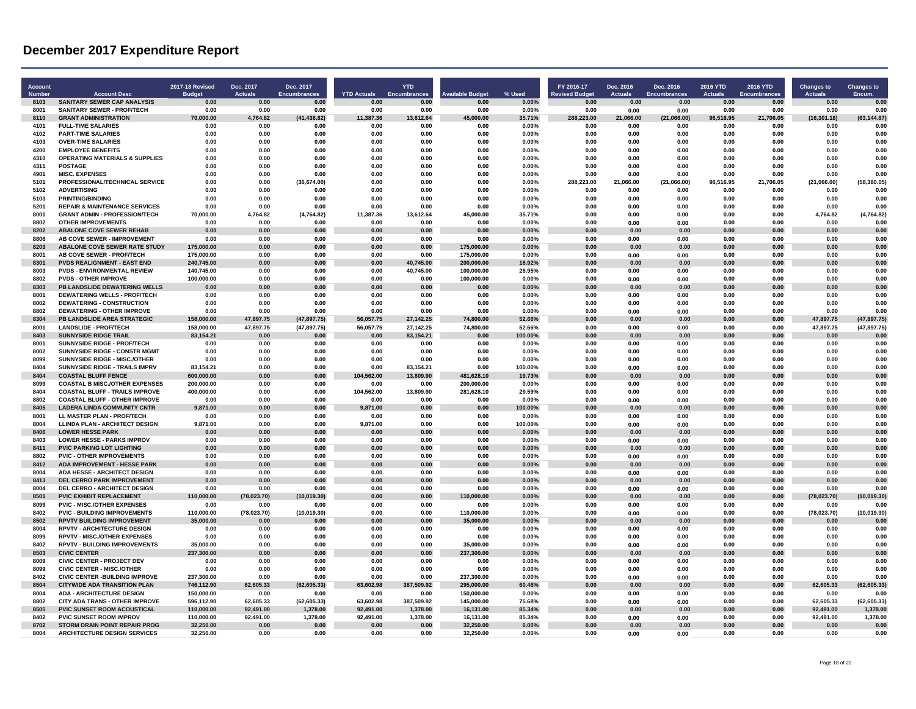| Account<br><b>Numbe</b> | <b>Account Desc</b>                                                           | 2017-18 Revised<br><b>Budget</b> | Dec. 2017<br><b>Actuals</b> | Dec. 2017<br><b>Encumbrances</b> | <b>YTD Actuals</b> | <b>YTD</b><br><b>Encumbrances</b> | <b>Available Budget</b>  | % Used             | FY 2016-17<br><b>Revised Budge</b> | Dec. 2016<br><b>Actuals</b> | Dec. 2016<br><b>Encumbrances</b> | <b>2016 YTD</b><br><b>Actuals</b> | 2016 YTD<br><b>Encumbrances</b> | <b>Changes to</b><br><b>Actuals</b> | <b>Changes to</b><br>Encum. |
|-------------------------|-------------------------------------------------------------------------------|----------------------------------|-----------------------------|----------------------------------|--------------------|-----------------------------------|--------------------------|--------------------|------------------------------------|-----------------------------|----------------------------------|-----------------------------------|---------------------------------|-------------------------------------|-----------------------------|
| 8103                    | SANITARY SEWER CAP ANALYSIS                                                   | 0.00                             | 0.00                        | 0.00                             | 0.00               | 0.00                              | 0.00                     | 0.00%              | 0.00                               | 0.00                        | 0.00                             | 0.00                              | 0.00                            | 0.00                                | 0.00                        |
| 8001                    | <b>SANITARY SEWER - PROF/TECH</b>                                             | 0.00                             | 0.00                        | 0.00                             | 0.00               | 0.00                              | 0.00                     | 0.00%              | 0.00                               | 0.00                        | 0.00                             | 0.00                              | 0.00                            | 0.00                                | 0.00                        |
| 8110                    | <b>GRANT ADMINISTRATION</b>                                                   | 70,000.00                        | 4,764.82                    | (41, 438.82)                     | 11,387.36          | 13,612.64                         | 45,000.00                | 35.71%             | 288,223.00                         | 21,066.00                   | (21,066.00)                      | 96,516.95                         | 21,706.05                       | (16, 301.18)                        | (63, 144.87)                |
| 4101                    | <b>FULL-TIME SALARIES</b>                                                     | 0.00                             | 0.00                        | 0.00                             | 0.00               | 0.00                              | 0.00                     | 0.00%              | 0.00                               | 0.00                        | 0.00                             | 0.00                              | 0.00                            | 0.00                                | 0.00                        |
| 4102<br>4103            | <b>PART-TIME SALARIES</b><br><b>OVER-TIME SALARIES</b>                        | 0.00<br>0.00                     | 0.00<br>0.00                | 0.00<br>0.00                     | 0.00<br>0.00       | 0.00<br>0.00                      | 0.00<br>0.00             | 0.00%<br>0.00%     | 0.00<br>0.00                       | 0.00<br>0.00                | 0.00<br>0.00                     | 0.00<br>0.00                      | 0.00<br>0.00                    | 0.00<br>0.00                        | 0.00<br>0.00                |
| 4200                    | <b>EMPLOYEE BENEFITS</b>                                                      | 0.00                             | 0.00                        | 0.00                             | 0.00               | 0.00                              | 0.00                     | 0.00%              | 0.00                               | 0.00                        | 0.00                             | 0.00                              | 0.00                            | 0.00                                | 0.00                        |
| 4310                    | <b>OPERATING MATERIALS &amp; SUPPLIES</b>                                     | 0.00                             | 0.00                        | 0.00                             | 0.00               | 0.00                              | 0.00                     | 0.00%              | 0.00                               | 0.00                        | 0.00                             | 0.00                              | 0.00                            | 0.00                                | 0.00                        |
| 4311                    | <b>POSTAGE</b>                                                                | 0.00                             | 0.00                        | 0.00                             | 0.00               | 0.00                              | 0.00                     | 0.00%              | 0.00                               | 0.00                        | 0.00                             | 0.00                              | 0.00                            | 0.00                                | 0.00                        |
| 4901                    | <b>MISC. EXPENSES</b>                                                         | 0.00                             | 0.00                        | 0.00                             | 0.00               | 0.00                              | 0.00                     | 0.00%              | 0.00                               | 0.00                        | 0.00                             | 0.00                              | 0.00                            | 0.00                                | 0.00                        |
| 5101                    | PROFESSIONAL/TECHNICAL SERVICE                                                | 0.00                             | 0.00                        | (36, 674.00)                     | 0.00               | 0.00                              | 0.00                     | 0.00%              | 288,223.00                         | 21,066.00                   | (21,066.00)                      | 96,516.95                         | 21,706.05                       | (21,066.00)                         | (58, 380.05)                |
| 5102                    | <b>ADVERTISING</b>                                                            | 0.00                             | 0.00                        | 0.00                             | 0.00               | 0.00                              | 0.00                     | 0.00%              | 0.00                               | 0.00                        | 0.00                             | 0.00                              | 0.00                            | 0.00                                | 0.00                        |
| 5103<br>5201            | <b>PRINTING/BINDING</b><br><b>REPAIR &amp; MAINTENANCE SERVICES</b>           | 0.00<br>0.00                     | 0.00<br>0.00                | 0.00<br>0.00                     | 0.00<br>0.00       | 0.00<br>0.00                      | 0.00<br>0.00             | 0.00%<br>0.00%     | 0.00<br>0.00                       | 0.00<br>0.00                | 0.00<br>0.00                     | 0.00<br>0.00                      | 0.00<br>0.00                    | 0.00<br>0.00                        | 0.00<br>0.00                |
| 8001                    | <b>GRANT ADMIN - PROFESSION/TECH</b>                                          | 70,000.00                        | 4,764.82                    | (4,764.82)                       | 11,387.36          | 13,612.64                         | 45,000.00                | 35.71%             | 0.00                               | 0.00                        | 0.00                             | 0.00                              | 0.00                            | 4,764.82                            | (4,764.82)                  |
| 8802                    | OTHER IMPROVEMENTS                                                            | 0.00                             | 0.00                        | 0.00                             | 0.00               | 0.00                              | n nn                     | 0.00%              | 0.00                               | 0.00                        | 0.00                             | 0.00                              | 0.00                            | 0.00                                | 0.00                        |
| 8202                    | <b>ABALONE COVE SEWER REHAB</b>                                               | 0.00                             | 0.00                        | 0.00                             | 0.00               | 0.00                              | 0.00                     | $0.00\%$           | 0.00                               | 0.00                        | 0.00                             | 0.00                              | 0.00                            | 0.00                                | 0.00                        |
| 8806                    | <b>AB COVE SEWER - IMPROVEMENT</b>                                            | 0.00                             | 0.00                        | 0.00                             | 0.00               | 0.00                              | 0.00                     | 0.00%              | 0.00                               | 0.00                        | 0.00                             | 0.00                              | 0.00                            | 0.00                                | 0.00                        |
| 8203                    | ABALONE COVE SEWER RATE STUDY                                                 | 175,000.00                       | 0.00                        | 0.00                             | 0.00               | 0.00                              | 175,000.00               | $0.00\%$           | 0.00                               | 0.00                        | 0.00                             | 0.00                              | 0.00                            | 0.00                                | 0.00                        |
| 8001<br>8301            | AB COVE SEWER - PROF/TECH<br><b>PVDS REALIGNMENT - EAST END</b>               | 175,000.00<br>240,745.00         | 0.00<br>0.00                | 0.00<br>0.00                     | 0.00<br>0.00       | 0.00<br>40,745.00                 | 175,000.00<br>200,000.00 | 0.00%<br>16.92%    | 0.00<br>0.00                       | 0.00<br>0.00                | 0.00<br>0.00                     | 0.00<br>0.00                      | 0.00<br>0.00                    | 0.00<br>0.00                        | 0.00<br>0.00                |
| 8003                    | <b>PVDS - ENVIRONMENTAL REVIEW</b>                                            | 140,745.00                       | 0.00                        | 0.00                             | 0.00               | 40,745.00                         | 100,000.00               | 28.95%             | 0.00                               | 0.00                        | 0.00                             | 0.00                              | 0.00                            | 0.00                                | 0.00                        |
| 8802                    | <b>PVDS - OTHER IMPROVE</b>                                                   | 100.000.00                       | 0.00                        | 0.00                             | 0.00               | 0.00                              | 100,000.00               | 0.00%              | 0.00                               | 0.00                        | 0.00                             | 0.00                              | 0.00                            | 0.00                                | 0.00                        |
| 8303                    | PB LANDSLIDE DEWATERING WELLS                                                 | 0.00                             | 0.00                        | 0.00                             | 0.00               | 0.00                              | 0.00                     | 0.00%              | 0.00                               | 0.00                        | 0.00                             | 0.00                              | 0.00                            | 0.00                                | 0.00                        |
| 8001                    | <b>DEWATERING WELLS - PROF/TECH</b>                                           | 0.00                             | 0.00                        | 0.00                             | 0.00               | 0.00                              | 0.00                     | 0.00%              | 0.00                               | 0.00                        | 0.00                             | 0.00                              | 0.00                            | 0.00                                | 0.00                        |
| 8002<br>8802            | <b>DEWATERING - CONSTRUCTION</b>                                              | 0.00                             | 0.00                        | 0.00                             | 0.00               | 0.00                              | 0.00                     | 0.00%              | 0.00                               | 0.00                        | 0.00                             | 0.00                              | 0.00                            | 0.00                                | 0.00                        |
| 8304                    | DEWATERING - OTHER IMPROVE<br>PB LANDSLIDE AREA STRATEGIC                     | 0.00<br>158,000.00               | 0.00<br>47,897.75           | 0.00<br>(47, 897.75)             | 0.00<br>56,057.75  | 0.00<br>27,142.25                 | 0.00<br>74.800.00        | 0.00%<br>52.66%    | 0.00<br>0.00                       | 0.00<br>0.00                | 0.00<br>0.00                     | 0.00<br>0.00                      | 0.00<br>0.00                    | 0.00<br>47,897.75                   | 0.00<br>(47, 897.75)        |
| 8001                    | <b>LANDSLIDE - PROF/TECH</b>                                                  | 158,000.00                       | 47,897.75                   | (47, 897.75)                     | 56,057.75          | 27,142.25                         | 74,800.00                | 52.66%             | 0.00                               | 0.00                        | 0.00                             | 0.00                              | 0.00                            | 47,897.75                           | (47, 897.75)                |
| 8403                    | <b>SUNNYSIDE RIDGE TRAIL</b>                                                  | 83,154.21                        | 0.00                        | 0.00                             | 0.00               | 83,154.21                         | 0.00                     | 100.00%            | 0.00                               | 0.00                        | 0.00                             | 0.00                              | 0.00                            | 0.00                                | 0.00                        |
| 8001                    | <b>SUNNYSIDE RIDGE - PROF/TECH</b>                                            | 0.00                             | 0.00                        | 0.00                             | 0.00               | 0.00                              | 0.00                     | 0.00%              | 0.00                               | 0.00                        | 0.00                             | 0.00                              | 0.00                            | 0.00                                | 0.00                        |
| 8002                    | <b>SUNNYSIDE RIDGE - CONSTR MGMT</b>                                          | 0.00                             | 0.00                        | 0.00                             | 0.00               | 0.00                              | 0.00                     | 0.00%              | 0.00                               | 0.00                        | 0.00                             | 0.00                              | 0.00                            | 0.00                                | 0.00                        |
| 8099<br>8404            | SUNNYSIDE RIDGE - MISC./OTHER<br><b>SUNNYSIDE RIDGE - TRAILS IMPRV</b>        | 0.00                             | 0.00<br>0.00                | 0.00                             | 0.00<br>0.00       | 0.00                              | 0.00<br>0.00             | 0.00%<br>100.00%   | 0.00<br>0.00                       | 0.00                        | 0.00                             | 0.00<br>0.00                      | 0.00<br>0.00                    | 0.00<br>0.00                        | 0.00<br>0.00                |
| 8404                    | <b>COASTAL BLUFF FENCE</b>                                                    | 83,154.21<br>600,000.00          | 0.00                        | 0.00<br>0.00                     | 104,562.00         | 83,154.21<br>13,809.90            | 481,628.10               | 19.73%             | 0.00                               | 0.00<br>0.00                | 0.00<br>0.00                     | 0.00                              | 0.00                            | 0.00                                | 0.00                        |
| 8099                    | <b>COASTAL B MISC./OTHER EXPENSES</b>                                         | 200,000.00                       | 0.00                        | 0.00                             | 0.00               | 0.00                              | 200,000.00               | 0.00%              | 0.00                               | 0.00                        | 0.00                             | 0.00                              | 0.00                            | 0.00                                | 0.00                        |
| 8404                    | <b>COASTAL BLUFF - TRAILS IMPROVE</b>                                         | 400,000.00                       | 0.00                        | 0.00                             | 104,562.00         | 13,809.90                         | 281,628.10               | 29.59%             | 0.00                               | 0.00                        | 0.00                             | 0.00                              | 0.00                            | 0.00                                | 0.00                        |
| 8802                    | <b>COASTAL BLUFF - OTHER IMPROVE</b>                                          | 0.00                             | 0.00                        | 0.00                             | 0.00               | 0.00                              | 0.00                     | 0.00%              | 0.00                               | 0.00                        | 0.00                             | 0.00                              | 0.00                            | 0.00                                | 0.00                        |
| 8405                    | <b>LADERA LINDA COMMUNITY CNTR</b>                                            | 9,871.00                         | 0.00                        | 0.00                             | 9,871.00           | 0.00                              | 0.00                     | 100.00%            | 0.00                               | 0.00                        | 0.00                             | 0.00                              | 0.00                            | 0.00                                | 0.00                        |
| 8001<br>8004            | LL MASTER PLAN - PROF/TECH<br><b>LLINDA PLAN - ARCHITECT DESIGN</b>           | 0.00<br>9.871.00                 | 0.00<br>0.00                | 0.00<br>0.00                     | 0.00<br>9.871.00   | 0.00<br>0.00                      | 0.00<br>0.00             | 0.00%<br>100.00%   | 0.00<br>0.00                       | 0.00                        | 0.00                             | 0.00<br>0.00                      | 0.00<br>0.00                    | 0.00<br>0.00                        | 0.00<br>0.00                |
| 8406                    | <b>LOWER HESSE PARK</b>                                                       | 0.00                             | 0.00                        | 0.00                             | 0.00               | 0.00                              | 0.00                     | 0.00%              | 0.00                               | 0.00<br>0.00                | 0.00<br>0.00                     | 0.00                              | 0.00                            | 0.00                                | 0.00                        |
| 8403                    | <b>LOWER HESSE - PARKS IMPROV</b>                                             | 0.00                             | 0.00                        | 0.00                             | 0.00               | 0.00                              | 0.00                     | 0.00%              | 0.00                               | 0.00                        | 0.00                             | 0.00                              | 0.00                            | 0.00                                | 0.00                        |
| 8411                    | <b>PVIC PARKING LOT LIGHTING</b>                                              | 0.00                             | 0.00                        | 0.00                             | 0.00               | 0.00                              | 0.00                     | 0.00%              | 0.00                               | 0.00                        | 0.00                             | 0.00                              | 0.00                            | 0.00                                | 0.00                        |
| 8802                    | <b>PVIC - OTHER IMPROVEMENTS</b>                                              | 0.00                             | 0.00                        | 0.00                             | 0.00               | 0.00                              | 0.00                     | 0.00%              | 0.00                               | 0.00                        | 0.00                             | 0.00                              | 0.00                            | 0.00                                | 0.00                        |
| 8412<br>8004            | ADA IMPROVEMENT - HESSE PARK                                                  | 0.00                             | 0.00                        | 0.00                             | 0.00               | 0.00                              | 0.00<br>0.00             | 0.00%              | 0.00                               | 0.00                        | 0.00                             | 0.00                              | 0.00                            | 0.00<br>0.00                        | 0.00                        |
| 8413                    | ADA HESSE - ARCHITECT DESIGN<br><b>DEL CERRO PARK IMPROVEMENT</b>             | 0.00<br>0.00                     | 0.00<br>0.00                | 0.00<br>0.00                     | 0.00<br>0.00       | 0.00<br>0.00                      | 0.00                     | 0.00%<br>0.00%     | 0.00<br>0.00                       | 0.00<br>0.00                | 0.00<br>0.00                     | 0.00<br>0.00                      | 0.00<br>0.00                    | 0.00                                | 0.00<br>0.00                |
| 8004                    | <b>DEL CERRO - ARCHITECT DESIGN</b>                                           | 0.00                             | 0.00                        | 0.00                             | 0.00               | 0.00                              | 0.00                     | 0.00%              | 0.00                               | 0.00                        | 0.00                             | 0.00                              | 0.00                            | 0.00                                | 0.00                        |
| 8501                    | <b>PVIC EXHIBIT REPLACEMENT</b>                                               | 110.000.00                       | (78, 023.70)                | (10,019.30)                      | 0.00               | 0.00                              | 110.000.00               | $0.00\%$           | 0.00                               | 0.00                        | 0.00                             | 0.00                              | 0.00                            | (78,023.70)                         | (10,019.30)                 |
| 8099                    | <b>PVIC - MISC./OTHER EXPENSES</b>                                            | 0.00                             | 0.00                        | 0.00                             | 0.00               | 0.00                              | 0.00                     | 0.00%              | 0.00                               | 0.00                        | 0.00                             | 0.00                              | 0.00                            | 0.00                                | 0.00                        |
| 8402                    | <b>PVIC - BUILDING IMPROVEMENTS</b>                                           | 110,000.00                       | (78, 023.70)                | (10,019.30)                      | 0.00               | 0.00                              | 110,000.00               | 0.00%              | 0.00                               | 0.00                        | 0.00                             | 0.00                              | 0.00                            | (78, 023.70)                        | (10,019.30)                 |
| 8502<br>8004            | <b>RPVTV BUILDING IMPROVEMENT</b><br><b>RPVTV - ARCHITECTURE DESIGN</b>       | 35,000.00<br>0.00                | 0.00<br>0.00                | 0.00<br>0.00                     | 0.00<br>0.00       | 0.00<br>0.00                      | 35.000.00<br>0.00        | 0.00%<br>0.00%     | 0.00<br>0.00                       | 0.00<br>0.00                | 0.00<br>0.00                     | 0.00<br>0.00                      | 0.00<br>0.00                    | 0.00<br>0.00                        | 0.00<br>0.00                |
| 8099                    | <b>RPVTV - MISC/OTHER EXPENSES</b>                                            | 0.00                             | 0.00                        | 0.00                             | 0.00               | 0.00                              | 0.00                     | 0.00%              | 0.00                               | 0.00                        | 0.00                             | 0.00                              | 0.00                            | 0.00                                | 0.00                        |
| 8402                    | <b>RPVTV - BUILDING IMPROVEMENTS</b>                                          | 35.000.00                        | 0.00                        | 0.00                             | 0.00               | 0.00                              | 35,000.00                | 0.00%              | 0.00                               | 0.00                        | 0.00                             | 0.00                              | 0.00                            | 0.00                                | 0.00                        |
| 8503                    | <b>CIVIC CENTER</b>                                                           | 237,300.00                       | 0.00                        | 0.00                             | 0.00               | 0.00                              | 237.300.00               | $0.00\%$           | 0.00                               | 0.00                        | 0.00                             | 0.00                              | 0.00                            | 0.00                                | 0.00                        |
| 8009                    | <b>CIVIC CENTER - PROJECT DEV</b>                                             | 0.00                             | 0.00                        | 0.00                             | 0.00               | 0.00                              | 0.00                     | 0.00%              | 0.00                               | 0.00                        | 0.00                             | 0.00                              | 0.00                            | 0.00                                | 0.00                        |
| 8099                    | <b>CIVIC CENTER - MISC./OTHER</b>                                             | 0.00                             | 0.00                        | 0.00                             | 0.00               | 0.00                              | 0.00                     | 0.00%              | 0.00                               | 0.00                        | 0.00                             | 0.00                              | 0.00                            | 0.00                                | 0.00                        |
| 8402<br>8504            | <b>CIVIC CENTER - BUILDING IMPROVE</b><br><b>CITYWIDE ADA TRANSITION PLAN</b> | 237,300.00<br>746,112.90         | 0.00<br>62,605.33           | 0.00<br>(62, 605.33)             | 0.00<br>63,602.98  | 0.00<br>387,509.92                | 237,300.00<br>295,000.00 | $0.00\%$<br>60.46% | 0.00<br>0.00                       | 0.00<br>0.00                | 0.00<br>0.00                     | 0.00<br>0.00                      | 0.00<br>0.00                    | 0.00<br>62,605.33                   | 0.00<br>(62, 605.33)        |
| 8004                    | <b>ADA - ARCHITECTURE DESIGN</b>                                              | 150,000.00                       | 0.00                        | 0.00                             | 0.00               | 0.00                              | 150,000.00               | $0.00\%$           | 0.00                               | 0.00                        | 0.00                             | 0.00                              | 0.00                            | 0.00                                | 0.00                        |
| 8802                    | CITY ADA TRANS - OTHER IMPROVE                                                | 596,112.90                       | 62,605.33                   | (62, 605.33)                     | 63,602.98          | 387,509.92                        | 145,000.00               | 75.68%             | 0.00                               | 0.00                        | 0.00                             | 0.00                              | 0.00                            | 62,605.33                           | (62, 605.33)                |
| 8505                    | PVIC SUNSET ROOM ACOUSTICAL                                                   | 110,000.00                       | 92,491.00                   | 1,378.00                         | 92.491.00          | 1.378.00                          | 16.131.00                | 85.34%             | 0.00                               | 0.00                        | 0.00                             | 0.00                              | 0.00                            | 92,491.00                           | 1,378.00                    |
| 8402                    | PVIC SUNSET ROOM IMPROV                                                       | 110,000.00                       | 92,491.00                   | 1,378.00                         | 92,491.00          | 1,378.00                          | 16,131.00                | 85.34%             | 0.00                               | 0.00                        | 0.00                             | 0.00                              | 0.00                            | 92,491.00                           | 1,378.00                    |
| 8702<br>8004            | <b>STORM DRAIN POINT REPAIR PROG</b><br><b>ARCHITECTURE DESIGN SERVICES</b>   | 32,250.00<br>32,250.00           | 0.00<br>0.00                | 0.00<br>0.00                     | 0.00<br>0.00       | 0.00<br>0.00                      | 32.250.00<br>32,250.00   | 0.00%<br>0.00%     | 0.00<br>0.00                       | 0.00                        | 0.00                             | 0.00<br>0.00                      | 0.00<br>0.00                    | 0.00<br>0.00                        | 0.00<br>0.00                |
|                         |                                                                               |                                  |                             |                                  |                    |                                   |                          |                    |                                    | 0.00                        | 0.00                             |                                   |                                 |                                     |                             |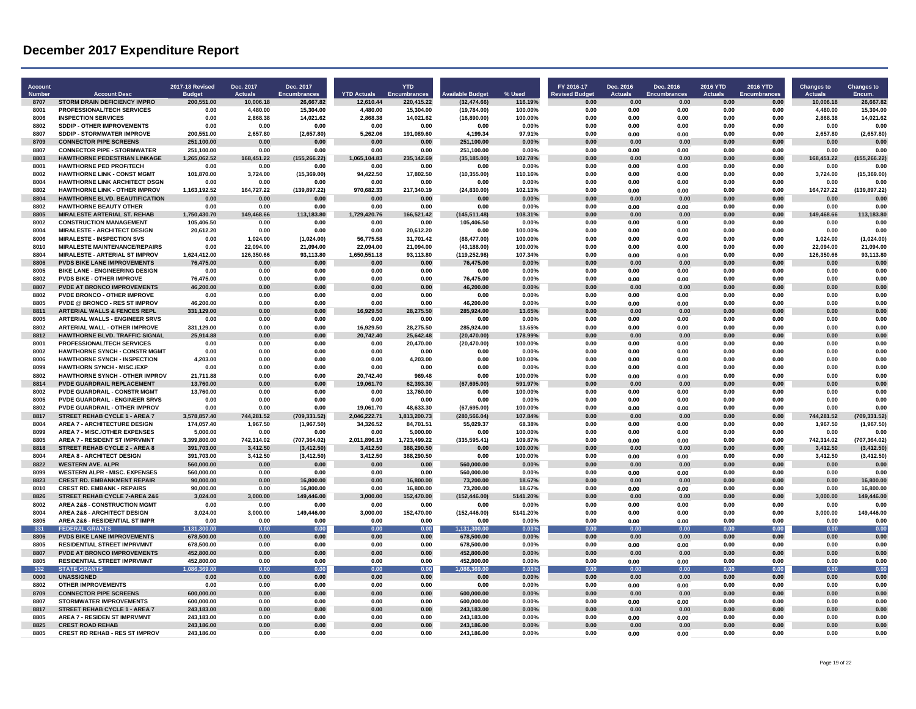| Account<br><b>Number</b> | <b>Account Desc</b>                                                           | <b>2017-18 Revised</b><br><b>Budget</b> | Dec. 2017<br><b>Actuals</b> | Dec. 2017<br><b>Encumbrances</b> | <b>YTD Actuals</b> | <b>YTD</b><br><b>Encumbrances</b> | Available Budget      | % Used            | FY 2016-17<br><b>Revised Budget</b> | Dec. 2016<br><b>Actuals</b> | Dec. 2016<br><b>Encumbrances</b> | <b>2016 YTD</b><br><b>Actuals</b> | 2016 YTD<br><b>Encumbrances</b> | <b>Changes to</b><br><b>Actuals</b> | <b>Changes to</b><br>Encum. |
|--------------------------|-------------------------------------------------------------------------------|-----------------------------------------|-----------------------------|----------------------------------|--------------------|-----------------------------------|-----------------------|-------------------|-------------------------------------|-----------------------------|----------------------------------|-----------------------------------|---------------------------------|-------------------------------------|-----------------------------|
| 8707                     | <b>STORM DRAIN DEFICIENCY IMPRO</b>                                           | 200,551.00                              | 10,006.18                   | 26,667.82                        | 12,610.44          | 220,415.22                        | (32, 474.66)          | 116.19%           | 0.00                                | 0.00                        | 0.00                             | 0.00                              | 0.00                            | 10,006.18                           | 26,667.82                   |
| 8001                     | PROFESSIONAL /TECH SERVICES                                                   | 0.00                                    | 4,480.00                    | 15,304.00                        | 4,480.00           | 15.304.00                         | (19,784.00)           | 100.00%           | 0.00                                | 0.00                        | 0.00                             | <b>0.00</b>                       | 0.00                            | 4.480.00                            | 15,304.00                   |
| 8006<br>8802             | <b>INSPECTION SERVICES</b><br><b>SDDIP - OTHER IMPROVEMENTS</b>               | 0.00<br>0.00                            | 2,868.38<br>0.00            | 14,021.62<br>0.00                | 2,868.38           | 14,021.62<br>0.00                 | (16,890.00)<br>0.00   | 100.00%<br>0.00%  | 0.00<br>0.00                        | 0.00<br>0.00                | 0.00<br>0.00                     | 0.00<br>0.00                      | 0.00<br>0.00                    | 2,868.38<br>0.00                    | 14,021.62<br>0.00           |
| 8807                     | <b>SDDIP - STORMWATER IMPROVE</b>                                             | 200.551.00                              | 2.657.80                    | (2,657.80)                       | 0.00<br>5.262.06   | 191,089.60                        | 4.199.34              | 97.91%            | 0.00                                | 0.00                        | 0.00                             | 0.00                              | 0.00                            | 2.657.80                            | (2,657.80)                  |
| 8709                     | <b>CONNECTOR PIPE SCREENS</b>                                                 | 251,100.00                              | 0.00                        | 0.00                             | 0.00               | 0.00                              | 251,100.00            | 0.00%             | 0.00                                | 0.00                        | 0.00                             | 0.00                              | 0.00                            | 0.00                                | 0.00                        |
| 8807                     | <b>CONNECTOR PIPE - STORMWATER</b>                                            | 251,100.00                              | 0.00                        | 0.00                             | 0.00               | 0.00                              | 251,100.00            | 0.00%             | 0.00                                | 0.00                        | 0.00                             | 0.00                              | 0.00                            | 0.00                                | 0.00                        |
| 8803                     | HAWTHORNE PEDESTRIAN LINKAGE                                                  | 1,265,062.52                            | 168,451.22                  | (155, 266.22)                    | 1,065,104.83       | 235,142.69                        | (35, 185.00)          | 102.78%           | 0.00                                | 0.00                        | 0.00                             | 0.00                              | 0.00                            | 168,451.22                          | (155, 266.22)               |
| 8001                     | <b>HAWTHORNE PED PROF/TECH</b>                                                | 0.00                                    | 0.00                        | 0.00                             | 0.00               | 0.00                              | 0.00                  | 0.00%             | 0.00                                | 0.00                        | 0.00                             | 0.00                              | 0.00                            | 0.00                                | 0.00                        |
| 8002                     | <b>HAWTHORNE LINK - CONST MGMT</b>                                            | 101,870.00                              | 3,724.00                    | (15, 369.00)                     | 94,422.50          | 17,802.50                         | (10, 355.00)          | 110.16%           | 0.00                                | 0.00                        | 0.00                             | 0.00                              | 0.00                            | 3,724.00                            | (15, 369.00)                |
| 8004                     | HAWTHORNE LINK ARCHITECT DSGN                                                 | 0.00                                    | 0.00                        | 0.00                             | 0.00               | 0.00                              | 0.00                  | 0.00%             | 0.00                                | 0.00                        | 0.00                             | 0.00                              | 0.00                            | 0.00                                | 0.00                        |
| 8802<br>8804             | <b>HAWTHORNE LINK - OTHER IMPROV</b><br><b>HAWTHORNE BLVD, BEAUTIFICATION</b> | 1.163.192.52<br>0.00                    | 164.727.22<br>0.00          | (139, 897.22)                    | 970.682.33         | 217.340.19<br>0.00                | (24, 830.00)<br>0.00  | 102.13%           | 0.00<br>0.00                        | 0.00<br>0.00                | 0.00<br>0.00                     | 0.00<br>0.00                      | 0.00<br>0.00                    | 164.727.22<br>0.00                  | (139, 897.22)<br>0.00       |
| 8802                     | <b>HAWTHORNE BEAUTY OTHER</b>                                                 | 0.00                                    | 0.00                        | 0.00<br>0.00                     | 0.00<br>0.00       | 0.00                              | 0.00                  | 0.00%<br>0.00%    | 0.00                                | 0.00                        | 0.00                             | 0.00                              | 0.00                            | 0.00                                | 0.00                        |
| 8805                     | <b>MIRALESTE ARTERIAL ST. REHAB</b>                                           | 1,750,430.70                            | 149,468.66                  | 113,183.80                       | 1,729,420.76       | 166,521.42                        | (145, 511.48)         | 108.31%           | 0.00                                | 0.00                        | 0.00                             | 0.00                              | 0.00                            | 149,468.66                          | 113,183.80                  |
| 8002                     | <b>CONSTRUCTION MANAGEMENT</b>                                                | 105.406.50                              | 0.00                        | 0.00                             | 0.00               | 0.00                              | 105,406.50            | 0.00%             | 0.00                                | 0.00                        | 0.00                             | 0.00                              | 0.00                            | 0.00                                | 0.00                        |
| 8004                     | <b>MIRALESTE - ARCHITECT DESIGN</b>                                           | 20,612.20                               | 0.00                        | 0.00                             | 0.00               | 20.612.20                         | 0.00                  | 100.00%           | 0.00                                | 0.00                        | 0.00                             | 0.00                              | 0.00                            | 0.00                                | 0.00                        |
| 8006                     | <b>MIRALESTE - INSPECTION SVS</b>                                             | 0.00                                    | 1,024.00                    | (1,024.00)                       | 56,775.58          | 31,701.42                         | (88, 477.00)          | 100.00%           | 0.00                                | 0.00                        | 0.00                             | 0.00                              | 0.00                            | 1,024.00                            | (1,024.00)                  |
| 8010                     | <b>MIRALESTE MAINTENANCE/REPAIRS</b>                                          | 0.00                                    | 22,094.00                   | 21,094.00                        | 22,094.00          | 21,094.00                         | (43, 188.00)          | 100.00%           | 0.00                                | 0.00                        | 0.00                             | 0.00                              | 0.00                            | 22,094.00                           | 21,094.00                   |
| 8804                     | MIRALESTE - ARTERIAL ST IMPROV                                                | 1,624,412.00                            | 126,350.66                  | 93,113.80                        | 1,650,551.18       | 93,113.80                         | (119, 252.98)         | 107.34%           | 0.00                                | 0.00                        | 0.00                             | 0.00                              | 0.00                            | 126,350.66                          | 93,113.80                   |
| 8806                     | PVDS BIKE LANE IMPROVEMENTS                                                   | 76,475.00                               | 0.00                        | 0.00                             | 0.00               | 0.00                              | 76,475.00             | 0.00%             | 0.00                                | 0.00                        | 0.00                             | 0.00                              | 0.00                            | 0.00                                | 0.00                        |
| 8005<br>8802             | <b>BIKE LANE - ENGINEERING DESIGN</b><br><b>PVDS BIKE - OTHER IMPROVE</b>     | 0.00<br>76.475.00                       | 0.00<br>0.00                | 0.00<br>0.00                     | 0.00<br>0.00       | 0.00<br>0.00                      | 0.00<br>76.475.00     | 0.00%<br>0.00%    | 0.00<br>0.00                        | 0.00<br>0.00                | 0.00<br>0.00                     | 0.00<br>0.00                      | 0.00<br>0.00                    | 0.00<br>0.00                        | 0.00<br>0.00                |
| 8807                     | PVDE AT BRONCO IMPROVEMENTS                                                   | 46,200.00                               | 0.00                        | 0.00                             | 0.00               | 0.00                              | 46,200.00             | 0.00%             | 0.00                                | 0.00                        | 0.00                             | 0.00                              | 0.00                            | 0.00                                | 0.00                        |
| 8802                     | PVDE BRONCO - OTHER IMPROVE                                                   | 0.00                                    | 0.00                        | 0.00                             | 0.00               | 0.00                              | 0.00                  | 0.00%             | 0.00                                | 0.00                        | 0.00                             | 0.00                              | 0.00                            | 0.00                                | 0.00                        |
| 8805                     | <b>PVDE @ BRONCO - RES ST IMPROV</b>                                          | 46.200.00                               | 0.00                        | 0.00                             | 0.00               | 0.00                              | 46.200.00             | 0.00%             | 0.00                                | 0.00                        | 0.00                             | 0.00                              | 0.00                            | 0.00                                | 0.00                        |
| 8811                     | <b>ARTERIAL WALLS &amp; FENCES REPL</b>                                       | 331,129.00                              | 0.00                        | 0.00                             | 16,929.50          | 28.275.50                         | 285,924.00            | 13.65%            | 0.00                                | 0.00                        | 0.00                             | 0.00                              | 0.00                            | 0.00                                | 0.00                        |
| 8005                     | ARTERIAL WALLS - ENGINEER SRVS                                                | 0.00                                    | 0.00                        | 0.00                             | 0.00               | 0.00                              | 0.00                  | 0.00%             | 0.00                                | 0.00                        | 0.00                             | 0.00                              | 0.00                            | 0.00                                | 0.00                        |
| 8802                     | ARTERIAL WALL - OTHER IMPROVE                                                 | 331,129.00                              | 0.00                        | 0.00                             | 16,929.50          | 28,275.50                         | 285,924.00            | 13.65%            | 0.00                                | 0.00                        | 0.00                             | 0.00                              | 0.00                            | 0.00                                | 0.00                        |
| 8812                     | <b>HAWTHORNE BLVD, TRAFFIC SIGNAL</b>                                         | 25.914.88                               | 0.00                        | 0.00                             | 20.742.40          | 25.642.48                         | (20.470.00)           | 178.99%           | 0.00                                | 0.00                        | 0.00                             | 0.00                              | 0.00                            | 0.00                                | 0.00                        |
| 8001                     | PROFESSIONAL/TECH SERVICES                                                    | 0.00                                    | 0.00                        | 0.00                             | 0.00               | 20,470.00                         | (20, 470.00)          | 100.00%           | 0.00                                | 0.00                        | 0.00                             | 0.00                              | 0.00                            | 0.00                                | 0.00                        |
| 8002<br>8006             | HAWTHORNE SYNCH - CONSTR MGMT<br><b>HAWTHORNE SYNCH - INSPECTION</b>          | 0.00<br>4,203.00                        | 0.00<br>0.00                | 0.00<br>0.00                     | 0.00<br>0.00       | 0.00<br>4.203.00                  | 0.00<br>0.00          | 0.00%<br>100.00%  | 0.00<br>0.00                        | 0.00<br>0.00                | 0.00<br>0.00                     | 0.00<br>0.00                      | 0.00<br>0.00                    | 0.00<br>0.00                        | 0.00<br>0.00                |
| 8099                     | <b>HAWTHORN SYNCH - MISC./EXP</b>                                             | 0.00                                    | 0.00                        | 0.00                             | 0.00               | 0.00                              | 0.00                  | 0.00%             | 0.00                                | 0.00                        | 0.00                             | 0.00                              | 0.00                            | 0.00                                | 0.00                        |
| 8802                     | HAWTHORNE SYNCH - OTHER IMPROV                                                | 21.711.88                               | 0.00                        | 0.00                             | 20.742.40          | 969.48                            | 0.00                  | 100.00%           | 0.00                                | 0.00                        | 0.00                             | 0.00                              | 0.00                            | 0.00                                | 0.00                        |
| 8814                     | PVDE GUARDRAIL REPLACEMENT                                                    | 13,760.00                               | 0.00                        | 0.00                             | 19,061.70          | 62,393.30                         | (67, 695.00)          | 591.97%           | 0.00                                | 0.00                        | 0.00                             | 0.00                              | 0.00                            | 0.00                                | 0.00                        |
| 8002                     | <b>PVDE GUARDRAIL - CONSTR MGMT</b>                                           | 13.760.00                               | 0.00                        | 0.00                             | 0.00               | 13.760.00                         | 0.00                  | 100.00%           | 0.00                                | 0.00                        | 0.00                             | 0.00                              | 0.00                            | 0.00                                | 0.00                        |
| 8005                     | PVDE GUARDRAIL - ENGINEER SRVS                                                | 0.00                                    | 0.00                        | 0.00                             | 0.00               | 0.00                              | 0.00                  | 0.00%             | 0.00                                | 0.00                        | 0.00                             | 0.00                              | 0.00                            | 0.00                                | 0.00                        |
| 8802                     | PVDE GUARDRAIL - OTHER IMPROV                                                 | 0.00                                    | 0.00                        | 0.00                             | 19,061.70          | 48,633.30                         | (67, 695.00)          | 100.00%           | 0.00                                | 0.00                        | 0.00                             | 0.00                              | 0.00                            | 0.00                                | 0.00                        |
| 8817                     | <b>STREET REHAB CYCLE 1 - AREA 7</b>                                          | 3,578,857.40                            | 744,281.52                  | (709, 331.52)                    | 2,046,222.71       | 813,200.73                        | (280, 566.04)         | 107.84%           | 0.00                                | 0.00                        | 0.00                             | 0.00                              | 0.00                            | 744,281.52                          | (709, 331.52)               |
| 8004<br>8099             | <b>AREA 7 - ARCHITECTURE DESIGN</b><br>AREA 7 - MISC./OTHER EXPENSES          | 174.057.40<br>5,000.00                  | 1.967.50<br>0.00            | (1,967.50)<br>0.00               | 34.326.52<br>0.00  | 84.701.51<br>5.000.00             | 55.029.37<br>0.00     | 68.38%<br>100.00% | 0.00<br>0.00                        | 0.00<br>0.00                | 0.00<br>0.00                     | 0.00<br>0.00                      | 0.00<br>0.00                    | 1.967.50<br>0.00                    | (1,967.50)<br>0.00          |
| 8805                     | AREA 7 - RESIDENT ST IMPRVMNT                                                 | 3,399,800.00                            | 742,314.02                  | (707, 364.02)                    | 2,011,896.19       | 1,723,499.22                      | (335, 595.41)         | 109.87%           | 0.00                                | 0.00                        | 0.00                             | 0.00                              | 0.00                            | 742,314.02                          | (707, 364.02)               |
| 8818                     | STREET REHAB CYCLE 2 - AREA 8                                                 | 391,703.00                              | 3,412.50                    | (3, 412.50)                      | 3,412.50           | 388,290.50                        | 0.00                  | 100.00%           | 0.00                                | 0.00                        | 0.00                             | 0.00                              | 0.00                            | 3,412.50                            | (3, 412.50)                 |
| 8004                     | <b>AREA 8 - ARCHITECT DESIGN</b>                                              | 391,703.00                              | 3,412.50                    | (3, 412.50)                      | 3,412.50           | 388,290.50                        | 0.00                  | 100.00%           | 0.00                                | 0.00                        | 0.00                             | 0.00                              | 0.00                            | 3.412.50                            | (3, 412.50)                 |
| 8822                     | <b>WESTERN AVE. ALPR</b>                                                      | 560,000.00                              | 0.00                        | 0.00                             | 0.00               | 0.00                              | 560,000.00            | 0.00%             | 0.00                                | 0.00                        | 0.00                             | 0.00                              | 0.00                            | 0.00                                | 0.00                        |
| 8099                     | <b>WESTERN ALPR - MISC. EXPENSES</b>                                          | 560,000.00                              | 0.00                        | 0.00                             | 0.00               | 0.00                              | 560,000.00            | 0.00%             | 0.00                                | 0.00                        | 0.00                             | 0.00                              | 0.00                            | 0.00                                | 0.00                        |
| 8823                     | <b>CREST RD. EMBANKMENT REPAIR</b>                                            | 90.000.00                               | 0.00                        | 16.800.00                        | 0.00               | 16.800.00                         | 73.200.00             | 18.67%            | 0.00                                | 0.00                        | 0.00                             | 0.00                              | 0.00                            | 0.00                                | 16.800.00                   |
| 8010                     | <b>CREST RD. EMBANK - REPAIRS</b>                                             | 90,000.00                               | 0.00                        | 16,800.00                        | 0.00               | 16,800.00                         | 73,200.00             | 18.67%            | 0.00                                | 0.00                        | 0.00                             | 0.00                              | 0.00                            | 0.00                                | 16,800.00                   |
| 8826<br>8002             | STREET REHAB CYCLE 7-AREA 2&6<br>AREA 2&6 - CONSTRUCTION MGMT                 | 3,024.00<br>0.00                        | 3,000.00<br>0.00            | 149,446.00<br>0.00               | 3,000.00<br>0.00   | 152,470.00<br>0.00                | (152, 446.00)<br>0.00 | 5141.20%<br>0.00% | 0.00<br>0.00                        | 0.00<br>0.00                | 0.00<br>0.00                     | 0.00<br>0.00                      | 0.00<br>0.00                    | 3,000.00<br>0.00                    | 149,446.00<br>0.00          |
| 8004                     | <b>AREA 2&amp;6 - ARCHITECT DESIGN</b>                                        | 3.024.00                                | 3.000.00                    | 149.446.00                       | 3.000.00           | 152.470.00                        | (152, 446.00)         | 5141.20%          | 0.00                                | 0.00                        | 0.00                             | 0.00                              | 0.00                            | 3.000.00                            | 149.446.00                  |
| 8805                     | AREA 2&6 - RESIDENTIAL ST IMPR                                                | 0.00                                    | 0.00                        | 0.00                             | 0.00               | 0.00                              | 0.00                  | 0.00%             | 0.00                                | 0.00                        | 0.00                             | 0.00                              | 0.00                            | 0.00                                | 0.00                        |
| 331                      | <b>FEDERAL GRANTS</b>                                                         | 1,131,300.00                            | 0.00                        | 0.00                             | 0.00               | 0.00                              | 1,131,300.00          | $0.00\%$          | 0.00                                | 0.00                        | 0.00                             | 0.00                              | 0.00                            | 0.00                                | 0.00                        |
| 8806                     | PVDS BIKE LANE IMPROVEMENTS                                                   | 678,500.00                              | 0.00                        | 0.00                             | 0.00               | 0.00                              | 678,500.00            | 0.00%             | 0.00                                | 0.00                        | 0.00                             | 0.00                              | 0.00                            | 0.00                                | 0.00                        |
| 8805                     | <b>RESIDENTIAL STREET IMPRVMNT</b>                                            | 678.500.00                              | 0.00                        | 0.00                             | 0.00               | 0.00                              | 678.500.00            | 0.00%             | 0.00                                | 0.00                        | 0.00                             | 0.00                              | 0.00                            | 0.00                                | 0.00                        |
| 8807                     | <b>PVDE AT BRONCO IMPROVEMENTS</b>                                            | 452,800.00                              | 0.00                        | 0.00                             | 0.00               | 0.00                              | 452,800.00            | 0.00%             | 0.00                                | 0.00                        | 0.00                             | 0.00                              | 0.00                            | 0.00                                | 0.00                        |
| 8805                     | RESIDENTIAL STREET IMPRVMNT                                                   | 452,800.00                              | 0.00                        | 0.00                             | 0.00               | 0.00                              | 452,800.00            | 0.00%             | 0.00                                | 0.00                        | 0.00                             | 0.00                              | 0.00                            | 0.00                                | 0.00                        |
| 332<br>0000              | <b>STATE GRANTS</b><br><b>UNASSIGNED</b>                                      | 1.086.369.00<br>0.00                    | 0.00<br>0.00                | 0.00                             | 0.00<br>0.00       | 0.00                              | 1.086.369.00<br>0.00  | $0.00\%$          | 0.00<br>0.00                        | 0.00<br>0.00                | 0.00<br>0.00                     | 0.00<br>0.00                      | 0.00                            | 0.00<br>0.00                        | 0.00                        |
| 8802                     | <b>OTHER IMPROVEMENTS</b>                                                     | 0.00                                    | 0.00                        | 0.00<br>0.00                     | 0.00               | 0.00<br>0.00                      | 0.00                  | 0.00%<br>0.00%    | 0.00                                | 0.00                        | 0.00                             | 0.00                              | 0.00<br>0.00                    | 0.00                                | 0.00<br>0.00                |
| 8709                     | <b>CONNECTOR PIPE SCREENS</b>                                                 | 600,000.00                              | 0.00                        | 0.00                             | 0.00               | 0.00                              | 600,000.00            | 0.00%             | 0.00                                | 0.00                        | 0.00                             | 0.00                              | 0.00                            | 0.00                                | 0.00                        |
| 8807                     | <b>STORMWATER IMPROVEMENTS</b>                                                | 600.000.00                              | 0.00                        | 0.00                             | 0.00               | 0.00                              | 600.000.00            | 0.00%             | 0.00                                | 0.00                        | 0.00                             | 0.00                              | 0.00                            | 0.00                                | 0.00                        |
| 8817                     | <b>STREET REHAB CYCLE 1 - AREA</b>                                            | 243,183.00                              | 0.00                        | 0.00                             | 0.00               | 0.00                              | 243,183.00            | 0.00%             | 0.00                                | 0.00                        | 0.00                             | 0.00                              | 0.00                            | 0.00                                | 0.00                        |
| 8805                     | AREA 7 - RESIDEN ST IMPRVMNT                                                  | 243,183.00                              | 0.00                        | 0.00                             | 0.00               | 0.00                              | 243,183.00            | 0.00%             | 0.00                                | 0.00                        | 0.00                             | 0.00                              | 0.00                            | 0.00                                | 0.00                        |
| 8825                     | <b>CREST ROAD REHAB</b>                                                       | 243,186.00                              | 0.00                        | 0.00                             | 0.00               | 0.00                              | 243,186.00            | $0.00\%$          | 0.00                                | 0.00                        | 0.00                             | 0.00                              | 0.00                            | 0.00                                | 0.00                        |
| 8805                     | <b>CREST RD REHAB - RES ST IMPROV</b>                                         | 243.186.00                              | 0.00                        | 0.00                             | 0.00               | 0.00                              | 243.186.00            | 0.00%             | 0.00                                | 0.00                        | 0.00                             | 0.00                              | 0.00                            | 0.00                                | 0.00                        |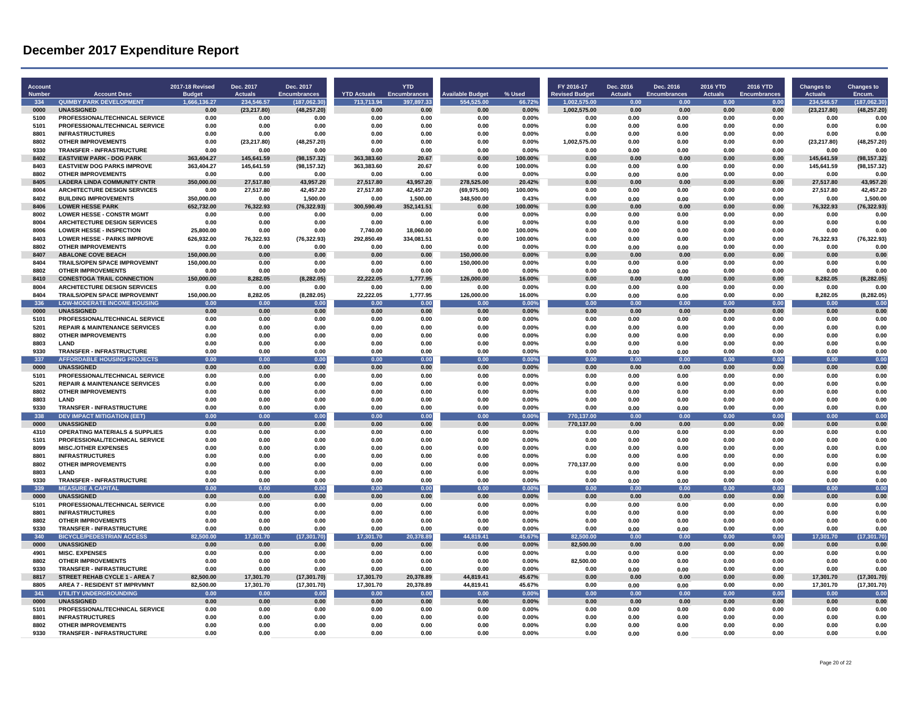| <b>Account</b><br><b>Number</b> | <b>Account Desc</b>                                                       | 2017-18 Revised<br><b>Budge</b> | Dec. 2017<br><b>Actuals</b> | Dec. 2017<br><b>Encumbrances</b> | <b>YTD Actuals</b>     | <b>YTD</b><br><b>Encumbrances</b> | <b>Available Budget</b>   | % Used             | FY 2016-17                            | Dec. 2016<br><b>Actuals</b> | Dec. 2016<br><b>Encumbrances</b> | 2016 YTD<br><b>Actuals</b> | 2016 YTD<br><b>Encumbrances</b> | <b>Changes to</b><br><b>Actuals</b> | <b>Changes to</b><br>Encum. |
|---------------------------------|---------------------------------------------------------------------------|---------------------------------|-----------------------------|----------------------------------|------------------------|-----------------------------------|---------------------------|--------------------|---------------------------------------|-----------------------------|----------------------------------|----------------------------|---------------------------------|-------------------------------------|-----------------------------|
| 334                             | <b>QUIMBY PARK DEVELOPMENT</b>                                            | 1,666,136.27                    | 234,546.57                  | (187,062.30)                     | 713,713.94             | 397,897.33                        | 554,525.00                | 66.72%             | <b>Revised Budget</b><br>1,002,575.00 | 0.00                        | 0.00                             | 0.00                       | 0.00                            | 234,546.57                          | (187,062.30)                |
| 0000                            | <b>UNASSIGNED</b>                                                         | 0.00                            | (23, 217.80)                | (48, 257.20)                     | 0.00                   | 0.00                              | 0.00                      | 0.00%              | 1,002,575.00                          | 0.00                        | 0.00                             | 0.00                       | 0.00                            | (23, 217.80)                        | (48, 257.20)                |
| 5100                            | PROFESSIONAL/TECHNICAL SERVICE                                            | 0.00                            | 0.00                        | 0.00                             | 0.00                   | 0.00                              | 0.00                      | $0.00\%$           | 0.00                                  | 0.00                        | 0.00                             | 0.00                       | 0.00                            | 0.00                                | 0.00                        |
| 5101                            | PROFESSIONAL/TECHNICAL SERVICE                                            | 0.00                            | 0.00                        | 0.00                             | 0.00                   | 0.00                              | 0.00                      | 0.00%              | 0.00                                  | 0.00                        | 0.00                             | 0.00                       | 0.00                            | 0.00                                | 0.00                        |
| 8801                            | <b>INFRASTRUCTURES</b>                                                    | 0.00                            | 0.00                        | 0.00                             | 0.00                   | 0.00                              | 0.00                      | 0.00%              | 0.00                                  | 0.00                        | 0.00                             | 0.00                       | 0.00                            | 0.00                                | 0.00                        |
| 8802                            | <b>OTHER IMPROVEMENTS</b>                                                 | 0.00                            | (23, 217.80)                | (48, 257.20)                     | 0.00                   | 0.00                              | 0.00                      | 0.00%              | 1,002,575.00                          | 0.00                        | 0.00                             | 0.00                       | 0.00                            | (23, 217.80)                        | (48, 257.20)                |
| 9330                            | TRANSFER - INFRASTRUCTURE                                                 | 0.00                            | 0.00                        | 0.00                             | 0.00                   | 0.00                              | 0.00                      | 0.00%              | 0.00                                  | 0.00                        | 0.00                             | 0.00                       | 0.00                            | 0.00                                | 0.00                        |
| 8402                            | <b>EASTVIEW PARK - DOG PARK</b>                                           | 363,404.27                      | 145,641.59                  | (98, 157.32)                     | 363,383.60             | 20.67                             | 0.00                      | 100.00%            | 0.00                                  | 0.00                        | 0.00                             | 0.00                       | 0.00                            | 145,641.59                          | (98, 157.32)                |
| 8403                            | <b>EASTVIEW DOG PARKS IMPROVE</b>                                         | 363.404.27                      | 145,641.59                  | (98, 157.32)                     | 363,383.60             | 20.67                             | 0.00                      | 100.00%            | 0.00                                  | 0.00                        | 0.00                             | 0.00                       | 0.00                            | 145,641.59                          | (98, 157.32)                |
| 8802                            | <b>OTHER IMPROVEMENTS</b>                                                 | 0.00                            | 0.00                        | 0.00                             | 0.00                   | 0.00                              | 0.00                      | 0.00%              | 0.00                                  | 0.00                        | 0.00                             | 0.00                       | 0.00                            | 0.00                                | 0.00                        |
| 8405<br>8004                    | <b>LADERA LINDA COMMUNITY CNTR</b><br><b>ARCHITECTURE DESIGN SERVICES</b> | 350,000.00<br>0.00              | 27,517.80<br>27,517.80      | 43,957.20<br>42.457.20           | 27,517.80<br>27.517.80 | 43,957.20<br>42.457.20            | 278,525.00<br>(69.975.00) | 20.42%<br>100.00%  | 0.00<br>0.00                          | 0.00<br>0.00                | 0.00<br>0.00                     | 0.00<br>0.00               | 0.00<br>0.00                    | 27,517.80<br>27.517.80              | 43,957.20<br>42.457.20      |
| 8402                            | <b>BUILDING IMPROVEMENTS</b>                                              | 350,000.00                      | 0.00                        | 1,500.00                         | 0.00                   | 1,500.00                          | 348,500.00                | 0.43%              | 0.00                                  | 0.00                        | 0.00                             | 0.00                       | 0.00                            | 0.00                                | 1.500.00                    |
| 8406                            | <b>LOWER HESSE PARK</b>                                                   | 652,732.00                      | 76,322.93                   | (76, 322.93)                     | 300,590.49             | 352,141.51                        | 0.00                      | 100.00%            | 0.00                                  | 0.00                        | 0.00                             | 0.00                       | 0.00                            | 76,322.93                           | (76, 322.93)                |
| 8002                            | <b>LOWER HESSE - CONSTR MGMT</b>                                          | 0.00                            | 0.00                        | 0.00                             | 0.00                   | 0.00                              | 0.00                      | $0.00\%$           | 0.00                                  | 0.00                        | 0.00                             | 0.00                       | 0.00                            | 0.00                                | 0.00                        |
| 8004                            | <b>ARCHITECTURE DESIGN SERVICES</b>                                       | 0.00                            | 0.00                        | 0.00                             | 0.00                   | 0.00                              | 0.00                      | 0.00%              | 0.00                                  | 0.00                        | 0.00                             | 0.00                       | 0.00                            | 0.00                                | 0.00                        |
| 8006                            | <b>LOWER HESSE - INSPECTION</b>                                           | 25.800.00                       | 0.00                        | 0.00                             | 7,740.00               | 18,060.00                         | 0.00                      | 100.00%            | 0.00                                  | 0.00                        | 0.00                             | 0.00                       | 0.00                            | 0.00                                | 0.00                        |
| 8403                            | <b>LOWER HESSE - PARKS IMPROVE</b>                                        | 626,932.00                      | 76,322.93                   | (76, 322.93)                     | 292,850.49             | 334,081.51                        | 0.00                      | 100.00%            | 0.00                                  | 0.00                        | 0.00                             | 0.00                       | 0.00                            | 76,322.93                           | (76, 322.93)                |
| 8802                            | <b>OTHER IMPROVEMENTS</b>                                                 | 0.00                            | 0.00                        | 0.00                             | 0.00                   | 0.00                              | 0.00                      | 0.00%              | 0.00                                  | 0.00                        | 0.00                             | 0.00                       | 0.00                            | 0.00                                | 0.00                        |
| 8407                            | <b>ABALONE COVE BEACH</b>                                                 | 150,000.00                      | 0.00                        | 0.00                             | 0.00                   | 0.00                              | 150.000.00                | 0.00%              | 0.00                                  | 0.00                        | 0.00                             | 0.00                       | 0.00                            | 0.00                                | 0.00                        |
| 8404                            | TRAILS/OPEN SPACE IMPROVEMNT                                              | 150,000.00                      | 0.00                        | 0.00                             | 0.00                   | 0.00                              | 150,000.00                | 0.00%              | 0.00                                  | 0.00                        | 0.00                             | 0.00                       | 0.00                            | 0.00                                | 0.00                        |
| 8802                            | <b>OTHER IMPROVEMENTS</b>                                                 | 0.00                            | 0.00                        | 0.00                             | 0.00                   | 0.00                              | 0.00                      | 0.00%              | 0.00                                  | 0.00                        | 0.00                             | 0.00                       | 0.00                            | 0.00                                | 0.00                        |
| 8410<br>8004                    | <b>CONESTOGA TRAIL CONNECTION</b><br><b>ARCHITECTURE DESIGN SERVICES</b>  | 150.000.00<br>0.00              | 8.282.05<br>0.00            | (8, 282.05)<br>0.00              | 22.222.05<br>0.00      | 1,777.95<br>0.00                  | 126,000.00<br>0.00        | 16.00%<br>$0.00\%$ | 0.00<br>0.00                          | 0.00<br>0.00                | 0.00<br>0.00                     | 0.00<br>0.00               | 0.00<br>0.00                    | 8.282.05<br>0.00                    | (8, 282.05)<br>0.00         |
| 8404                            | TRAILS/OPEN SPACE IMPROVEMNT                                              | 150,000.00                      | 8,282.05                    | (8, 282.05)                      | 22,222.05              | 1,777.95                          | 126,000.00                | 16.00%             | 0.00                                  | 0.00                        | 0.00                             | 0.00                       | 0.00                            | 8,282.05                            | (8, 282.05)                 |
| 336                             | <b>LOW-MODERATE INCOME HOUSING</b>                                        | 0.00                            | 0.00                        | 0.00                             | 0.00                   | 0.00                              | 0.00                      | 0.00%              | 0.00                                  | 0.00                        | 0.00                             | 0.00                       | 0.00                            | 0.00                                | 0.00                        |
| 0000                            | <b>UNASSIGNED</b>                                                         | 0.00                            | 0.00                        | 0.00                             | 0.00                   | 0.00                              | 0.00                      | 0.00%              | 0.00                                  | 0.00                        | 0.00                             | 0.00                       | 0.00                            | 0.00                                | 0.00                        |
| 5101                            | PROFESSIONAL/TECHNICAL SERVICE                                            | 0.00                            | 0.00                        | 0.00                             | 0.00                   | 0.00                              | 0.00                      | $0.00\%$           | 0.00                                  | 0.00                        | 0.00                             | 0.00                       | 0.00                            | 0.00                                | 0.00                        |
| 5201                            | <b>REPAIR &amp; MAINTENANCE SERVICES</b>                                  | 0.00                            | 0.00                        | 0.00                             | 0.00                   | 0.00                              | 0.00                      | 0.00%              | 0.00                                  | 0.00                        | 0.00                             | 0.00                       | 0.00                            | 0.00                                | 0.00                        |
| 8802                            | <b>OTHER IMPROVEMENTS</b>                                                 | 0.00                            | 0.00                        | 0.00                             | 0.00                   | 0.00                              | 0.00                      | 0.00%              | 0.00                                  | 0.00                        | 0.00                             | 0.00                       | 0.00                            | 0.00                                | 0.00                        |
| 8803                            | LAND                                                                      | 0.00                            | 0.00                        | 0.00                             | 0.00                   | 0.00                              | 0.00                      | 0.00%              | 0.00                                  | 0.00                        | 0.00                             | 0.00                       | 0.00                            | 0.00                                | 0.00                        |
| 9330                            | TRANSFER - INFRASTRUCTURE                                                 | 0.00                            | 0.00                        | 0.00                             | 0.00                   | 0.00                              | 0.00                      | 0.00%              | 0.00                                  | 0.00                        | 0.00                             | 0.00                       | 0.00                            | 0.00                                | 0.00                        |
| 337<br>0000                     | <b>AFFORDABLE HOUSING PROJECTS</b><br><b>UNASSIGNED</b>                   | 0.00                            | 0.00                        | 0.00                             | 0.00<br>0.00           | 0.00                              | 0.00<br>0.00              | 0.00%              | 0.00                                  | 0.00                        | 0.00<br>0.00                     | 0.00                       | 0.00                            | 0.00                                | 0.00                        |
| 5101                            | PROFESSIONAL/TECHNICAL SERVICE                                            | 0.00<br>0.00                    | 0.00<br>0.00                | 0.00<br>0.00                     | 0.00                   | 0.00<br>0.00                      | 0.00                      | 0.00%<br>$0.00\%$  | 0.00<br>0.00                          | 0.00<br>0.00                | 0.00                             | 0.00<br>0.00               | 0.00<br>0.00                    | 0.00<br>0.00                        | 0.00<br>0.00                |
| 5201                            | <b>REPAIR &amp; MAINTENANCE SERVICES</b>                                  | 0.00                            | 0.00                        | 0.00                             | 0.00                   | 0.00                              | 0.00                      | 0.00%              | 0.00                                  | 0.00                        | 0.00                             | 0.00                       | 0.00                            | 0.00                                | 0.00                        |
| 8802                            | <b>OTHER IMPROVEMENTS</b>                                                 | 0.00                            | 0.00                        | 0.00                             | 0.00                   | 0.00                              | 0.00                      | 0.00%              | 0.00                                  | 0.00                        | 0.00                             | 0.00                       | 0.00                            | 0.00                                | 0.00                        |
| 8803                            | <b>I AND</b>                                                              | 0.00                            | 0.00                        | 0.00                             | 0.00                   | 0.00                              | 0.00                      | 0.00%              | 0.00                                  | 0.00                        | 0.00                             | 0.00                       | 0.00                            | 0.00                                | 0.00                        |
| 9330                            | TRANSFER - INFRASTRUCTURE                                                 | 0.00                            | 0.00                        | 0.00                             | 0.00                   | 0.00                              | 0.00                      | 0.00%              | 0.00                                  | 0.00                        | 0.00                             | 0.00                       | 0.00                            | 0.00                                | 0.00                        |
| 338                             | <b>DEV IMPACT MITIGATION (EET)</b>                                        | 0.00                            | 0.00                        | 0.00                             | 0.00                   | 0.00                              | 0.00                      | 0.00%              | 770,137,00                            | 0.00                        | 0.00                             | 0.00                       | 0.00                            | 0.00                                | 0.00                        |
| 0000                            | <b>UNASSIGNED</b>                                                         | 0.00                            | 0.00                        | 0.00                             | 0.00                   | 0.00                              | 0.00                      | 0.00%              | 770,137.00                            | 0.00                        | 0.00                             | 0.00                       | 0.00                            | 0.00                                | 0.00                        |
| 4310                            | <b>OPERATING MATERIALS &amp; SUPPLIES</b>                                 | 0.00                            | 0.00                        | 0.00                             | 0.00                   | 0.00                              | 0.00                      | $0.00\%$           | 0.00                                  | 0.00                        | 0.00                             | 0.00                       | 0.00                            | 0.00                                | 0.00                        |
| 5101<br>8099                    | PROFESSIONAL/TECHNICAL SERVICE                                            | 0.00                            | 0.00                        | 0.00                             | 0.00                   | 0.00                              | 0.00                      | 0.00%              | 0.00                                  | 0.00                        | 0.00                             | 0.00                       | 0.00<br>0.00                    | 0.00                                | 0.00<br>0.00                |
| 8801                            | <b>MISC./OTHER EXPENSES</b><br><b>INFRASTRUCTURES</b>                     | 0.00<br>0.00                    | 0.00<br>0.00                | 0.00<br>0.00                     | 0.00<br>0.00           | 0.00<br>0.00                      | 0.00<br>0.00              | 0.00%<br>0.00%     | 0.00<br>0.00                          | 0.00<br>0.00                | 0.00<br>0.00                     | 0.00<br>0.00               | 0.00                            | 0.00<br>0.00                        | 0.00                        |
| 8802                            | <b>OTHER IMPROVEMENTS</b>                                                 | 0.00                            | 0.00                        | 0.00                             | 0.00                   | 0.00                              | 0.00                      | 0.00%              | 770,137.00                            | 0.00                        | 0.00                             | 0.00                       | 0.00                            | 0.00                                | 0.00                        |
| 8803                            | LAND                                                                      | 0.00                            | 0.00                        | 0.00                             | 0.00                   | 0.00                              | 0.00                      | 0.00%              | 0.00                                  | 0.00                        | 0.00                             | 0.00                       | 0.00                            | 0.00                                | 0.00                        |
| 9330                            | TRANSFER - INFRASTRUCTURE                                                 | 0.00                            | 0.00                        | 0.00                             | 0.00                   | 0.00                              | 0.00                      | 0.00%              | 0.00                                  | 0.00                        | 0.00                             | 0.00                       | 0.00                            | 0.00                                | 0.00                        |
| 339                             | <b>MEASURE A CAPITAL</b>                                                  | 0.00                            | 0.00                        | 0.00                             | 0.00                   | 0.00                              | 0.00                      | 0.00%              | 0.00                                  | 0.00                        | 0.00                             | 0.00                       | 0.00                            | 0.00                                | 0.00                        |
| 0000                            | <b>UNASSIGNED</b>                                                         | 0.00                            | 0.00                        | 0.00                             | 0.00                   | 0.00                              | 0.00                      | 0.00%              | 0.00                                  | 0.00                        | 0.00                             | 0.00                       | 0.00                            | 0.00                                | 0.00                        |
| 5101                            | PROFESSIONAL/TECHNICAL SERVICE                                            | 0.00                            | 0.00                        | 0.00                             | 0.00                   | 0.00                              | 0.00                      | 0.00%              | 0.00                                  | 0.00                        | 0.00                             | 0.00                       | 0.00                            | 0.00                                | 0.00                        |
| 8801                            | <b>INFRASTRUCTURES</b>                                                    | 0.00                            | 0.00                        | 0.00                             | 0.00                   | 0.00                              | 0.00                      | 0.00%              | 0.00                                  | 0.00                        | 0.00                             | 0.00                       | 0.00                            | 0.00                                | 0.00                        |
| 8802                            | <b>OTHER IMPROVEMENTS</b>                                                 | 0.00                            | 0.00                        | 0.00                             | 0.00                   | 0.00                              | 0.00                      | 0.00%              | 0.00                                  | 0.00                        | 0.00                             | 0.00                       | 0.00                            | 0.00                                | 0.00                        |
| 9330<br>340                     | <b>TRANSFER - INFRASTRUCTURE</b><br><b>BICYCLE/PEDESTRIAN ACCESS</b>      | 0.00<br>82.500.00               | 0.00                        | 0.00                             | 0.00                   | 0.00<br>20.378.89                 | 0.00<br>44.819.41         | 0.00%<br>45.67%    | 0.00<br>82.500.00                     | 0.00                        | 0.00<br>0.00                     | 0.00<br>0.00               | 0.00<br>0.00                    | 0.00                                | 0.00                        |
| 0000                            | <b>UNASSIGNED</b>                                                         | 0.00                            | 17,301.70<br>0.00           | (17, 301.70)<br>0.00             | 17,301.70<br>0.00      | 0.00                              | 0.00                      | 0.00%              | 82,500.00                             | 0.00<br>0.00                | 0.00                             | 0.00                       | 0.00                            | 17,301.70<br>0.00                   | (17, 301.70)<br>0.00        |
| 4901                            | <b>MISC. EXPENSES</b>                                                     | 0.00                            | 0.00                        | 0.00                             | 0.00                   | 0.00                              | 0.00                      | 0.00%              | 0.00                                  | 0.00                        | 0.00                             | 0.00                       | 0.00                            | 0.00                                | 0.00                        |
| 8802                            | <b>OTHER IMPROVEMENTS</b>                                                 | 0.00                            | 0.00                        | 0.00                             | 0.00                   | 0.00                              | 0.00                      | 0.00%              | 82,500.00                             | 0.00                        | 0.00                             | 0.00                       | 0.00                            | 0.00                                | 0.00                        |
| 9330                            | <b>TRANSFER - INFRASTRUCTURE</b>                                          | 0.00                            | 0.00                        | 0.00                             | 0.00                   | 0.00                              | 0.00                      | 0.00%              | 0.00                                  | 0.00                        | 0.00                             | 0.00                       | 0.00                            | 0.00                                | 0.00                        |
| 8817                            | <b>STREET REHAB CYCLE 1 - AREA 7</b>                                      | 82,500.00                       | 17,301.70                   | (17, 301.70)                     | 17,301.70              | 20,378.89                         | 44,819.41                 | 45.67%             | 0.00                                  | 0.00                        | 0.00                             | 0.00                       | 0.00                            | 17,301.70                           | (17, 301.70)                |
| 8805                            | <b>AREA 7 - RESIDENT ST IMPRVMNT</b>                                      | 82.500.00                       | 17,301.70                   | (17, 301.70)                     | 17,301.70              | 20,378.89                         | 44.819.41                 | 45.67%             | 0.00                                  | 0.00                        | 0.00                             | 0.00                       | 0.00                            | 17,301.70                           | (17, 301.70)                |
| 341                             | <b>UTILITY UNDERGROUNDING</b>                                             | 0.00                            | 0.00                        | 0.00                             | 0.00                   | 0.00                              | 0.00                      | 0.00%              | 0.00                                  | 0.00                        | 0.00                             | 0.00                       | 0.00                            | 0.00                                | 0.00                        |
| 0000                            | <b>UNASSIGNED</b>                                                         | 0.00                            | 0.00                        | $0.00\,$                         | 0.00                   | 0.00                              | 0.00                      | 0.00%              | 0.00                                  | 0.00                        | 0.00                             | 0.00                       | 0.00                            | 0.00                                | 0.00                        |
| 5101                            | PROFESSIONAL/TECHNICAL SERVICE                                            | 0.00                            | 0.00                        | 0.00                             | 0.00                   | 0.00                              | 0.00                      | 0.00%              | 0.00                                  | 0.00                        | 0.00                             | 0.00                       | 0.00                            | 0.00                                | 0.00                        |
| 8801<br>8802                    | <b>INFRASTRUCTURES</b><br>OTHER IMPROVEMENTS                              | 0.00<br>0.00                    | 0.00<br>0.00                | 0.00<br>0.00                     | 0.00<br>0.00           | 0.00<br>0.00                      | 0.00<br>n nn              | 0.00%<br>0.00%     | 0.00<br>0.00                          | 0.00<br>0.00                | 0.00<br>0.00                     | 0.00<br>0.00               | 0.00<br>0.00                    | 0.00<br>0.00                        | 0.00<br>0.00                |
| 9330                            | TRANSFER - INFRASTRUCTURE                                                 | 0.00                            | 0.00                        | 0.00                             | 0.00                   | 0.00                              | 0.00                      | 0.00%              | 0.00                                  | 0.00                        | 0.00                             | 0.00                       | 0.00                            | 0.00                                | 0.00                        |
|                                 |                                                                           |                                 |                             |                                  |                        |                                   |                           |                    |                                       |                             |                                  |                            |                                 |                                     |                             |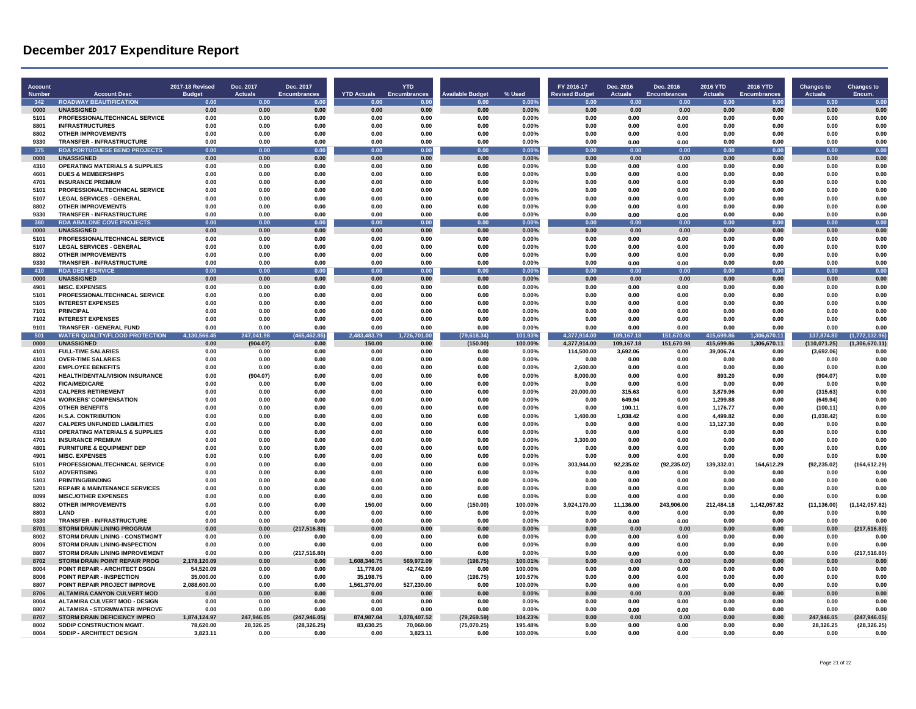| <b>Account</b><br><b>Numbe</b> | <b>Account Desc</b>                                                   | 2017-18 Revised<br><b>Budget</b> | Dec. 2017<br>Actuals | Dec. 2017<br><b>Encumbrances</b> | <b>YTD Actuals</b> | <b>YTD</b><br><b>Encumbrances</b> | <b>Available Budget</b> | % Used            | FY 2016-17<br><b>Revised Budget</b> | Dec. 2016<br><b>Actuals</b> | Dec. 2016<br><b>Encumbrances</b> | 2016 YTD<br><b>Actuals</b> | <b>2016 YTD</b><br><b>Encumbrances</b> | <b>Changes to</b><br><b>Actuals</b> | <b>Changes to</b><br>Encum. |
|--------------------------------|-----------------------------------------------------------------------|----------------------------------|----------------------|----------------------------------|--------------------|-----------------------------------|-------------------------|-------------------|-------------------------------------|-----------------------------|----------------------------------|----------------------------|----------------------------------------|-------------------------------------|-----------------------------|
| 342                            | <b>ROADWAY BEAUTIFICATION</b>                                         | 0.00                             | 0 <sub>0</sub>       | 0.00                             | 0.00               | 0.00                              | 0.00                    | 0.00%             | 0.00                                | 0.00                        | 0.00                             | 0.00                       | 0.00                                   | 0.00                                | 0.00                        |
| 0000                           | <b>UNASSIGNED</b>                                                     | 0.00                             | 0.00                 | 0.00                             | 0.00               | 0.00                              | 0.00                    | 0.00%             | 0.00                                | 0.00                        | 0.00                             | 0.00                       | 0.00                                   | 0.00<br>0.00                        | 0.00<br>0.00                |
| 5101<br>8801                   | PROFESSIONAL/TECHNICAL SERVICE<br><b>INFRASTRUCTURES</b>              | 0.00<br>0.00                     | 0.00<br>0.00         | 0.00<br>0.00                     | 0.00<br>0.00       | 0.00<br>0.00                      | 0.00<br>0.00            | 0.00%<br>$0.00\%$ | 0.00<br>0.00                        | 0.00<br>0.00                | 0.00<br>0.00                     | 0.00<br>0.00               | 0.00<br>0.00                           | 0.00                                | 0.00                        |
| 8802                           | <b>OTHER IMPROVEMENTS</b>                                             | 0.00                             | 0.00                 | 0.00                             | 0.00               | 0.00                              | 0.00                    | $0.00\%$          | 0.00                                | 0.00                        | 0.00                             | 0.00                       | 0.00                                   | 0.00                                | 0.00                        |
| 9330                           | <b>TRANSFER - INFRASTRUCTURE</b>                                      | 0.00                             | 0.00                 | 0.00                             | 0.00               | 0.00                              | 0.00                    | 0.00%             | 0.00                                | 0.00                        | 0.00                             | 0.00                       | 0.00                                   | 0.00                                | 0.00                        |
| 375                            | <b>RDA PORTUGUESE BEND PROJECTS</b>                                   | 0.00                             | 0.00                 | 0.00                             | 0.00               | 0.00                              | 0.00                    | 0.00%             | 0.00                                | 0.00                        | 0.00                             | 0.00                       | 0.00                                   | 0.00                                | 0.00                        |
| 0000                           | <b>UNASSIGNED</b>                                                     | 0.00                             | 0.00                 | 0.00                             | 0.00               | 0.00                              | 0.00                    | 0.00%             | 0.00                                | 0.00                        | 0.00                             | 0.00                       | 0.00                                   | 0.00                                | 0.00                        |
| 4310                           | <b>OPERATING MATERIALS &amp; SUPPLIES</b>                             | 0.00                             | 0.00                 | 0.00                             | 0.00               | 0.00                              | 0.00                    | 0.00%             | 0.00                                | 0.00                        | 0.00                             | 0.00                       | 0.00                                   | 0.00                                | 0.00                        |
| 4601                           | <b>DUES &amp; MEMBERSHIPS</b>                                         | 0.00                             | 0.00                 | 0.00                             | 0.00               | 0.00                              | 0.00                    | 0.00%             | 0.00                                | 0.00                        | 0.00                             | 0.00                       | 0.00                                   | 0.00                                | 0.00                        |
| 4701                           | <b>INSURANCE PREMIUM</b>                                              | 0.00                             | 0.00                 | 0.00                             | 0.00               | 0.00                              | 0.00                    | $0.00\%$          | 0.00                                | 0.00                        | 0.00                             | 0.00                       | 0.00                                   | 0.00                                | 0.00                        |
| 5101                           | PROFESSIONAL/TECHNICAL SERVICE                                        | 0.00                             | 0.00                 | 0.00                             | 0.00               | 0.00                              | 0.00                    | 0.00%             | 0.00                                | 0.00                        | 0.00                             | 0.00                       | 0.00                                   | 0.00                                | 0.00                        |
| 5107                           | <b>LEGAL SERVICES - GENERAL</b>                                       | 0.00                             | 0.00                 | 0.00                             | 0.00               | 0.00                              | 0.00                    | 0.00%             | 0.00                                | 0.00                        | 0.00                             | 0.00                       | 0.00                                   | 0.00                                | 0.00                        |
| 8802                           | <b>OTHER IMPROVEMENTS</b>                                             | 0.00                             | 0.00                 | 0.00                             | 0.00               | 0.00                              | 0.00                    | $0.00\%$          | 0.00                                | 0.00                        | 0.00                             | 0.00                       | 0.00                                   | 0.00                                | 0.00                        |
| 9330                           | <b>TRANSFER - INFRASTRUCTURE</b>                                      | 0.00                             | 0.00                 | 0.00                             | 0.00               | 0.00                              | 0.00                    | $0.00\%$          | 0.00                                | 0.00                        | 0.00                             | 0.00                       | 0.00                                   | 0.00                                | 0.00                        |
| - 380                          | <b>RDA ABALONE COVE PROJECTS</b>                                      | 0.00                             | 0.00<br>0.00         | 0.00                             | 0.00<br>0.00       | 0.00                              | 0.00<br>0.00            | 0.00%             | 0.00<br>0.00                        | 0.00                        | 0.00                             | 0.00                       | 0.00                                   | 0.00                                | 0.00<br>0.00                |
| 0000<br>5101                   | <b>UNASSIGNED</b><br>PROFESSIONAL/TECHNICAL SERVICE                   | 0.00<br>0.00                     | 0.00                 | 0.00<br>0.00                     | 0.00               | 0.00<br>0.00                      | 0.00                    | 0.00%<br>$0.00\%$ | 0.00                                | 0.00<br>0.00                | 0.00<br>0.00                     | 0.00<br>0.00               | 0.00<br>0.00                           | 0.00<br>0.00                        | 0.00                        |
| 5107                           | <b>LEGAL SERVICES - GENERAL</b>                                       | 0.00                             | 0.00                 | 0.00                             | 0.00               | 0.00                              | 0.00                    | 0.00%             | 0.00                                | 0.00                        | 0.00                             | 0.00                       | 0.00                                   | 0.00                                | 0.00                        |
| 8802                           | <b>OTHER IMPROVEMENTS</b>                                             | 0.00                             | 0.00                 | 0.00                             | 0.00               | 0.00                              | 0.00                    | 0.00%             | 0.00                                | 0.00                        | 0.00                             | 0.00                       | 0.00                                   | 0.00                                | 0.00                        |
| 9330                           | <b>TRANSFER - INFRASTRUCTURE</b>                                      | 0.00                             | 0.00                 | 0.00                             | 0.00               | 0.00                              | 0.00                    | 0.00%             | 0.00                                | 0.00                        | 0.00                             | 0.00                       | 0.00                                   | 0.00                                | 0.00                        |
| 410                            | <b>RDA DEBT SERVICE</b>                                               | 0.00                             | 0.00                 | 0.00                             | 0.00               | 0.00                              | 0.00                    | 0.00%             | 0.00                                | 0.00                        | 0.00                             | 0.00                       | 0.00                                   | 0.00                                | 0.00                        |
| 0000                           | <b>UNASSIGNED</b>                                                     | 0.00                             | 0.00                 | 0.00                             | 0.00               | 0.00                              | 0.00                    | 0.00%             | 0.00                                | 0.00                        | 0.00                             | 0.00                       | 0.00                                   | 0.00                                | 0.00                        |
| 4901                           | <b>MISC. EXPENSES</b>                                                 | 0.00                             | 0.00                 | 0.00                             | 0.00               | 0.00                              | 0.00                    | 0.00%             | 0.00                                | 0.00                        | 0.00                             | 0.00                       | 0.00                                   | 0.00                                | 0.00                        |
| 5101                           | PROFESSIONAL/TECHNICAL SERVICE                                        | 0.00                             | 0.00                 | 0.00                             | 0.00               | 0.00                              | 0.00                    | $0.00\%$          | 0.00                                | 0.00                        | 0.00                             | 0.00                       | 0.00                                   | 0.00                                | 0.00                        |
| 5105                           | <b>INTEREST EXPENSES</b>                                              | 0.00                             | 0.00                 | 0.00                             | 0.00               | 0.00                              | 0.00                    | 0.00%             | 0.00                                | 0.00                        | 0.00                             | 0.00                       | 0.00                                   | 0.00                                | 0.00                        |
| 7101                           | <b>PRINCIPAL</b>                                                      | 0.00                             | 0.00                 | 0.00                             | 0.00               | 0.00                              | 0.00                    | 0.00%             | 0.00                                | 0.00                        | 0.00                             | 0.00                       | 0.00                                   | 0.00                                | 0.00                        |
| 7102                           | <b>INTEREST EXPENSES</b>                                              | 0.00                             | 0.00                 | 0.00                             | 0.00               | 0.00                              | 0.00                    | 0.00%             | 0.00                                | 0.00                        | 0.00                             | 0.00                       | 0.00                                   | 0.00                                | 0.00                        |
| 9101                           | <b>TRANSFER - GENERAL FUND</b>                                        | 0.00                             | 0.00                 | 0.00                             | 0.00               | 0.00                              | 0.00                    | $0.00\%$          | 0.00                                | 0.00                        | 0.00                             | 0.00                       | 0.00                                   | 0.00                                | 0.00                        |
| $50^{\circ}$                   | <b>WATER QUALITY/FLOOD PROTECTION</b>                                 | 566.45<br>4,130                  | 247,041.98           | (465, 462.85)                    | 2,483,483.79       | 1,726,701.00                      | (79, 618.34)            | 101.93%           | 4,377,914.00                        | 109,167.18                  | ,670.98                          | 415,699.86                 | ,306,670.11                            | 137,874.80                          | (1,772,132.96)              |
| 0000                           | <b>UNASSIGNED</b>                                                     | 0.00                             | (904.07)             | 0.00                             | 150.00             | 0.00                              | (150.00)                | 100.00%           | 4,377,914.00                        | 109,167.18                  | 151,670.98                       | 415,699.86                 | 1,306,670.11                           | (110, 071.25)                       | (1,306,670.11)              |
| 4101                           | <b>FULL-TIME SALARIES</b>                                             | 0.00                             | 0.00                 | 0.00                             | 0.00               | 0.00                              | 0.00                    | $0.00\%$          | 114,500.00                          | 3,692.06                    | 0.00                             | 39,006.74                  | 0.00                                   | (3,692.06)                          | 0.00                        |
| 4103                           | <b>OVER-TIME SALARIES</b>                                             | 0.00                             | 0.00                 | 0.00                             | 0.00               | 0.00                              | 0.00                    | 0.00%             | 0.00                                | 0.00                        | 0.00                             | 0.00                       | 0.00                                   | 0.00                                | 0.00                        |
| 4200<br>4201                   | <b>EMPLOYEE BENEFITS</b><br><b>HEALTH/DENTAL/VISION INSURANCE</b>     | 0.00<br>0.00                     | 0.00<br>(904.07)     | 0.00<br>0.00                     | 0.00<br>0.00       | 0.00<br>0.00                      | 0.00<br>0.00            | 0.00%<br>0.00%    | 2,600.00<br>8,000.00                | 0.00<br>0.00                | 0.00<br>0.00                     | 0.00<br>893.20             | 0.00<br>0.00                           | 0.00<br>(904.07)                    | 0.00<br>0.00                |
| 4202                           | <b>FICA/MEDICARE</b>                                                  | 0.00                             | 0.00                 | 0.00                             | 0.00               | 0.00                              | 0.00                    | 0.00%             | 0.00                                | 0.00                        | 0.00                             | 0.00                       | 0.00                                   | 0.00                                | 0.00                        |
| 4203                           | <b>CALPERS RETIREMENT</b>                                             | 0.00                             | 0.00                 | 0.00                             | 0.00               | 0.00                              | 0.00                    | 0.00%             | 20,000.00                           | 315.63                      | 0.00                             | 3,879.96                   | 0.00                                   | (315.63)                            | 0.00                        |
| 4204                           | <b>WORKERS' COMPENSATION</b>                                          | 0.00                             | 0.00                 | 0.00                             | 0.00               | 0.00                              | 0.00                    | 0.00%             | 0.00                                | 649.94                      | 0.00                             | 1,299.88                   | 0.00                                   | (649.94)                            | 0.00                        |
| 4205                           | <b>OTHER BENEFITS</b>                                                 | 0.00                             | 0.00                 | 0.00                             | 0.00               | 0.00                              | 0.00                    | 0.00%             | 0.00                                | 100.11                      | 0.00                             | 1.176.77                   | 0.00                                   | (100.11)                            | 0.00                        |
| 4206                           | <b>H.S.A. CONTRIBUTION</b>                                            | 0.00                             | 0.00                 | 0.00                             | 0.00               | 0.00                              | 0.00                    | $0.00\%$          | 1,400.00                            | 1,038.42                    | 0.00                             | 4,499.82                   | 0.00                                   | (1,038.42)                          | 0.00                        |
| 4207                           | <b>CALPERS UNFUNDED LIABILITIES</b>                                   | 0.00                             | 0.00                 | 0.00                             | 0.00               | 0.00                              | 0.00                    | 0.00%             | 0.00                                | 0.00                        | 0.00                             | 13,127.30                  | 0.00                                   | 0.00                                | 0.00                        |
| 4310                           | <b>OPERATING MATERIALS &amp; SUPPLIES</b>                             | 0.00                             | 0.00                 | 0.00                             | 0.00               | 0.00                              | 0.00                    | 0.00%             | 0.00                                | 0.00                        | 0.00                             | 0.00                       | 0.00                                   | 0.00                                | 0.00                        |
| 4701                           | <b>INSURANCE PREMIUM</b>                                              | 0.00                             | 0.00                 | 0.00                             | 0.00               | 0.00                              | 0.00                    | $0.00\%$          | 3.300.00                            | 0.00                        | 0.00                             | 0.00                       | 0.00                                   | 0.00                                | 0.00                        |
| 4801                           | <b>FURNITURE &amp; EQUIPMENT DEP</b>                                  | 0.00                             | 0.00                 | 0.00                             | 0.00               | 0.00                              | 0.00                    | 0.00%             | 0.00                                | 0.00                        | 0.00                             | 0.00                       | 0.00                                   | 0.00                                | 0.00                        |
| 4901                           | <b>MISC. EXPENSES</b>                                                 | 0.00                             | 0.00                 | 0.00                             | 0.00               | 0.00                              | 0.00                    | 0.00%             | 0.00                                | 0.00                        | 0.00                             | 0.00                       | 0.00                                   | 0.00                                | 0.00                        |
| 5101                           | PROFESSIONAL/TECHNICAL SERVICE                                        | 0.00                             | 0.00                 | 0.00                             | 0.00               | 0.00                              | 0.00                    | 0.00%             | 303.944.00                          | 92.235.02                   | (92, 235.02)                     | 139.332.01                 | 164.612.29                             | (92, 235.02)                        | (164, 612.29)               |
| 5102                           | <b>ADVERTISING</b>                                                    | 0.00                             | 0.00                 | 0.00                             | 0.00               | 0.00                              | 0.00                    | $0.00\%$          | 0.00                                | 0.00                        | 0.00                             | 0.00                       | 0.00                                   | 0.00                                | 0.00                        |
| 5103<br>5201                   | <b>PRINTING/BINDING</b><br><b>REPAIR &amp; MAINTENANCE SERVICES</b>   | 0.00<br>0.00                     | 0.00<br>0.00         | 0.00<br>0.00                     | 0.00<br>0.00       | 0.00<br>0.00                      | 0.00<br>0.00            | 0.00%<br>0.00%    | 0.00<br>0.00                        | 0.00<br>0.00                | 0.00<br>0.00                     | 0.00<br>0.00               | 0.00<br>0.00                           | 0.00<br>0.00                        | 0.00<br>0.00                |
| 8099                           | <b>MISC./OTHER EXPENSES</b>                                           | 0.00                             | 0.00                 | 0.00                             | 0.00               | 0.00                              | 0.00                    | 0.00%             | 0.00                                | 0.00                        | 0.00                             | 0.00                       | 0.00                                   | 0.00                                | 0.00                        |
| 8802                           | <b>OTHER IMPROVEMENTS</b>                                             | 0.00                             | 0.00                 | 0.00                             | 150.00             | 0.00                              | (150.00)                | 100.00%           | 3,924,170.00                        | 11,136.00                   | 243,906.00                       | 212,484.18                 | 1,142,057.82                           | (11, 136.00)                        | (1, 142, 057.82)            |
| 8803                           | LAND                                                                  | 0.00                             | 0.00                 | 0.00                             | 0.00               | 0.00                              | 0.00                    | 0.00%             | 0.00                                | 0.00                        | 0.00                             | 0.00                       | 0.00                                   | 0.00                                | 0.00                        |
| 9330                           | <b>TRANSFER - INFRASTRUCTURE</b>                                      | 0.00                             | 0.00                 | 0.00                             | 0.00               | 0.00                              | 0.00                    | 0.00%             | 0.00                                | 0.00                        | 0.00                             | 0.00                       | 0.00                                   | 0.00                                | 0.00                        |
| 8701                           | <b>STORM DRAIN LINING PROGRAM</b>                                     | 0.00                             | 0.00                 | (217, 516.80)                    | 0.00               | 0.00                              | 0.00                    | 0.00%             | 0.00                                | 0.00                        | 0.00                             | 0.00                       | 0.00                                   | 0.00                                | (217, 516.80)               |
| 8002                           | STORM DRAIN LINING - CONSTMGMT                                        | 0.00                             | 0.00                 | 0.00                             | 0.00               | 0.00                              | 0.00                    | 0.00%             | 0.00                                | 0.00                        | 0.00                             | 0.00                       | 0.00                                   | 0.00                                | 0.00                        |
| 8006                           | <b>STORM DRAIN LINING-INSPECTION</b>                                  | 0.00                             | 0.00                 | 0.00                             | 0.00               | 0.00                              | 0.00                    | $0.00\%$          | 0.00                                | 0.00                        | 0.00                             | 0.00                       | 0.00                                   | 0.00                                | 0.00                        |
| 8807                           | <b>STORM DRAIN LINING IMPROVEMENT</b>                                 | 0.00                             | 0.00                 | (217, 516.80)                    | 0.00               | 0.00                              | 0.00                    | 0.00%             | 0.00                                | 0.00                        | 0.00                             | 0.00                       | 0.00                                   | 0.00                                | (217, 516.80)               |
| 8702                           | <b>STORM DRAIN POINT REPAIR PROG</b>                                  | 2,178,120.09                     | 0.00                 | 0.00                             | 1,608,346.75       | 569.972.09                        | (198.75)                | 100.01%           | 0.00                                | 0.00                        | 0.00                             | 0.00                       | 0.00                                   | 0.00                                | 0.00                        |
| 8004                           | POINT REPAIR - ARCHITECT DSGN                                         | 54,520.09                        | 0.00                 | 0.00                             | 11,778.00          | 42,742.09                         | 0.00                    | 100.00%           | 0.00                                | 0.00                        | 0.00                             | 0.00                       | 0.00                                   | 0.00                                | 0.00                        |
| 8006                           | POINT REPAIR - INSPECTION                                             | 35,000.00                        | 0.00                 | 0.00                             | 35,198.75          | 0.00                              | (198.75)                | 100.57%           | 0.00                                | 0.00                        | 0.00                             | 0.00                       | 0.00                                   | 0.00                                | 0.00                        |
| 8807                           | POINT REPAIR PROJECT IMPROVE                                          | 2,088,600.00                     | 0.00                 | 0.00                             | 1,561,370.00       | 527,230.00                        | 0.00                    | 100.00%           | 0.00                                | 0.00                        | 0.00                             | 0.00                       | 0.00                                   | 0.00                                | 0.00                        |
| 8706                           | <b>ALTAMIRA CANYON CULVERT MOD</b>                                    | 0.00                             | 0.00                 | 0.00                             | 0.00               | 0.00                              | 0.00                    | $0.00\%$          | 0.00                                | 0.00                        | 0.00                             | 0.00                       | 0.00                                   | 0.00                                | 0.00                        |
| 8004<br>8807                   | ALTAMIRA CULVERT MOD - DESIGN<br><b>ALTAMIRA - STORMWATER IMPROVE</b> | 0.00<br>0.00                     | 0.00<br>0.00         | 0.00<br>0.00                     | 0.00<br>0.00       | 0.00<br>0.00                      | 0.00<br>0.00            | 0.00%<br>0.00%    | 0.00<br>0.00                        | 0.00                        | 0.00                             | 0.00<br>0.00               | 0.00<br>0.00                           | 0.00<br>0.00                        | 0.00<br>0.00                |
| 8707                           | <b>STORM DRAIN DEFICIENCY IMPRO</b>                                   | 1,874,124.97                     | 247,946.05           | (247, 946.05)                    | 874.987.04         | 1,078,407.52                      | (79, 269.59)            | 104.23%           | 0.00                                | 0.00<br>0.00                | 0.00<br>0.00                     | 0.00                       | 0.00                                   | 247,946.05                          | (247, 946.05)               |
| 8002                           | SDDIP CONSTRUCTION MGMT.                                              | 78,620.00                        | 28,326.25            | (28, 326.25)                     | 83,630.25          | 70.060.00                         | (75,070.25)             | 195.48%           | 0.00                                | 0.00                        | 0.00                             | 0.00                       | 0.00                                   | 28,326.25                           | (28, 326.25)                |
| 8004                           | <b>SDDIP - ARCHITECT DESIGN</b>                                       | 3,823.11                         | 0.00                 | 0.00                             | 0.00               | 3,823.11                          | 0.00                    | 100.00%           | 0.00                                | 0.00                        | 0.00                             | 0.00                       | 0.00                                   | 0.00                                | 0.00                        |
|                                |                                                                       |                                  |                      |                                  |                    |                                   |                         |                   |                                     |                             |                                  |                            |                                        |                                     |                             |